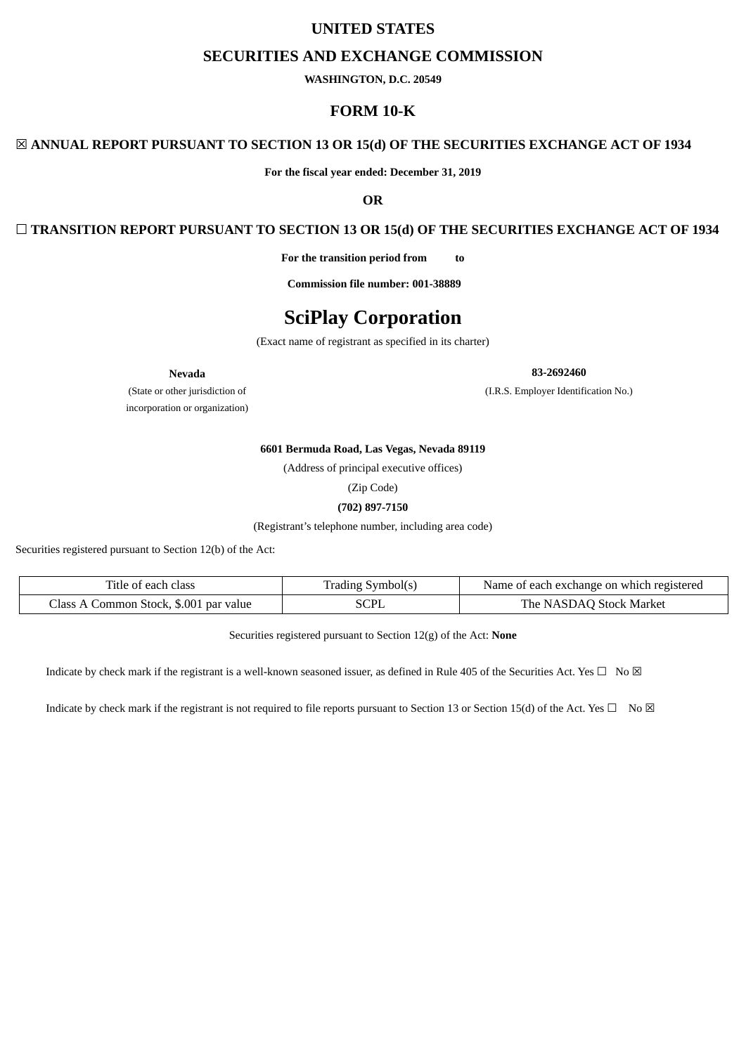## **UNITED STATES**

## **SECURITIES AND EXCHANGE COMMISSION**

**WASHINGTON, D.C. 20549**

## **FORM 10-K**

## ☒ **ANNUAL REPORT PURSUANT TO SECTION 13 OR 15(d) OF THE SECURITIES EXCHANGE ACT OF 1934**

**For the fiscal year ended: December 31, 2019**

**OR**

☐ **TRANSITION REPORT PURSUANT TO SECTION 13 OR 15(d) OF THE SECURITIES EXCHANGE ACT OF 1934**

**For the transition period from to**

**Commission file number: 001-38889**

# **SciPlay Corporation**

(Exact name of registrant as specified in its charter)

incorporation or organization)

**Nevada 83-2692460**

(State or other jurisdiction of (I.R.S. Employer Identification No.)

**6601 Bermuda Road, Las Vegas, Nevada 89119**

(Address of principal executive offices)

(Zip Code)

## **(702) 897-7150**

(Registrant's telephone number, including area code)

Securities registered pursuant to Section 12(b) of the Act:

| Title of each class                    | Trading Symbol(s) | Name of each exchange on which registered |
|----------------------------------------|-------------------|-------------------------------------------|
| Class A Common Stock, \$.001 par value | SCPL              | The NASDAO Stock Market                   |

Securities registered pursuant to Section 12(g) of the Act: **None**

Indicate by check mark if the registrant is a well-known seasoned issuer, as defined in Rule 405 of the Securities Act. Yes  $\square$  No  $\boxtimes$ 

Indicate by check mark if the registrant is not required to file reports pursuant to Section 13 or Section 15(d) of the Act. Yes  $\square$  No  $\boxtimes$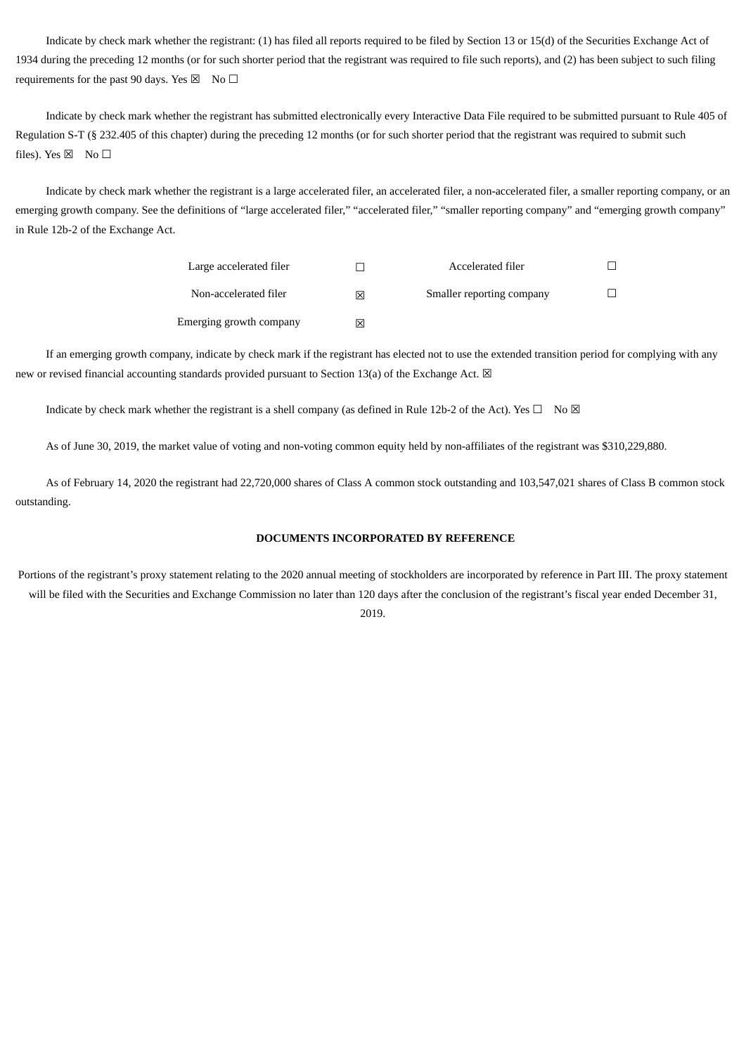Indicate by check mark whether the registrant: (1) has filed all reports required to be filed by Section 13 or 15(d) of the Securities Exchange Act of 1934 during the preceding 12 months (or for such shorter period that the registrant was required to file such reports), and (2) has been subject to such filing requirements for the past 90 days. Yes  $\boxtimes$  No  $\Box$ 

Indicate by check mark whether the registrant has submitted electronically every Interactive Data File required to be submitted pursuant to Rule 405 of Regulation S-T (§ 232.405 of this chapter) during the preceding 12 months (or for such shorter period that the registrant was required to submit such files). Yes  $\boxtimes$  No  $\square$ 

Indicate by check mark whether the registrant is a large accelerated filer, an accelerated filer, a non-accelerated filer, a smaller reporting company, or an emerging growth company. See the definitions of "large accelerated filer," "accelerated filer," "smaller reporting company" and "emerging growth company" in Rule 12b-2 of the Exchange Act.

| Large accelerated filer |   | Accelerated filer         |  |
|-------------------------|---|---------------------------|--|
| Non-accelerated filer   | ⊠ | Smaller reporting company |  |
| Emerging growth company | × |                           |  |

If an emerging growth company, indicate by check mark if the registrant has elected not to use the extended transition period for complying with any new or revised financial accounting standards provided pursuant to Section 13(a) of the Exchange Act.  $\boxtimes$ 

Indicate by check mark whether the registrant is a shell company (as defined in Rule 12b-2 of the Act). Yes  $\Box$  No  $\boxtimes$ 

As of June 30, 2019, the market value of voting and non-voting common equity held by non-affiliates of the registrant was \$310,229,880.

As of February 14, 2020 the registrant had 22,720,000 shares of Class A common stock outstanding and 103,547,021 shares of Class B common stock outstanding.

## **DOCUMENTS INCORPORATED BY REFERENCE**

Portions of the registrant's proxy statement relating to the 2020 annual meeting of stockholders are incorporated by reference in Part III. The proxy statement will be filed with the Securities and Exchange Commission no later than 120 days after the conclusion of the registrant's fiscal year ended December 31, 2019.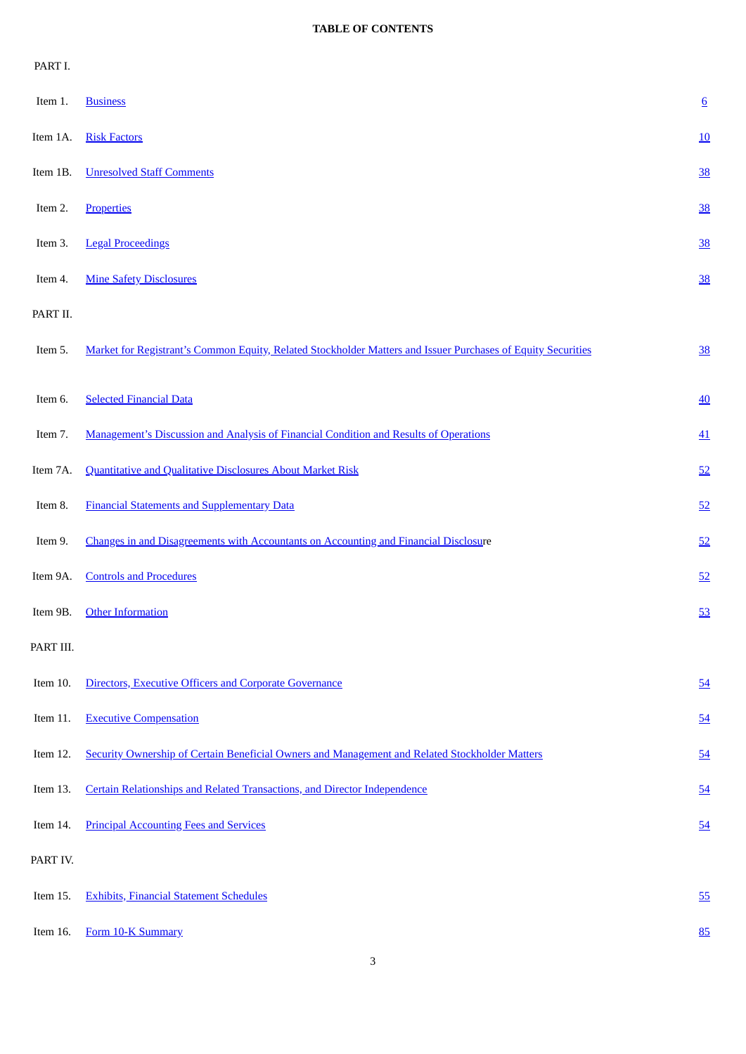## **TABLE OF CONTENTS**

| PART I.   |                                                                                                              |                  |
|-----------|--------------------------------------------------------------------------------------------------------------|------------------|
| Item 1.   | <b>Business</b>                                                                                              | $6\overline{6}$  |
| Item 1A.  | <b>Risk Factors</b>                                                                                          | <u>10</u>        |
| Item 1B.  | <b>Unresolved Staff Comments</b>                                                                             | 38               |
| Item 2.   | <b>Properties</b>                                                                                            | <u>38</u>        |
| Item 3.   | <b>Legal Proceedings</b>                                                                                     | 38               |
| Item 4.   | <b>Mine Safety Disclosures</b>                                                                               | <u>38</u>        |
| PART II.  |                                                                                                              |                  |
| Item 5.   | Market for Registrant's Common Equity, Related Stockholder Matters and Issuer Purchases of Equity Securities | <u>38</u>        |
| Item 6.   | <b>Selected Financial Data</b>                                                                               | $\underline{40}$ |
| Item 7.   | Management's Discussion and Analysis of Financial Condition and Results of Operations                        | 41               |
| Item 7A.  | <b>Quantitative and Qualitative Disclosures About Market Risk</b>                                            | 52               |
| Item 8.   | <b>Financial Statements and Supplementary Data</b>                                                           | 52               |
| Item 9.   | Changes in and Disagreements with Accountants on Accounting and Financial Disclosure                         | 52               |
| Item 9A.  | <b>Controls and Procedures</b>                                                                               | 52               |
|           | Item 9B. Other Information                                                                                   | 53               |
| PART III. |                                                                                                              |                  |
| Item 10.  | Directors, Executive Officers and Corporate Governance                                                       | <u>54</u>        |
| Item 11.  | <b>Executive Compensation</b>                                                                                | <u>54</u>        |
| Item 12.  | Security Ownership of Certain Beneficial Owners and Management and Related Stockholder Matters               | 54               |
| Item 13.  | <b>Certain Relationships and Related Transactions, and Director Independence</b>                             | <u>54</u>        |
| Item 14.  | <b>Principal Accounting Fees and Services</b>                                                                | 54               |
| PART IV.  |                                                                                                              |                  |
| Item 15.  | <b>Exhibits, Financial Statement Schedules</b>                                                               | 55               |
| Item 16.  | Form 10-K Summary                                                                                            | 85               |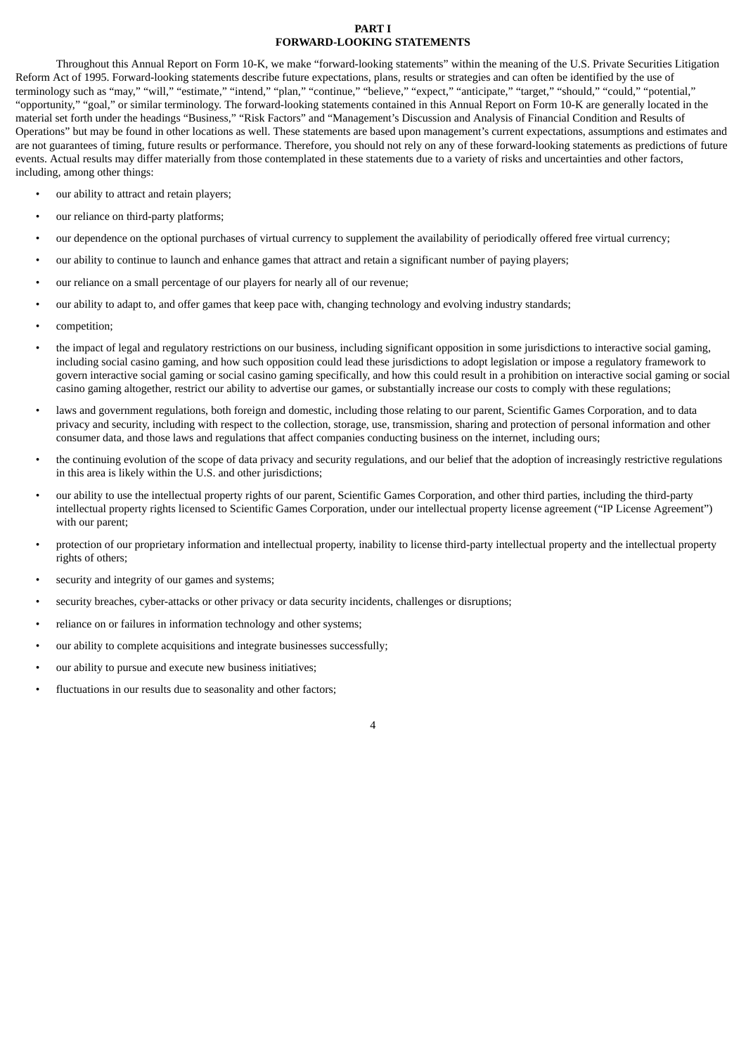## **PART I FORWARD-LOOKING STATEMENTS**

Throughout this Annual Report on Form 10-K, we make "forward-looking statements" within the meaning of the U.S. Private Securities Litigation Reform Act of 1995. Forward-looking statements describe future expectations, plans, results or strategies and can often be identified by the use of terminology such as "may," "will," "estimate," "intend," "plan," "continue," "believe," "expect," "anticipate," "target," "should," "could," "potential," "opportunity," "goal," or similar terminology. The forward-looking statements contained in this Annual Report on Form 10-K are generally located in the material set forth under the headings "Business," "Risk Factors" and "Management's Discussion and Analysis of Financial Condition and Results of Operations" but may be found in other locations as well. These statements are based upon management's current expectations, assumptions and estimates and are not guarantees of timing, future results or performance. Therefore, you should not rely on any of these forward-looking statements as predictions of future events. Actual results may differ materially from those contemplated in these statements due to a variety of risks and uncertainties and other factors, including, among other things:

- our ability to attract and retain players;
- our reliance on third-party platforms;
- our dependence on the optional purchases of virtual currency to supplement the availability of periodically offered free virtual currency;
- our ability to continue to launch and enhance games that attract and retain a significant number of paying players;
- our reliance on a small percentage of our players for nearly all of our revenue;
- our ability to adapt to, and offer games that keep pace with, changing technology and evolving industry standards;
- competition;
- the impact of legal and regulatory restrictions on our business, including significant opposition in some jurisdictions to interactive social gaming, including social casino gaming, and how such opposition could lead these jurisdictions to adopt legislation or impose a regulatory framework to govern interactive social gaming or social casino gaming specifically, and how this could result in a prohibition on interactive social gaming or social casino gaming altogether, restrict our ability to advertise our games, or substantially increase our costs to comply with these regulations;
- laws and government regulations, both foreign and domestic, including those relating to our parent, Scientific Games Corporation, and to data privacy and security, including with respect to the collection, storage, use, transmission, sharing and protection of personal information and other consumer data, and those laws and regulations that affect companies conducting business on the internet, including ours;
- the continuing evolution of the scope of data privacy and security regulations, and our belief that the adoption of increasingly restrictive regulations in this area is likely within the U.S. and other jurisdictions;
- our ability to use the intellectual property rights of our parent, Scientific Games Corporation, and other third parties, including the third-party intellectual property rights licensed to Scientific Games Corporation, under our intellectual property license agreement ("IP License Agreement") with our parent;
- protection of our proprietary information and intellectual property, inability to license third-party intellectual property and the intellectual property rights of others;

- security and integrity of our games and systems;
- security breaches, cyber-attacks or other privacy or data security incidents, challenges or disruptions;
- reliance on or failures in information technology and other systems;
- our ability to complete acquisitions and integrate businesses successfully;
- our ability to pursue and execute new business initiatives;
- fluctuations in our results due to seasonality and other factors;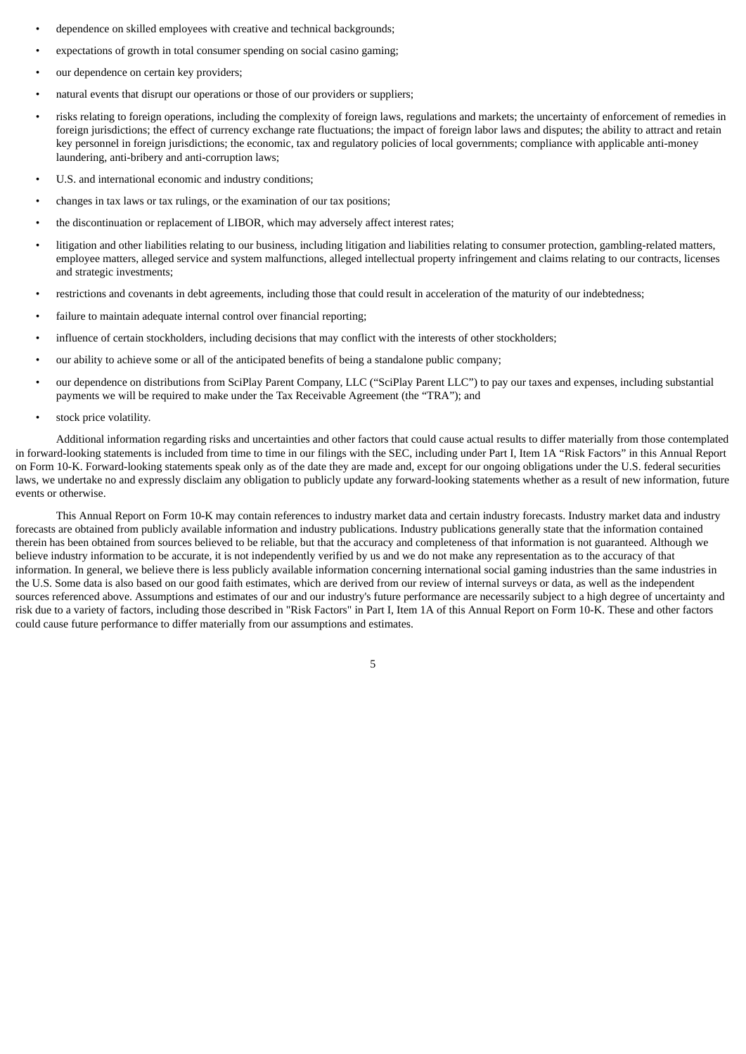- dependence on skilled employees with creative and technical backgrounds;
- expectations of growth in total consumer spending on social casino gaming;
- our dependence on certain key providers;
- natural events that disrupt our operations or those of our providers or suppliers;
- risks relating to foreign operations, including the complexity of foreign laws, regulations and markets; the uncertainty of enforcement of remedies in foreign jurisdictions; the effect of currency exchange rate fluctuations; the impact of foreign labor laws and disputes; the ability to attract and retain key personnel in foreign jurisdictions; the economic, tax and regulatory policies of local governments; compliance with applicable anti-money laundering, anti-bribery and anti-corruption laws;
- U.S. and international economic and industry conditions;
- changes in tax laws or tax rulings, or the examination of our tax positions;
- the discontinuation or replacement of LIBOR, which may adversely affect interest rates;
- litigation and other liabilities relating to our business, including litigation and liabilities relating to consumer protection, gambling-related matters, employee matters, alleged service and system malfunctions, alleged intellectual property infringement and claims relating to our contracts, licenses and strategic investments;
- restrictions and covenants in debt agreements, including those that could result in acceleration of the maturity of our indebtedness;
- failure to maintain adequate internal control over financial reporting;
- influence of certain stockholders, including decisions that may conflict with the interests of other stockholders;
- our ability to achieve some or all of the anticipated benefits of being a standalone public company;
- our dependence on distributions from SciPlay Parent Company, LLC ("SciPlay Parent LLC") to pay our taxes and expenses, including substantial payments we will be required to make under the Tax Receivable Agreement (the "TRA"); and
- stock price volatility.

Additional information regarding risks and uncertainties and other factors that could cause actual results to differ materially from those contemplated in forward-looking statements is included from time to time in our filings with the SEC, including under Part I, Item 1A "Risk Factors" in this Annual Report on Form 10-K. Forward-looking statements speak only as of the date they are made and, except for our ongoing obligations under the U.S. federal securities laws, we undertake no and expressly disclaim any obligation to publicly update any forward-looking statements whether as a result of new information, future events or otherwise.

This Annual Report on Form 10-K may contain references to industry market data and certain industry forecasts. Industry market data and industry forecasts are obtained from publicly available information and industry publications. Industry publications generally state that the information contained therein has been obtained from sources believed to be reliable, but that the accuracy and completeness of that information is not guaranteed. Although we believe industry information to be accurate, it is not independently verified by us and we do not make any representation as to the accuracy of that information. In general, we believe there is less publicly available information concerning international social gaming industries than the same industries in the U.S. Some data is also based on our good faith estimates, which are derived from our review of internal surveys or data, as well as the independent sources referenced above. Assumptions and estimates of our and our industry's future performance are necessarily subject to a high degree of uncertainty and risk due to a variety of factors, including those described in "Risk Factors" in Part I, Item 1A of this Annual Report on Form 10-K. These and other factors could cause future performance to differ materially from our assumptions and estimates.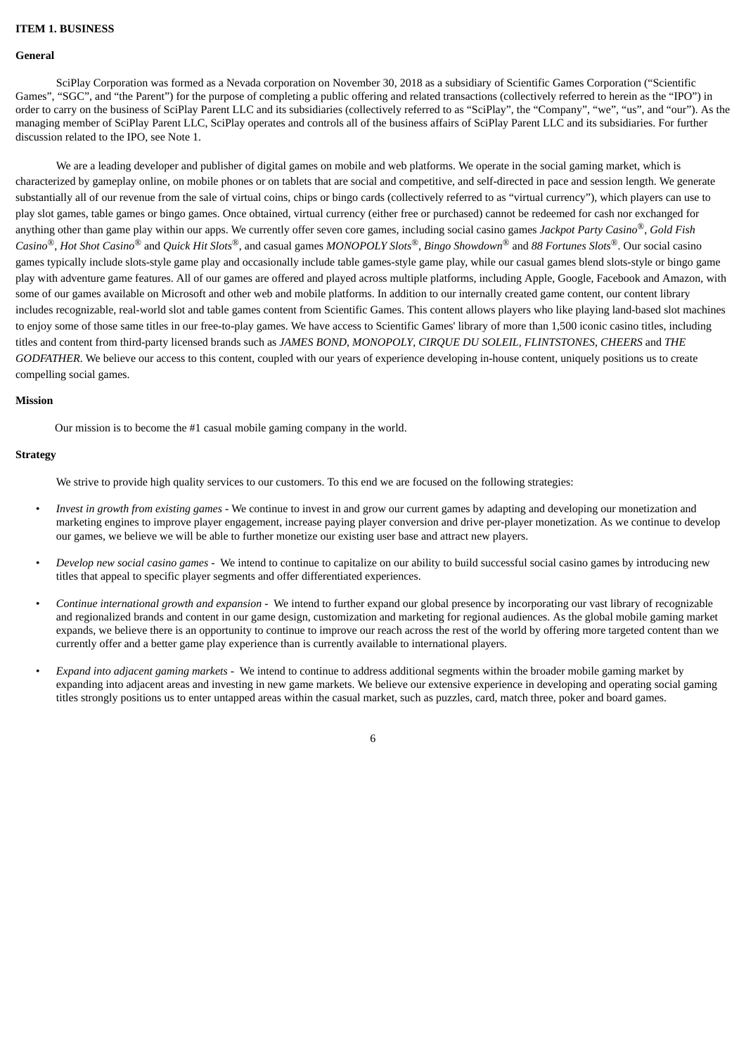## <span id="page-5-0"></span>**ITEM 1. BUSINESS**

### **General**

SciPlay Corporation was formed as a Nevada corporation on November 30, 2018 as a subsidiary of Scientific Games Corporation ("Scientific Games", "SGC", and "the Parent") for the purpose of completing a public offering and related transactions (collectively referred to herein as the "IPO") in order to carry on the business of SciPlay Parent LLC and its subsidiaries (collectively referred to as "SciPlay", the "Company", "we", "us", and "our"). As the managing member of SciPlay Parent LLC, SciPlay operates and controls all of the business affairs of SciPlay Parent LLC and its subsidiaries. For further discussion related to the IPO, see Note 1.

We are a leading developer and publisher of digital games on mobile and web platforms. We operate in the social gaming market, which is characterized by gameplay online, on mobile phones or on tablets that are social and competitive, and self-directed in pace and session length. We generate substantially all of our revenue from the sale of virtual coins, chips or bingo cards (collectively referred to as "virtual currency"), which players can use to play slot games, table games or bingo games. Once obtained, virtual currency (either free or purchased) cannot be redeemed for cash nor exchanged for anything other than game play within our apps. We currently offer seven core games, including social casino games *Jackpot Party Casino*®, *Gold Fish*  $\text{Casino}^{\circledast}$ , Hot Shot Casino $^{\circledast}$  and Quick Hit Slots $^{\circledast}$ , and casual games MONOPOLY Slots $^{\circledast}$ , Bingo Showdown $^{\circledast}$  and 88 Fortunes Slots $^{\circledast}$ . Our social casino games typically include slots-style game play and occasionally include table games-style game play, while our casual games blend slots-style or bingo game play with adventure game features. All of our games are offered and played across multiple platforms, including Apple, Google, Facebook and Amazon, with some of our games available on Microsoft and other web and mobile platforms. In addition to our internally created game content, our content library includes recognizable, real-world slot and table games content from Scientific Games. This content allows players who like playing land-based slot machines to enjoy some of those same titles in our free-to-play games. We have access to Scientific Games' library of more than 1,500 iconic casino titles, including titles and content from third-party licensed brands such as *JAMES BOND*, *MONOPOLY*, *CIRQUE DU SOLEIL, FLINTSTONES*, *CHEERS* and *THE GODFATHER*. We believe our access to this content, coupled with our years of experience developing in-house content, uniquely positions us to create compelling social games.

### **Mission**

Our mission is to become the #1 casual mobile gaming company in the world.

### **Strategy**

We strive to provide high quality services to our customers. To this end we are focused on the following strategies:

- *• Invest in growth from existing games -* We continue to invest in and grow our current games by adapting and developing our monetization and marketing engines to improve player engagement, increase paying player conversion and drive per-player monetization. As we continue to develop our games, we believe we will be able to further monetize our existing user base and attract new players.
- *• Develop new social casino games -* We intend to continue to capitalize on our ability to build successful social casino games by introducing new titles that appeal to specific player segments and offer differentiated experiences.
- *• Continue international growth and expansion -* We intend to further expand our global presence by incorporating our vast library of recognizable and regionalized brands and content in our game design, customization and marketing for regional audiences. As the global mobile gaming market expands, we believe there is an opportunity to continue to improve our reach across the rest of the world by offering more targeted content than we currently offer and a better game play experience than is currently available to international players.
- *• Expand into adjacent gaming markets -* We intend to continue to address additional segments within the broader mobile gaming market by expanding into adjacent areas and investing in new game markets. We believe our extensive experience in developing and operating social gaming titles strongly positions us to enter untapped areas within the casual market, such as puzzles, card, match three, poker and board games.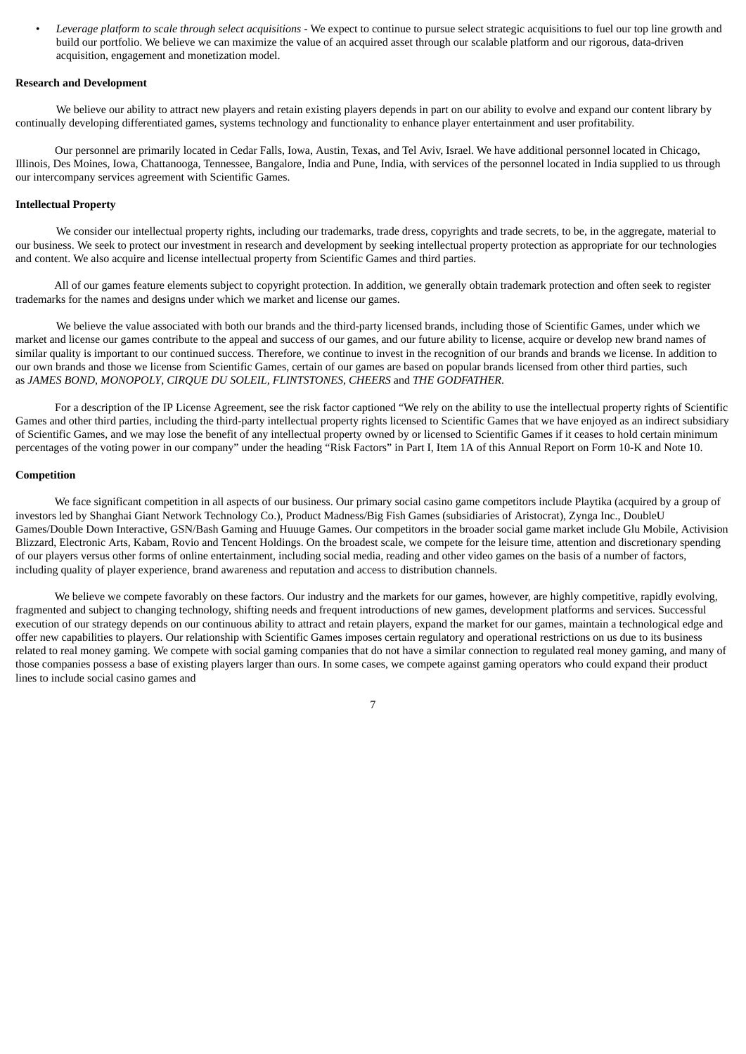*• Leverage platform to scale through select acquisitions -* We expect to continue to pursue select strategic acquisitions to fuel our top line growth and build our portfolio. We believe we can maximize the value of an acquired asset through our scalable platform and our rigorous, data-driven acquisition, engagement and monetization model.

### **Research and Development**

We believe our ability to attract new players and retain existing players depends in part on our ability to evolve and expand our content library by continually developing differentiated games, systems technology and functionality to enhance player entertainment and user profitability.

Our personnel are primarily located in Cedar Falls, Iowa, Austin, Texas, and Tel Aviv, Israel. We have additional personnel located in Chicago, Illinois, Des Moines, Iowa, Chattanooga, Tennessee, Bangalore, India and Pune, India, with services of the personnel located in India supplied to us through our intercompany services agreement with Scientific Games.

## **Intellectual Property**

We consider our intellectual property rights, including our trademarks, trade dress, copyrights and trade secrets, to be, in the aggregate, material to our business. We seek to protect our investment in research and development by seeking intellectual property protection as appropriate for our technologies and content. We also acquire and license intellectual property from Scientific Games and third parties.

All of our games feature elements subject to copyright protection. In addition, we generally obtain trademark protection and often seek to register trademarks for the names and designs under which we market and license our games.

We believe the value associated with both our brands and the third-party licensed brands, including those of Scientific Games, under which we market and license our games contribute to the appeal and success of our games, and our future ability to license, acquire or develop new brand names of similar quality is important to our continued success. Therefore, we continue to invest in the recognition of our brands and brands we license. In addition to our own brands and those we license from Scientific Games, certain of our games are based on popular brands licensed from other third parties, such as *JAMES BOND*, *MONOPOLY*, *CIRQUE DU SOLEIL, FLINTSTONES*, *CHEERS* and *THE GODFATHER*.

For a description of the IP License Agreement, see the risk factor captioned "We rely on the ability to use the intellectual property rights of Scientific Games and other third parties, including the third-party intellectual property rights licensed to Scientific Games that we have enjoyed as an indirect subsidiary of Scientific Games, and we may lose the benefit of any intellectual property owned by or licensed to Scientific Games if it ceases to hold certain minimum percentages of the voting power in our company" under the heading "Risk Factors" in Part I, Item 1A of this Annual Report on Form 10-K and Note 10.

### **Competition**

We face significant competition in all aspects of our business. Our primary social casino game competitors include Playtika (acquired by a group of investors led by Shanghai Giant Network Technology Co.), Product Madness/Big Fish Games (subsidiaries of Aristocrat), Zynga Inc., DoubleU Games/Double Down Interactive, GSN/Bash Gaming and Huuuge Games. Our competitors in the broader social game market include Glu Mobile, Activision Blizzard, Electronic Arts, Kabam, Rovio and Tencent Holdings. On the broadest scale, we compete for the leisure time, attention and discretionary spending of our players versus other forms of online entertainment, including social media, reading and other video games on the basis of a number of factors, including quality of player experience, brand awareness and reputation and access to distribution channels.

We believe we compete favorably on these factors. Our industry and the markets for our games, however, are highly competitive, rapidly evolving, fragmented and subject to changing technology, shifting needs and frequent introductions of new games, development platforms and services. Successful execution of our strategy depends on our continuous ability to attract and retain players, expand the market for our games, maintain a technological edge and offer new capabilities to players. Our relationship with Scientific Games imposes certain regulatory and operational restrictions on us due to its business related to real money gaming. We compete with social gaming companies that do not have a similar connection to regulated real money gaming, and many of those companies possess a base of existing players larger than ours. In some cases, we compete against gaming operators who could expand their product lines to include social casino games and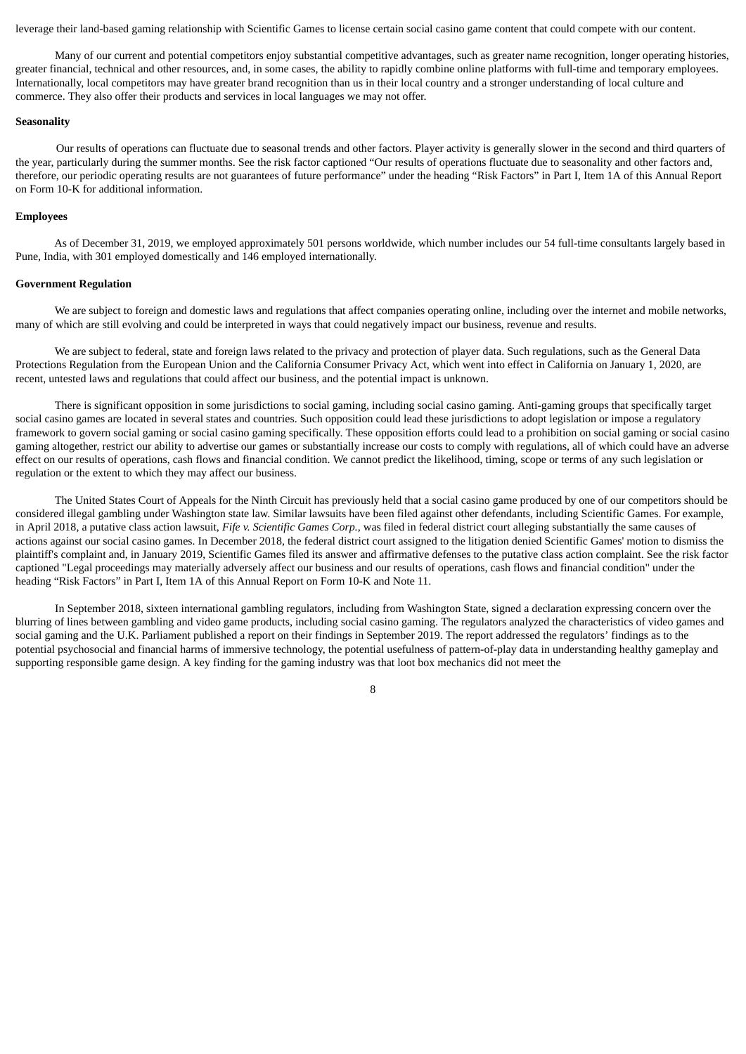leverage their land-based gaming relationship with Scientific Games to license certain social casino game content that could compete with our content.

Many of our current and potential competitors enjoy substantial competitive advantages, such as greater name recognition, longer operating histories, greater financial, technical and other resources, and, in some cases, the ability to rapidly combine online platforms with full-time and temporary employees. Internationally, local competitors may have greater brand recognition than us in their local country and a stronger understanding of local culture and commerce. They also offer their products and services in local languages we may not offer.

#### **Seasonality**

Our results of operations can fluctuate due to seasonal trends and other factors. Player activity is generally slower in the second and third quarters of the year, particularly during the summer months. See the risk factor captioned "Our results of operations fluctuate due to seasonality and other factors and, therefore, our periodic operating results are not guarantees of future performance" under the heading "Risk Factors" in Part I, Item 1A of this Annual Report on Form 10-K for additional information.

### **Employees**

As of December 31, 2019, we employed approximately 501 persons worldwide, which number includes our 54 full-time consultants largely based in Pune, India, with 301 employed domestically and 146 employed internationally.

### **Government Regulation**

We are subject to foreign and domestic laws and regulations that affect companies operating online, including over the internet and mobile networks, many of which are still evolving and could be interpreted in ways that could negatively impact our business, revenue and results.

We are subject to federal, state and foreign laws related to the privacy and protection of player data. Such regulations, such as the General Data Protections Regulation from the European Union and the California Consumer Privacy Act, which went into effect in California on January 1, 2020, are recent, untested laws and regulations that could affect our business, and the potential impact is unknown.

There is significant opposition in some jurisdictions to social gaming, including social casino gaming. Anti-gaming groups that specifically target social casino games are located in several states and countries. Such opposition could lead these jurisdictions to adopt legislation or impose a regulatory framework to govern social gaming or social casino gaming specifically. These opposition efforts could lead to a prohibition on social gaming or social casino gaming altogether, restrict our ability to advertise our games or substantially increase our costs to comply with regulations, all of which could have an adverse effect on our results of operations, cash flows and financial condition. We cannot predict the likelihood, timing, scope or terms of any such legislation or regulation or the extent to which they may affect our business.

The United States Court of Appeals for the Ninth Circuit has previously held that a social casino game produced by one of our competitors should be considered illegal gambling under Washington state law. Similar lawsuits have been filed against other defendants, including Scientific Games. For example, in April 2018, a putative class action lawsuit, *Fife v. Scientific Games Corp.,* was filed in federal district court alleging substantially the same causes of actions against our social casino games. In December 2018, the federal district court assigned to the litigation denied Scientific Games' motion to dismiss the plaintiff's complaint and, in January 2019, Scientific Games filed its answer and affirmative defenses to the putative class action complaint. See the risk factor captioned "Legal proceedings may materially adversely affect our business and our results of operations, cash flows and financial condition" under the heading "Risk Factors" in Part I, Item 1A of this Annual Report on Form 10-K and Note 11.

In September 2018, sixteen international gambling regulators, including from Washington State, signed a declaration expressing concern over the blurring of lines between gambling and video game products, including social casino gaming. The regulators analyzed the characteristics of video games and social gaming and the U.K. Parliament published a report on their findings in September 2019. The report addressed the regulators' findings as to the potential psychosocial and financial harms of immersive technology, the potential usefulness of pattern-of-play data in understanding healthy gameplay and supporting responsible game design. A key finding for the gaming industry was that loot box mechanics did not meet the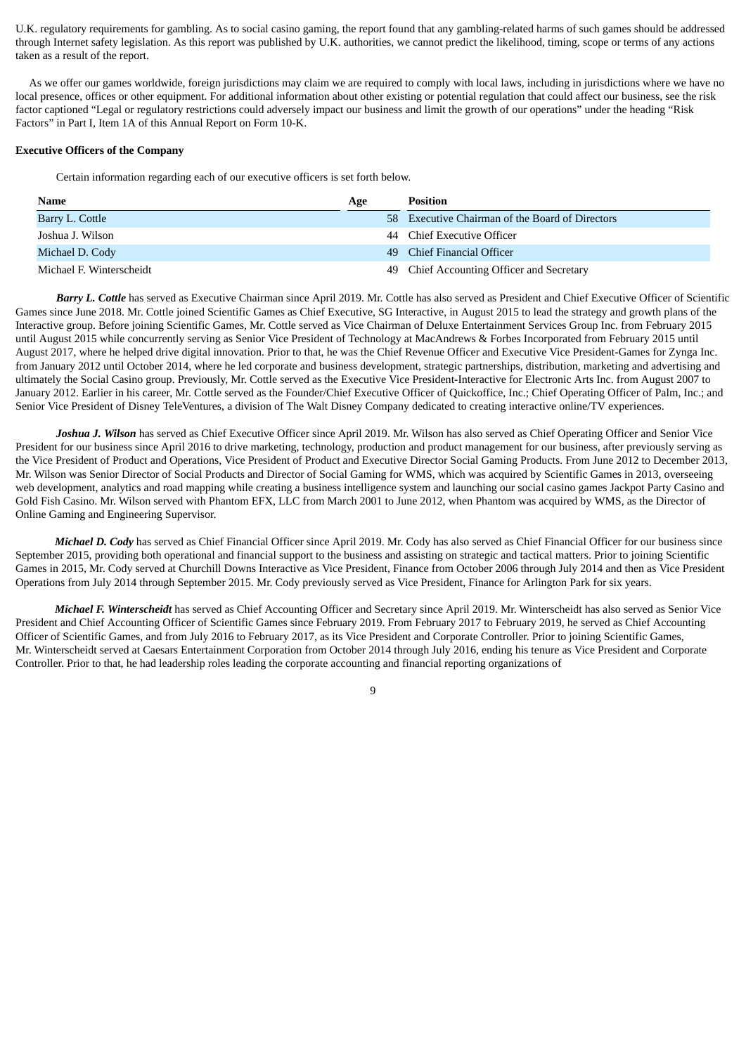U.K. regulatory requirements for gambling. As to social casino gaming, the report found that any gambling-related harms of such games should be addressed through Internet safety legislation. As this report was published by U.K. authorities, we cannot predict the likelihood, timing, scope or terms of any actions taken as a result of the report.

As we offer our games worldwide, foreign jurisdictions may claim we are required to comply with local laws, including in jurisdictions where we have no local presence, offices or other equipment. For additional information about other existing or potential regulation that could affect our business, see the risk factor captioned "Legal or regulatory restrictions could adversely impact our business and limit the growth of our operations" under the heading "Risk Factors" in Part I, Item 1A of this Annual Report on Form 10-K.

### **Executive Officers of the Company**

Certain information regarding each of our executive officers is set forth below.

| Name                     | Age | <b>Position</b>                                 |
|--------------------------|-----|-------------------------------------------------|
| Barry L. Cottle          |     | 58 Executive Chairman of the Board of Directors |
| Joshua J. Wilson         |     | 44 Chief Executive Officer                      |
| Michael D. Cody          |     | 49 Chief Financial Officer                      |
| Michael F. Winterscheidt |     | 49 Chief Accounting Officer and Secretary       |

*Barry L. Cottle* has served as Executive Chairman since April 2019. Mr. Cottle has also served as President and Chief Executive Officer of Scientific Games since June 2018. Mr. Cottle joined Scientific Games as Chief Executive, SG Interactive, in August 2015 to lead the strategy and growth plans of the Interactive group. Before joining Scientific Games, Mr. Cottle served as Vice Chairman of Deluxe Entertainment Services Group Inc. from February 2015 until August 2015 while concurrently serving as Senior Vice President of Technology at MacAndrews & Forbes Incorporated from February 2015 until August 2017, where he helped drive digital innovation. Prior to that, he was the Chief Revenue Officer and Executive Vice President-Games for Zynga Inc. from January 2012 until October 2014, where he led corporate and business development, strategic partnerships, distribution, marketing and advertising and ultimately the Social Casino group. Previously, Mr. Cottle served as the Executive Vice President-Interactive for Electronic Arts Inc. from August 2007 to January 2012. Earlier in his career, Mr. Cottle served as the Founder/Chief Executive Officer of Quickoffice, Inc.; Chief Operating Officer of Palm, Inc.; and Senior Vice President of Disney TeleVentures, a division of The Walt Disney Company dedicated to creating interactive online/TV experiences.

*Joshua J. Wilson* has served as Chief Executive Officer since April 2019. Mr. Wilson has also served as Chief Operating Officer and Senior Vice President for our business since April 2016 to drive marketing, technology, production and product management for our business, after previously serving as the Vice President of Product and Operations, Vice President of Product and Executive Director Social Gaming Products. From June 2012 to December 2013, Mr. Wilson was Senior Director of Social Products and Director of Social Gaming for WMS, which was acquired by Scientific Games in 2013, overseeing web development, analytics and road mapping while creating a business intelligence system and launching our social casino games Jackpot Party Casino and Gold Fish Casino. Mr. Wilson served with Phantom EFX, LLC from March 2001 to June 2012, when Phantom was acquired by WMS, as the Director of Online Gaming and Engineering Supervisor.

*Michael D. Cody* has served as Chief Financial Officer since April 2019. Mr. Cody has also served as Chief Financial Officer for our business since September 2015, providing both operational and financial support to the business and assisting on strategic and tactical matters. Prior to joining Scientific Games in 2015, Mr. Cody served at Churchill Downs Interactive as Vice President, Finance from October 2006 through July 2014 and then as Vice President Operations from July 2014 through September 2015. Mr. Cody previously served as Vice President, Finance for Arlington Park for six years.

*Michael F. Winterscheidt* has served as Chief Accounting Officer and Secretary since April 2019. Mr. Winterscheidt has also served as Senior Vice President and Chief Accounting Officer of Scientific Games since February 2019. From February 2017 to February 2019, he served as Chief Accounting Officer of Scientific Games, and from July 2016 to February 2017, as its Vice President and Corporate Controller. Prior to joining Scientific Games, Mr. Winterscheidt served at Caesars Entertainment Corporation from October 2014 through July 2016, ending his tenure as Vice President and Corporate Controller. Prior to that, he had leadership roles leading the corporate accounting and financial reporting organizations of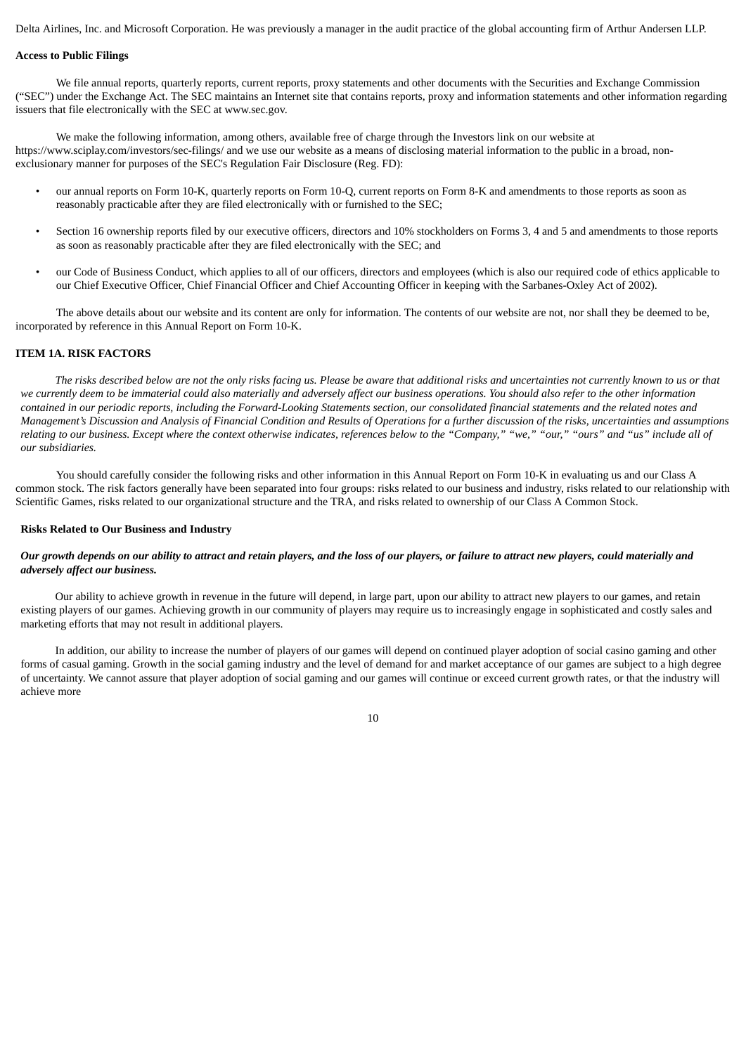Delta Airlines, Inc. and Microsoft Corporation. He was previously a manager in the audit practice of the global accounting firm of Arthur Andersen LLP.

### **Access to Public Filings**

We file annual reports, quarterly reports, current reports, proxy statements and other documents with the Securities and Exchange Commission ("SEC") under the Exchange Act. The SEC maintains an Internet site that contains reports, proxy and information statements and other information regarding issuers that file electronically with the SEC at www.sec.gov.

We make the following information, among others, available free of charge through the Investors link on our website at https://www.sciplay.com/investors/sec-filings/ and we use our website as a means of disclosing material information to the public in a broad, nonexclusionary manner for purposes of the SEC's Regulation Fair Disclosure (Reg. FD):

- our annual reports on Form 10-K, quarterly reports on Form 10-Q, current reports on Form 8-K and amendments to those reports as soon as reasonably practicable after they are filed electronically with or furnished to the SEC;
- Section 16 ownership reports filed by our executive officers, directors and 10% stockholders on Forms 3, 4 and 5 and amendments to those reports as soon as reasonably practicable after they are filed electronically with the SEC; and
- our Code of Business Conduct, which applies to all of our officers, directors and employees (which is also our required code of ethics applicable to our Chief Executive Officer, Chief Financial Officer and Chief Accounting Officer in keeping with the Sarbanes-Oxley Act of 2002).

The above details about our website and its content are only for information. The contents of our website are not, nor shall they be deemed to be, incorporated by reference in this Annual Report on Form 10-K.

## <span id="page-9-0"></span>**ITEM 1A. RISK FACTORS**

The risks described below are not the only risks facing us. Please be aware that additional risks and uncertainties not currently known to us or that we currently deem to be immaterial could also materially and adversely affect our business operations. You should also refer to the other information contained in our periodic reports, including the Forward-Looking Statements section, our consolidated financial statements and the related notes and Management's Discussion and Analysis of Financial Condition and Results of Operations for a further discussion of the risks, uncertainties and assumptions relating to our business. Except where the context otherwise indicates, references below to the "Company," "we," "our," "ours" and "us" include all of *our subsidiaries.*

You should carefully consider the following risks and other information in this Annual Report on Form 10-K in evaluating us and our Class A common stock. The risk factors generally have been separated into four groups: risks related to our business and industry, risks related to our relationship with Scientific Games, risks related to our organizational structure and the TRA, and risks related to ownership of our Class A Common Stock.

### **Risks Related to Our Business and Industry**

## Our growth depends on our ability to attract and retain players, and the loss of our players, or failure to attract new players, could materially and *adversely affect our business.*

Our ability to achieve growth in revenue in the future will depend, in large part, upon our ability to attract new players to our games, and retain existing players of our games. Achieving growth in our community of players may require us to increasingly engage in sophisticated and costly sales and marketing efforts that may not result in additional players.

In addition, our ability to increase the number of players of our games will depend on continued player adoption of social casino gaming and other forms of casual gaming. Growth in the social gaming industry and the level of demand for and market acceptance of our games are subject to a high degree of uncertainty. We cannot assure that player adoption of social gaming and our games will continue or exceed current growth rates, or that the industry will achieve more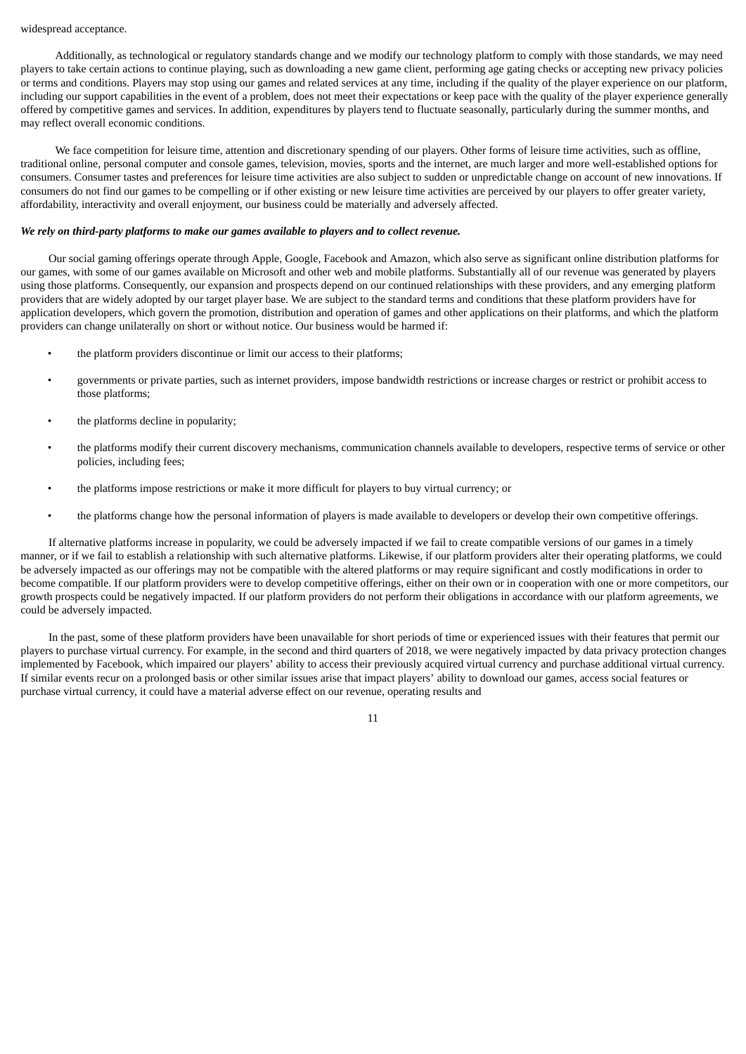### widespread acceptance.

Additionally, as technological or regulatory standards change and we modify our technology platform to comply with those standards, we may need players to take certain actions to continue playing, such as downloading a new game client, performing age gating checks or accepting new privacy policies or terms and conditions. Players may stop using our games and related services at any time, including if the quality of the player experience on our platform, including our support capabilities in the event of a problem, does not meet their expectations or keep pace with the quality of the player experience generally offered by competitive games and services. In addition, expenditures by players tend to fluctuate seasonally, particularly during the summer months, and may reflect overall economic conditions.

We face competition for leisure time, attention and discretionary spending of our players. Other forms of leisure time activities, such as offline, traditional online, personal computer and console games, television, movies, sports and the internet, are much larger and more well-established options for consumers. Consumer tastes and preferences for leisure time activities are also subject to sudden or unpredictable change on account of new innovations. If consumers do not find our games to be compelling or if other existing or new leisure time activities are perceived by our players to offer greater variety, affordability, interactivity and overall enjoyment, our business could be materially and adversely affected.

### *We rely on third-party platforms to make our games available to players and to collect revenue.*

Our social gaming offerings operate through Apple, Google, Facebook and Amazon, which also serve as significant online distribution platforms for our games, with some of our games available on Microsoft and other web and mobile platforms. Substantially all of our revenue was generated by players using those platforms. Consequently, our expansion and prospects depend on our continued relationships with these providers, and any emerging platform providers that are widely adopted by our target player base. We are subject to the standard terms and conditions that these platform providers have for application developers, which govern the promotion, distribution and operation of games and other applications on their platforms, and which the platform providers can change unilaterally on short or without notice. Our business would be harmed if:

- the platform providers discontinue or limit our access to their platforms;
- governments or private parties, such as internet providers, impose bandwidth restrictions or increase charges or restrict or prohibit access to those platforms;
- the platforms decline in popularity;
- the platforms modify their current discovery mechanisms, communication channels available to developers, respective terms of service or other policies, including fees;
- the platforms impose restrictions or make it more difficult for players to buy virtual currency; or
- the platforms change how the personal information of players is made available to developers or develop their own competitive offerings.

If alternative platforms increase in popularity, we could be adversely impacted if we fail to create compatible versions of our games in a timely manner, or if we fail to establish a relationship with such alternative platforms. Likewise, if our platform providers alter their operating platforms, we could be adversely impacted as our offerings may not be compatible with the altered platforms or may require significant and costly modifications in order to become compatible. If our platform providers were to develop competitive offerings, either on their own or in cooperation with one or more competitors, our growth prospects could be negatively impacted. If our platform providers do not perform their obligations in accordance with our platform agreements, we could be adversely impacted.

In the past, some of these platform providers have been unavailable for short periods of time or experienced issues with their features that permit our players to purchase virtual currency. For example, in the second and third quarters of 2018, we were negatively impacted by data privacy protection changes implemented by Facebook, which impaired our players' ability to access their previously acquired virtual currency and purchase additional virtual currency. If similar events recur on a prolonged basis or other similar issues arise that impact players' ability to download our games, access social features or purchase virtual currency, it could have a material adverse effect on our revenue, operating results and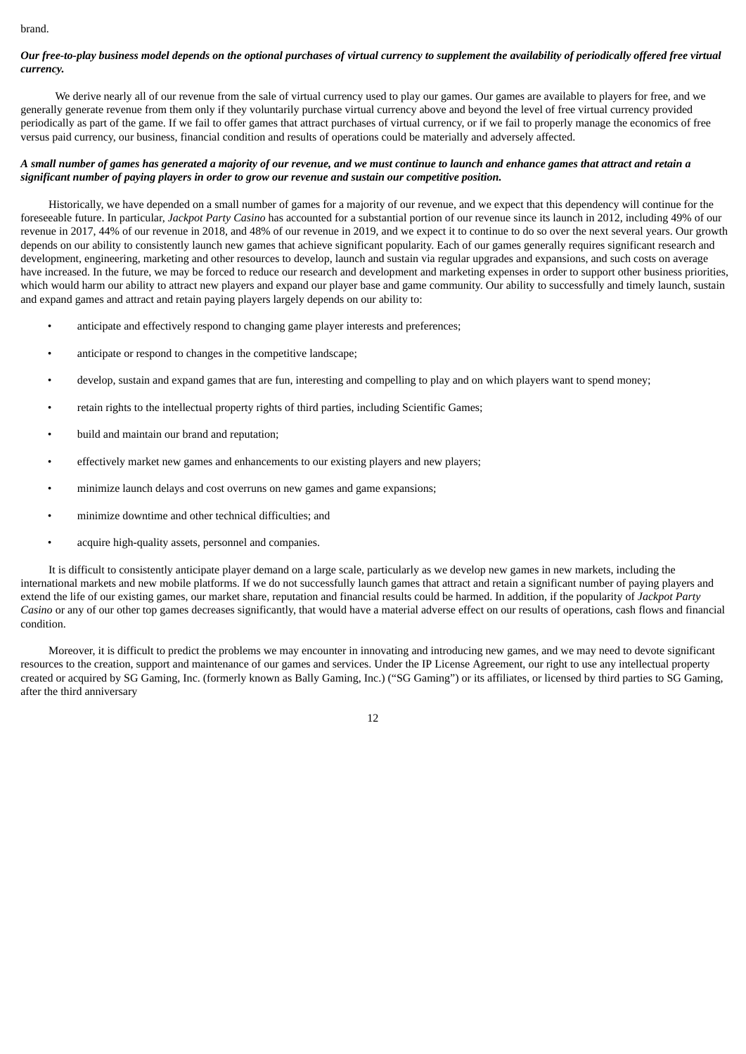brand.

## Our free-to-play business model depends on the optional purchases of virtual currency to supplement the availability of periodically offered free virtual *currency.*

We derive nearly all of our revenue from the sale of virtual currency used to play our games. Our games are available to players for free, and we generally generate revenue from them only if they voluntarily purchase virtual currency above and beyond the level of free virtual currency provided periodically as part of the game. If we fail to offer games that attract purchases of virtual currency, or if we fail to properly manage the economics of free versus paid currency, our business, financial condition and results of operations could be materially and adversely affected.

## A small number of games has generated a majority of our revenue, and we must continue to launch and enhance games that attract and retain a *significant number of paying players in order to grow our revenue and sustain our competitive position.*

Historically, we have depended on a small number of games for a majority of our revenue, and we expect that this dependency will continue for the foreseeable future. In particular, *Jackpot Party Casino* has accounted for a substantial portion of our revenue since its launch in 2012, including 49% of our revenue in 2017, 44% of our revenue in 2018, and 48% of our revenue in 2019, and we expect it to continue to do so over the next several years. Our growth depends on our ability to consistently launch new games that achieve significant popularity. Each of our games generally requires significant research and development, engineering, marketing and other resources to develop, launch and sustain via regular upgrades and expansions, and such costs on average have increased. In the future, we may be forced to reduce our research and development and marketing expenses in order to support other business priorities, which would harm our ability to attract new players and expand our player base and game community. Our ability to successfully and timely launch, sustain and expand games and attract and retain paying players largely depends on our ability to:

- anticipate and effectively respond to changing game player interests and preferences;
- anticipate or respond to changes in the competitive landscape;
- develop, sustain and expand games that are fun, interesting and compelling to play and on which players want to spend money;
- retain rights to the intellectual property rights of third parties, including Scientific Games;
- build and maintain our brand and reputation;
- effectively market new games and enhancements to our existing players and new players;
- minimize launch delays and cost overruns on new games and game expansions;
- minimize downtime and other technical difficulties; and
- acquire high-quality assets, personnel and companies.

It is difficult to consistently anticipate player demand on a large scale, particularly as we develop new games in new markets, including the international markets and new mobile platforms. If we do not successfully launch games that attract and retain a significant number of paying players and extend the life of our existing games, our market share, reputation and financial results could be harmed. In addition, if the popularity of *Jackpot Party Casino* or any of our other top games decreases significantly, that would have a material adverse effect on our results of operations, cash flows and financial condition.

Moreover, it is difficult to predict the problems we may encounter in innovating and introducing new games, and we may need to devote significant resources to the creation, support and maintenance of our games and services. Under the IP License Agreement, our right to use any intellectual property created or acquired by SG Gaming, Inc. (formerly known as Bally Gaming, Inc.) ("SG Gaming") or its affiliates, or licensed by third parties to SG Gaming, after the third anniversary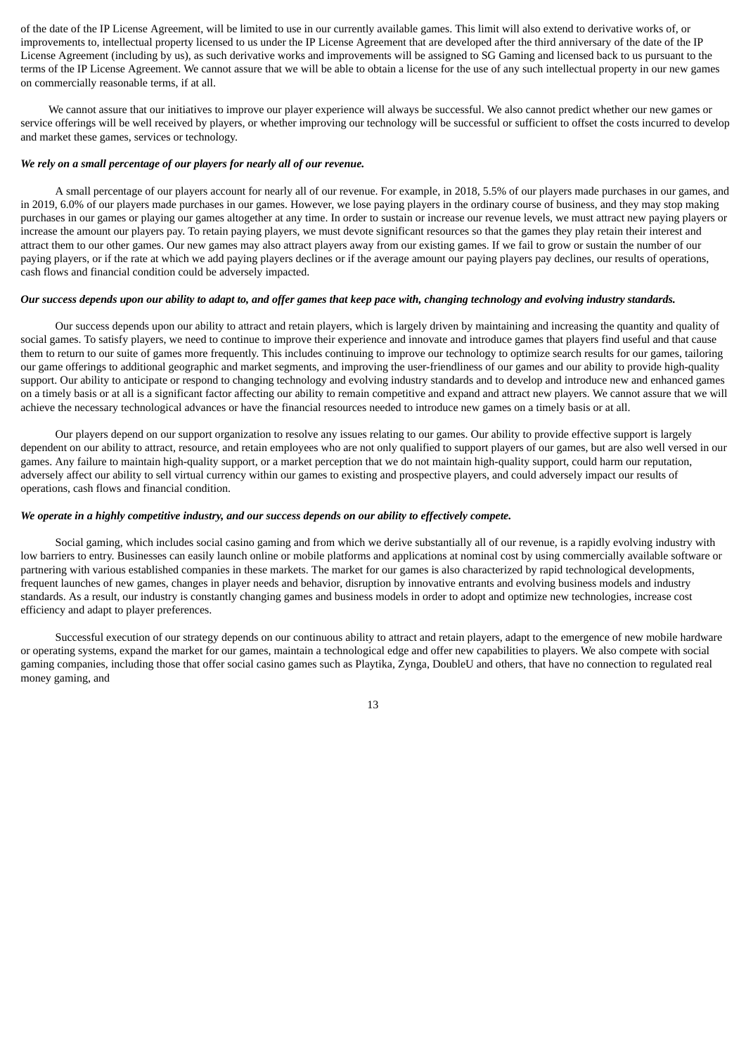of the date of the IP License Agreement, will be limited to use in our currently available games. This limit will also extend to derivative works of, or improvements to, intellectual property licensed to us under the IP License Agreement that are developed after the third anniversary of the date of the IP License Agreement (including by us), as such derivative works and improvements will be assigned to SG Gaming and licensed back to us pursuant to the terms of the IP License Agreement. We cannot assure that we will be able to obtain a license for the use of any such intellectual property in our new games on commercially reasonable terms, if at all.

We cannot assure that our initiatives to improve our player experience will always be successful. We also cannot predict whether our new games or service offerings will be well received by players, or whether improving our technology will be successful or sufficient to offset the costs incurred to develop and market these games, services or technology.

## *We rely on a small percentage of our players for nearly all of our revenue.*

A small percentage of our players account for nearly all of our revenue. For example, in 2018, 5.5% of our players made purchases in our games, and in 2019, 6.0% of our players made purchases in our games. However, we lose paying players in the ordinary course of business, and they may stop making purchases in our games or playing our games altogether at any time. In order to sustain or increase our revenue levels, we must attract new paying players or increase the amount our players pay. To retain paying players, we must devote significant resources so that the games they play retain their interest and attract them to our other games. Our new games may also attract players away from our existing games. If we fail to grow or sustain the number of our paying players, or if the rate at which we add paying players declines or if the average amount our paying players pay declines, our results of operations, cash flows and financial condition could be adversely impacted.

## Our success depends upon our ability to adapt to, and offer games that keep pace with, changing technology and evolving industry standards.

Our success depends upon our ability to attract and retain players, which is largely driven by maintaining and increasing the quantity and quality of social games. To satisfy players, we need to continue to improve their experience and innovate and introduce games that players find useful and that cause them to return to our suite of games more frequently. This includes continuing to improve our technology to optimize search results for our games, tailoring our game offerings to additional geographic and market segments, and improving the user-friendliness of our games and our ability to provide high-quality support. Our ability to anticipate or respond to changing technology and evolving industry standards and to develop and introduce new and enhanced games on a timely basis or at all is a significant factor affecting our ability to remain competitive and expand and attract new players. We cannot assure that we will achieve the necessary technological advances or have the financial resources needed to introduce new games on a timely basis or at all.

Our players depend on our support organization to resolve any issues relating to our games. Our ability to provide effective support is largely dependent on our ability to attract, resource, and retain employees who are not only qualified to support players of our games, but are also well versed in our games. Any failure to maintain high-quality support, or a market perception that we do not maintain high-quality support, could harm our reputation, adversely affect our ability to sell virtual currency within our games to existing and prospective players, and could adversely impact our results of operations, cash flows and financial condition.

### We operate in a highly competitive industry, and our success depends on our ability to effectively compete.

Social gaming, which includes social casino gaming and from which we derive substantially all of our revenue, is a rapidly evolving industry with low barriers to entry. Businesses can easily launch online or mobile platforms and applications at nominal cost by using commercially available software or partnering with various established companies in these markets. The market for our games is also characterized by rapid technological developments, frequent launches of new games, changes in player needs and behavior, disruption by innovative entrants and evolving business models and industry standards. As a result, our industry is constantly changing games and business models in order to adopt and optimize new technologies, increase cost efficiency and adapt to player preferences.

Successful execution of our strategy depends on our continuous ability to attract and retain players, adapt to the emergence of new mobile hardware or operating systems, expand the market for our games, maintain a technological edge and offer new capabilities to players. We also compete with social gaming companies, including those that offer social casino games such as Playtika, Zynga, DoubleU and others, that have no connection to regulated real money gaming, and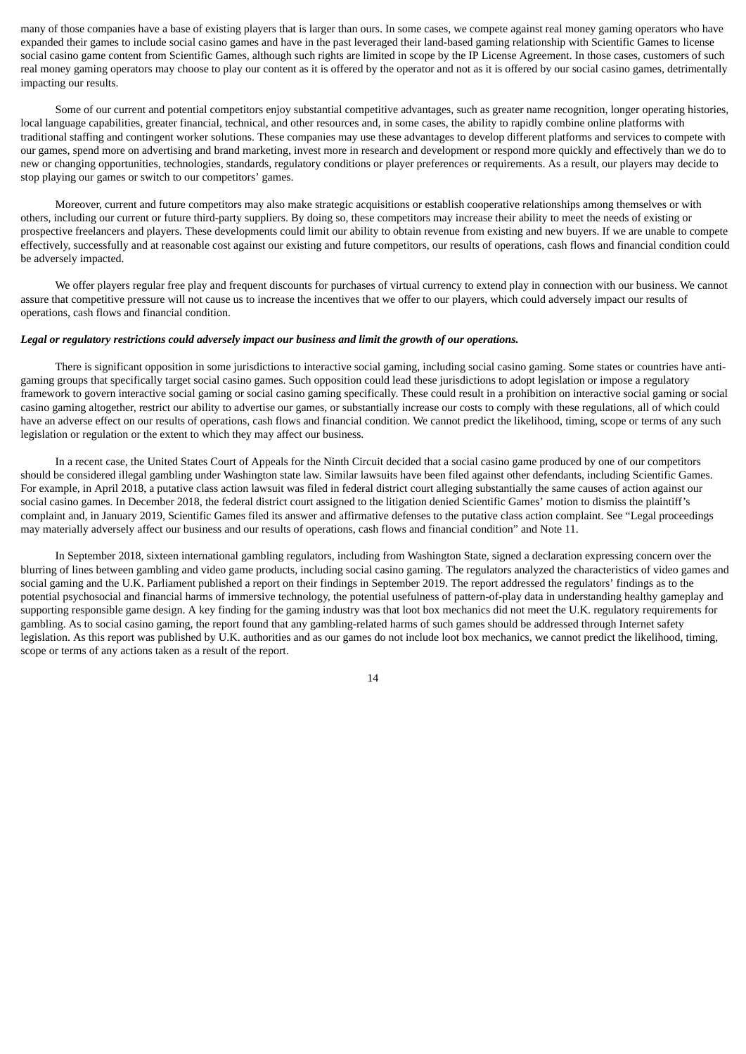many of those companies have a base of existing players that is larger than ours. In some cases, we compete against real money gaming operators who have expanded their games to include social casino games and have in the past leveraged their land-based gaming relationship with Scientific Games to license social casino game content from Scientific Games, although such rights are limited in scope by the IP License Agreement. In those cases, customers of such real money gaming operators may choose to play our content as it is offered by the operator and not as it is offered by our social casino games, detrimentally impacting our results.

Some of our current and potential competitors enjoy substantial competitive advantages, such as greater name recognition, longer operating histories, local language capabilities, greater financial, technical, and other resources and, in some cases, the ability to rapidly combine online platforms with traditional staffing and contingent worker solutions. These companies may use these advantages to develop different platforms and services to compete with our games, spend more on advertising and brand marketing, invest more in research and development or respond more quickly and effectively than we do to new or changing opportunities, technologies, standards, regulatory conditions or player preferences or requirements. As a result, our players may decide to stop playing our games or switch to our competitors' games.

Moreover, current and future competitors may also make strategic acquisitions or establish cooperative relationships among themselves or with others, including our current or future third-party suppliers. By doing so, these competitors may increase their ability to meet the needs of existing or prospective freelancers and players. These developments could limit our ability to obtain revenue from existing and new buyers. If we are unable to compete effectively, successfully and at reasonable cost against our existing and future competitors, our results of operations, cash flows and financial condition could be adversely impacted.

We offer players regular free play and frequent discounts for purchases of virtual currency to extend play in connection with our business. We cannot assure that competitive pressure will not cause us to increase the incentives that we offer to our players, which could adversely impact our results of operations, cash flows and financial condition.

### *Legal or regulatory restrictions could adversely impact our business and limit the growth of our operations.*

There is significant opposition in some jurisdictions to interactive social gaming, including social casino gaming. Some states or countries have antigaming groups that specifically target social casino games. Such opposition could lead these jurisdictions to adopt legislation or impose a regulatory framework to govern interactive social gaming or social casino gaming specifically. These could result in a prohibition on interactive social gaming or social casino gaming altogether, restrict our ability to advertise our games, or substantially increase our costs to comply with these regulations, all of which could have an adverse effect on our results of operations, cash flows and financial condition. We cannot predict the likelihood, timing, scope or terms of any such legislation or regulation or the extent to which they may affect our business.

In a recent case, the United States Court of Appeals for the Ninth Circuit decided that a social casino game produced by one of our competitors should be considered illegal gambling under Washington state law. Similar lawsuits have been filed against other defendants, including Scientific Games. For example, in April 2018, a putative class action lawsuit was filed in federal district court alleging substantially the same causes of action against our social casino games. In December 2018, the federal district court assigned to the litigation denied Scientific Games' motion to dismiss the plaintiff's complaint and, in January 2019, Scientific Games filed its answer and affirmative defenses to the putative class action complaint. See "Legal proceedings may materially adversely affect our business and our results of operations, cash flows and financial condition" and Note 11.

In September 2018, sixteen international gambling regulators, including from Washington State, signed a declaration expressing concern over the blurring of lines between gambling and video game products, including social casino gaming. The regulators analyzed the characteristics of video games and social gaming and the U.K. Parliament published a report on their findings in September 2019. The report addressed the regulators' findings as to the potential psychosocial and financial harms of immersive technology, the potential usefulness of pattern-of-play data in understanding healthy gameplay and supporting responsible game design. A key finding for the gaming industry was that loot box mechanics did not meet the U.K. regulatory requirements for gambling. As to social casino gaming, the report found that any gambling-related harms of such games should be addressed through Internet safety legislation. As this report was published by U.K. authorities and as our games do not include loot box mechanics, we cannot predict the likelihood, timing, scope or terms of any actions taken as a result of the report.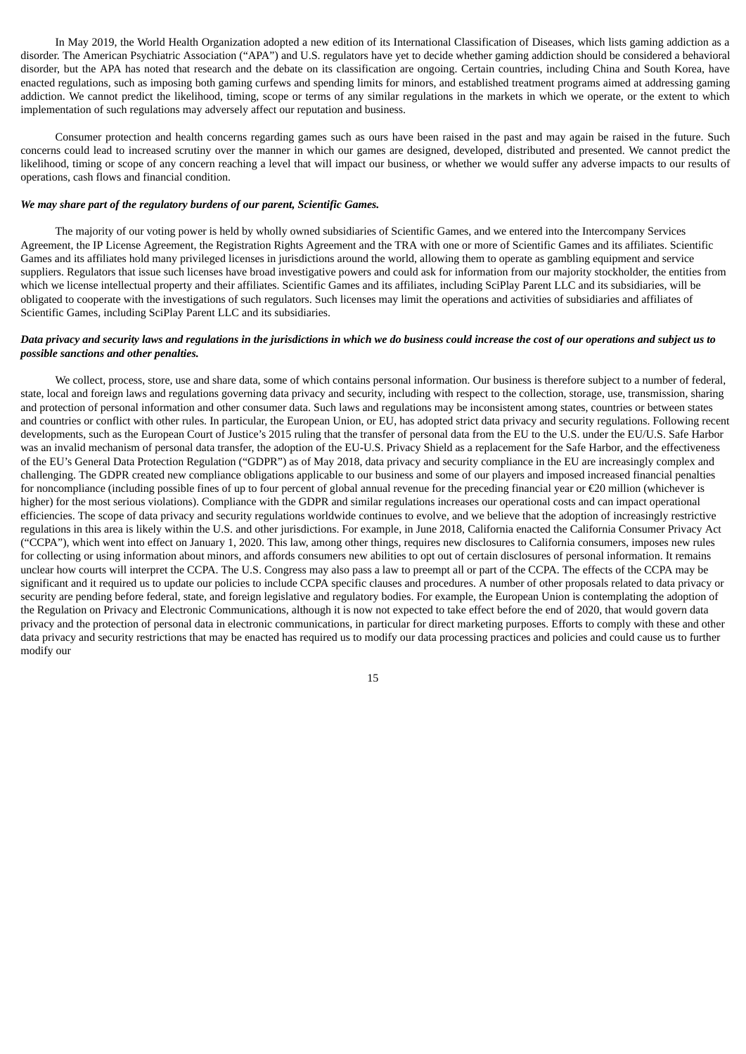In May 2019, the World Health Organization adopted a new edition of its International Classification of Diseases, which lists gaming addiction as a disorder. The American Psychiatric Association ("APA") and U.S. regulators have yet to decide whether gaming addiction should be considered a behavioral disorder, but the APA has noted that research and the debate on its classification are ongoing. Certain countries, including China and South Korea, have enacted regulations, such as imposing both gaming curfews and spending limits for minors, and established treatment programs aimed at addressing gaming addiction. We cannot predict the likelihood, timing, scope or terms of any similar regulations in the markets in which we operate, or the extent to which implementation of such regulations may adversely affect our reputation and business.

Consumer protection and health concerns regarding games such as ours have been raised in the past and may again be raised in the future. Such concerns could lead to increased scrutiny over the manner in which our games are designed, developed, distributed and presented. We cannot predict the likelihood, timing or scope of any concern reaching a level that will impact our business, or whether we would suffer any adverse impacts to our results of operations, cash flows and financial condition.

## *We may share part of the regulatory burdens of our parent, Scientific Games.*

The majority of our voting power is held by wholly owned subsidiaries of Scientific Games, and we entered into the Intercompany Services Agreement, the IP License Agreement, the Registration Rights Agreement and the TRA with one or more of Scientific Games and its affiliates. Scientific Games and its affiliates hold many privileged licenses in jurisdictions around the world, allowing them to operate as gambling equipment and service suppliers. Regulators that issue such licenses have broad investigative powers and could ask for information from our majority stockholder, the entities from which we license intellectual property and their affiliates. Scientific Games and its affiliates, including SciPlay Parent LLC and its subsidiaries, will be obligated to cooperate with the investigations of such regulators. Such licenses may limit the operations and activities of subsidiaries and affiliates of Scientific Games, including SciPlay Parent LLC and its subsidiaries.

### Data privacy and security laws and regulations in the jurisdictions in which we do business could increase the cost of our operations and subject us to *possible sanctions and other penalties.*

We collect, process, store, use and share data, some of which contains personal information. Our business is therefore subject to a number of federal, state, local and foreign laws and regulations governing data privacy and security, including with respect to the collection, storage, use, transmission, sharing and protection of personal information and other consumer data. Such laws and regulations may be inconsistent among states, countries or between states and countries or conflict with other rules. In particular, the European Union, or EU, has adopted strict data privacy and security regulations. Following recent developments, such as the European Court of Justice's 2015 ruling that the transfer of personal data from the EU to the U.S. under the EU/U.S. Safe Harbor was an invalid mechanism of personal data transfer, the adoption of the EU-U.S. Privacy Shield as a replacement for the Safe Harbor, and the effectiveness of the EU's General Data Protection Regulation ("GDPR") as of May 2018, data privacy and security compliance in the EU are increasingly complex and challenging. The GDPR created new compliance obligations applicable to our business and some of our players and imposed increased financial penalties for noncompliance (including possible fines of up to four percent of global annual revenue for the preceding financial year or €20 million (whichever is higher) for the most serious violations). Compliance with the GDPR and similar regulations increases our operational costs and can impact operational efficiencies. The scope of data privacy and security regulations worldwide continues to evolve, and we believe that the adoption of increasingly restrictive regulations in this area is likely within the U.S. and other jurisdictions. For example, in June 2018, California enacted the California Consumer Privacy Act ("CCPA"), which went into effect on January 1, 2020. This law, among other things, requires new disclosures to California consumers, imposes new rules for collecting or using information about minors, and affords consumers new abilities to opt out of certain disclosures of personal information. It remains unclear how courts will interpret the CCPA. The U.S. Congress may also pass a law to preempt all or part of the CCPA. The effects of the CCPA may be significant and it required us to update our policies to include CCPA specific clauses and procedures. A number of other proposals related to data privacy or security are pending before federal, state, and foreign legislative and regulatory bodies. For example, the European Union is contemplating the adoption of the Regulation on Privacy and Electronic Communications, although it is now not expected to take effect before the end of 2020, that would govern data privacy and the protection of personal data in electronic communications, in particular for direct marketing purposes. Efforts to comply with these and other data privacy and security restrictions that may be enacted has required us to modify our data processing practices and policies and could cause us to further modify our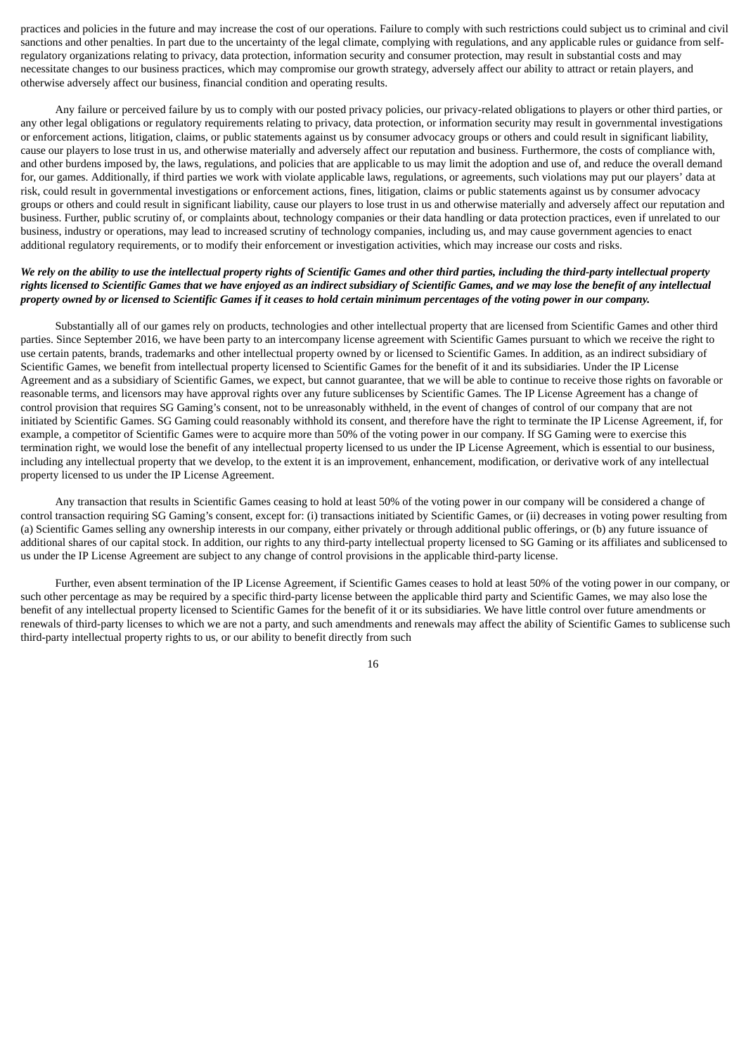practices and policies in the future and may increase the cost of our operations. Failure to comply with such restrictions could subject us to criminal and civil sanctions and other penalties. In part due to the uncertainty of the legal climate, complying with regulations, and any applicable rules or guidance from selfregulatory organizations relating to privacy, data protection, information security and consumer protection, may result in substantial costs and may necessitate changes to our business practices, which may compromise our growth strategy, adversely affect our ability to attract or retain players, and otherwise adversely affect our business, financial condition and operating results.

Any failure or perceived failure by us to comply with our posted privacy policies, our privacy-related obligations to players or other third parties, or any other legal obligations or regulatory requirements relating to privacy, data protection, or information security may result in governmental investigations or enforcement actions, litigation, claims, or public statements against us by consumer advocacy groups or others and could result in significant liability, cause our players to lose trust in us, and otherwise materially and adversely affect our reputation and business. Furthermore, the costs of compliance with, and other burdens imposed by, the laws, regulations, and policies that are applicable to us may limit the adoption and use of, and reduce the overall demand for, our games. Additionally, if third parties we work with violate applicable laws, regulations, or agreements, such violations may put our players' data at risk, could result in governmental investigations or enforcement actions, fines, litigation, claims or public statements against us by consumer advocacy groups or others and could result in significant liability, cause our players to lose trust in us and otherwise materially and adversely affect our reputation and business. Further, public scrutiny of, or complaints about, technology companies or their data handling or data protection practices, even if unrelated to our business, industry or operations, may lead to increased scrutiny of technology companies, including us, and may cause government agencies to enact additional regulatory requirements, or to modify their enforcement or investigation activities, which may increase our costs and risks.

## We rely on the ability to use the intellectual property rights of Scientific Games and other third parties, including the third-party intellectual property rights licensed to Scientific Games that we have enjoved as an indirect subsidiary of Scientific Games, and we may lose the benefit of any intellectual property owned by or licensed to Scientific Games if it ceases to hold certain minimum percentages of the voting power in our company.

Substantially all of our games rely on products, technologies and other intellectual property that are licensed from Scientific Games and other third parties. Since September 2016, we have been party to an intercompany license agreement with Scientific Games pursuant to which we receive the right to use certain patents, brands, trademarks and other intellectual property owned by or licensed to Scientific Games. In addition, as an indirect subsidiary of Scientific Games, we benefit from intellectual property licensed to Scientific Games for the benefit of it and its subsidiaries. Under the IP License Agreement and as a subsidiary of Scientific Games, we expect, but cannot guarantee, that we will be able to continue to receive those rights on favorable or reasonable terms, and licensors may have approval rights over any future sublicenses by Scientific Games. The IP License Agreement has a change of control provision that requires SG Gaming's consent, not to be unreasonably withheld, in the event of changes of control of our company that are not initiated by Scientific Games. SG Gaming could reasonably withhold its consent, and therefore have the right to terminate the IP License Agreement, if, for example, a competitor of Scientific Games were to acquire more than 50% of the voting power in our company. If SG Gaming were to exercise this termination right, we would lose the benefit of any intellectual property licensed to us under the IP License Agreement, which is essential to our business, including any intellectual property that we develop, to the extent it is an improvement, enhancement, modification, or derivative work of any intellectual property licensed to us under the IP License Agreement.

Any transaction that results in Scientific Games ceasing to hold at least 50% of the voting power in our company will be considered a change of control transaction requiring SG Gaming's consent, except for: (i) transactions initiated by Scientific Games, or (ii) decreases in voting power resulting from (a) Scientific Games selling any ownership interests in our company, either privately or through additional public offerings, or (b) any future issuance of additional shares of our capital stock. In addition, our rights to any third-party intellectual property licensed to SG Gaming or its affiliates and sublicensed to us under the IP License Agreement are subject to any change of control provisions in the applicable third-party license.

Further, even absent termination of the IP License Agreement, if Scientific Games ceases to hold at least 50% of the voting power in our company, or such other percentage as may be required by a specific third-party license between the applicable third party and Scientific Games, we may also lose the benefit of any intellectual property licensed to Scientific Games for the benefit of it or its subsidiaries. We have little control over future amendments or renewals of third-party licenses to which we are not a party, and such amendments and renewals may affect the ability of Scientific Games to sublicense such third-party intellectual property rights to us, or our ability to benefit directly from such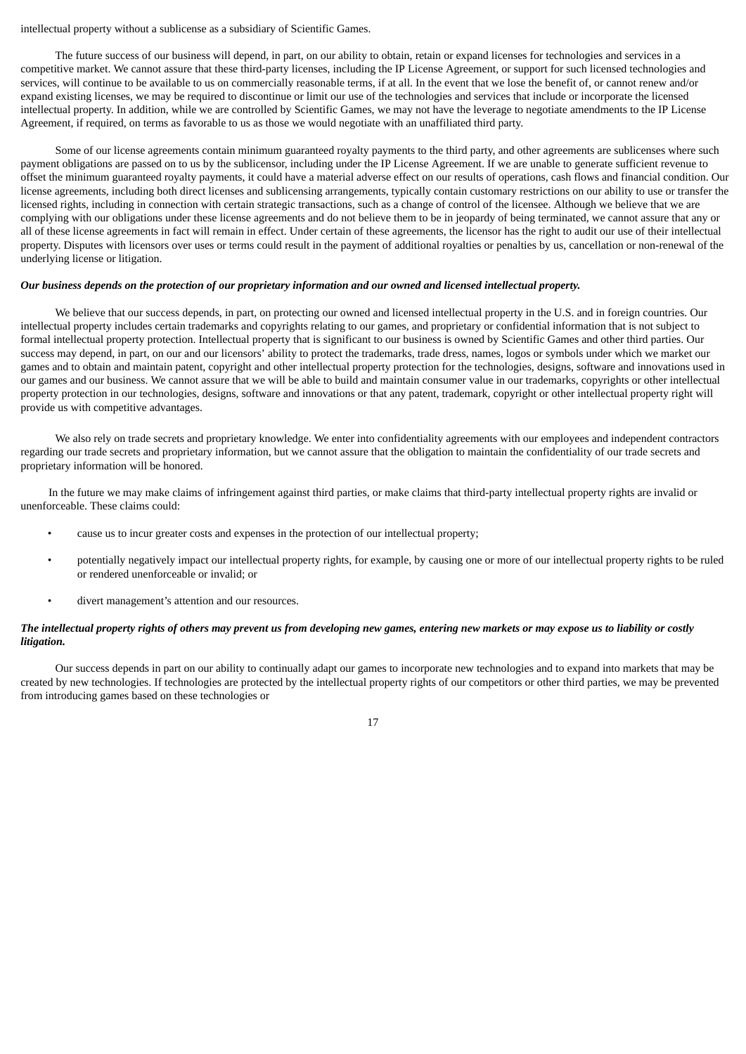intellectual property without a sublicense as a subsidiary of Scientific Games.

The future success of our business will depend, in part, on our ability to obtain, retain or expand licenses for technologies and services in a competitive market. We cannot assure that these third-party licenses, including the IP License Agreement, or support for such licensed technologies and services, will continue to be available to us on commercially reasonable terms, if at all. In the event that we lose the benefit of, or cannot renew and/or expand existing licenses, we may be required to discontinue or limit our use of the technologies and services that include or incorporate the licensed intellectual property. In addition, while we are controlled by Scientific Games, we may not have the leverage to negotiate amendments to the IP License Agreement, if required, on terms as favorable to us as those we would negotiate with an unaffiliated third party.

Some of our license agreements contain minimum guaranteed royalty payments to the third party, and other agreements are sublicenses where such payment obligations are passed on to us by the sublicensor, including under the IP License Agreement. If we are unable to generate sufficient revenue to offset the minimum guaranteed royalty payments, it could have a material adverse effect on our results of operations, cash flows and financial condition. Our license agreements, including both direct licenses and sublicensing arrangements, typically contain customary restrictions on our ability to use or transfer the licensed rights, including in connection with certain strategic transactions, such as a change of control of the licensee. Although we believe that we are complying with our obligations under these license agreements and do not believe them to be in jeopardy of being terminated, we cannot assure that any or all of these license agreements in fact will remain in effect. Under certain of these agreements, the licensor has the right to audit our use of their intellectual property. Disputes with licensors over uses or terms could result in the payment of additional royalties or penalties by us, cancellation or non-renewal of the underlying license or litigation.

### Our business depends on the protection of our proprietary information and our owned and licensed intellectual property.

We believe that our success depends, in part, on protecting our owned and licensed intellectual property in the U.S. and in foreign countries. Our intellectual property includes certain trademarks and copyrights relating to our games, and proprietary or confidential information that is not subject to formal intellectual property protection. Intellectual property that is significant to our business is owned by Scientific Games and other third parties. Our success may depend, in part, on our and our licensors' ability to protect the trademarks, trade dress, names, logos or symbols under which we market our games and to obtain and maintain patent, copyright and other intellectual property protection for the technologies, designs, software and innovations used in our games and our business. We cannot assure that we will be able to build and maintain consumer value in our trademarks, copyrights or other intellectual property protection in our technologies, designs, software and innovations or that any patent, trademark, copyright or other intellectual property right will provide us with competitive advantages.

We also rely on trade secrets and proprietary knowledge. We enter into confidentiality agreements with our employees and independent contractors regarding our trade secrets and proprietary information, but we cannot assure that the obligation to maintain the confidentiality of our trade secrets and proprietary information will be honored.

In the future we may make claims of infringement against third parties, or make claims that third-party intellectual property rights are invalid or unenforceable. These claims could:

- cause us to incur greater costs and expenses in the protection of our intellectual property;
- potentially negatively impact our intellectual property rights, for example, by causing one or more of our intellectual property rights to be ruled or rendered unenforceable or invalid; or
- divert management's attention and our resources.

## The intellectual property rights of others may prevent us from developing new games, entering new markets or may expose us to liability or costly *litigation.*

Our success depends in part on our ability to continually adapt our games to incorporate new technologies and to expand into markets that may be created by new technologies. If technologies are protected by the intellectual property rights of our competitors or other third parties, we may be prevented from introducing games based on these technologies or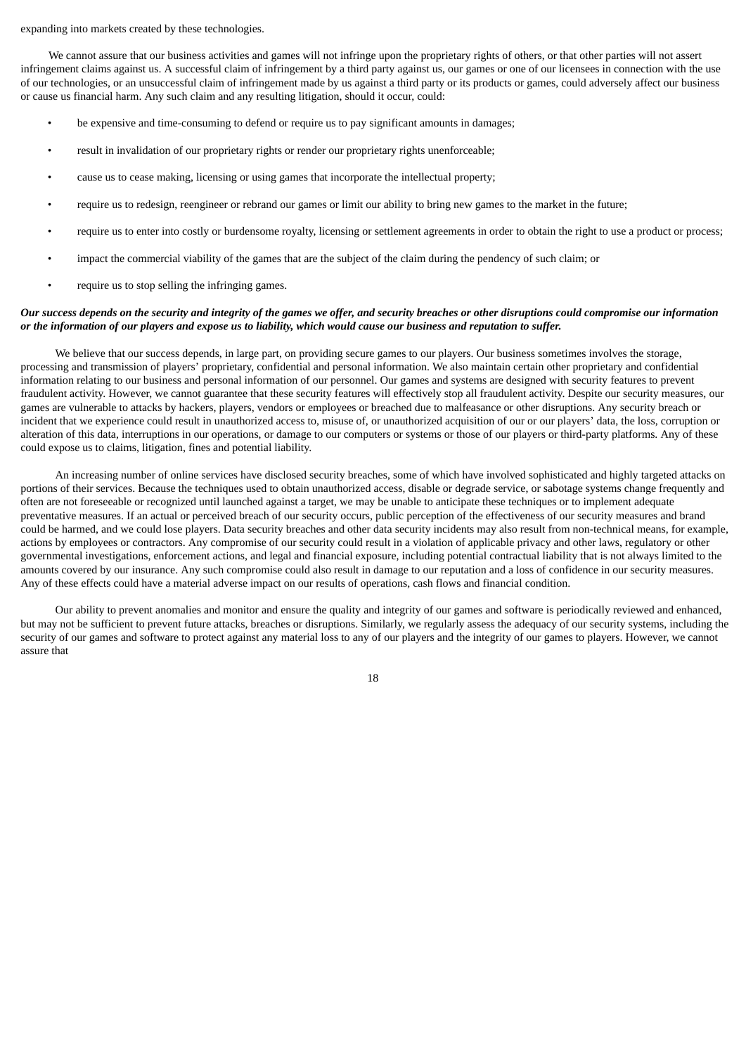expanding into markets created by these technologies.

We cannot assure that our business activities and games will not infringe upon the proprietary rights of others, or that other parties will not assert infringement claims against us. A successful claim of infringement by a third party against us, our games or one of our licensees in connection with the use of our technologies, or an unsuccessful claim of infringement made by us against a third party or its products or games, could adversely affect our business or cause us financial harm. Any such claim and any resulting litigation, should it occur, could:

- be expensive and time-consuming to defend or require us to pay significant amounts in damages;
- result in invalidation of our proprietary rights or render our proprietary rights unenforceable;
- cause us to cease making, licensing or using games that incorporate the intellectual property;
- require us to redesign, reengineer or rebrand our games or limit our ability to bring new games to the market in the future;
- require us to enter into costly or burdensome royalty, licensing or settlement agreements in order to obtain the right to use a product or process;
- impact the commercial viability of the games that are the subject of the claim during the pendency of such claim; or
- require us to stop selling the infringing games.

## Our success depends on the security and integrity of the games we offer, and security breaches or other disruptions could compromise our information or the information of our players and expose us to liability, which would cause our business and reputation to suffer.

We believe that our success depends, in large part, on providing secure games to our players. Our business sometimes involves the storage, processing and transmission of players' proprietary, confidential and personal information. We also maintain certain other proprietary and confidential information relating to our business and personal information of our personnel. Our games and systems are designed with security features to prevent fraudulent activity. However, we cannot guarantee that these security features will effectively stop all fraudulent activity. Despite our security measures, our games are vulnerable to attacks by hackers, players, vendors or employees or breached due to malfeasance or other disruptions. Any security breach or incident that we experience could result in unauthorized access to, misuse of, or unauthorized acquisition of our or our players' data, the loss, corruption or alteration of this data, interruptions in our operations, or damage to our computers or systems or those of our players or third-party platforms. Any of these could expose us to claims, litigation, fines and potential liability.

An increasing number of online services have disclosed security breaches, some of which have involved sophisticated and highly targeted attacks on portions of their services. Because the techniques used to obtain unauthorized access, disable or degrade service, or sabotage systems change frequently and often are not foreseeable or recognized until launched against a target, we may be unable to anticipate these techniques or to implement adequate preventative measures. If an actual or perceived breach of our security occurs, public perception of the effectiveness of our security measures and brand could be harmed, and we could lose players. Data security breaches and other data security incidents may also result from non-technical means, for example, actions by employees or contractors. Any compromise of our security could result in a violation of applicable privacy and other laws, regulatory or other governmental investigations, enforcement actions, and legal and financial exposure, including potential contractual liability that is not always limited to the amounts covered by our insurance. Any such compromise could also result in damage to our reputation and a loss of confidence in our security measures. Any of these effects could have a material adverse impact on our results of operations, cash flows and financial condition.

Our ability to prevent anomalies and monitor and ensure the quality and integrity of our games and software is periodically reviewed and enhanced, but may not be sufficient to prevent future attacks, breaches or disruptions. Similarly, we regularly assess the adequacy of our security systems, including the security of our games and software to protect against any material loss to any of our players and the integrity of our games to players. However, we cannot assure that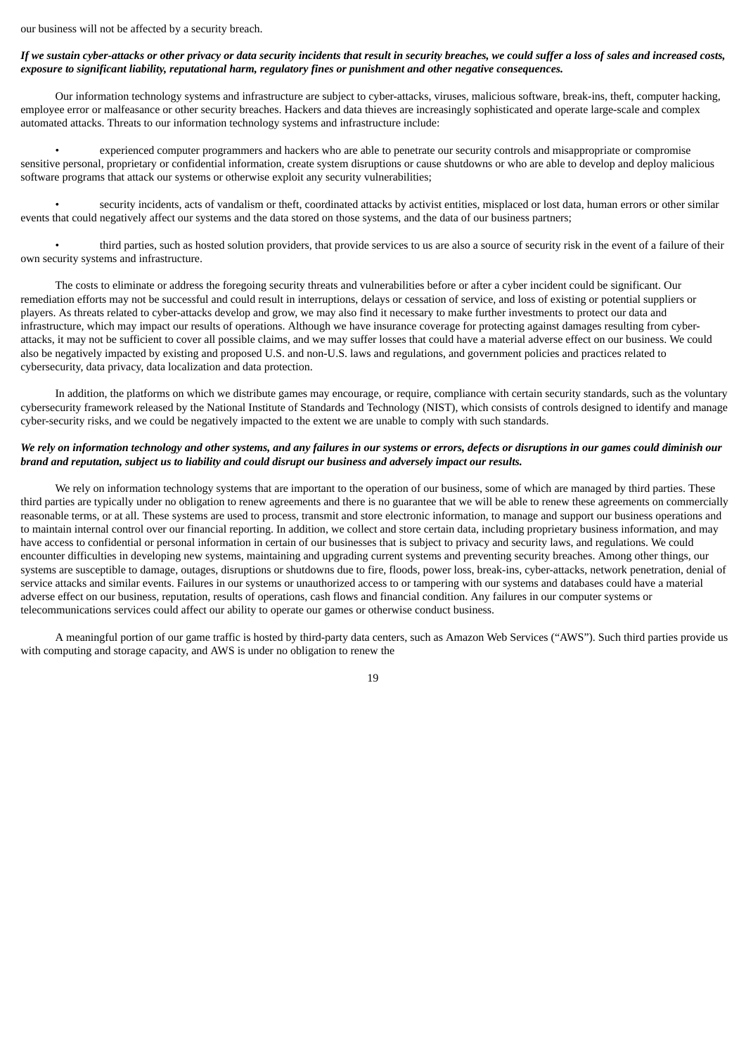our business will not be affected by a security breach.

## If we sustain cyber-attacks or other privacy or data security incidents that result in security breaches, we could suffer a loss of sales and increased costs, *exposure to significant liability, reputational harm, regulatory fines or punishment and other negative consequences.*

Our information technology systems and infrastructure are subject to cyber-attacks, viruses, malicious software, break-ins, theft, computer hacking, employee error or malfeasance or other security breaches. Hackers and data thieves are increasingly sophisticated and operate large-scale and complex automated attacks. Threats to our information technology systems and infrastructure include:

• experienced computer programmers and hackers who are able to penetrate our security controls and misappropriate or compromise sensitive personal, proprietary or confidential information, create system disruptions or cause shutdowns or who are able to develop and deploy malicious software programs that attack our systems or otherwise exploit any security vulnerabilities;

• security incidents, acts of vandalism or theft, coordinated attacks by activist entities, misplaced or lost data, human errors or other similar events that could negatively affect our systems and the data stored on those systems, and the data of our business partners;

• third parties, such as hosted solution providers, that provide services to us are also a source of security risk in the event of a failure of their own security systems and infrastructure.

The costs to eliminate or address the foregoing security threats and vulnerabilities before or after a cyber incident could be significant. Our remediation efforts may not be successful and could result in interruptions, delays or cessation of service, and loss of existing or potential suppliers or players. As threats related to cyber-attacks develop and grow, we may also find it necessary to make further investments to protect our data and infrastructure, which may impact our results of operations. Although we have insurance coverage for protecting against damages resulting from cyberattacks, it may not be sufficient to cover all possible claims, and we may suffer losses that could have a material adverse effect on our business. We could also be negatively impacted by existing and proposed U.S. and non-U.S. laws and regulations, and government policies and practices related to cybersecurity, data privacy, data localization and data protection.

In addition, the platforms on which we distribute games may encourage, or require, compliance with certain security standards, such as the voluntary cybersecurity framework released by the National Institute of Standards and Technology (NIST), which consists of controls designed to identify and manage cyber-security risks, and we could be negatively impacted to the extent we are unable to comply with such standards.

## We rely on information technology and other systems, and any failures in our systems or errors, defects or disruptions in our games could diminish our brand and reputation, subject us to liability and could disrupt our business and adversely impact our results.

We rely on information technology systems that are important to the operation of our business, some of which are managed by third parties. These third parties are typically under no obligation to renew agreements and there is no guarantee that we will be able to renew these agreements on commercially reasonable terms, or at all. These systems are used to process, transmit and store electronic information, to manage and support our business operations and to maintain internal control over our financial reporting. In addition, we collect and store certain data, including proprietary business information, and may have access to confidential or personal information in certain of our businesses that is subject to privacy and security laws, and regulations. We could encounter difficulties in developing new systems, maintaining and upgrading current systems and preventing security breaches. Among other things, our systems are susceptible to damage, outages, disruptions or shutdowns due to fire, floods, power loss, break-ins, cyber-attacks, network penetration, denial of service attacks and similar events. Failures in our systems or unauthorized access to or tampering with our systems and databases could have a material adverse effect on our business, reputation, results of operations, cash flows and financial condition. Any failures in our computer systems or telecommunications services could affect our ability to operate our games or otherwise conduct business.

A meaningful portion of our game traffic is hosted by third-party data centers, such as Amazon Web Services ("AWS"). Such third parties provide us with computing and storage capacity, and AWS is under no obligation to renew the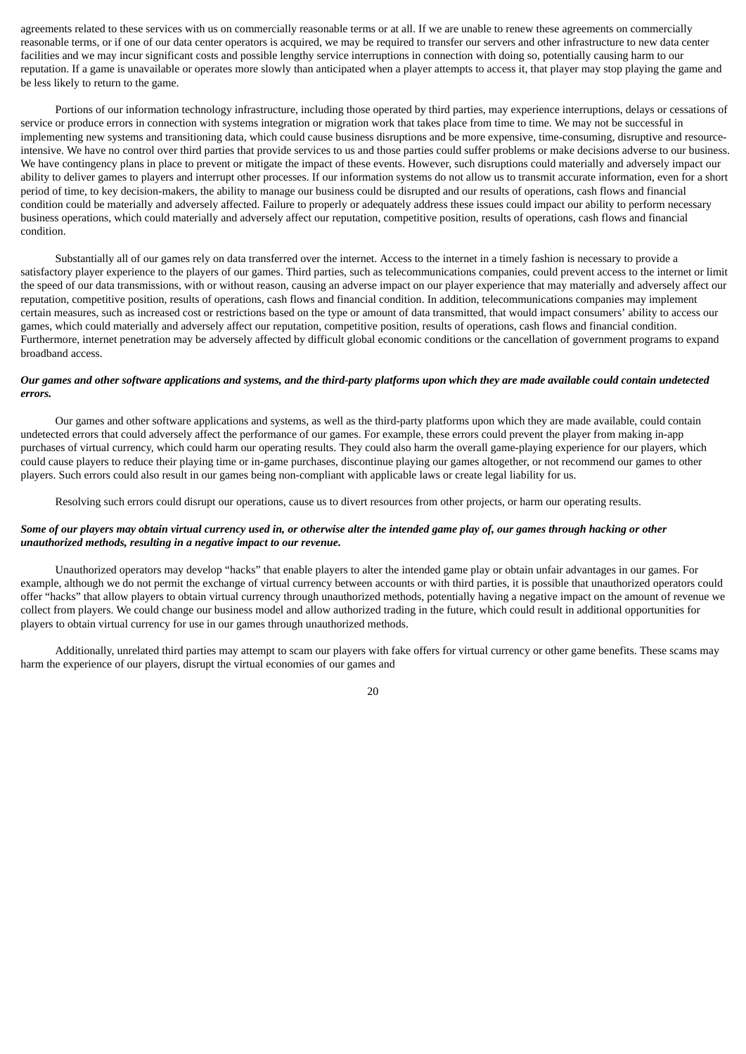agreements related to these services with us on commercially reasonable terms or at all. If we are unable to renew these agreements on commercially reasonable terms, or if one of our data center operators is acquired, we may be required to transfer our servers and other infrastructure to new data center facilities and we may incur significant costs and possible lengthy service interruptions in connection with doing so, potentially causing harm to our reputation. If a game is unavailable or operates more slowly than anticipated when a player attempts to access it, that player may stop playing the game and be less likely to return to the game.

Portions of our information technology infrastructure, including those operated by third parties, may experience interruptions, delays or cessations of service or produce errors in connection with systems integration or migration work that takes place from time to time. We may not be successful in implementing new systems and transitioning data, which could cause business disruptions and be more expensive, time-consuming, disruptive and resourceintensive. We have no control over third parties that provide services to us and those parties could suffer problems or make decisions adverse to our business. We have contingency plans in place to prevent or mitigate the impact of these events. However, such disruptions could materially and adversely impact our ability to deliver games to players and interrupt other processes. If our information systems do not allow us to transmit accurate information, even for a short period of time, to key decision-makers, the ability to manage our business could be disrupted and our results of operations, cash flows and financial condition could be materially and adversely affected. Failure to properly or adequately address these issues could impact our ability to perform necessary business operations, which could materially and adversely affect our reputation, competitive position, results of operations, cash flows and financial condition.

Substantially all of our games rely on data transferred over the internet. Access to the internet in a timely fashion is necessary to provide a satisfactory player experience to the players of our games. Third parties, such as telecommunications companies, could prevent access to the internet or limit the speed of our data transmissions, with or without reason, causing an adverse impact on our player experience that may materially and adversely affect our reputation, competitive position, results of operations, cash flows and financial condition. In addition, telecommunications companies may implement certain measures, such as increased cost or restrictions based on the type or amount of data transmitted, that would impact consumers' ability to access our games, which could materially and adversely affect our reputation, competitive position, results of operations, cash flows and financial condition. Furthermore, internet penetration may be adversely affected by difficult global economic conditions or the cancellation of government programs to expand broadband access.

## Our games and other software applications and systems, and the third-party platforms upon which they are made available could contain undetected *errors.*

Our games and other software applications and systems, as well as the third-party platforms upon which they are made available, could contain undetected errors that could adversely affect the performance of our games. For example, these errors could prevent the player from making in-app purchases of virtual currency, which could harm our operating results. They could also harm the overall game-playing experience for our players, which could cause players to reduce their playing time or in-game purchases, discontinue playing our games altogether, or not recommend our games to other players. Such errors could also result in our games being non-compliant with applicable laws or create legal liability for us.

Resolving such errors could disrupt our operations, cause us to divert resources from other projects, or harm our operating results.

## Some of our players may obtain virtual currency used in, or otherwise alter the intended game play of, our games through hacking or other *unauthorized methods, resulting in a negative impact to our revenue.*

Unauthorized operators may develop "hacks" that enable players to alter the intended game play or obtain unfair advantages in our games. For example, although we do not permit the exchange of virtual currency between accounts or with third parties, it is possible that unauthorized operators could offer "hacks" that allow players to obtain virtual currency through unauthorized methods, potentially having a negative impact on the amount of revenue we collect from players. We could change our business model and allow authorized trading in the future, which could result in additional opportunities for players to obtain virtual currency for use in our games through unauthorized methods.

Additionally, unrelated third parties may attempt to scam our players with fake offers for virtual currency or other game benefits. These scams may harm the experience of our players, disrupt the virtual economies of our games and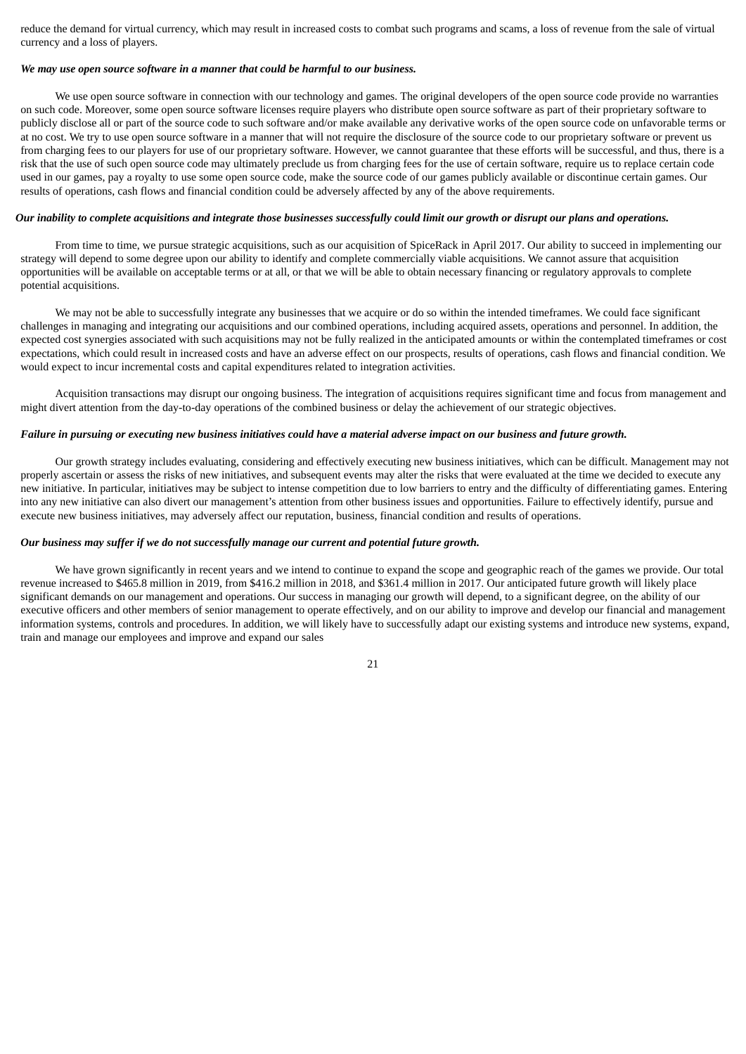reduce the demand for virtual currency, which may result in increased costs to combat such programs and scams, a loss of revenue from the sale of virtual currency and a loss of players.

### *We may use open source software in a manner that could be harmful to our business.*

We use open source software in connection with our technology and games. The original developers of the open source code provide no warranties on such code. Moreover, some open source software licenses require players who distribute open source software as part of their proprietary software to publicly disclose all or part of the source code to such software and/or make available any derivative works of the open source code on unfavorable terms or at no cost. We try to use open source software in a manner that will not require the disclosure of the source code to our proprietary software or prevent us from charging fees to our players for use of our proprietary software. However, we cannot guarantee that these efforts will be successful, and thus, there is a risk that the use of such open source code may ultimately preclude us from charging fees for the use of certain software, require us to replace certain code used in our games, pay a royalty to use some open source code, make the source code of our games publicly available or discontinue certain games. Our results of operations, cash flows and financial condition could be adversely affected by any of the above requirements.

### Our inability to complete acquisitions and integrate those businesses successfully could limit our growth or disrupt our plans and operations.

From time to time, we pursue strategic acquisitions, such as our acquisition of SpiceRack in April 2017. Our ability to succeed in implementing our strategy will depend to some degree upon our ability to identify and complete commercially viable acquisitions. We cannot assure that acquisition opportunities will be available on acceptable terms or at all, or that we will be able to obtain necessary financing or regulatory approvals to complete potential acquisitions.

We may not be able to successfully integrate any businesses that we acquire or do so within the intended timeframes. We could face significant challenges in managing and integrating our acquisitions and our combined operations, including acquired assets, operations and personnel. In addition, the expected cost synergies associated with such acquisitions may not be fully realized in the anticipated amounts or within the contemplated timeframes or cost expectations, which could result in increased costs and have an adverse effect on our prospects, results of operations, cash flows and financial condition. We would expect to incur incremental costs and capital expenditures related to integration activities.

Acquisition transactions may disrupt our ongoing business. The integration of acquisitions requires significant time and focus from management and might divert attention from the day-to-day operations of the combined business or delay the achievement of our strategic objectives.

### Failure in pursuing or executing new business initiatives could have a material adverse impact on our business and future growth.

Our growth strategy includes evaluating, considering and effectively executing new business initiatives, which can be difficult. Management may not properly ascertain or assess the risks of new initiatives, and subsequent events may alter the risks that were evaluated at the time we decided to execute any new initiative. In particular, initiatives may be subject to intense competition due to low barriers to entry and the difficulty of differentiating games. Entering into any new initiative can also divert our management's attention from other business issues and opportunities. Failure to effectively identify, pursue and execute new business initiatives, may adversely affect our reputation, business, financial condition and results of operations.

### *Our business may suffer if we do not successfully manage our current and potential future growth.*

We have grown significantly in recent years and we intend to continue to expand the scope and geographic reach of the games we provide. Our total revenue increased to \$465.8 million in 2019, from \$416.2 million in 2018, and \$361.4 million in 2017. Our anticipated future growth will likely place significant demands on our management and operations. Our success in managing our growth will depend, to a significant degree, on the ability of our executive officers and other members of senior management to operate effectively, and on our ability to improve and develop our financial and management information systems, controls and procedures. In addition, we will likely have to successfully adapt our existing systems and introduce new systems, expand, train and manage our employees and improve and expand our sales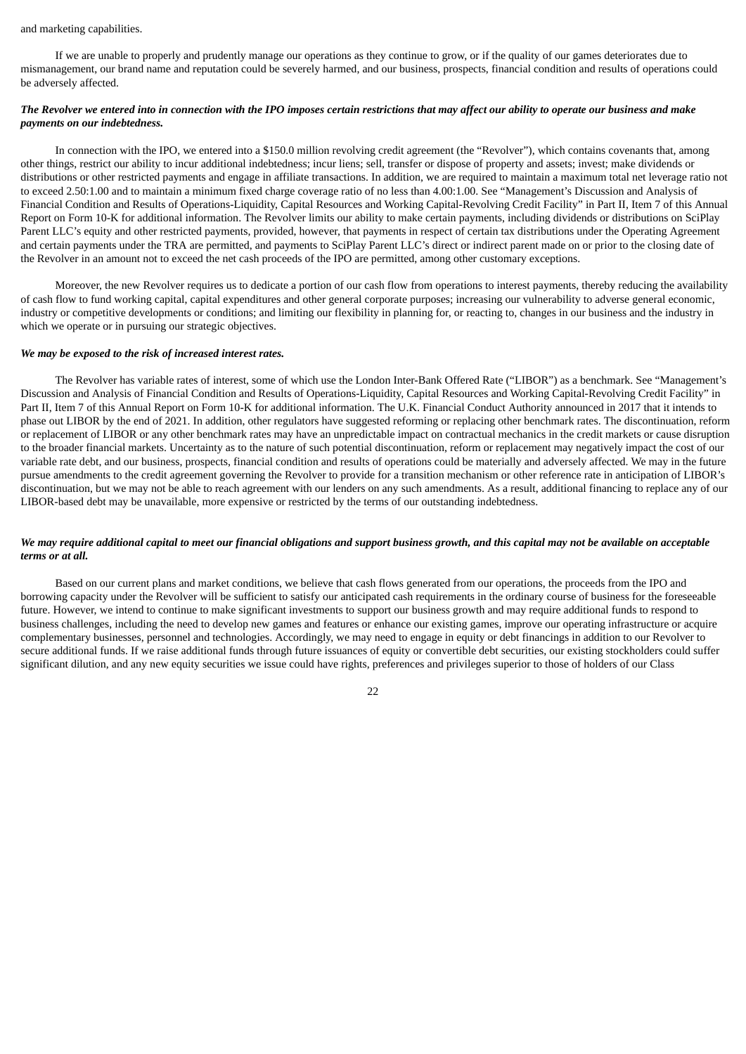### and marketing capabilities.

If we are unable to properly and prudently manage our operations as they continue to grow, or if the quality of our games deteriorates due to mismanagement, our brand name and reputation could be severely harmed, and our business, prospects, financial condition and results of operations could be adversely affected.

## The Revolver we entered into in connection with the IPO imposes certain restrictions that may affect our ability to operate our business and make *payments on our indebtedness.*

In connection with the IPO, we entered into a \$150.0 million revolving credit agreement (the "Revolver"), which contains covenants that, among other things, restrict our ability to incur additional indebtedness; incur liens; sell, transfer or dispose of property and assets; invest; make dividends or distributions or other restricted payments and engage in affiliate transactions. In addition, we are required to maintain a maximum total net leverage ratio not to exceed 2.50:1.00 and to maintain a minimum fixed charge coverage ratio of no less than 4.00:1.00. See "Management's Discussion and Analysis of Financial Condition and Results of Operations-Liquidity, Capital Resources and Working Capital-Revolving Credit Facility" in Part II, Item 7 of this Annual Report on Form 10-K for additional information. The Revolver limits our ability to make certain payments, including dividends or distributions on SciPlay Parent LLC's equity and other restricted payments, provided, however, that payments in respect of certain tax distributions under the Operating Agreement and certain payments under the TRA are permitted, and payments to SciPlay Parent LLC's direct or indirect parent made on or prior to the closing date of the Revolver in an amount not to exceed the net cash proceeds of the IPO are permitted, among other customary exceptions.

Moreover, the new Revolver requires us to dedicate a portion of our cash flow from operations to interest payments, thereby reducing the availability of cash flow to fund working capital, capital expenditures and other general corporate purposes; increasing our vulnerability to adverse general economic, industry or competitive developments or conditions; and limiting our flexibility in planning for, or reacting to, changes in our business and the industry in which we operate or in pursuing our strategic objectives.

## *We may be exposed to the risk of increased interest rates.*

The Revolver has variable rates of interest, some of which use the London Inter-Bank Offered Rate ("LIBOR") as a benchmark. See "Management's Discussion and Analysis of Financial Condition and Results of Operations-Liquidity, Capital Resources and Working Capital-Revolving Credit Facility" in Part II, Item 7 of this Annual Report on Form 10-K for additional information. The U.K. Financial Conduct Authority announced in 2017 that it intends to phase out LIBOR by the end of 2021. In addition, other regulators have suggested reforming or replacing other benchmark rates. The discontinuation, reform or replacement of LIBOR or any other benchmark rates may have an unpredictable impact on contractual mechanics in the credit markets or cause disruption to the broader financial markets. Uncertainty as to the nature of such potential discontinuation, reform or replacement may negatively impact the cost of our variable rate debt, and our business, prospects, financial condition and results of operations could be materially and adversely affected. We may in the future pursue amendments to the credit agreement governing the Revolver to provide for a transition mechanism or other reference rate in anticipation of LIBOR's discontinuation, but we may not be able to reach agreement with our lenders on any such amendments. As a result, additional financing to replace any of our LIBOR-based debt may be unavailable, more expensive or restricted by the terms of our outstanding indebtedness.

## We may require additional capital to meet our financial obligations and support business growth, and this capital may not be available on acceptable *terms or at all.*

Based on our current plans and market conditions, we believe that cash flows generated from our operations, the proceeds from the IPO and borrowing capacity under the Revolver will be sufficient to satisfy our anticipated cash requirements in the ordinary course of business for the foreseeable future. However, we intend to continue to make significant investments to support our business growth and may require additional funds to respond to business challenges, including the need to develop new games and features or enhance our existing games, improve our operating infrastructure or acquire complementary businesses, personnel and technologies. Accordingly, we may need to engage in equity or debt financings in addition to our Revolver to secure additional funds. If we raise additional funds through future issuances of equity or convertible debt securities, our existing stockholders could suffer significant dilution, and any new equity securities we issue could have rights, preferences and privileges superior to those of holders of our Class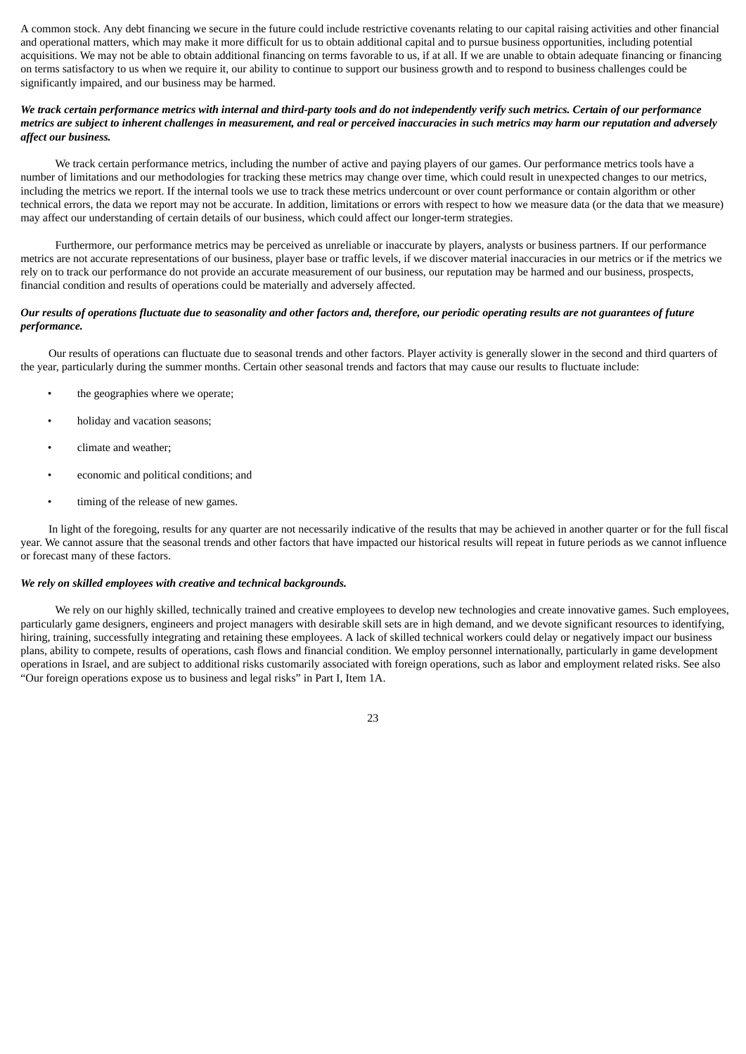A common stock. Any debt financing we secure in the future could include restrictive covenants relating to our capital raising activities and other financial and operational matters, which may make it more difficult for us to obtain additional capital and to pursue business opportunities, including potential acquisitions. We may not be able to obtain additional financing on terms favorable to us, if at all. If we are unable to obtain adequate financing or financing on terms satisfactory to us when we require it, our ability to continue to support our business growth and to respond to business challenges could be significantly impaired, and our business may be harmed.

## We track certain performance metrics with internal and third-party tools and do not independently verify such metrics. Certain of our performance metrics are subject to inherent challenges in measurement, and real or perceived inaccuracies in such metrics may harm our reputation and adversely *affect our business.*

We track certain performance metrics, including the number of active and paying players of our games. Our performance metrics tools have a number of limitations and our methodologies for tracking these metrics may change over time, which could result in unexpected changes to our metrics, including the metrics we report. If the internal tools we use to track these metrics undercount or over count performance or contain algorithm or other technical errors, the data we report may not be accurate. In addition, limitations or errors with respect to how we measure data (or the data that we measure) may affect our understanding of certain details of our business, which could affect our longer-term strategies.

Furthermore, our performance metrics may be perceived as unreliable or inaccurate by players, analysts or business partners. If our performance metrics are not accurate representations of our business, player base or traffic levels, if we discover material inaccuracies in our metrics or if the metrics we rely on to track our performance do not provide an accurate measurement of our business, our reputation may be harmed and our business, prospects, financial condition and results of operations could be materially and adversely affected.

## Our results of operations fluctuate due to seasonality and other factors and, therefore, our periodic operating results are not quarantees of future *performance.*

Our results of operations can fluctuate due to seasonal trends and other factors. Player activity is generally slower in the second and third quarters of the year, particularly during the summer months. Certain other seasonal trends and factors that may cause our results to fluctuate include:

- the geographies where we operate;
- holiday and vacation seasons:
- climate and weather;
- economic and political conditions; and
- timing of the release of new games.

In light of the foregoing, results for any quarter are not necessarily indicative of the results that may be achieved in another quarter or for the full fiscal year. We cannot assure that the seasonal trends and other factors that have impacted our historical results will repeat in future periods as we cannot influence or forecast many of these factors.

## *We rely on skilled employees with creative and technical backgrounds.*

We rely on our highly skilled, technically trained and creative employees to develop new technologies and create innovative games. Such employees, particularly game designers, engineers and project managers with desirable skill sets are in high demand, and we devote significant resources to identifying, hiring, training, successfully integrating and retaining these employees. A lack of skilled technical workers could delay or negatively impact our business plans, ability to compete, results of operations, cash flows and financial condition. We employ personnel internationally, particularly in game development operations in Israel, and are subject to additional risks customarily associated with foreign operations, such as labor and employment related risks. See also "Our foreign operations expose us to business and legal risks" in Part I, Item 1A.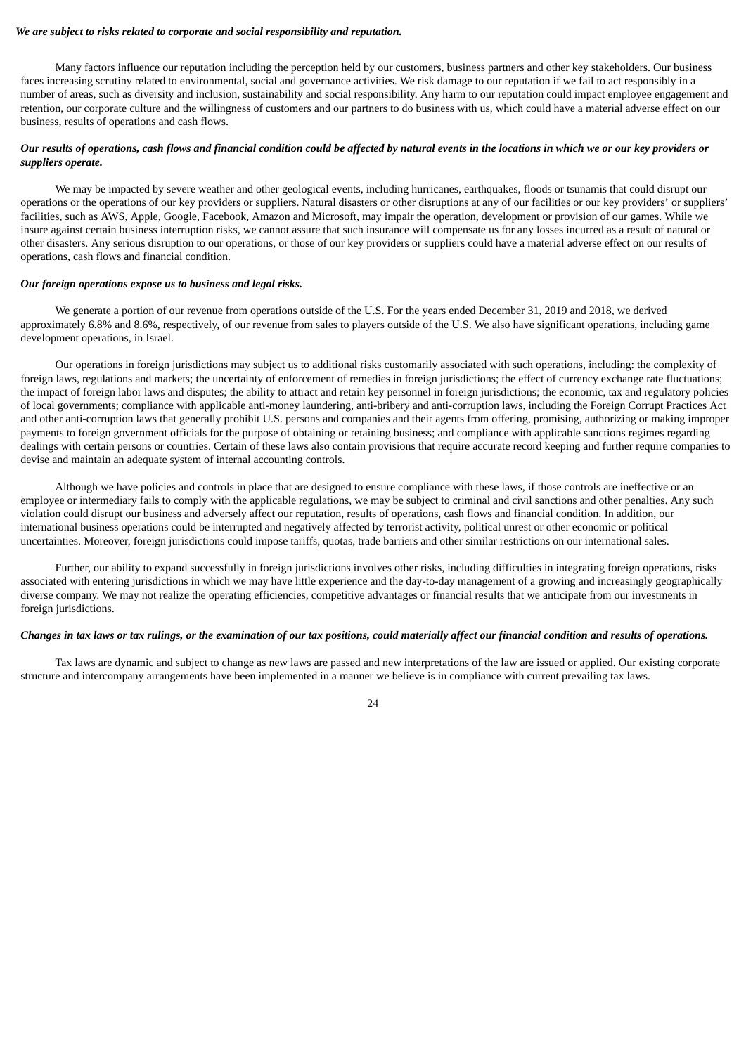### *We are subject to risks related to corporate and social responsibility and reputation.*

Many factors influence our reputation including the perception held by our customers, business partners and other key stakeholders. Our business faces increasing scrutiny related to environmental, social and governance activities. We risk damage to our reputation if we fail to act responsibly in a number of areas, such as diversity and inclusion, sustainability and social responsibility. Any harm to our reputation could impact employee engagement and retention, our corporate culture and the willingness of customers and our partners to do business with us, which could have a material adverse effect on our business, results of operations and cash flows.

## Our results of operations, cash flows and financial condition could be affected by natural events in the locations in which we or our key providers or *suppliers operate.*

We may be impacted by severe weather and other geological events, including hurricanes, earthquakes, floods or tsunamis that could disrupt our operations or the operations of our key providers or suppliers. Natural disasters or other disruptions at any of our facilities or our key providers' or suppliers' facilities, such as AWS, Apple, Google, Facebook, Amazon and Microsoft, may impair the operation, development or provision of our games. While we insure against certain business interruption risks, we cannot assure that such insurance will compensate us for any losses incurred as a result of natural or other disasters. Any serious disruption to our operations, or those of our key providers or suppliers could have a material adverse effect on our results of operations, cash flows and financial condition.

### *Our foreign operations expose us to business and legal risks.*

We generate a portion of our revenue from operations outside of the U.S. For the years ended December 31, 2019 and 2018, we derived approximately 6.8% and 8.6%, respectively, of our revenue from sales to players outside of the U.S. We also have significant operations, including game development operations, in Israel.

Our operations in foreign jurisdictions may subject us to additional risks customarily associated with such operations, including: the complexity of foreign laws, regulations and markets; the uncertainty of enforcement of remedies in foreign jurisdictions; the effect of currency exchange rate fluctuations; the impact of foreign labor laws and disputes; the ability to attract and retain key personnel in foreign jurisdictions; the economic, tax and regulatory policies of local governments; compliance with applicable anti-money laundering, anti-bribery and anti-corruption laws, including the Foreign Corrupt Practices Act and other anti-corruption laws that generally prohibit U.S. persons and companies and their agents from offering, promising, authorizing or making improper payments to foreign government officials for the purpose of obtaining or retaining business; and compliance with applicable sanctions regimes regarding dealings with certain persons or countries. Certain of these laws also contain provisions that require accurate record keeping and further require companies to devise and maintain an adequate system of internal accounting controls.

Although we have policies and controls in place that are designed to ensure compliance with these laws, if those controls are ineffective or an employee or intermediary fails to comply with the applicable regulations, we may be subject to criminal and civil sanctions and other penalties. Any such violation could disrupt our business and adversely affect our reputation, results of operations, cash flows and financial condition. In addition, our international business operations could be interrupted and negatively affected by terrorist activity, political unrest or other economic or political uncertainties. Moreover, foreign jurisdictions could impose tariffs, quotas, trade barriers and other similar restrictions on our international sales.

Further, our ability to expand successfully in foreign jurisdictions involves other risks, including difficulties in integrating foreign operations, risks associated with entering jurisdictions in which we may have little experience and the day-to-day management of a growing and increasingly geographically diverse company. We may not realize the operating efficiencies, competitive advantages or financial results that we anticipate from our investments in foreign jurisdictions.

## Changes in tax laws or tax rulings, or the examination of our tax positions, could materially affect our financial condition and results of operations.

Tax laws are dynamic and subject to change as new laws are passed and new interpretations of the law are issued or applied. Our existing corporate structure and intercompany arrangements have been implemented in a manner we believe is in compliance with current prevailing tax laws.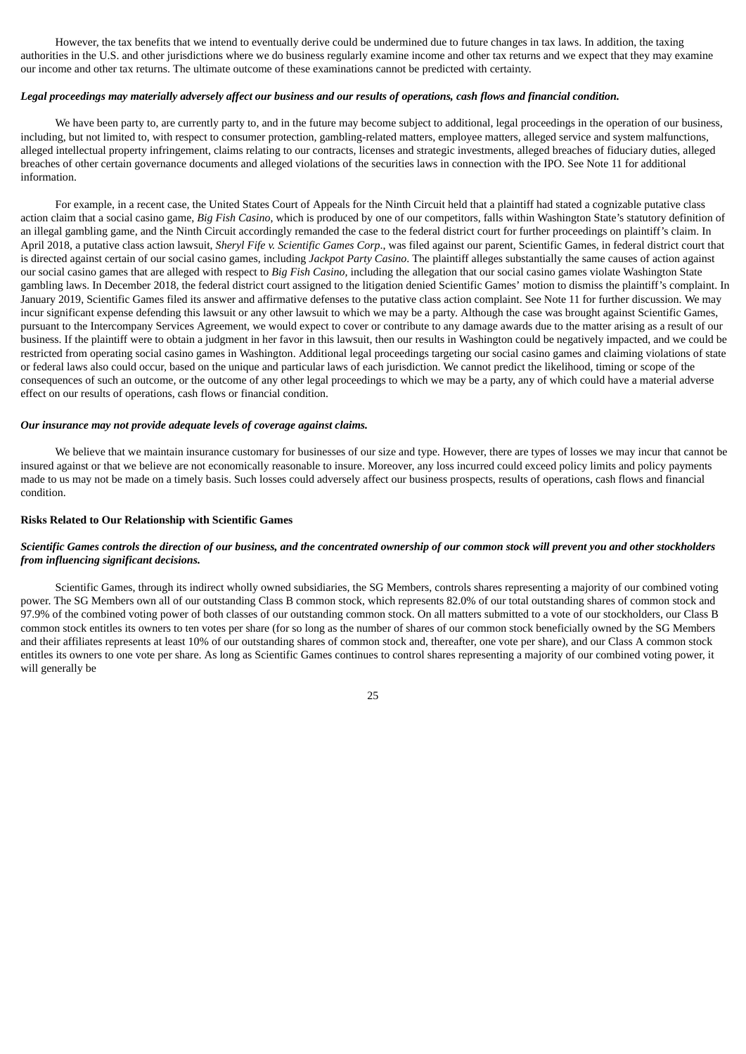However, the tax benefits that we intend to eventually derive could be undermined due to future changes in tax laws. In addition, the taxing authorities in the U.S. and other jurisdictions where we do business regularly examine income and other tax returns and we expect that they may examine our income and other tax returns. The ultimate outcome of these examinations cannot be predicted with certainty.

### Legal proceedings may materially adversely affect our business and our results of operations, cash flows and financial condition.

We have been party to, are currently party to, and in the future may become subject to additional, legal proceedings in the operation of our business, including, but not limited to, with respect to consumer protection, gambling-related matters, employee matters, alleged service and system malfunctions, alleged intellectual property infringement, claims relating to our contracts, licenses and strategic investments, alleged breaches of fiduciary duties, alleged breaches of other certain governance documents and alleged violations of the securities laws in connection with the IPO. See Note 11 for additional information.

For example, in a recent case, the United States Court of Appeals for the Ninth Circuit held that a plaintiff had stated a cognizable putative class action claim that a social casino game, *Big Fish Casino*, which is produced by one of our competitors, falls within Washington State's statutory definition of an illegal gambling game, and the Ninth Circuit accordingly remanded the case to the federal district court for further proceedings on plaintiff's claim. In April 2018, a putative class action lawsuit, *Sheryl Fife v. Scientific Games Corp*., was filed against our parent, Scientific Games, in federal district court that is directed against certain of our social casino games, including *Jackpot Party Casino*. The plaintiff alleges substantially the same causes of action against our social casino games that are alleged with respect to *Big Fish Casino,* including the allegation that our social casino games violate Washington State gambling laws. In December 2018, the federal district court assigned to the litigation denied Scientific Games' motion to dismiss the plaintiff's complaint. In January 2019, Scientific Games filed its answer and affirmative defenses to the putative class action complaint. See Note 11 for further discussion. We may incur significant expense defending this lawsuit or any other lawsuit to which we may be a party. Although the case was brought against Scientific Games, pursuant to the Intercompany Services Agreement, we would expect to cover or contribute to any damage awards due to the matter arising as a result of our business. If the plaintiff were to obtain a judgment in her favor in this lawsuit, then our results in Washington could be negatively impacted, and we could be restricted from operating social casino games in Washington. Additional legal proceedings targeting our social casino games and claiming violations of state or federal laws also could occur, based on the unique and particular laws of each jurisdiction. We cannot predict the likelihood, timing or scope of the consequences of such an outcome, or the outcome of any other legal proceedings to which we may be a party, any of which could have a material adverse effect on our results of operations, cash flows or financial condition.

#### *Our insurance may not provide adequate levels of coverage against claims.*

We believe that we maintain insurance customary for businesses of our size and type. However, there are types of losses we may incur that cannot be insured against or that we believe are not economically reasonable to insure. Moreover, any loss incurred could exceed policy limits and policy payments made to us may not be made on a timely basis. Such losses could adversely affect our business prospects, results of operations, cash flows and financial condition.

## **Risks Related to Our Relationship with Scientific Games**

## Scientific Games controls the direction of our business, and the concentrated ownership of our common stock will prevent you and other stockholders *from influencing significant decisions.*

Scientific Games, through its indirect wholly owned subsidiaries, the SG Members, controls shares representing a majority of our combined voting power. The SG Members own all of our outstanding Class B common stock, which represents 82.0% of our total outstanding shares of common stock and 97.9% of the combined voting power of both classes of our outstanding common stock. On all matters submitted to a vote of our stockholders, our Class B common stock entitles its owners to ten votes per share (for so long as the number of shares of our common stock beneficially owned by the SG Members and their affiliates represents at least 10% of our outstanding shares of common stock and, thereafter, one vote per share), and our Class A common stock entitles its owners to one vote per share. As long as Scientific Games continues to control shares representing a majority of our combined voting power, it will generally be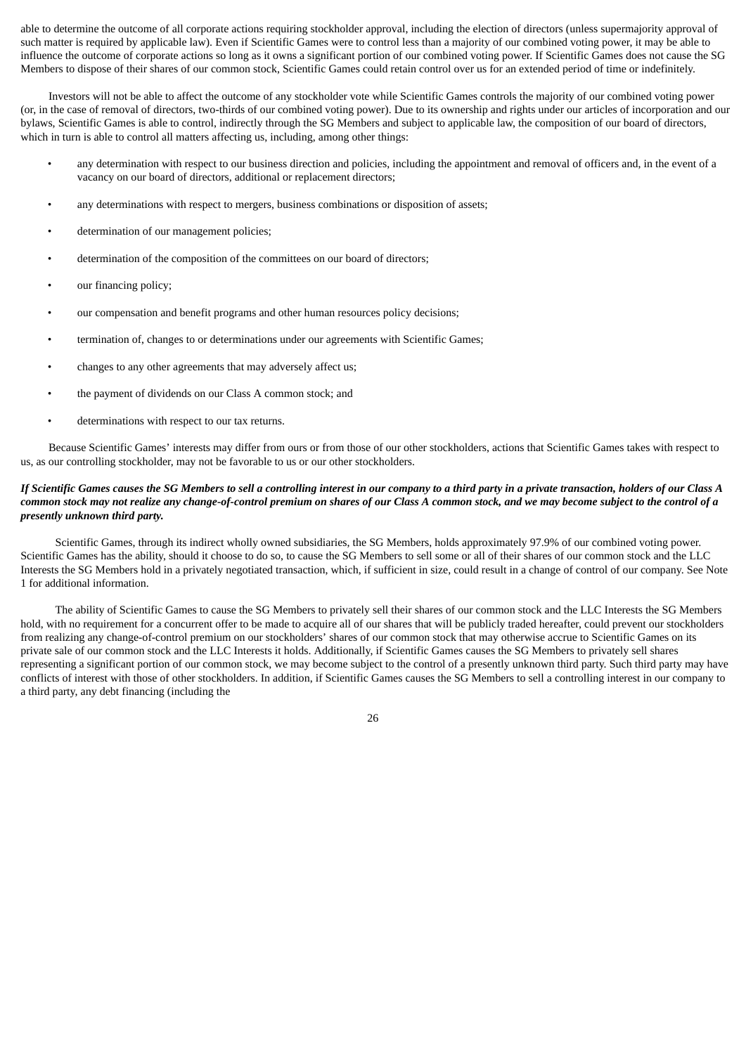able to determine the outcome of all corporate actions requiring stockholder approval, including the election of directors (unless supermajority approval of such matter is required by applicable law). Even if Scientific Games were to control less than a majority of our combined voting power, it may be able to influence the outcome of corporate actions so long as it owns a significant portion of our combined voting power. If Scientific Games does not cause the SG Members to dispose of their shares of our common stock, Scientific Games could retain control over us for an extended period of time or indefinitely.

Investors will not be able to affect the outcome of any stockholder vote while Scientific Games controls the majority of our combined voting power (or, in the case of removal of directors, two-thirds of our combined voting power). Due to its ownership and rights under our articles of incorporation and our bylaws, Scientific Games is able to control, indirectly through the SG Members and subject to applicable law, the composition of our board of directors, which in turn is able to control all matters affecting us, including, among other things:

- any determination with respect to our business direction and policies, including the appointment and removal of officers and, in the event of a vacancy on our board of directors, additional or replacement directors;
- any determinations with respect to mergers, business combinations or disposition of assets;
- determination of our management policies;
- determination of the composition of the committees on our board of directors;
- our financing policy;
- our compensation and benefit programs and other human resources policy decisions;
- termination of, changes to or determinations under our agreements with Scientific Games;
- changes to any other agreements that may adversely affect us;
- the payment of dividends on our Class A common stock; and
- determinations with respect to our tax returns.

Because Scientific Games' interests may differ from ours or from those of our other stockholders, actions that Scientific Games takes with respect to us, as our controlling stockholder, may not be favorable to us or our other stockholders.

## If Scientific Games causes the SG Members to sell a controlling interest in our company to a third party in a private transaction, holders of our Class A common stock may not realize any change-of-control premium on shares of our Class A common stock, and we may become subject to the control of a *presently unknown third party.*

Scientific Games, through its indirect wholly owned subsidiaries, the SG Members, holds approximately 97.9% of our combined voting power. Scientific Games has the ability, should it choose to do so, to cause the SG Members to sell some or all of their shares of our common stock and the LLC Interests the SG Members hold in a privately negotiated transaction, which, if sufficient in size, could result in a change of control of our company. See Note 1 for additional information.

The ability of Scientific Games to cause the SG Members to privately sell their shares of our common stock and the LLC Interests the SG Members hold, with no requirement for a concurrent offer to be made to acquire all of our shares that will be publicly traded hereafter, could prevent our stockholders from realizing any change-of-control premium on our stockholders' shares of our common stock that may otherwise accrue to Scientific Games on its private sale of our common stock and the LLC Interests it holds. Additionally, if Scientific Games causes the SG Members to privately sell shares representing a significant portion of our common stock, we may become subject to the control of a presently unknown third party. Such third party may have conflicts of interest with those of other stockholders. In addition, if Scientific Games causes the SG Members to sell a controlling interest in our company to a third party, any debt financing (including the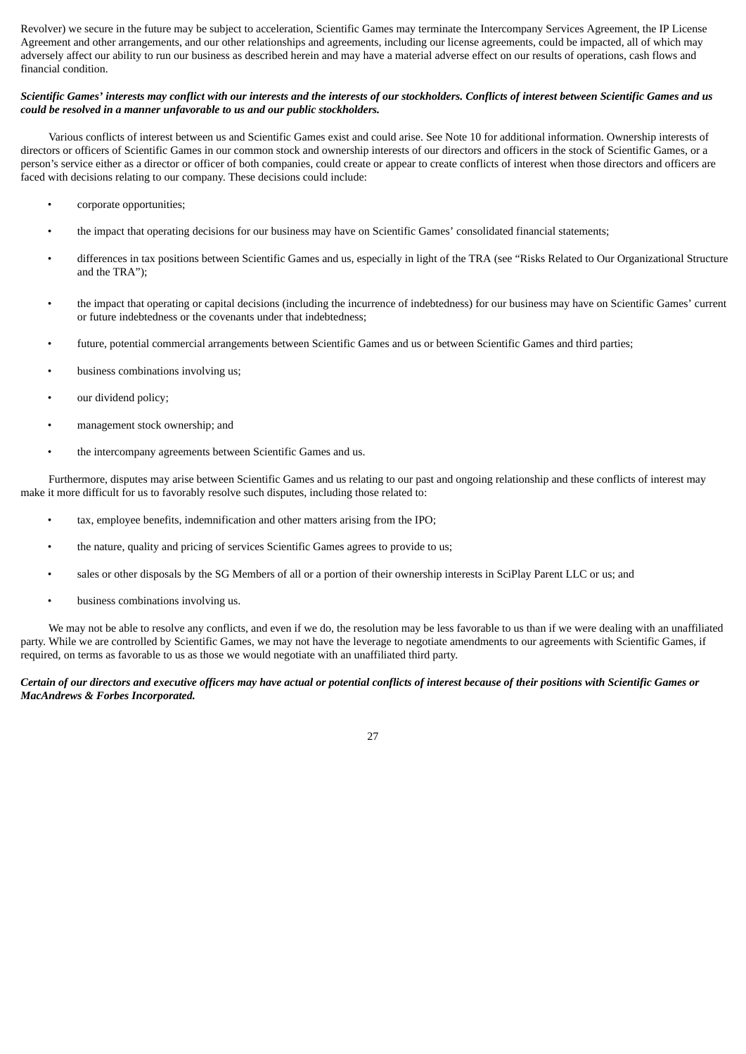Revolver) we secure in the future may be subject to acceleration, Scientific Games may terminate the Intercompany Services Agreement, the IP License Agreement and other arrangements, and our other relationships and agreements, including our license agreements, could be impacted, all of which may adversely affect our ability to run our business as described herein and may have a material adverse effect on our results of operations, cash flows and financial condition.

## Scientific Games' interests may conflict with our interests and the interests of our stockholders. Conflicts of interest between Scientific Games and us *could be resolved in a manner unfavorable to us and our public stockholders.*

Various conflicts of interest between us and Scientific Games exist and could arise. See Note 10 for additional information. Ownership interests of directors or officers of Scientific Games in our common stock and ownership interests of our directors and officers in the stock of Scientific Games, or a person's service either as a director or officer of both companies, could create or appear to create conflicts of interest when those directors and officers are faced with decisions relating to our company. These decisions could include:

- corporate opportunities;
- the impact that operating decisions for our business may have on Scientific Games' consolidated financial statements;
- differences in tax positions between Scientific Games and us, especially in light of the TRA (see "Risks Related to Our Organizational Structure and the TRA");
- the impact that operating or capital decisions (including the incurrence of indebtedness) for our business may have on Scientific Games' current or future indebtedness or the covenants under that indebtedness;
- future, potential commercial arrangements between Scientific Games and us or between Scientific Games and third parties;
- business combinations involving us;
- our dividend policy;
- management stock ownership; and
- the intercompany agreements between Scientific Games and us.

Furthermore, disputes may arise between Scientific Games and us relating to our past and ongoing relationship and these conflicts of interest may make it more difficult for us to favorably resolve such disputes, including those related to:

- tax, employee benefits, indemnification and other matters arising from the IPO;
- the nature, quality and pricing of services Scientific Games agrees to provide to us;
- sales or other disposals by the SG Members of all or a portion of their ownership interests in SciPlay Parent LLC or us; and
- business combinations involving us.

We may not be able to resolve any conflicts, and even if we do, the resolution may be less favorable to us than if we were dealing with an unaffiliated party. While we are controlled by Scientific Games, we may not have the leverage to negotiate amendments to our agreements with Scientific Games, if required, on terms as favorable to us as those we would negotiate with an unaffiliated third party.

## Certain of our directors and executive officers may have actual or potential conflicts of interest because of their positions with Scientific Games or *MacAndrews & Forbes Incorporated.*

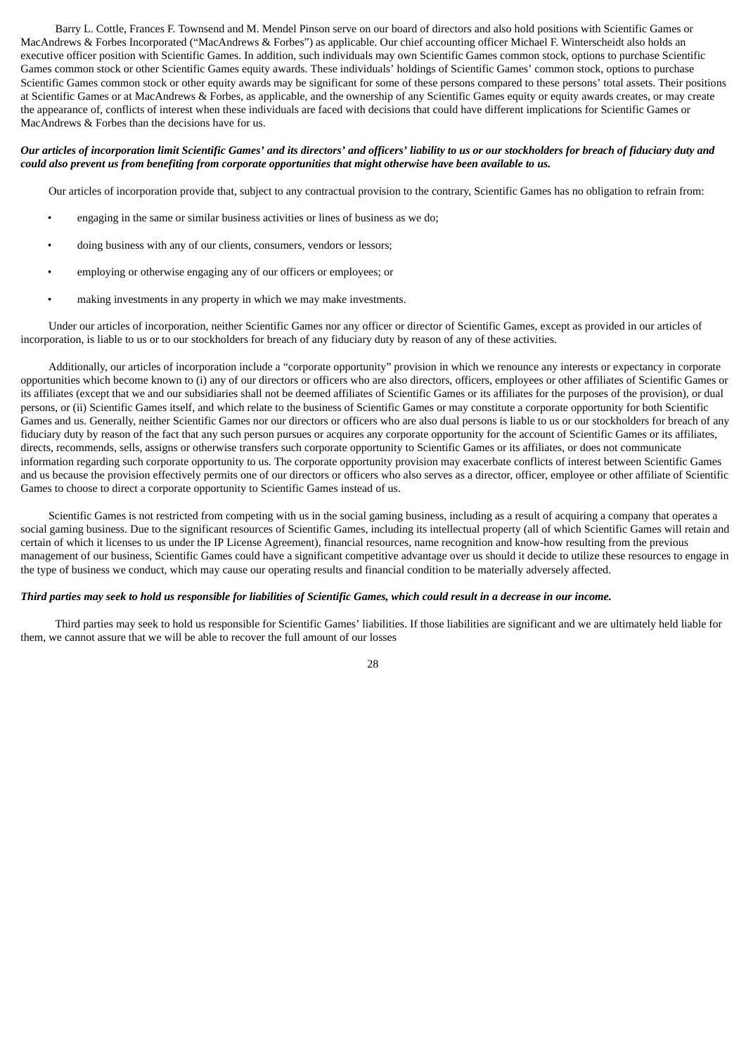Barry L. Cottle, Frances F. Townsend and M. Mendel Pinson serve on our board of directors and also hold positions with Scientific Games or MacAndrews & Forbes Incorporated ("MacAndrews & Forbes") as applicable. Our chief accounting officer Michael F. Winterscheidt also holds an executive officer position with Scientific Games. In addition, such individuals may own Scientific Games common stock, options to purchase Scientific Games common stock or other Scientific Games equity awards. These individuals' holdings of Scientific Games' common stock, options to purchase Scientific Games common stock or other equity awards may be significant for some of these persons compared to these persons' total assets. Their positions at Scientific Games or at MacAndrews & Forbes, as applicable, and the ownership of any Scientific Games equity or equity awards creates, or may create the appearance of, conflicts of interest when these individuals are faced with decisions that could have different implications for Scientific Games or MacAndrews & Forbes than the decisions have for us.

## Our articles of incorporation limit Scientific Games' and its directors' and officers' liability to us or our stockholders for breach of fiduciary duty and could also prevent us from benefiting from corporate opportunities that might otherwise have been available to us.

Our articles of incorporation provide that, subject to any contractual provision to the contrary, Scientific Games has no obligation to refrain from:

- engaging in the same or similar business activities or lines of business as we do;
- doing business with any of our clients, consumers, vendors or lessors;
- employing or otherwise engaging any of our officers or employees; or
- making investments in any property in which we may make investments.

Under our articles of incorporation, neither Scientific Games nor any officer or director of Scientific Games, except as provided in our articles of incorporation, is liable to us or to our stockholders for breach of any fiduciary duty by reason of any of these activities.

Additionally, our articles of incorporation include a "corporate opportunity" provision in which we renounce any interests or expectancy in corporate opportunities which become known to (i) any of our directors or officers who are also directors, officers, employees or other affiliates of Scientific Games or its affiliates (except that we and our subsidiaries shall not be deemed affiliates of Scientific Games or its affiliates for the purposes of the provision), or dual persons, or (ii) Scientific Games itself, and which relate to the business of Scientific Games or may constitute a corporate opportunity for both Scientific Games and us. Generally, neither Scientific Games nor our directors or officers who are also dual persons is liable to us or our stockholders for breach of any fiduciary duty by reason of the fact that any such person pursues or acquires any corporate opportunity for the account of Scientific Games or its affiliates, directs, recommends, sells, assigns or otherwise transfers such corporate opportunity to Scientific Games or its affiliates, or does not communicate information regarding such corporate opportunity to us. The corporate opportunity provision may exacerbate conflicts of interest between Scientific Games and us because the provision effectively permits one of our directors or officers who also serves as a director, officer, employee or other affiliate of Scientific Games to choose to direct a corporate opportunity to Scientific Games instead of us.

Scientific Games is not restricted from competing with us in the social gaming business, including as a result of acquiring a company that operates a social gaming business. Due to the significant resources of Scientific Games, including its intellectual property (all of which Scientific Games will retain and certain of which it licenses to us under the IP License Agreement), financial resources, name recognition and know-how resulting from the previous management of our business, Scientific Games could have a significant competitive advantage over us should it decide to utilize these resources to engage in the type of business we conduct, which may cause our operating results and financial condition to be materially adversely affected.

## Third parties may seek to hold us responsible for liabilities of Scientific Games, which could result in a decrease in our income.

Third parties may seek to hold us responsible for Scientific Games' liabilities. If those liabilities are significant and we are ultimately held liable for them, we cannot assure that we will be able to recover the full amount of our losses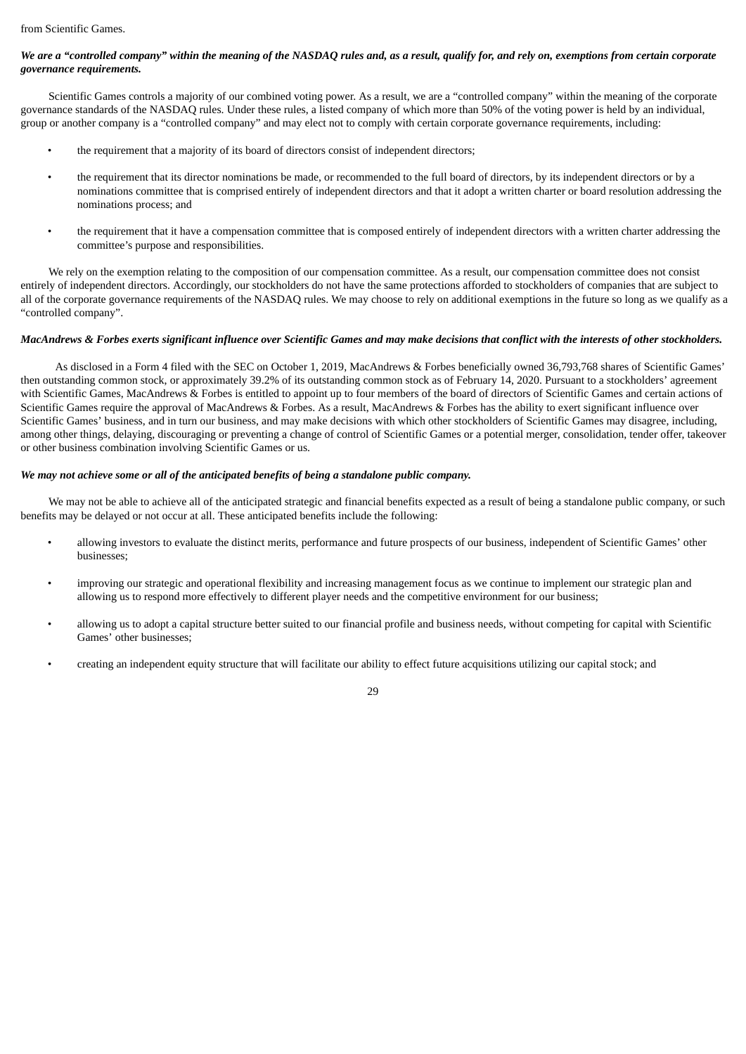## from Scientific Games.

## We are a "controlled company" within the meaning of the NASDAQ rules and, as a result, qualify for, and rely on, exemptions from certain corporate *governance requirements.*

Scientific Games controls a majority of our combined voting power. As a result, we are a "controlled company" within the meaning of the corporate governance standards of the NASDAQ rules. Under these rules, a listed company of which more than 50% of the voting power is held by an individual, group or another company is a "controlled company" and may elect not to comply with certain corporate governance requirements, including:

- the requirement that a majority of its board of directors consist of independent directors;
- the requirement that its director nominations be made, or recommended to the full board of directors, by its independent directors or by a nominations committee that is comprised entirely of independent directors and that it adopt a written charter or board resolution addressing the nominations process; and
- the requirement that it have a compensation committee that is composed entirely of independent directors with a written charter addressing the committee's purpose and responsibilities.

We rely on the exemption relating to the composition of our compensation committee. As a result, our compensation committee does not consist entirely of independent directors. Accordingly, our stockholders do not have the same protections afforded to stockholders of companies that are subject to all of the corporate governance requirements of the NASDAQ rules. We may choose to rely on additional exemptions in the future so long as we qualify as a "controlled company".

## MacAndrews & Forbes exerts significant influence over Scientific Games and may make decisions that conflict with the interests of other stockholders.

As disclosed in a Form 4 filed with the SEC on October 1, 2019, MacAndrews & Forbes beneficially owned 36,793,768 shares of Scientific Games' then outstanding common stock, or approximately 39.2% of its outstanding common stock as of February 14, 2020. Pursuant to a stockholders' agreement with Scientific Games, MacAndrews & Forbes is entitled to appoint up to four members of the board of directors of Scientific Games and certain actions of Scientific Games require the approval of MacAndrews & Forbes. As a result, MacAndrews & Forbes has the ability to exert significant influence over Scientific Games' business, and in turn our business, and may make decisions with which other stockholders of Scientific Games may disagree, including, among other things, delaying, discouraging or preventing a change of control of Scientific Games or a potential merger, consolidation, tender offer, takeover or other business combination involving Scientific Games or us.

## *We may not achieve some or all of the anticipated benefits of being a standalone public company.*

We may not be able to achieve all of the anticipated strategic and financial benefits expected as a result of being a standalone public company, or such benefits may be delayed or not occur at all. These anticipated benefits include the following:

- allowing investors to evaluate the distinct merits, performance and future prospects of our business, independent of Scientific Games' other businesses;
- improving our strategic and operational flexibility and increasing management focus as we continue to implement our strategic plan and allowing us to respond more effectively to different player needs and the competitive environment for our business;
- allowing us to adopt a capital structure better suited to our financial profile and business needs, without competing for capital with Scientific Games' other businesses;
- creating an independent equity structure that will facilitate our ability to effect future acquisitions utilizing our capital stock; and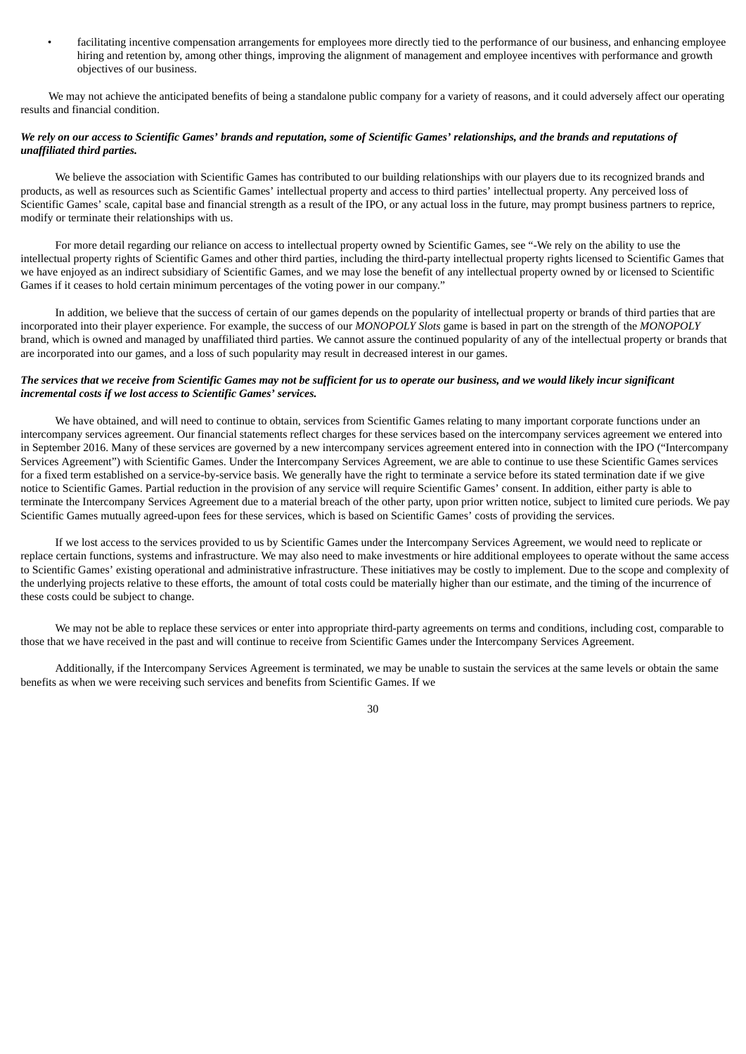• facilitating incentive compensation arrangements for employees more directly tied to the performance of our business, and enhancing employee hiring and retention by, among other things, improving the alignment of management and employee incentives with performance and growth objectives of our business.

We may not achieve the anticipated benefits of being a standalone public company for a variety of reasons, and it could adversely affect our operating results and financial condition.

## We rely on our access to Scientific Games' brands and reputation, some of Scientific Games' relationships, and the brands and reputations of *unaffiliated third parties.*

We believe the association with Scientific Games has contributed to our building relationships with our players due to its recognized brands and products, as well as resources such as Scientific Games' intellectual property and access to third parties' intellectual property. Any perceived loss of Scientific Games' scale, capital base and financial strength as a result of the IPO, or any actual loss in the future, may prompt business partners to reprice, modify or terminate their relationships with us.

For more detail regarding our reliance on access to intellectual property owned by Scientific Games, see "-We rely on the ability to use the intellectual property rights of Scientific Games and other third parties, including the third-party intellectual property rights licensed to Scientific Games that we have enjoyed as an indirect subsidiary of Scientific Games, and we may lose the benefit of any intellectual property owned by or licensed to Scientific Games if it ceases to hold certain minimum percentages of the voting power in our company."

In addition, we believe that the success of certain of our games depends on the popularity of intellectual property or brands of third parties that are incorporated into their player experience. For example, the success of our *MONOPOLY Slots* game is based in part on the strength of the *MONOPOLY* brand, which is owned and managed by unaffiliated third parties. We cannot assure the continued popularity of any of the intellectual property or brands that are incorporated into our games, and a loss of such popularity may result in decreased interest in our games.

## The services that we receive from Scientific Games may not be sufficient for us to operate our business, and we would likely incur significant *incremental costs if we lost access to Scientific Games' services.*

We have obtained, and will need to continue to obtain, services from Scientific Games relating to many important corporate functions under an intercompany services agreement. Our financial statements reflect charges for these services based on the intercompany services agreement we entered into in September 2016. Many of these services are governed by a new intercompany services agreement entered into in connection with the IPO ("Intercompany Services Agreement") with Scientific Games. Under the Intercompany Services Agreement, we are able to continue to use these Scientific Games services for a fixed term established on a service-by-service basis. We generally have the right to terminate a service before its stated termination date if we give notice to Scientific Games. Partial reduction in the provision of any service will require Scientific Games' consent. In addition, either party is able to terminate the Intercompany Services Agreement due to a material breach of the other party, upon prior written notice, subject to limited cure periods. We pay Scientific Games mutually agreed-upon fees for these services, which is based on Scientific Games' costs of providing the services.

If we lost access to the services provided to us by Scientific Games under the Intercompany Services Agreement, we would need to replicate or replace certain functions, systems and infrastructure. We may also need to make investments or hire additional employees to operate without the same access to Scientific Games' existing operational and administrative infrastructure. These initiatives may be costly to implement. Due to the scope and complexity of the underlying projects relative to these efforts, the amount of total costs could be materially higher than our estimate, and the timing of the incurrence of these costs could be subject to change.

We may not be able to replace these services or enter into appropriate third-party agreements on terms and conditions, including cost, comparable to those that we have received in the past and will continue to receive from Scientific Games under the Intercompany Services Agreement.

Additionally, if the Intercompany Services Agreement is terminated, we may be unable to sustain the services at the same levels or obtain the same benefits as when we were receiving such services and benefits from Scientific Games. If we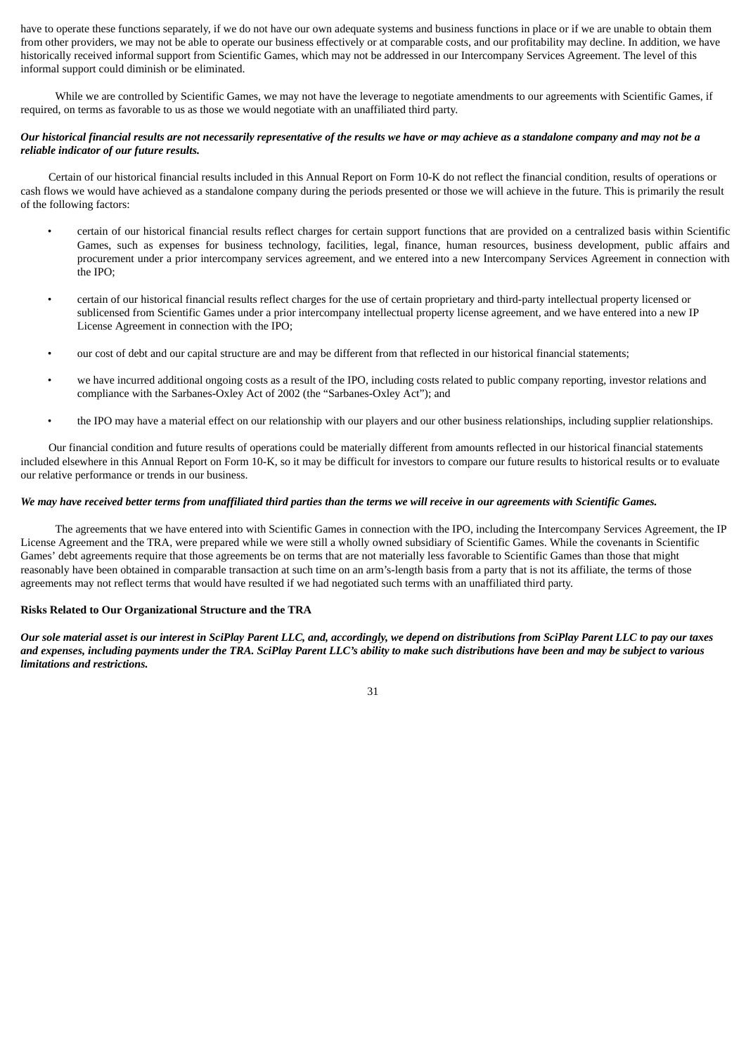have to operate these functions separately, if we do not have our own adequate systems and business functions in place or if we are unable to obtain them from other providers, we may not be able to operate our business effectively or at comparable costs, and our profitability may decline. In addition, we have historically received informal support from Scientific Games, which may not be addressed in our Intercompany Services Agreement. The level of this informal support could diminish or be eliminated.

While we are controlled by Scientific Games, we may not have the leverage to negotiate amendments to our agreements with Scientific Games, if required, on terms as favorable to us as those we would negotiate with an unaffiliated third party.

## Our historical financial results are not necessarily representative of the results we have or may achieve as a standalone company and may not be a *reliable indicator of our future results.*

Certain of our historical financial results included in this Annual Report on Form 10-K do not reflect the financial condition, results of operations or cash flows we would have achieved as a standalone company during the periods presented or those we will achieve in the future. This is primarily the result of the following factors:

- certain of our historical financial results reflect charges for certain support functions that are provided on a centralized basis within Scientific Games, such as expenses for business technology, facilities, legal, finance, human resources, business development, public affairs and procurement under a prior intercompany services agreement, and we entered into a new Intercompany Services Agreement in connection with the IPO;
- certain of our historical financial results reflect charges for the use of certain proprietary and third-party intellectual property licensed or sublicensed from Scientific Games under a prior intercompany intellectual property license agreement, and we have entered into a new IP License Agreement in connection with the IPO;
- our cost of debt and our capital structure are and may be different from that reflected in our historical financial statements;
- we have incurred additional ongoing costs as a result of the IPO, including costs related to public company reporting, investor relations and compliance with the Sarbanes-Oxley Act of 2002 (the "Sarbanes-Oxley Act"); and
- the IPO may have a material effect on our relationship with our players and our other business relationships, including supplier relationships.

Our financial condition and future results of operations could be materially different from amounts reflected in our historical financial statements included elsewhere in this Annual Report on Form 10-K, so it may be difficult for investors to compare our future results to historical results or to evaluate our relative performance or trends in our business.

## We may have received better terms from unaffiliated third parties than the terms we will receive in our agreements with Scientific Games.

The agreements that we have entered into with Scientific Games in connection with the IPO, including the Intercompany Services Agreement, the IP License Agreement and the TRA, were prepared while we were still a wholly owned subsidiary of Scientific Games. While the covenants in Scientific Games' debt agreements require that those agreements be on terms that are not materially less favorable to Scientific Games than those that might reasonably have been obtained in comparable transaction at such time on an arm's-length basis from a party that is not its affiliate, the terms of those agreements may not reflect terms that would have resulted if we had negotiated such terms with an unaffiliated third party.

## **Risks Related to Our Organizational Structure and the TRA**

Our sole material asset is our interest in SciPlay Parent LLC, and, accordingly, we depend on distributions from SciPlay Parent LLC to pay our taxes and expenses, including payments under the TRA. SciPlay Parent LLC's ability to make such distributions have been and may be subject to various *limitations and restrictions.*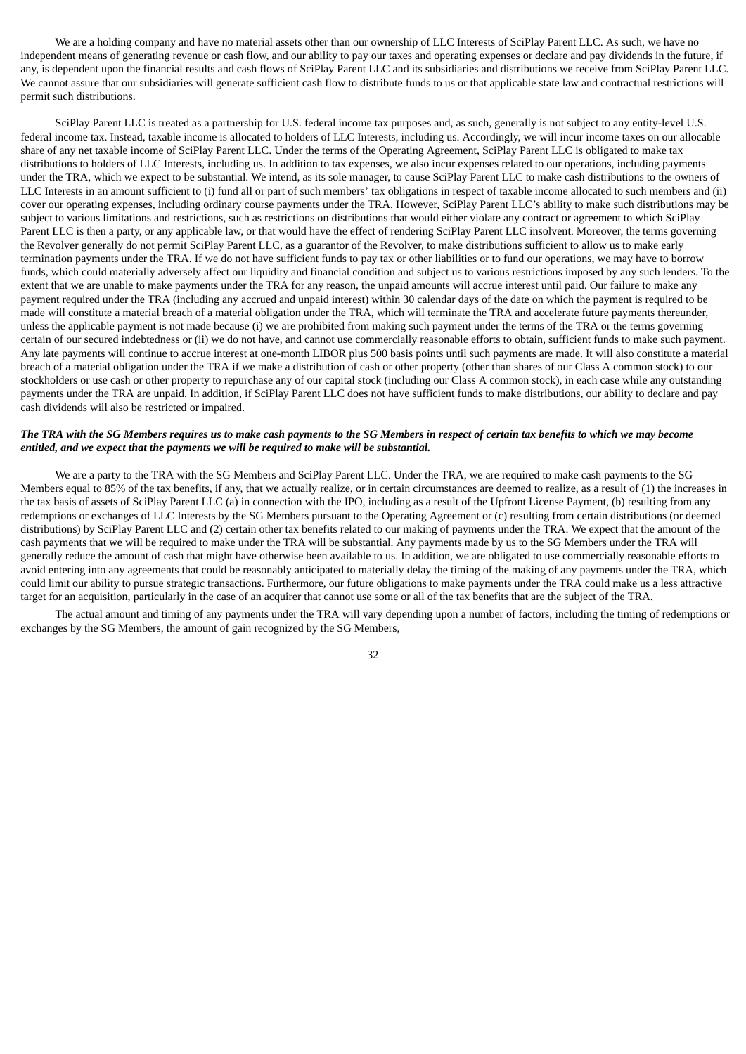We are a holding company and have no material assets other than our ownership of LLC Interests of SciPlay Parent LLC. As such, we have no independent means of generating revenue or cash flow, and our ability to pay our taxes and operating expenses or declare and pay dividends in the future, if any, is dependent upon the financial results and cash flows of SciPlay Parent LLC and its subsidiaries and distributions we receive from SciPlay Parent LLC. We cannot assure that our subsidiaries will generate sufficient cash flow to distribute funds to us or that applicable state law and contractual restrictions will permit such distributions.

SciPlay Parent LLC is treated as a partnership for U.S. federal income tax purposes and, as such, generally is not subject to any entity-level U.S. federal income tax. Instead, taxable income is allocated to holders of LLC Interests, including us. Accordingly, we will incur income taxes on our allocable share of any net taxable income of SciPlay Parent LLC. Under the terms of the Operating Agreement, SciPlay Parent LLC is obligated to make tax distributions to holders of LLC Interests, including us. In addition to tax expenses, we also incur expenses related to our operations, including payments under the TRA, which we expect to be substantial. We intend, as its sole manager, to cause SciPlay Parent LLC to make cash distributions to the owners of LLC Interests in an amount sufficient to (i) fund all or part of such members' tax obligations in respect of taxable income allocated to such members and (ii) cover our operating expenses, including ordinary course payments under the TRA. However, SciPlay Parent LLC's ability to make such distributions may be subject to various limitations and restrictions, such as restrictions on distributions that would either violate any contract or agreement to which SciPlay Parent LLC is then a party, or any applicable law, or that would have the effect of rendering SciPlay Parent LLC insolvent. Moreover, the terms governing the Revolver generally do not permit SciPlay Parent LLC, as a guarantor of the Revolver, to make distributions sufficient to allow us to make early termination payments under the TRA. If we do not have sufficient funds to pay tax or other liabilities or to fund our operations, we may have to borrow funds, which could materially adversely affect our liquidity and financial condition and subject us to various restrictions imposed by any such lenders. To the extent that we are unable to make payments under the TRA for any reason, the unpaid amounts will accrue interest until paid. Our failure to make any payment required under the TRA (including any accrued and unpaid interest) within 30 calendar days of the date on which the payment is required to be made will constitute a material breach of a material obligation under the TRA, which will terminate the TRA and accelerate future payments thereunder, unless the applicable payment is not made because (i) we are prohibited from making such payment under the terms of the TRA or the terms governing certain of our secured indebtedness or (ii) we do not have, and cannot use commercially reasonable efforts to obtain, sufficient funds to make such payment. Any late payments will continue to accrue interest at one-month LIBOR plus 500 basis points until such payments are made. It will also constitute a material breach of a material obligation under the TRA if we make a distribution of cash or other property (other than shares of our Class A common stock) to our stockholders or use cash or other property to repurchase any of our capital stock (including our Class A common stock), in each case while any outstanding payments under the TRA are unpaid. In addition, if SciPlay Parent LLC does not have sufficient funds to make distributions, our ability to declare and pay cash dividends will also be restricted or impaired.

## The TRA with the SG Members requires us to make cash payments to the SG Members in respect of certain tax benefits to which we may become *entitled, and we expect that the payments we will be required to make will be substantial.*

We are a party to the TRA with the SG Members and SciPlay Parent LLC. Under the TRA, we are required to make cash payments to the SG Members equal to 85% of the tax benefits, if any, that we actually realize, or in certain circumstances are deemed to realize, as a result of (1) the increases in the tax basis of assets of SciPlay Parent LLC (a) in connection with the IPO, including as a result of the Upfront License Payment, (b) resulting from any redemptions or exchanges of LLC Interests by the SG Members pursuant to the Operating Agreement or (c) resulting from certain distributions (or deemed distributions) by SciPlay Parent LLC and (2) certain other tax benefits related to our making of payments under the TRA. We expect that the amount of the cash payments that we will be required to make under the TRA will be substantial. Any payments made by us to the SG Members under the TRA will generally reduce the amount of cash that might have otherwise been available to us. In addition, we are obligated to use commercially reasonable efforts to avoid entering into any agreements that could be reasonably anticipated to materially delay the timing of the making of any payments under the TRA, which could limit our ability to pursue strategic transactions. Furthermore, our future obligations to make payments under the TRA could make us a less attractive target for an acquisition, particularly in the case of an acquirer that cannot use some or all of the tax benefits that are the subject of the TRA.

The actual amount and timing of any payments under the TRA will vary depending upon a number of factors, including the timing of redemptions or exchanges by the SG Members, the amount of gain recognized by the SG Members,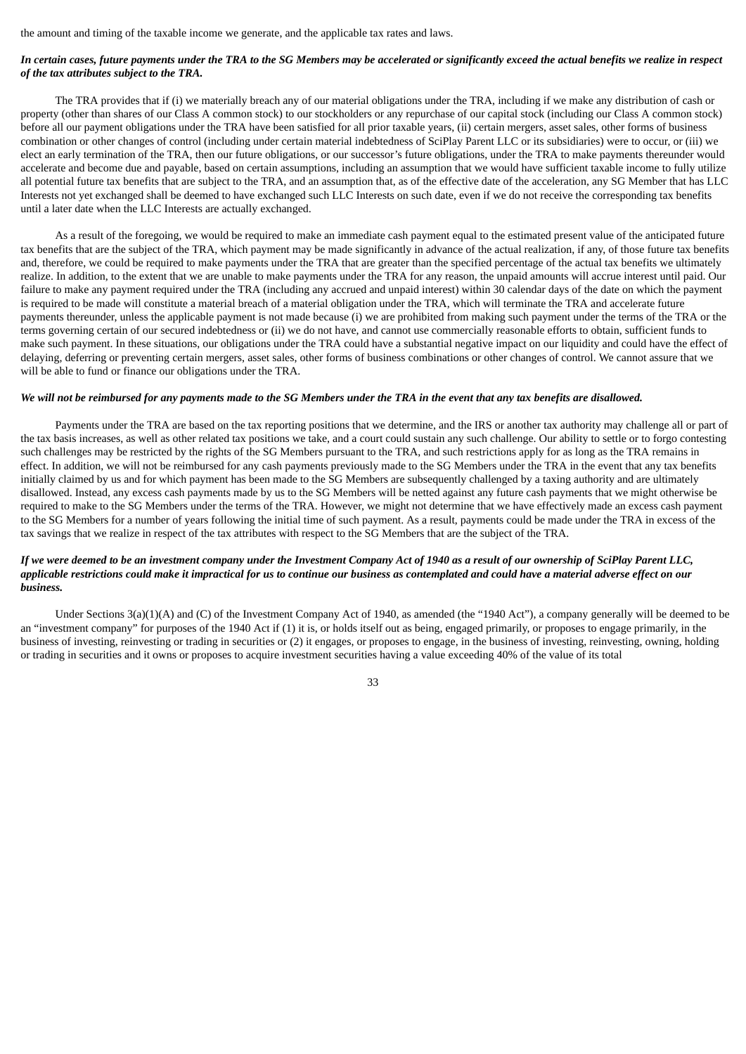the amount and timing of the taxable income we generate, and the applicable tax rates and laws.

## In certain cases, future payments under the TRA to the SG Members may be accelerated or significantly exceed the actual benefits we realize in respect *of the tax attributes subject to the TRA.*

The TRA provides that if (i) we materially breach any of our material obligations under the TRA, including if we make any distribution of cash or property (other than shares of our Class A common stock) to our stockholders or any repurchase of our capital stock (including our Class A common stock) before all our payment obligations under the TRA have been satisfied for all prior taxable years, (ii) certain mergers, asset sales, other forms of business combination or other changes of control (including under certain material indebtedness of SciPlay Parent LLC or its subsidiaries) were to occur, or (iii) we elect an early termination of the TRA, then our future obligations, or our successor's future obligations, under the TRA to make payments thereunder would accelerate and become due and payable, based on certain assumptions, including an assumption that we would have sufficient taxable income to fully utilize all potential future tax benefits that are subject to the TRA, and an assumption that, as of the effective date of the acceleration, any SG Member that has LLC Interests not yet exchanged shall be deemed to have exchanged such LLC Interests on such date, even if we do not receive the corresponding tax benefits until a later date when the LLC Interests are actually exchanged.

As a result of the foregoing, we would be required to make an immediate cash payment equal to the estimated present value of the anticipated future tax benefits that are the subject of the TRA, which payment may be made significantly in advance of the actual realization, if any, of those future tax benefits and, therefore, we could be required to make payments under the TRA that are greater than the specified percentage of the actual tax benefits we ultimately realize. In addition, to the extent that we are unable to make payments under the TRA for any reason, the unpaid amounts will accrue interest until paid. Our failure to make any payment required under the TRA (including any accrued and unpaid interest) within 30 calendar days of the date on which the payment is required to be made will constitute a material breach of a material obligation under the TRA, which will terminate the TRA and accelerate future payments thereunder, unless the applicable payment is not made because (i) we are prohibited from making such payment under the terms of the TRA or the terms governing certain of our secured indebtedness or (ii) we do not have, and cannot use commercially reasonable efforts to obtain, sufficient funds to make such payment. In these situations, our obligations under the TRA could have a substantial negative impact on our liquidity and could have the effect of delaying, deferring or preventing certain mergers, asset sales, other forms of business combinations or other changes of control. We cannot assure that we will be able to fund or finance our obligations under the TRA.

### We will not be reimbursed for any payments made to the SG Members under the TRA in the event that any tax benefits are disallowed.

Payments under the TRA are based on the tax reporting positions that we determine, and the IRS or another tax authority may challenge all or part of the tax basis increases, as well as other related tax positions we take, and a court could sustain any such challenge. Our ability to settle or to forgo contesting such challenges may be restricted by the rights of the SG Members pursuant to the TRA, and such restrictions apply for as long as the TRA remains in effect. In addition, we will not be reimbursed for any cash payments previously made to the SG Members under the TRA in the event that any tax benefits initially claimed by us and for which payment has been made to the SG Members are subsequently challenged by a taxing authority and are ultimately disallowed. Instead, any excess cash payments made by us to the SG Members will be netted against any future cash payments that we might otherwise be required to make to the SG Members under the terms of the TRA. However, we might not determine that we have effectively made an excess cash payment to the SG Members for a number of years following the initial time of such payment. As a result, payments could be made under the TRA in excess of the tax savings that we realize in respect of the tax attributes with respect to the SG Members that are the subject of the TRA.

## If we were deemed to be an investment company under the Investment Company Act of 1940 as a result of our ownership of SciPlay Parent LLC, applicable restrictions could make it impractical for us to continue our business as contemplated and could have a material adverse effect on our *business.*

Under Sections 3(a)(1)(A) and (C) of the Investment Company Act of 1940, as amended (the "1940 Act"), a company generally will be deemed to be an "investment company" for purposes of the 1940 Act if (1) it is, or holds itself out as being, engaged primarily, or proposes to engage primarily, in the business of investing, reinvesting or trading in securities or (2) it engages, or proposes to engage, in the business of investing, reinvesting, owning, holding or trading in securities and it owns or proposes to acquire investment securities having a value exceeding 40% of the value of its total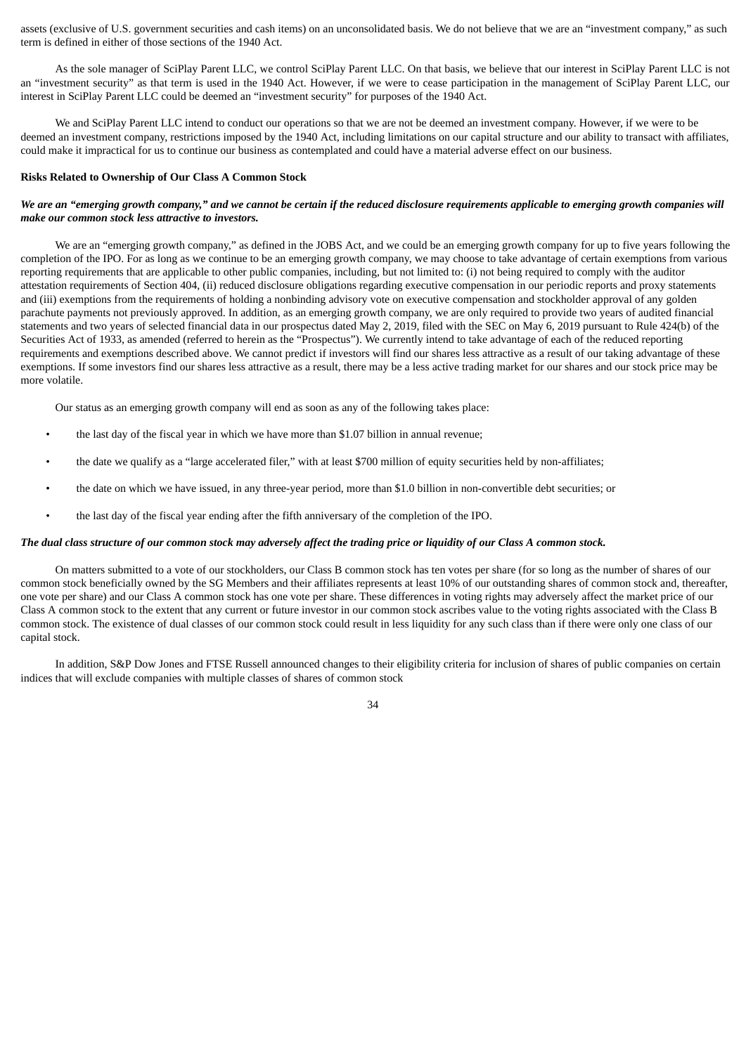assets (exclusive of U.S. government securities and cash items) on an unconsolidated basis. We do not believe that we are an "investment company," as such term is defined in either of those sections of the 1940 Act.

As the sole manager of SciPlay Parent LLC, we control SciPlay Parent LLC. On that basis, we believe that our interest in SciPlay Parent LLC is not an "investment security" as that term is used in the 1940 Act. However, if we were to cease participation in the management of SciPlay Parent LLC, our interest in SciPlay Parent LLC could be deemed an "investment security" for purposes of the 1940 Act.

We and SciPlay Parent LLC intend to conduct our operations so that we are not be deemed an investment company. However, if we were to be deemed an investment company, restrictions imposed by the 1940 Act, including limitations on our capital structure and our ability to transact with affiliates, could make it impractical for us to continue our business as contemplated and could have a material adverse effect on our business.

### **Risks Related to Ownership of Our Class A Common Stock**

## We are an "emerging growth company," and we cannot be certain if the reduced disclosure requirements applicable to emerging growth companies will *make our common stock less attractive to investors.*

We are an "emerging growth company," as defined in the JOBS Act, and we could be an emerging growth company for up to five years following the completion of the IPO. For as long as we continue to be an emerging growth company, we may choose to take advantage of certain exemptions from various reporting requirements that are applicable to other public companies, including, but not limited to: (i) not being required to comply with the auditor attestation requirements of Section 404, (ii) reduced disclosure obligations regarding executive compensation in our periodic reports and proxy statements and (iii) exemptions from the requirements of holding a nonbinding advisory vote on executive compensation and stockholder approval of any golden parachute payments not previously approved. In addition, as an emerging growth company, we are only required to provide two years of audited financial statements and two years of selected financial data in our prospectus dated May 2, 2019, filed with the SEC on May 6, 2019 pursuant to Rule 424(b) of the Securities Act of 1933, as amended (referred to herein as the "Prospectus"). We currently intend to take advantage of each of the reduced reporting requirements and exemptions described above. We cannot predict if investors will find our shares less attractive as a result of our taking advantage of these exemptions. If some investors find our shares less attractive as a result, there may be a less active trading market for our shares and our stock price may be more volatile.

Our status as an emerging growth company will end as soon as any of the following takes place:

- the last day of the fiscal year in which we have more than \$1.07 billion in annual revenue;
- the date we qualify as a "large accelerated filer," with at least \$700 million of equity securities held by non-affiliates;
- the date on which we have issued, in any three-year period, more than \$1.0 billion in non-convertible debt securities; or
- the last day of the fiscal year ending after the fifth anniversary of the completion of the IPO.

### The dual class structure of our common stock may adversely affect the trading price or liquidity of our Class A common stock.

On matters submitted to a vote of our stockholders, our Class B common stock has ten votes per share (for so long as the number of shares of our common stock beneficially owned by the SG Members and their affiliates represents at least 10% of our outstanding shares of common stock and, thereafter, one vote per share) and our Class A common stock has one vote per share. These differences in voting rights may adversely affect the market price of our Class A common stock to the extent that any current or future investor in our common stock ascribes value to the voting rights associated with the Class B common stock. The existence of dual classes of our common stock could result in less liquidity for any such class than if there were only one class of our capital stock.

In addition, S&P Dow Jones and FTSE Russell announced changes to their eligibility criteria for inclusion of shares of public companies on certain indices that will exclude companies with multiple classes of shares of common stock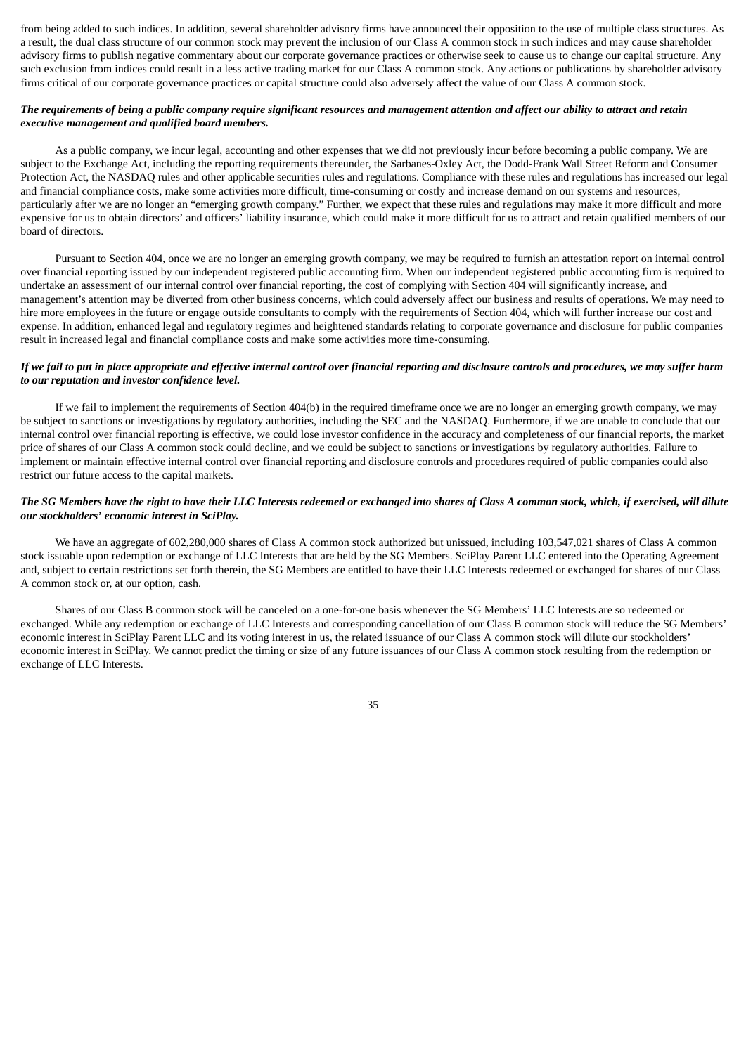from being added to such indices. In addition, several shareholder advisory firms have announced their opposition to the use of multiple class structures. As a result, the dual class structure of our common stock may prevent the inclusion of our Class A common stock in such indices and may cause shareholder advisory firms to publish negative commentary about our corporate governance practices or otherwise seek to cause us to change our capital structure. Any such exclusion from indices could result in a less active trading market for our Class A common stock. Any actions or publications by shareholder advisory firms critical of our corporate governance practices or capital structure could also adversely affect the value of our Class A common stock.

## The requirements of being a public company require significant resources and management attention and affect our ability to attract and retain *executive management and qualified board members.*

As a public company, we incur legal, accounting and other expenses that we did not previously incur before becoming a public company. We are subject to the Exchange Act, including the reporting requirements thereunder, the Sarbanes-Oxley Act, the Dodd-Frank Wall Street Reform and Consumer Protection Act, the NASDAQ rules and other applicable securities rules and regulations. Compliance with these rules and regulations has increased our legal and financial compliance costs, make some activities more difficult, time-consuming or costly and increase demand on our systems and resources, particularly after we are no longer an "emerging growth company." Further, we expect that these rules and regulations may make it more difficult and more expensive for us to obtain directors' and officers' liability insurance, which could make it more difficult for us to attract and retain qualified members of our board of directors.

Pursuant to Section 404, once we are no longer an emerging growth company, we may be required to furnish an attestation report on internal control over financial reporting issued by our independent registered public accounting firm. When our independent registered public accounting firm is required to undertake an assessment of our internal control over financial reporting, the cost of complying with Section 404 will significantly increase, and management's attention may be diverted from other business concerns, which could adversely affect our business and results of operations. We may need to hire more employees in the future or engage outside consultants to comply with the requirements of Section 404, which will further increase our cost and expense. In addition, enhanced legal and regulatory regimes and heightened standards relating to corporate governance and disclosure for public companies result in increased legal and financial compliance costs and make some activities more time-consuming.

## If we fail to put in place appropriate and effective internal control over financial reporting and disclosure controls and procedures, we may suffer harm *to our reputation and investor confidence level.*

If we fail to implement the requirements of Section 404(b) in the required timeframe once we are no longer an emerging growth company, we may be subject to sanctions or investigations by regulatory authorities, including the SEC and the NASDAQ. Furthermore, if we are unable to conclude that our internal control over financial reporting is effective, we could lose investor confidence in the accuracy and completeness of our financial reports, the market price of shares of our Class A common stock could decline, and we could be subject to sanctions or investigations by regulatory authorities. Failure to implement or maintain effective internal control over financial reporting and disclosure controls and procedures required of public companies could also restrict our future access to the capital markets.

## The SG Members have the right to have their LLC Interests redeemed or exchanged into shares of Class A common stock, which, if exercised, will dilute *our stockholders' economic interest in SciPlay.*

We have an aggregate of 602,280,000 shares of Class A common stock authorized but unissued, including 103,547,021 shares of Class A common stock issuable upon redemption or exchange of LLC Interests that are held by the SG Members. SciPlay Parent LLC entered into the Operating Agreement and, subject to certain restrictions set forth therein, the SG Members are entitled to have their LLC Interests redeemed or exchanged for shares of our Class A common stock or, at our option, cash.

Shares of our Class B common stock will be canceled on a one-for-one basis whenever the SG Members' LLC Interests are so redeemed or exchanged. While any redemption or exchange of LLC Interests and corresponding cancellation of our Class B common stock will reduce the SG Members' economic interest in SciPlay Parent LLC and its voting interest in us, the related issuance of our Class A common stock will dilute our stockholders' economic interest in SciPlay. We cannot predict the timing or size of any future issuances of our Class A common stock resulting from the redemption or exchange of LLC Interests.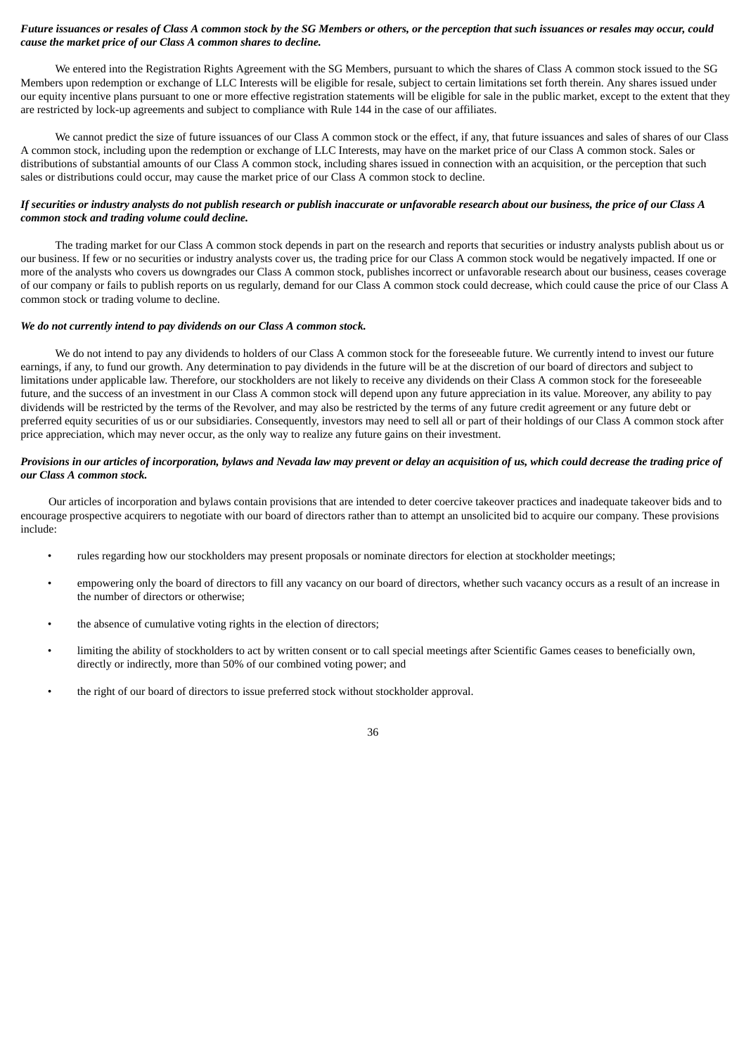## Future issuances or resales of Class A common stock by the SG Members or others, or the perception that such issuances or resales may occur, could *cause the market price of our Class A common shares to decline.*

We entered into the Registration Rights Agreement with the SG Members, pursuant to which the shares of Class A common stock issued to the SG Members upon redemption or exchange of LLC Interests will be eligible for resale, subject to certain limitations set forth therein. Any shares issued under our equity incentive plans pursuant to one or more effective registration statements will be eligible for sale in the public market, except to the extent that they are restricted by lock-up agreements and subject to compliance with Rule 144 in the case of our affiliates.

We cannot predict the size of future issuances of our Class A common stock or the effect, if any, that future issuances and sales of shares of our Class A common stock, including upon the redemption or exchange of LLC Interests, may have on the market price of our Class A common stock. Sales or distributions of substantial amounts of our Class A common stock, including shares issued in connection with an acquisition, or the perception that such sales or distributions could occur, may cause the market price of our Class A common stock to decline.

## If securities or industry analysts do not publish research or publish inaccurate or unfavorable research about our business, the price of our Class A *common stock and trading volume could decline.*

The trading market for our Class A common stock depends in part on the research and reports that securities or industry analysts publish about us or our business. If few or no securities or industry analysts cover us, the trading price for our Class A common stock would be negatively impacted. If one or more of the analysts who covers us downgrades our Class A common stock, publishes incorrect or unfavorable research about our business, ceases coverage of our company or fails to publish reports on us regularly, demand for our Class A common stock could decrease, which could cause the price of our Class A common stock or trading volume to decline.

## *We do not currently intend to pay dividends on our Class A common stock.*

We do not intend to pay any dividends to holders of our Class A common stock for the foreseeable future. We currently intend to invest our future earnings, if any, to fund our growth. Any determination to pay dividends in the future will be at the discretion of our board of directors and subject to limitations under applicable law. Therefore, our stockholders are not likely to receive any dividends on their Class A common stock for the foreseeable future, and the success of an investment in our Class A common stock will depend upon any future appreciation in its value. Moreover, any ability to pay dividends will be restricted by the terms of the Revolver, and may also be restricted by the terms of any future credit agreement or any future debt or preferred equity securities of us or our subsidiaries. Consequently, investors may need to sell all or part of their holdings of our Class A common stock after price appreciation, which may never occur, as the only way to realize any future gains on their investment.

## Provisions in our articles of incorporation, bylaws and Nevada law may prevent or delay an acquisition of us, which could decrease the trading price of *our Class A common stock.*

Our articles of incorporation and bylaws contain provisions that are intended to deter coercive takeover practices and inadequate takeover bids and to encourage prospective acquirers to negotiate with our board of directors rather than to attempt an unsolicited bid to acquire our company. These provisions include:

- rules regarding how our stockholders may present proposals or nominate directors for election at stockholder meetings;
- empowering only the board of directors to fill any vacancy on our board of directors, whether such vacancy occurs as a result of an increase in the number of directors or otherwise;
- the absence of cumulative voting rights in the election of directors;
- limiting the ability of stockholders to act by written consent or to call special meetings after Scientific Games ceases to beneficially own, directly or indirectly, more than 50% of our combined voting power; and
- the right of our board of directors to issue preferred stock without stockholder approval.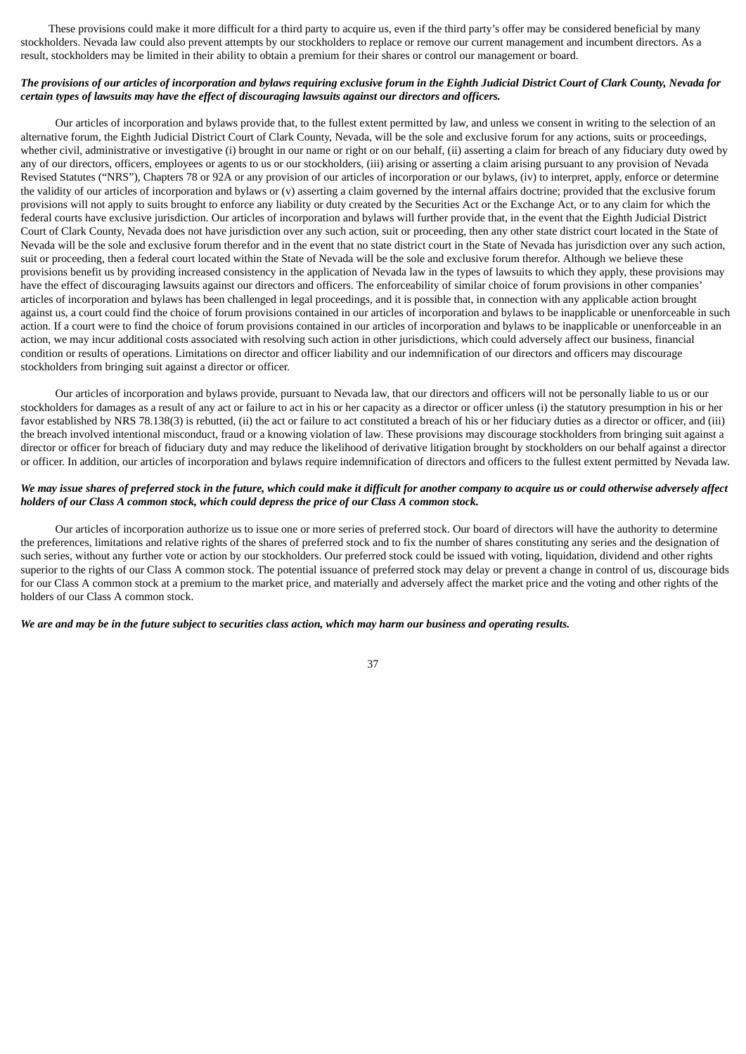These provisions could make it more difficult for a third party to acquire us, even if the third party's offer may be considered beneficial by many stockholders. Nevada law could also prevent attempts by our stockholders to replace or remove our current management and incumbent directors. As a result, stockholders may be limited in their ability to obtain a premium for their shares or control our management or board.

# The provisions of our articles of incorporation and bylaws requiring exclusive forum in the Eighth Judicial District Court of Clark County, Nevada for *certain types of lawsuits may have the effect of discouraging lawsuits against our directors and officers.*

Our articles of incorporation and bylaws provide that, to the fullest extent permitted by law, and unless we consent in writing to the selection of an alternative forum, the Eighth Judicial District Court of Clark County, Nevada, will be the sole and exclusive forum for any actions, suits or proceedings, whether civil, administrative or investigative (i) brought in our name or right or on our behalf, (ii) asserting a claim for breach of any fiduciary duty owed by any of our directors, officers, employees or agents to us or our stockholders, (iii) arising or asserting a claim arising pursuant to any provision of Nevada Revised Statutes ("NRS"), Chapters 78 or 92A or any provision of our articles of incorporation or our bylaws, (iv) to interpret, apply, enforce or determine the validity of our articles of incorporation and bylaws or (v) asserting a claim governed by the internal affairs doctrine; provided that the exclusive forum provisions will not apply to suits brought to enforce any liability or duty created by the Securities Act or the Exchange Act, or to any claim for which the federal courts have exclusive jurisdiction. Our articles of incorporation and bylaws will further provide that, in the event that the Eighth Judicial District Court of Clark County, Nevada does not have jurisdiction over any such action, suit or proceeding, then any other state district court located in the State of Nevada will be the sole and exclusive forum therefor and in the event that no state district court in the State of Nevada has jurisdiction over any such action, suit or proceeding, then a federal court located within the State of Nevada will be the sole and exclusive forum therefor. Although we believe these provisions benefit us by providing increased consistency in the application of Nevada law in the types of lawsuits to which they apply, these provisions may have the effect of discouraging lawsuits against our directors and officers. The enforceability of similar choice of forum provisions in other companies' articles of incorporation and bylaws has been challenged in legal proceedings, and it is possible that, in connection with any applicable action brought against us, a court could find the choice of forum provisions contained in our articles of incorporation and bylaws to be inapplicable or unenforceable in such action. If a court were to find the choice of forum provisions contained in our articles of incorporation and bylaws to be inapplicable or unenforceable in an action, we may incur additional costs associated with resolving such action in other jurisdictions, which could adversely affect our business, financial condition or results of operations. Limitations on director and officer liability and our indemnification of our directors and officers may discourage stockholders from bringing suit against a director or officer.

Our articles of incorporation and bylaws provide, pursuant to Nevada law, that our directors and officers will not be personally liable to us or our stockholders for damages as a result of any act or failure to act in his or her capacity as a director or officer unless (i) the statutory presumption in his or her favor established by NRS 78.138(3) is rebutted, (ii) the act or failure to act constituted a breach of his or her fiduciary duties as a director or officer, and (iii) the breach involved intentional misconduct, fraud or a knowing violation of law. These provisions may discourage stockholders from bringing suit against a director or officer for breach of fiduciary duty and may reduce the likelihood of derivative litigation brought by stockholders on our behalf against a director or officer. In addition, our articles of incorporation and bylaws require indemnification of directors and officers to the fullest extent permitted by Nevada law.

## We may issue shares of preferred stock in the future, which could make it difficult for another company to acquire us or could otherwise adversely affect *holders of our Class A common stock, which could depress the price of our Class A common stock.*

Our articles of incorporation authorize us to issue one or more series of preferred stock. Our board of directors will have the authority to determine the preferences, limitations and relative rights of the shares of preferred stock and to fix the number of shares constituting any series and the designation of such series, without any further vote or action by our stockholders. Our preferred stock could be issued with voting, liquidation, dividend and other rights superior to the rights of our Class A common stock. The potential issuance of preferred stock may delay or prevent a change in control of us, discourage bids for our Class A common stock at a premium to the market price, and materially and adversely affect the market price and the voting and other rights of the holders of our Class A common stock.

### We are and may be in the future subject to securities class action, which may harm our business and operating results.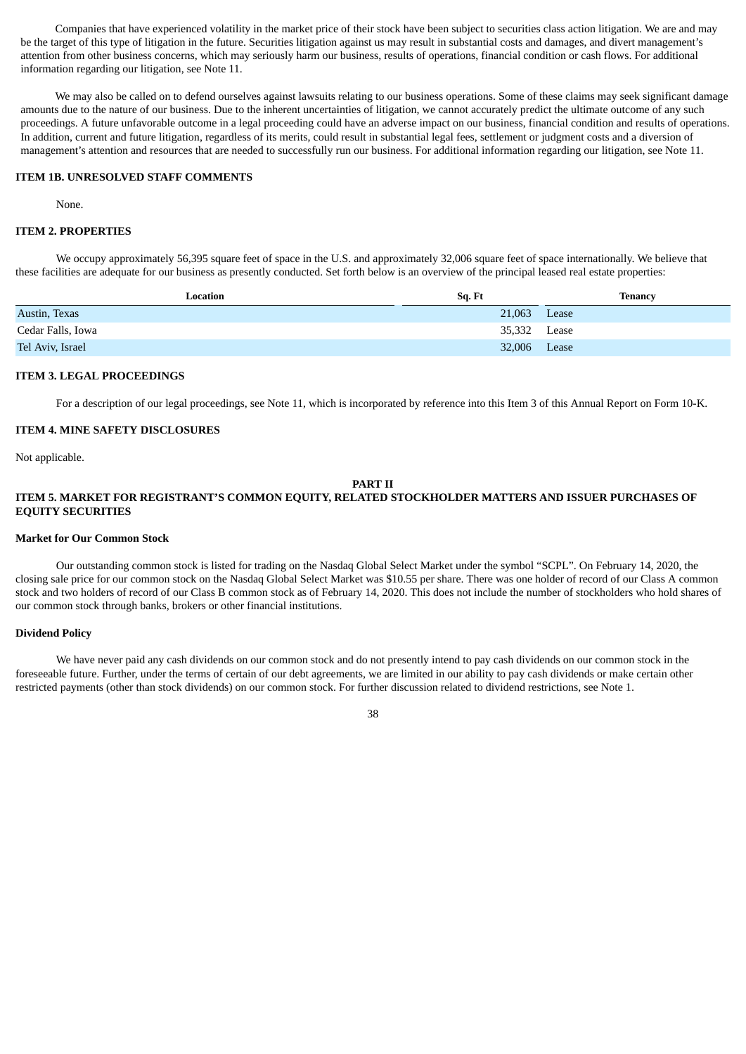Companies that have experienced volatility in the market price of their stock have been subject to securities class action litigation. We are and may be the target of this type of litigation in the future. Securities litigation against us may result in substantial costs and damages, and divert management's attention from other business concerns, which may seriously harm our business, results of operations, financial condition or cash flows. For additional information regarding our litigation, see Note 11.

We may also be called on to defend ourselves against lawsuits relating to our business operations. Some of these claims may seek significant damage amounts due to the nature of our business. Due to the inherent uncertainties of litigation, we cannot accurately predict the ultimate outcome of any such proceedings. A future unfavorable outcome in a legal proceeding could have an adverse impact on our business, financial condition and results of operations. In addition, current and future litigation, regardless of its merits, could result in substantial legal fees, settlement or judgment costs and a diversion of management's attention and resources that are needed to successfully run our business. For additional information regarding our litigation, see Note 11.

#### **ITEM 1B. UNRESOLVED STAFF COMMENTS**

None.

#### **ITEM 2. PROPERTIES**

We occupy approximately 56,395 square feet of space in the U.S. and approximately 32,006 square feet of space internationally. We believe that these facilities are adequate for our business as presently conducted. Set forth below is an overview of the principal leased real estate properties:

| Location          | Sq. Ft       | <b>Tenancy</b> |
|-------------------|--------------|----------------|
| Austin, Texas     | 21,063 Lease |                |
| Cedar Falls, Iowa | 35,332 Lease |                |
| Tel Aviv, Israel  | 32,006 Lease |                |

## **ITEM 3. LEGAL PROCEEDINGS**

For a description of our legal proceedings, see Note 11, which is incorporated by reference into this Item 3 of this Annual Report on Form 10-K.

### **ITEM 4. MINE SAFETY DISCLOSURES**

Not applicable.

# **PART II**

# **ITEM 5. MARKET FOR REGISTRANT'S COMMON EQUITY, RELATED STOCKHOLDER MATTERS AND ISSUER PURCHASES OF EQUITY SECURITIES**

#### **Market for Our Common Stock**

Our outstanding common stock is listed for trading on the Nasdaq Global Select Market under the symbol "SCPL". On February 14, 2020, the closing sale price for our common stock on the Nasdaq Global Select Market was \$10.55 per share. There was one holder of record of our Class A common stock and two holders of record of our Class B common stock as of February 14, 2020. This does not include the number of stockholders who hold shares of our common stock through banks, brokers or other financial institutions.

#### **Dividend Policy**

We have never paid any cash dividends on our common stock and do not presently intend to pay cash dividends on our common stock in the foreseeable future. Further, under the terms of certain of our debt agreements, we are limited in our ability to pay cash dividends or make certain other restricted payments (other than stock dividends) on our common stock. For further discussion related to dividend restrictions, see Note 1.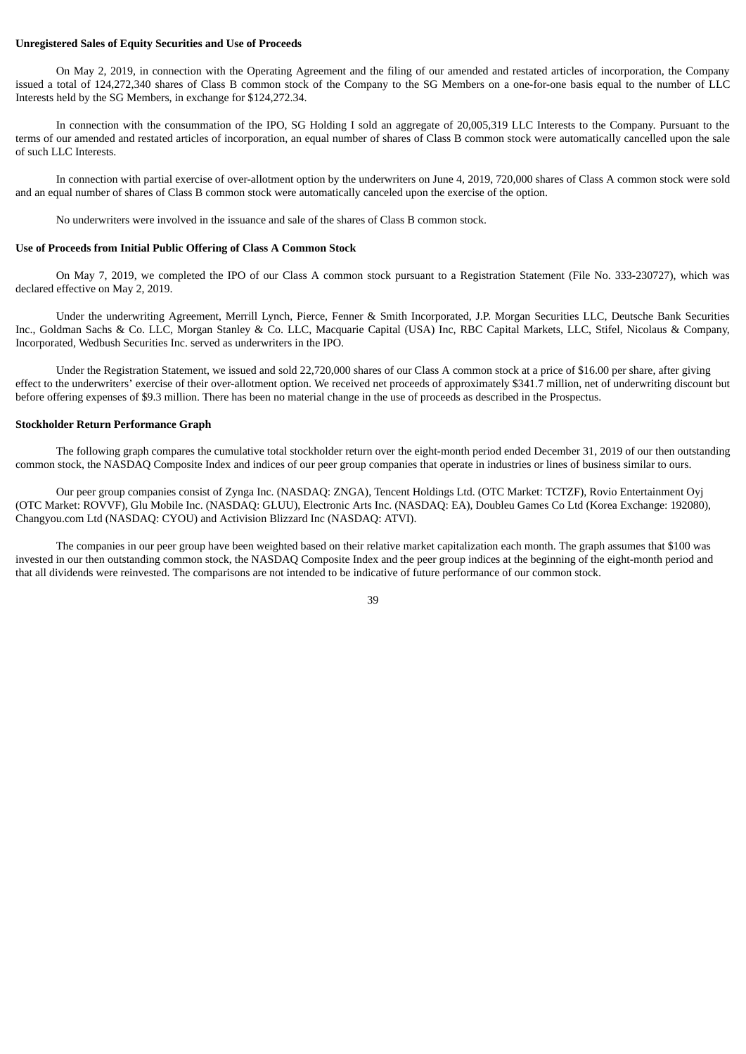#### **Unregistered Sales of Equity Securities and Use of Proceeds**

On May 2, 2019, in connection with the Operating Agreement and the filing of our amended and restated articles of incorporation, the Company issued a total of 124,272,340 shares of Class B common stock of the Company to the SG Members on a one-for-one basis equal to the number of LLC Interests held by the SG Members, in exchange for \$124,272.34.

In connection with the consummation of the IPO, SG Holding I sold an aggregate of 20,005,319 LLC Interests to the Company. Pursuant to the terms of our amended and restated articles of incorporation, an equal number of shares of Class B common stock were automatically cancelled upon the sale of such LLC Interests.

In connection with partial exercise of over-allotment option by the underwriters on June 4, 2019, 720,000 shares of Class A common stock were sold and an equal number of shares of Class B common stock were automatically canceled upon the exercise of the option.

No underwriters were involved in the issuance and sale of the shares of Class B common stock.

#### **Use of Proceeds from Initial Public Offering of Class A Common Stock**

On May 7, 2019, we completed the IPO of our Class A common stock pursuant to a Registration Statement (File No. 333-230727), which was declared effective on May 2, 2019.

Under the underwriting Agreement, Merrill Lynch, Pierce, Fenner & Smith Incorporated, J.P. Morgan Securities LLC, Deutsche Bank Securities Inc., Goldman Sachs & Co. LLC, Morgan Stanley & Co. LLC, Macquarie Capital (USA) Inc, RBC Capital Markets, LLC, Stifel, Nicolaus & Company, Incorporated, Wedbush Securities Inc. served as underwriters in the IPO.

Under the Registration Statement, we issued and sold 22,720,000 shares of our Class A common stock at a price of \$16.00 per share, after giving effect to the underwriters' exercise of their over-allotment option. We received net proceeds of approximately \$341.7 million, net of underwriting discount but before offering expenses of \$9.3 million. There has been no material change in the use of proceeds as described in the Prospectus.

#### **Stockholder Return Performance Graph**

The following graph compares the cumulative total stockholder return over the eight-month period ended December 31, 2019 of our then outstanding common stock, the NASDAQ Composite Index and indices of our peer group companies that operate in industries or lines of business similar to ours.

Our peer group companies consist of Zynga Inc. (NASDAQ: ZNGA), Tencent Holdings Ltd. (OTC Market: TCTZF), Rovio Entertainment Oyj (OTC Market: ROVVF), Glu Mobile Inc. (NASDAQ: GLUU), Electronic Arts Inc. (NASDAQ: EA), Doubleu Games Co Ltd (Korea Exchange: 192080), Changyou.com Ltd (NASDAQ: CYOU) and Activision Blizzard Inc (NASDAQ: ATVI).

The companies in our peer group have been weighted based on their relative market capitalization each month. The graph assumes that \$100 was invested in our then outstanding common stock, the NASDAQ Composite Index and the peer group indices at the beginning of the eight-month period and that all dividends were reinvested. The comparisons are not intended to be indicative of future performance of our common stock.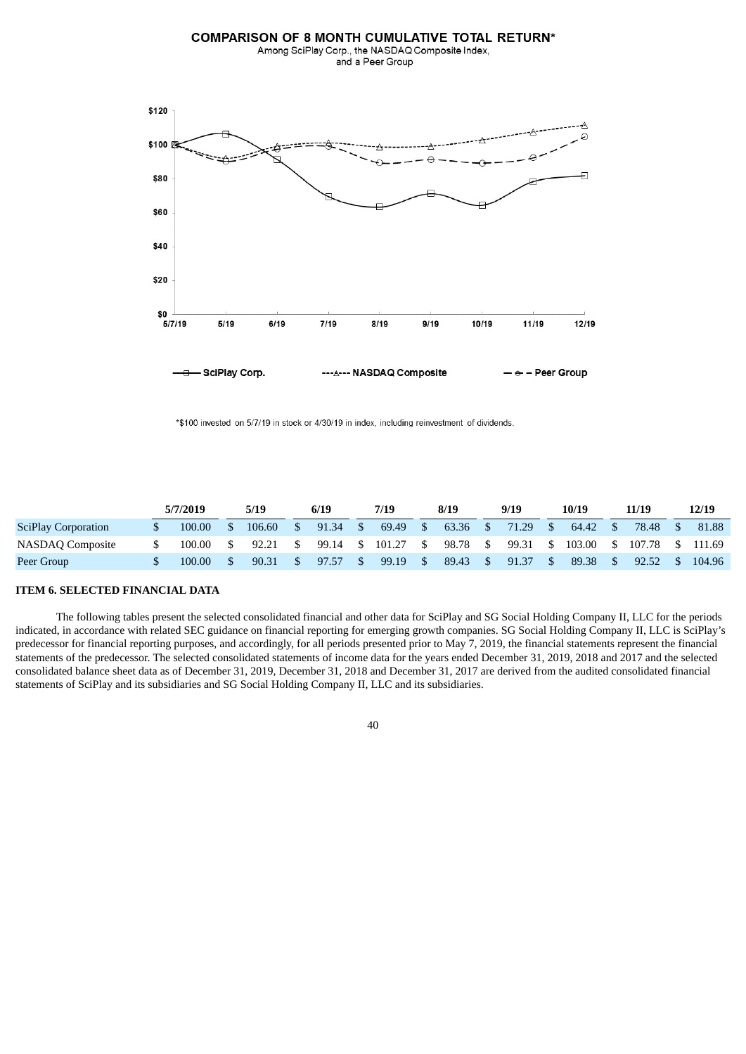

**COMPARISON OF 8 MONTH CUMULATIVE TOTAL RETURN\*** 

\*\$100 invested on 5/7/19 in stock or 4/30/19 in index, including reinvestment of dividends.

|                            | 5/7/2019 |     | 5/19   |              | 6/19  |      | 7/19         |              | 8/19     |              | 9/19     |     | 10/19    |     | 11/19            |     | 12/19  |
|----------------------------|----------|-----|--------|--------------|-------|------|--------------|--------------|----------|--------------|----------|-----|----------|-----|------------------|-----|--------|
| <b>SciPlay Corporation</b> | 100.00   |     | 106.60 | <sup>S</sup> | 91.34 | - \$ | 69.49        | $\mathbb{S}$ | 63.36    |              | 71.29    | -SS | 64.42 \$ |     | 78.48            |     | 81.88  |
| NASDAQ Composite           | 100.00   | -SS | 92.21  | <b>S</b>     | 99.14 |      | \$ 101.27 \$ |              | 98.78 \$ |              | 99.31 \$ |     |          |     | 103.00 \$ 107.78 | S S | 111.69 |
| Peer Group                 | 100.00   |     | 90.31  |              | 97.57 | -SS  | 99.19        | S            | 89.43    | $\mathbb{S}$ | 91.37    | -SI | 89.38    | S S | 92.52            |     | 104.96 |

#### **ITEM 6. SELECTED FINANCIAL DATA**

The following tables present the selected consolidated financial and other data for SciPlay and SG Social Holding Company II, LLC for the periods indicated, in accordance with related SEC guidance on financial reporting for emerging growth companies. SG Social Holding Company II, LLC is SciPlay's predecessor for financial reporting purposes, and accordingly, for all periods presented prior to May 7, 2019, the financial statements represent the financial statements of the predecessor. The selected consolidated statements of income data for the years ended December 31, 2019, 2018 and 2017 and the selected consolidated balance sheet data as of December 31, 2019, December 31, 2018 and December 31, 2017 are derived from the audited consolidated financial statements of SciPlay and its subsidiaries and SG Social Holding Company II, LLC and its subsidiaries.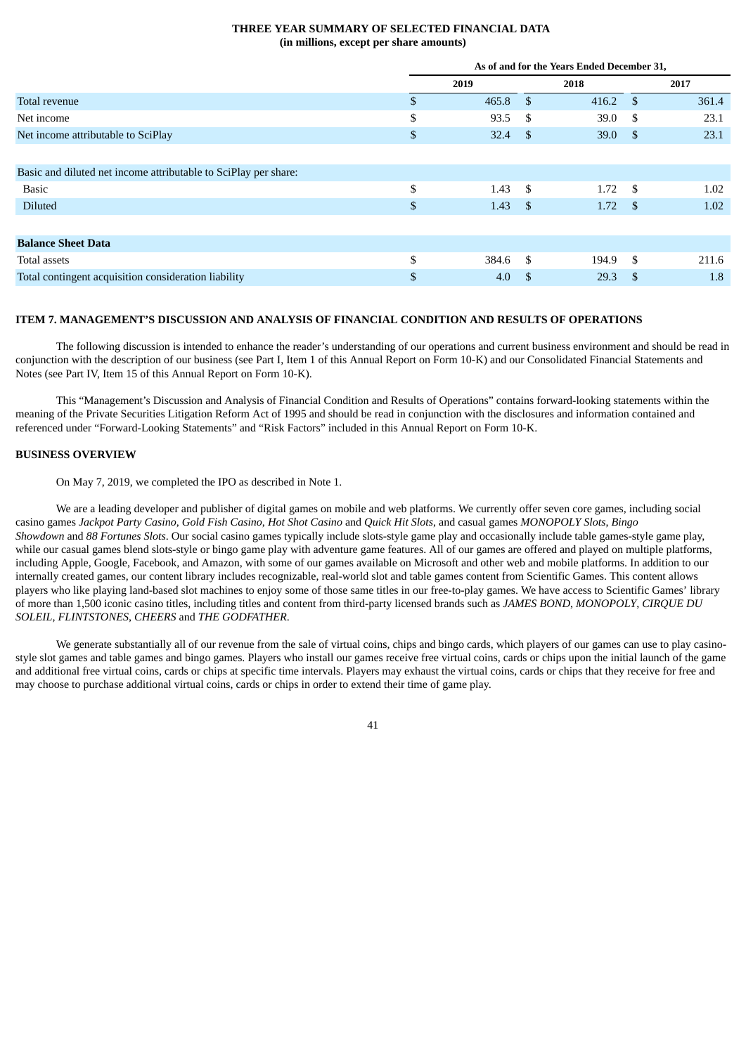# **THREE YEAR SUMMARY OF SELECTED FINANCIAL DATA (in millions, except per share amounts)**

|                                                                 | As of and for the Years Ended December 31, |       |      |       |      |       |  |  |  |
|-----------------------------------------------------------------|--------------------------------------------|-------|------|-------|------|-------|--|--|--|
|                                                                 |                                            | 2019  | 2018 |       |      | 2017  |  |  |  |
| Total revenue                                                   | \$                                         | 465.8 | - \$ | 416.2 | - \$ | 361.4 |  |  |  |
| Net income                                                      | \$                                         | 93.5  | - \$ | 39.0  | - \$ | 23.1  |  |  |  |
| Net income attributable to SciPlay                              | \$                                         | 32.4  | - \$ | 39.0  | - \$ | 23.1  |  |  |  |
|                                                                 |                                            |       |      |       |      |       |  |  |  |
| Basic and diluted net income attributable to SciPlay per share: |                                            |       |      |       |      |       |  |  |  |
| <b>Basic</b>                                                    | \$                                         | 1.43  | - \$ | 1.72  | - \$ | 1.02  |  |  |  |
| <b>Diluted</b>                                                  | \$                                         | 1.43  | -\$  | 1.72  | - \$ | 1.02  |  |  |  |
|                                                                 |                                            |       |      |       |      |       |  |  |  |
| <b>Balance Sheet Data</b>                                       |                                            |       |      |       |      |       |  |  |  |
| Total assets                                                    | \$                                         | 384.6 | - \$ | 194.9 | - \$ | 211.6 |  |  |  |
| Total contingent acquisition consideration liability            | \$                                         | 4.0   | S    | 29.3  | - \$ | 1.8   |  |  |  |
|                                                                 |                                            |       |      |       |      |       |  |  |  |

## **ITEM 7. MANAGEMENT'S DISCUSSION AND ANALYSIS OF FINANCIAL CONDITION AND RESULTS OF OPERATIONS**

The following discussion is intended to enhance the reader's understanding of our operations and current business environment and should be read in conjunction with the description of our business (see Part I, Item 1 of this Annual Report on Form 10-K) and our Consolidated Financial Statements and Notes (see Part IV, Item 15 of this Annual Report on Form 10-K).

This "Management's Discussion and Analysis of Financial Condition and Results of Operations" contains forward-looking statements within the meaning of the Private Securities Litigation Reform Act of 1995 and should be read in conjunction with the disclosures and information contained and referenced under "Forward-Looking Statements" and "Risk Factors" included in this Annual Report on Form 10-K.

## **BUSINESS OVERVIEW**

On May 7, 2019, we completed the IPO as described in Note 1.

We are a leading developer and publisher of digital games on mobile and web platforms. We currently offer seven core games, including social casino games Jackpot Party Casino, Gold Fish Casino, Hot Shot Casino and Quick Hit Slots, and casual games MONOPOLY Slots, Bingo *Showdown* and *88 Fortunes Slots*. Our social casino games typically include slots-style game play and occasionally include table games-style game play, while our casual games blend slots-style or bingo game play with adventure game features. All of our games are offered and played on multiple platforms, including Apple, Google, Facebook, and Amazon, with some of our games available on Microsoft and other web and mobile platforms. In addition to our internally created games, our content library includes recognizable, real-world slot and table games content from Scientific Games. This content allows players who like playing land-based slot machines to enjoy some of those same titles in our free-to-play games. We have access to Scientific Games' library of more than 1,500 iconic casino titles, including titles and content from third-party licensed brands such as *JAMES BOND*, *MONOPOLY*, *CIRQUE DU SOLEIL, FLINTSTONES*, *CHEERS* and *THE GODFATHER*.

We generate substantially all of our revenue from the sale of virtual coins, chips and bingo cards, which players of our games can use to play casinostyle slot games and table games and bingo games. Players who install our games receive free virtual coins, cards or chips upon the initial launch of the game and additional free virtual coins, cards or chips at specific time intervals. Players may exhaust the virtual coins, cards or chips that they receive for free and may choose to purchase additional virtual coins, cards or chips in order to extend their time of game play.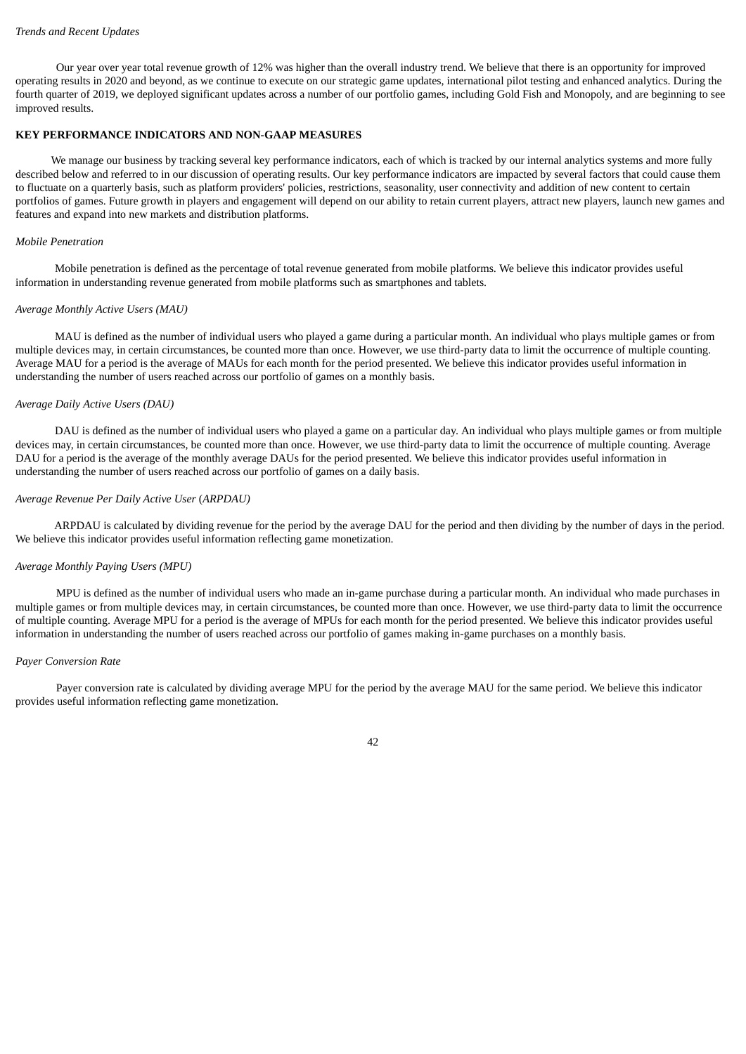Our year over year total revenue growth of 12% was higher than the overall industry trend. We believe that there is an opportunity for improved operating results in 2020 and beyond, as we continue to execute on our strategic game updates, international pilot testing and enhanced analytics. During the fourth quarter of 2019, we deployed significant updates across a number of our portfolio games, including Gold Fish and Monopoly, and are beginning to see improved results.

## **KEY PERFORMANCE INDICATORS AND NON-GAAP MEASURES**

 We manage our business by tracking several key performance indicators, each of which is tracked by our internal analytics systems and more fully described below and referred to in our discussion of operating results. Our key performance indicators are impacted by several factors that could cause them to fluctuate on a quarterly basis, such as platform providers' policies, restrictions, seasonality, user connectivity and addition of new content to certain portfolios of games. Future growth in players and engagement will depend on our ability to retain current players, attract new players, launch new games and features and expand into new markets and distribution platforms.

#### *Mobile Penetration*

Mobile penetration is defined as the percentage of total revenue generated from mobile platforms. We believe this indicator provides useful information in understanding revenue generated from mobile platforms such as smartphones and tablets.

#### *Average Monthly Active Users (MAU)*

MAU is defined as the number of individual users who played a game during a particular month. An individual who plays multiple games or from multiple devices may, in certain circumstances, be counted more than once. However, we use third-party data to limit the occurrence of multiple counting. Average MAU for a period is the average of MAUs for each month for the period presented. We believe this indicator provides useful information in understanding the number of users reached across our portfolio of games on a monthly basis.

## *Average Daily Active Users (DAU)*

DAU is defined as the number of individual users who played a game on a particular day. An individual who plays multiple games or from multiple devices may, in certain circumstances, be counted more than once. However, we use third-party data to limit the occurrence of multiple counting. Average DAU for a period is the average of the monthly average DAUs for the period presented. We believe this indicator provides useful information in understanding the number of users reached across our portfolio of games on a daily basis.

## *Average Revenue Per Daily Active User* (*ARPDAU)*

ARPDAU is calculated by dividing revenue for the period by the average DAU for the period and then dividing by the number of days in the period. We believe this indicator provides useful information reflecting game monetization.

### *Average Monthly Paying Users (MPU)*

MPU is defined as the number of individual users who made an in-game purchase during a particular month. An individual who made purchases in multiple games or from multiple devices may, in certain circumstances, be counted more than once. However, we use third-party data to limit the occurrence of multiple counting. Average MPU for a period is the average of MPUs for each month for the period presented. We believe this indicator provides useful information in understanding the number of users reached across our portfolio of games making in-game purchases on a monthly basis.

#### *Payer Conversion Rate*

Payer conversion rate is calculated by dividing average MPU for the period by the average MAU for the same period. We believe this indicator provides useful information reflecting game monetization.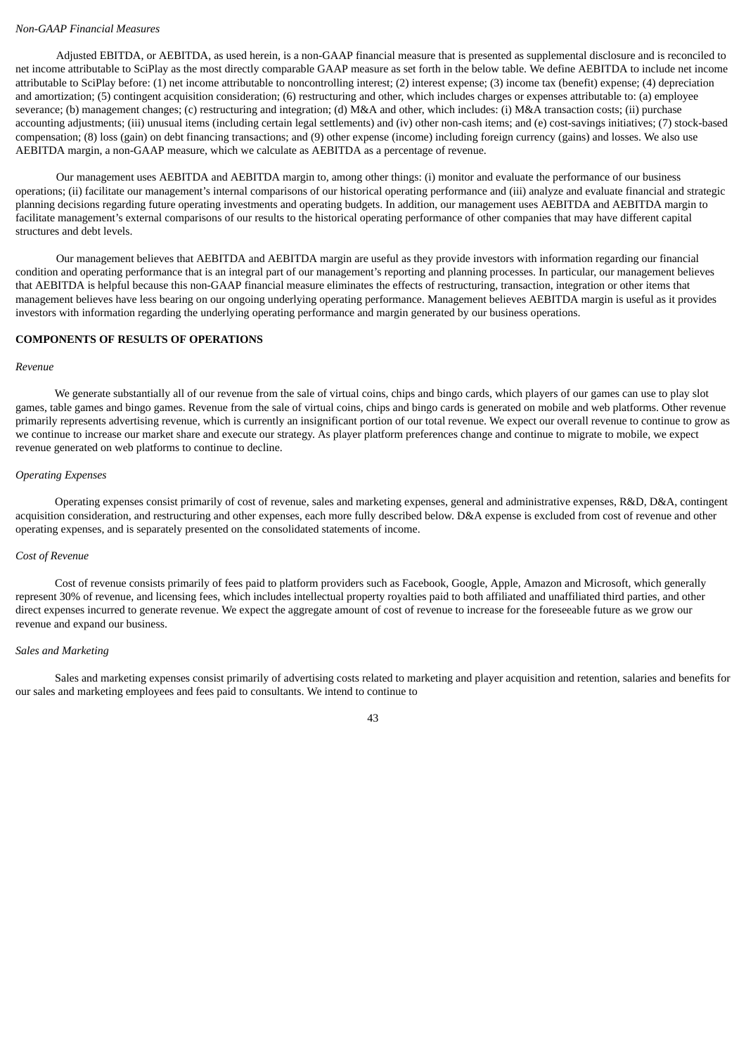## *Non-GAAP Financial Measures*

Adjusted EBITDA, or AEBITDA, as used herein, is a non-GAAP financial measure that is presented as supplemental disclosure and is reconciled to net income attributable to SciPlay as the most directly comparable GAAP measure as set forth in the below table. We define AEBITDA to include net income attributable to SciPlay before: (1) net income attributable to noncontrolling interest; (2) interest expense; (3) income tax (benefit) expense; (4) depreciation and amortization; (5) contingent acquisition consideration; (6) restructuring and other, which includes charges or expenses attributable to: (a) employee severance; (b) management changes; (c) restructuring and integration; (d) M&A and other, which includes: (i) M&A transaction costs; (ii) purchase accounting adjustments; (iii) unusual items (including certain legal settlements) and (iv) other non-cash items; and (e) cost-savings initiatives; (7) stock-based compensation; (8) loss (gain) on debt financing transactions; and (9) other expense (income) including foreign currency (gains) and losses. We also use AEBITDA margin, a non-GAAP measure, which we calculate as AEBITDA as a percentage of revenue.

Our management uses AEBITDA and AEBITDA margin to, among other things: (i) monitor and evaluate the performance of our business operations; (ii) facilitate our management's internal comparisons of our historical operating performance and (iii) analyze and evaluate financial and strategic planning decisions regarding future operating investments and operating budgets. In addition, our management uses AEBITDA and AEBITDA margin to facilitate management's external comparisons of our results to the historical operating performance of other companies that may have different capital structures and debt levels.

Our management believes that AEBITDA and AEBITDA margin are useful as they provide investors with information regarding our financial condition and operating performance that is an integral part of our management's reporting and planning processes. In particular, our management believes that AEBITDA is helpful because this non-GAAP financial measure eliminates the effects of restructuring, transaction, integration or other items that management believes have less bearing on our ongoing underlying operating performance. Management believes AEBITDA margin is useful as it provides investors with information regarding the underlying operating performance and margin generated by our business operations.

### **COMPONENTS OF RESULTS OF OPERATIONS**

#### *Revenue*

We generate substantially all of our revenue from the sale of virtual coins, chips and bingo cards, which players of our games can use to play slot games, table games and bingo games. Revenue from the sale of virtual coins, chips and bingo cards is generated on mobile and web platforms. Other revenue primarily represents advertising revenue, which is currently an insignificant portion of our total revenue. We expect our overall revenue to continue to grow as we continue to increase our market share and execute our strategy. As player platform preferences change and continue to migrate to mobile, we expect revenue generated on web platforms to continue to decline.

## *Operating Expenses*

Operating expenses consist primarily of cost of revenue, sales and marketing expenses, general and administrative expenses, R&D, D&A, contingent acquisition consideration, and restructuring and other expenses, each more fully described below. D&A expense is excluded from cost of revenue and other operating expenses, and is separately presented on the consolidated statements of income.

## *Cost of Revenue*

Cost of revenue consists primarily of fees paid to platform providers such as Facebook, Google, Apple, Amazon and Microsoft, which generally represent 30% of revenue, and licensing fees, which includes intellectual property royalties paid to both affiliated and unaffiliated third parties, and other direct expenses incurred to generate revenue. We expect the aggregate amount of cost of revenue to increase for the foreseeable future as we grow our revenue and expand our business.

## *Sales and Marketing*

Sales and marketing expenses consist primarily of advertising costs related to marketing and player acquisition and retention, salaries and benefits for our sales and marketing employees and fees paid to consultants. We intend to continue to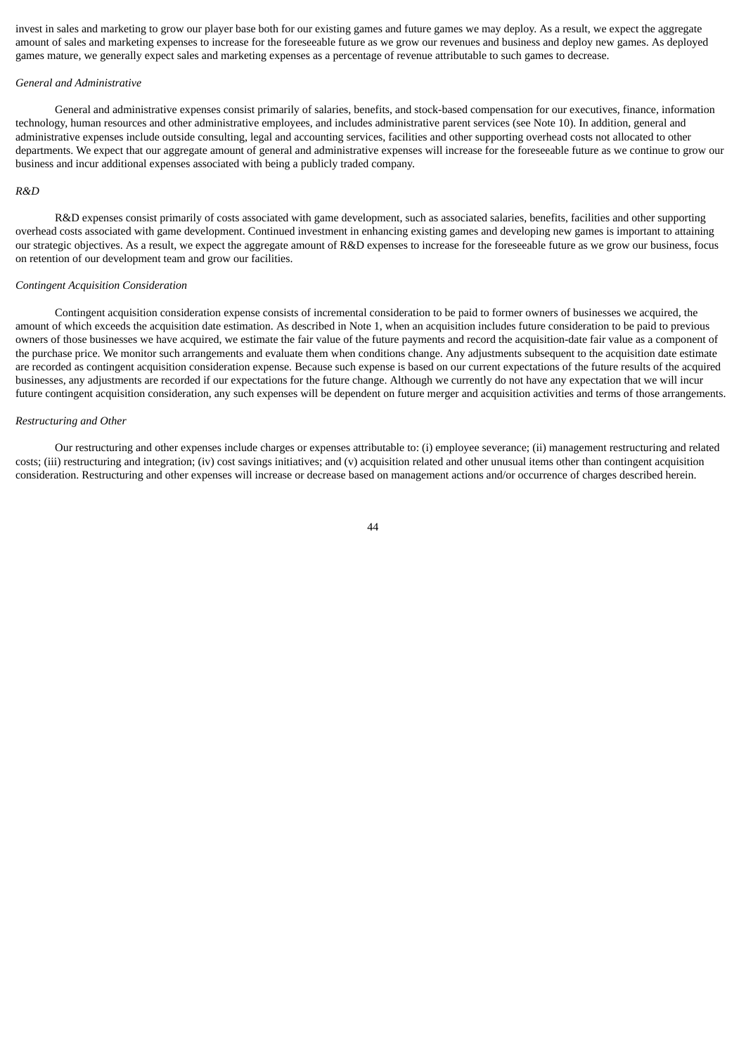invest in sales and marketing to grow our player base both for our existing games and future games we may deploy. As a result, we expect the aggregate amount of sales and marketing expenses to increase for the foreseeable future as we grow our revenues and business and deploy new games. As deployed games mature, we generally expect sales and marketing expenses as a percentage of revenue attributable to such games to decrease.

#### *General and Administrative*

General and administrative expenses consist primarily of salaries, benefits, and stock-based compensation for our executives, finance, information technology, human resources and other administrative employees, and includes administrative parent services (see Note 10). In addition, general and administrative expenses include outside consulting, legal and accounting services, facilities and other supporting overhead costs not allocated to other departments. We expect that our aggregate amount of general and administrative expenses will increase for the foreseeable future as we continue to grow our business and incur additional expenses associated with being a publicly traded company.

#### *R&D*

R&D expenses consist primarily of costs associated with game development, such as associated salaries, benefits, facilities and other supporting overhead costs associated with game development. Continued investment in enhancing existing games and developing new games is important to attaining our strategic objectives. As a result, we expect the aggregate amount of R&D expenses to increase for the foreseeable future as we grow our business, focus on retention of our development team and grow our facilities.

#### *Contingent Acquisition Consideration*

Contingent acquisition consideration expense consists of incremental consideration to be paid to former owners of businesses we acquired, the amount of which exceeds the acquisition date estimation. As described in Note 1, when an acquisition includes future consideration to be paid to previous owners of those businesses we have acquired, we estimate the fair value of the future payments and record the acquisition-date fair value as a component of the purchase price. We monitor such arrangements and evaluate them when conditions change. Any adjustments subsequent to the acquisition date estimate are recorded as contingent acquisition consideration expense. Because such expense is based on our current expectations of the future results of the acquired businesses, any adjustments are recorded if our expectations for the future change. Although we currently do not have any expectation that we will incur future contingent acquisition consideration, any such expenses will be dependent on future merger and acquisition activities and terms of those arrangements.

#### *Restructuring and Other*

Our restructuring and other expenses include charges or expenses attributable to: (i) employee severance; (ii) management restructuring and related costs; (iii) restructuring and integration; (iv) cost savings initiatives; and (v) acquisition related and other unusual items other than contingent acquisition consideration. Restructuring and other expenses will increase or decrease based on management actions and/or occurrence of charges described herein.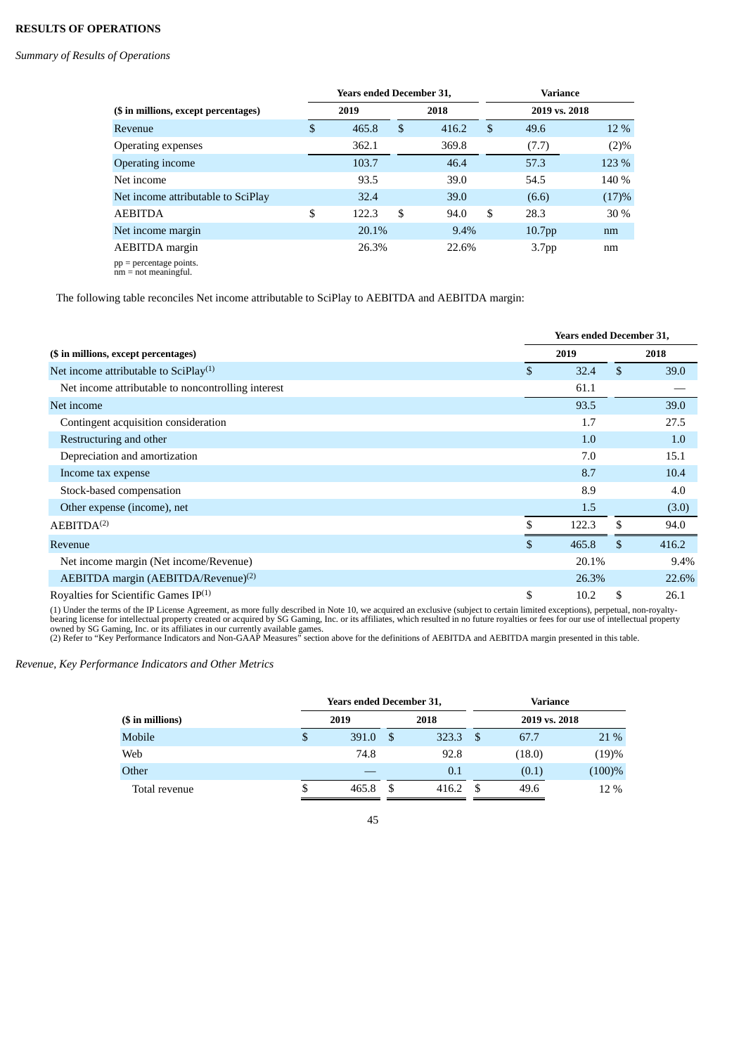# **RESULTS OF OPERATIONS**

*Summary of Results of Operations*

|                                                   | <b>Years ended December 31,</b> |    | <b>Variance</b> |    |                    |       |  |  |
|---------------------------------------------------|---------------------------------|----|-----------------|----|--------------------|-------|--|--|
| (\$ in millions, except percentages)              | 2019                            |    | 2018            |    | 2019 vs. 2018      |       |  |  |
| Revenue                                           | \$<br>465.8                     | S  | 416.2           | \$ | 49.6               | 12 %  |  |  |
| Operating expenses                                | 362.1                           |    | 369.8           |    | (7.7)              | (2)%  |  |  |
| <b>Operating income</b>                           | 103.7                           |    | 46.4            |    | 57.3               | 123 % |  |  |
| Net income                                        | 93.5                            |    | 39.0            |    | 54.5               | 140 % |  |  |
| Net income attributable to SciPlay                | 32.4                            |    | 39.0            |    | (6.6)              | (17)% |  |  |
| AEBITDA                                           | \$<br>122.3                     | \$ | 94.0            | \$ | 28.3               | 30 %  |  |  |
| Net income margin                                 | 20.1%                           |    | 9.4%            |    | 10.7 <sub>pp</sub> | nm    |  |  |
| AEBITDA margin                                    | 26.3%                           |    | 22.6%           |    | 3.7 <sub>pp</sub>  | nm    |  |  |
| $pp = percentage points.$<br>nm = not meaningful. |                                 |    |                 |    |                    |       |  |  |

The following table reconciles Net income attributable to SciPlay to AEBITDA and AEBITDA margin:

|                                                    |               | <b>Years ended December 31,</b> |    |       |  |  |  |  |  |  |  |
|----------------------------------------------------|---------------|---------------------------------|----|-------|--|--|--|--|--|--|--|
| (\$ in millions, except percentages)               |               | 2019                            |    | 2018  |  |  |  |  |  |  |  |
| Net income attributable to $SciPlay^{(1)}$         | \$            | 32.4                            | \$ | 39.0  |  |  |  |  |  |  |  |
| Net income attributable to noncontrolling interest |               | 61.1                            |    |       |  |  |  |  |  |  |  |
| Net income                                         |               | 93.5                            |    | 39.0  |  |  |  |  |  |  |  |
| Contingent acquisition consideration               |               | 1.7                             |    | 27.5  |  |  |  |  |  |  |  |
| Restructuring and other                            |               | 1.0                             |    | 1.0   |  |  |  |  |  |  |  |
| Depreciation and amortization                      |               | 7.0                             |    | 15.1  |  |  |  |  |  |  |  |
| Income tax expense                                 |               | 8.7                             |    | 10.4  |  |  |  |  |  |  |  |
| Stock-based compensation                           |               | 8.9                             |    | 4.0   |  |  |  |  |  |  |  |
| Other expense (income), net                        |               | 1.5                             |    | (3.0) |  |  |  |  |  |  |  |
| AEBITDA <sup>(2)</sup>                             | \$            | 122.3                           | \$ | 94.0  |  |  |  |  |  |  |  |
| Revenue                                            | $\mathcal{S}$ | 465.8                           | \$ | 416.2 |  |  |  |  |  |  |  |
| Net income margin (Net income/Revenue)             |               | 20.1%                           |    | 9.4%  |  |  |  |  |  |  |  |
| AEBITDA margin (AEBITDA/Revenue) <sup>(2)</sup>    |               | 26.3%                           |    | 22.6% |  |  |  |  |  |  |  |
| Royalties for Scientific Games $IP(1)$             | \$            | 10.2                            | \$ | 26.1  |  |  |  |  |  |  |  |

(1) Under the terms of the IP License Agreement, as more fully described in Note 10, we acquired an exclusive (subject to certain limited exceptions), perpetual, non-royalty-bearing license for intellectual property create

*Revenue, Key Performance Indicators and Other Metrics*

|                  |    | <b>Years ended December 31,</b> |    |       | Variance |               |        |  |  |  |
|------------------|----|---------------------------------|----|-------|----------|---------------|--------|--|--|--|
| (\$ in millions) |    | 2019                            |    | 2018  |          | 2019 vs. 2018 |        |  |  |  |
| Mobile           | \$ | 391.0                           | -S | 323.3 | -\$      | 67.7          | 21 %   |  |  |  |
| Web              |    | 74.8                            |    | 92.8  |          | (18.0)        | (19)%  |  |  |  |
| Other            |    |                                 |    | 0.1   |          | (0.1)         | (100)% |  |  |  |
| Total revenue    |    | 465.8                           | S  | 416.2 |          | 49.6          | $12\%$ |  |  |  |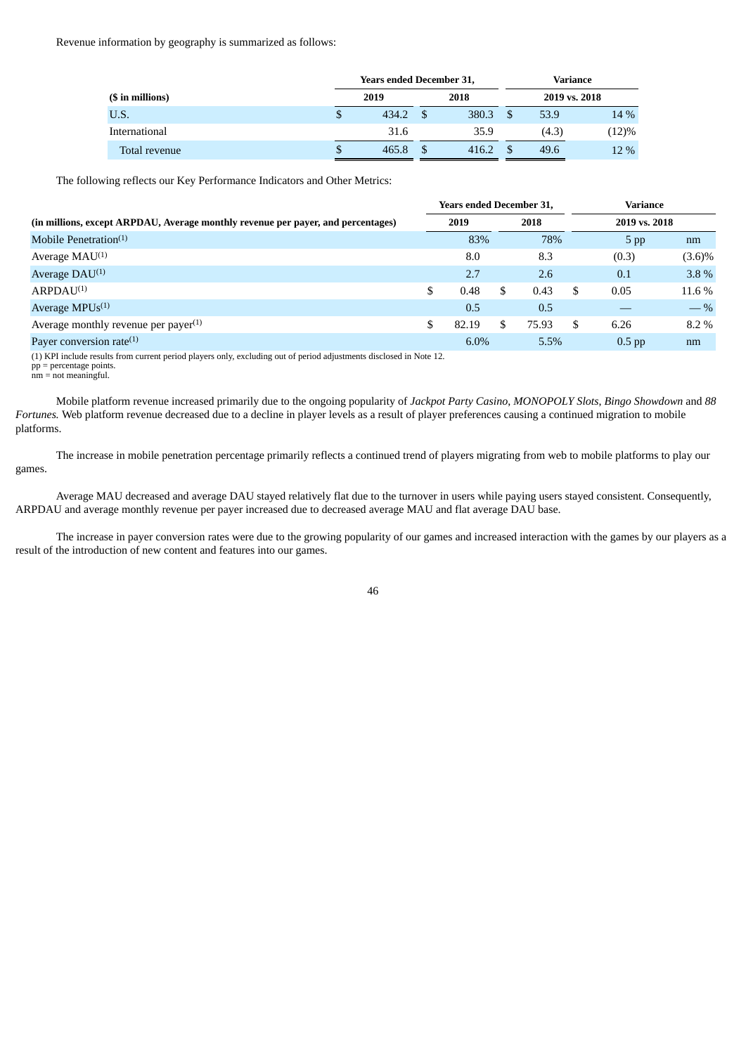Revenue information by geography is summarized as follows:

|                  |    | <b>Years ended December 31,</b> | Variance |               |       |       |  |  |
|------------------|----|---------------------------------|----------|---------------|-------|-------|--|--|
| (\$ in millions) |    | 2019                            | 2018     | 2019 vs. 2018 |       |       |  |  |
| U.S.             | Ъ  | 434.2                           | 380.3    | $\mathbf{s}$  | 53.9  | 14 %  |  |  |
| International    |    | 31.6                            | 35.9     |               | (4.3) | (12)% |  |  |
| Total revenue    | \$ | 465.8                           | 416.2    |               | 49.6  | 12 %  |  |  |

The following reflects our Key Performance Indicators and Other Metrics:

|                                                                                  |    | <b>Years ended December 31,</b> |   |       |    | Variance      |           |  |  |
|----------------------------------------------------------------------------------|----|---------------------------------|---|-------|----|---------------|-----------|--|--|
| (in millions, except ARPDAU, Average monthly revenue per payer, and percentages) |    | 2019                            |   | 2018  |    | 2019 vs. 2018 |           |  |  |
| Mobile Penetration $(1)$                                                         |    | 83%                             |   | 78%   |    | $5$ pp        | nm        |  |  |
| Average $MAU(1)$                                                                 |    | 8.0                             |   | 8.3   |    | (0.3)         | $(3.6)\%$ |  |  |
| Average DAU <sup>(1)</sup>                                                       |    | 2.7                             |   | 2.6   |    | 0.1           | 3.8%      |  |  |
| ARPDAU <sup>(1)</sup>                                                            | \$ | 0.48                            | S | 0.43  | S  | 0.05          | 11.6 %    |  |  |
| Average MPUs <sup>(1)</sup>                                                      |    | 0.5                             |   | 0.5   |    |               | $-$ %     |  |  |
| Average monthly revenue per payer $(1)$                                          | S  | 82.19                           |   | 75.93 | \$ | 6.26          | 8.2%      |  |  |
| Payer conversion rate $(1)$                                                      |    | $6.0\%$                         |   | 5.5%  |    | $0.5$ pp      | nm        |  |  |

(1) KPI include results from current period players only, excluding out of period adjustments disclosed in Note 12.

pp = percentage points. nm = not meaningful.

Mobile platform revenue increased primarily due to the ongoing popularity of *Jackpot Party Casino*, *MONOPOLY Slots*, *Bingo Showdown* and *88 Fortunes.* Web platform revenue decreased due to a decline in player levels as a result of player preferences causing a continued migration to mobile platforms.

The increase in mobile penetration percentage primarily reflects a continued trend of players migrating from web to mobile platforms to play our games.

Average MAU decreased and average DAU stayed relatively flat due to the turnover in users while paying users stayed consistent. Consequently, ARPDAU and average monthly revenue per payer increased due to decreased average MAU and flat average DAU base.

The increase in payer conversion rates were due to the growing popularity of our games and increased interaction with the games by our players as a result of the introduction of new content and features into our games.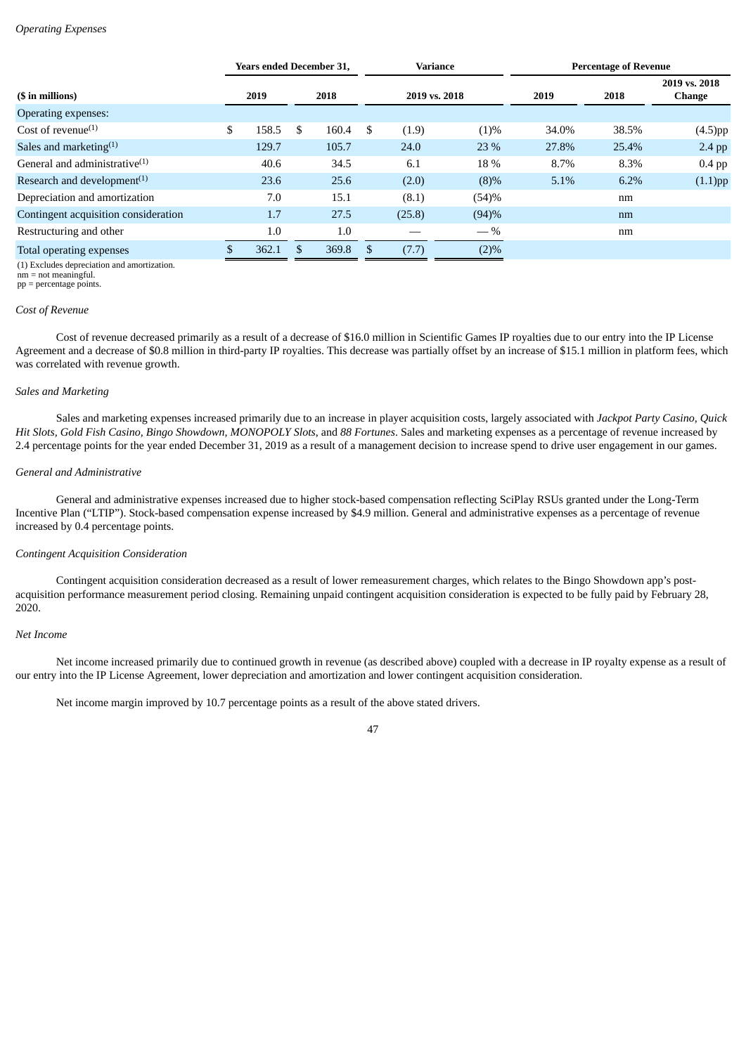# *Operating Expenses*

|                                                      |      | <b>Years ended December 31,</b> |     |       |     |               | <b>Variance</b> |       | <b>Percentage of Revenue</b> |                         |  |  |  |  |  |
|------------------------------------------------------|------|---------------------------------|-----|-------|-----|---------------|-----------------|-------|------------------------------|-------------------------|--|--|--|--|--|
| (\$ in millions)                                     | 2019 |                                 |     | 2018  |     | 2019 vs. 2018 |                 | 2019  | 2018                         | 2019 vs. 2018<br>Change |  |  |  |  |  |
| Operating expenses:                                  |      |                                 |     |       |     |               |                 |       |                              |                         |  |  |  |  |  |
| Cost of revenue <sup>(1)</sup>                       | \$   | 158.5                           | \$. | 160.4 | S   | (1.9)         | (1)%            | 34.0% | 38.5%                        | $(4.5)$ pp              |  |  |  |  |  |
| Sales and marketing $(1)$                            |      | 129.7                           |     | 105.7 |     | 24.0          | 23 %            | 27.8% | 25.4%                        | 2.4 pp                  |  |  |  |  |  |
| General and administrative $(1)$                     |      | 40.6                            |     | 34.5  |     | 6.1           | 18 %            | 8.7%  | 8.3%                         | $0.4$ pp                |  |  |  |  |  |
| Research and development <sup><math>(1)</math></sup> |      | 23.6                            |     | 25.6  |     | (2.0)         | $(8)\%$         | 5.1%  | 6.2%                         | $(1.1)$ pp              |  |  |  |  |  |
| Depreciation and amortization                        |      | 7.0                             |     | 15.1  |     | (8.1)         | (54)%           |       | nm                           |                         |  |  |  |  |  |
| Contingent acquisition consideration                 |      | 1.7                             |     | 27.5  |     | (25.8)        | (94)%           |       | nm                           |                         |  |  |  |  |  |
| Restructuring and other                              |      | 1.0                             |     | 1.0   |     |               | $-\%$           |       | nm                           |                         |  |  |  |  |  |
| Total operating expenses                             | S    | 362.1                           |     | 369.8 | \$. | (7.7)         | (2)%            |       |                              |                         |  |  |  |  |  |

(1) Excludes depreciation and amortization.

nm = not meaningful. pp = percentage points.

# *Cost of Revenue*

Cost of revenue decreased primarily as a result of a decrease of \$16.0 million in Scientific Games IP royalties due to our entry into the IP License Agreement and a decrease of \$0.8 million in third-party IP royalties. This decrease was partially offset by an increase of \$15.1 million in platform fees, which was correlated with revenue growth.

## *Sales and Marketing*

Sales and marketing expenses increased primarily due to an increase in player acquisition costs, largely associated with *Jackpot Party Casino, Quick Hit Slots, Gold Fish Casino, Bingo Showdown, MONOPOLY Slots*, and *88 Fortunes*. Sales and marketing expenses as a percentage of revenue increased by 2.4 percentage points for the year ended December 31, 2019 as a result of a management decision to increase spend to drive user engagement in our games.

# *General and Administrative*

General and administrative expenses increased due to higher stock-based compensation reflecting SciPlay RSUs granted under the Long-Term Incentive Plan ("LTIP"). Stock-based compensation expense increased by \$4.9 million. General and administrative expenses as a percentage of revenue increased by 0.4 percentage points.

### *Contingent Acquisition Consideration*

Contingent acquisition consideration decreased as a result of lower remeasurement charges, which relates to the Bingo Showdown app's postacquisition performance measurement period closing. Remaining unpaid contingent acquisition consideration is expected to be fully paid by February 28, 2020.

## *Net Income*

Net income increased primarily due to continued growth in revenue (as described above) coupled with a decrease in IP royalty expense as a result of our entry into the IP License Agreement, lower depreciation and amortization and lower contingent acquisition consideration.

Net income margin improved by 10.7 percentage points as a result of the above stated drivers.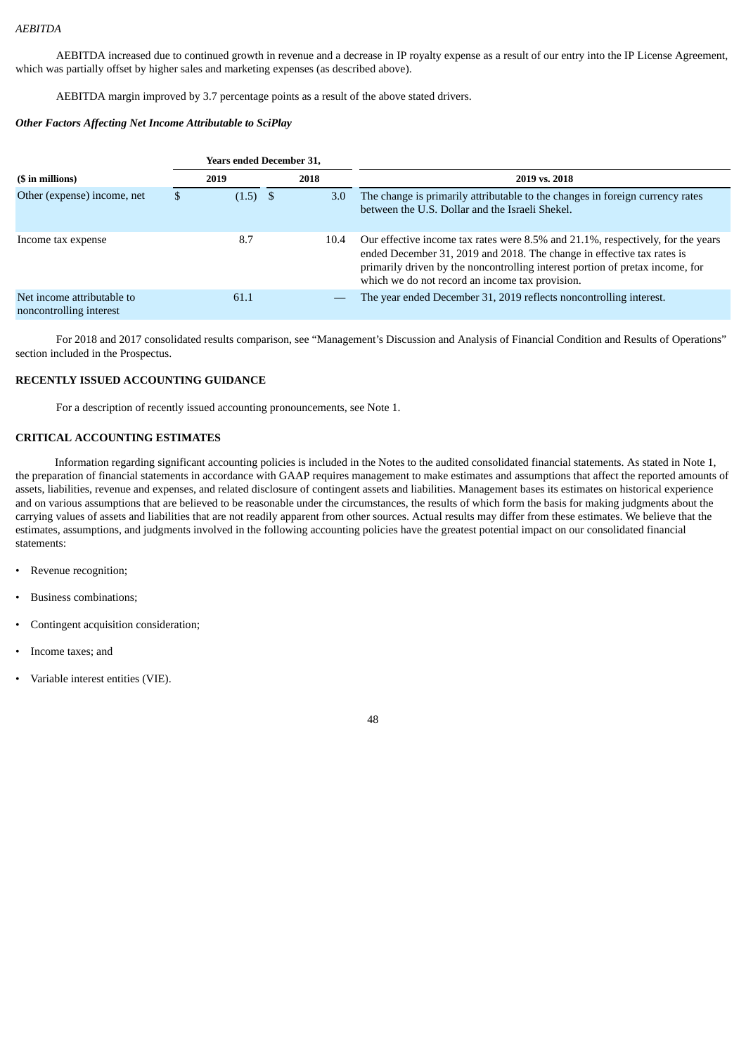## *AEBITDA*

AEBITDA increased due to continued growth in revenue and a decrease in IP royalty expense as a result of our entry into the IP License Agreement, which was partially offset by higher sales and marketing expenses (as described above).

AEBITDA margin improved by 3.7 percentage points as a result of the above stated drivers.

## *Other Factors Affecting Net Income Attributable to SciPlay*

|                                                       |            | <b>Years ended December 31,</b> |                                                                                                                                                                                                                                                                                               |
|-------------------------------------------------------|------------|---------------------------------|-----------------------------------------------------------------------------------------------------------------------------------------------------------------------------------------------------------------------------------------------------------------------------------------------|
| (\$ in millions)                                      | 2019       | 2018                            | 2019 vs. 2018                                                                                                                                                                                                                                                                                 |
| Other (expense) income, net                           | $(1.5)$ \$ | 3.0                             | The change is primarily attributable to the changes in foreign currency rates<br>between the U.S. Dollar and the Israeli Shekel.                                                                                                                                                              |
| Income tax expense                                    | 8.7        | 10.4                            | Our effective income tax rates were 8.5% and 21.1%, respectively, for the years<br>ended December 31, 2019 and 2018. The change in effective tax rates is<br>primarily driven by the noncontrolling interest portion of pretax income, for<br>which we do not record an income tax provision. |
| Net income attributable to<br>noncontrolling interest | 61.1       |                                 | The year ended December 31, 2019 reflects noncontrolling interest.                                                                                                                                                                                                                            |

For 2018 and 2017 consolidated results comparison, see "Management's Discussion and Analysis of Financial Condition and Results of Operations" section included in the Prospectus.

## **RECENTLY ISSUED ACCOUNTING GUIDANCE**

For a description of recently issued accounting pronouncements, see Note 1.

### **CRITICAL ACCOUNTING ESTIMATES**

Information regarding significant accounting policies is included in the Notes to the audited consolidated financial statements. As stated in Note 1, the preparation of financial statements in accordance with GAAP requires management to make estimates and assumptions that affect the reported amounts of assets, liabilities, revenue and expenses, and related disclosure of contingent assets and liabilities. Management bases its estimates on historical experience and on various assumptions that are believed to be reasonable under the circumstances, the results of which form the basis for making judgments about the carrying values of assets and liabilities that are not readily apparent from other sources. Actual results may differ from these estimates. We believe that the estimates, assumptions, and judgments involved in the following accounting policies have the greatest potential impact on our consolidated financial statements:

- Revenue recognition;
- Business combinations;
- Contingent acquisition consideration;
- Income taxes; and
- Variable interest entities (VIE).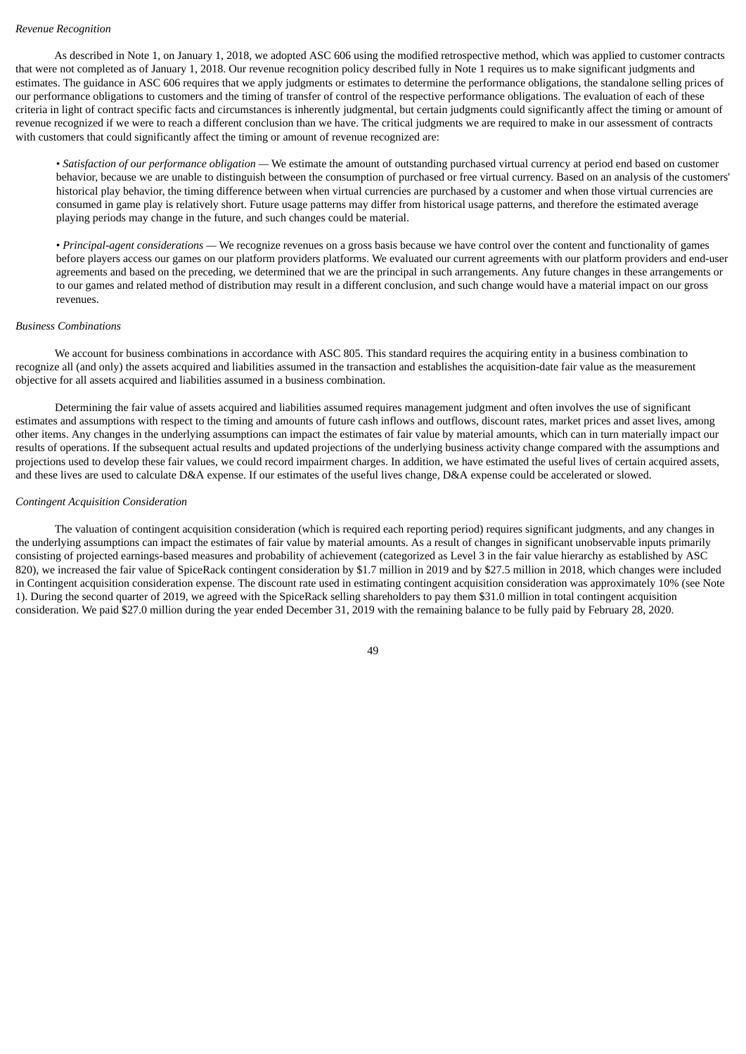As described in Note 1, on January 1, 2018, we adopted ASC 606 using the modified retrospective method, which was applied to customer contracts that were not completed as of January 1, 2018. Our revenue recognition policy described fully in Note 1 requires us to make significant judgments and estimates. The guidance in ASC 606 requires that we apply judgments or estimates to determine the performance obligations, the standalone selling prices of our performance obligations to customers and the timing of transfer of control of the respective performance obligations. The evaluation of each of these criteria in light of contract specific facts and circumstances is inherently judgmental, but certain judgments could significantly affect the timing or amount of revenue recognized if we were to reach a different conclusion than we have. The critical judgments we are required to make in our assessment of contracts with customers that could significantly affect the timing or amount of revenue recognized are:

• *Satisfaction of our performance obligation —* We estimate the amount of outstanding purchased virtual currency at period end based on customer behavior, because we are unable to distinguish between the consumption of purchased or free virtual currency. Based on an analysis of the customers' historical play behavior, the timing difference between when virtual currencies are purchased by a customer and when those virtual currencies are consumed in game play is relatively short. Future usage patterns may differ from historical usage patterns, and therefore the estimated average playing periods may change in the future, and such changes could be material.

• *Principal-agent considerations —* We recognize revenues on a gross basis because we have control over the content and functionality of games before players access our games on our platform providers platforms. We evaluated our current agreements with our platform providers and end-user agreements and based on the preceding, we determined that we are the principal in such arrangements. Any future changes in these arrangements or to our games and related method of distribution may result in a different conclusion, and such change would have a material impact on our gross revenues.

### *Business Combinations*

We account for business combinations in accordance with ASC 805. This standard requires the acquiring entity in a business combination to recognize all (and only) the assets acquired and liabilities assumed in the transaction and establishes the acquisition-date fair value as the measurement objective for all assets acquired and liabilities assumed in a business combination.

Determining the fair value of assets acquired and liabilities assumed requires management judgment and often involves the use of significant estimates and assumptions with respect to the timing and amounts of future cash inflows and outflows, discount rates, market prices and asset lives, among other items. Any changes in the underlying assumptions can impact the estimates of fair value by material amounts, which can in turn materially impact our results of operations. If the subsequent actual results and updated projections of the underlying business activity change compared with the assumptions and projections used to develop these fair values, we could record impairment charges. In addition, we have estimated the useful lives of certain acquired assets, and these lives are used to calculate D&A expense. If our estimates of the useful lives change, D&A expense could be accelerated or slowed.

### *Contingent Acquisition Consideration*

The valuation of contingent acquisition consideration (which is required each reporting period) requires significant judgments, and any changes in the underlying assumptions can impact the estimates of fair value by material amounts. As a result of changes in significant unobservable inputs primarily consisting of projected earnings-based measures and probability of achievement (categorized as Level 3 in the fair value hierarchy as established by ASC 820), we increased the fair value of SpiceRack contingent consideration by \$1.7 million in 2019 and by \$27.5 million in 2018, which changes were included in Contingent acquisition consideration expense. The discount rate used in estimating contingent acquisition consideration was approximately 10% (see Note 1). During the second quarter of 2019, we agreed with the SpiceRack selling shareholders to pay them \$31.0 million in total contingent acquisition consideration. We paid \$27.0 million during the year ended December 31, 2019 with the remaining balance to be fully paid by February 28, 2020.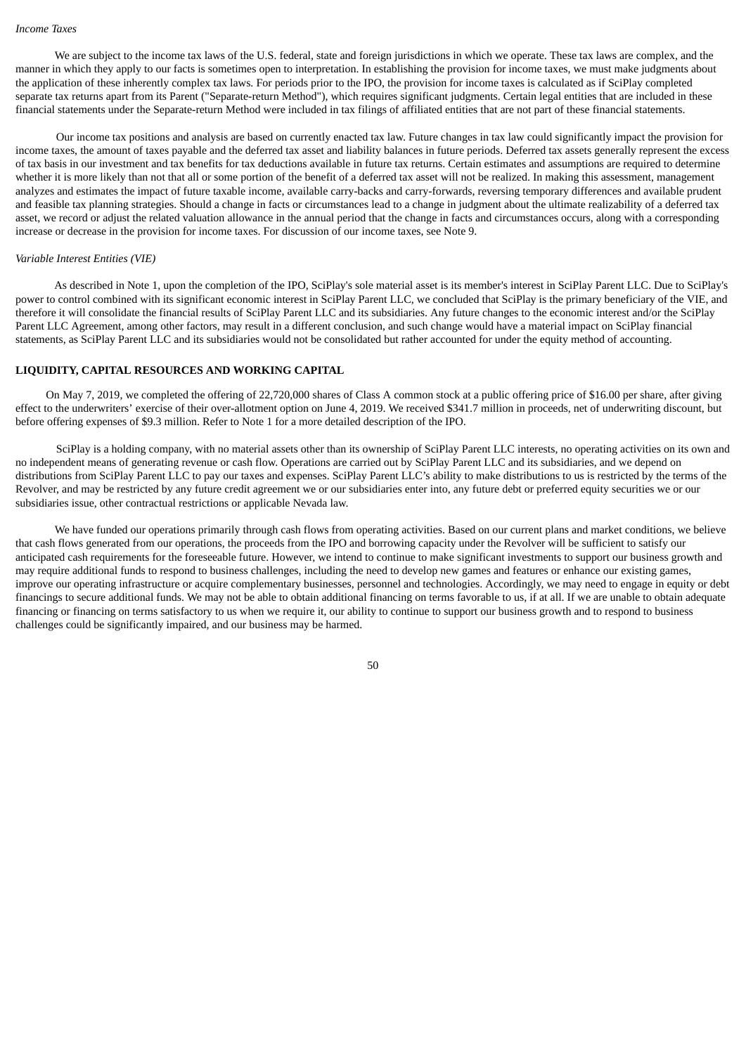We are subject to the income tax laws of the U.S. federal, state and foreign jurisdictions in which we operate. These tax laws are complex, and the manner in which they apply to our facts is sometimes open to interpretation. In establishing the provision for income taxes, we must make judgments about the application of these inherently complex tax laws. For periods prior to the IPO, the provision for income taxes is calculated as if SciPlay completed separate tax returns apart from its Parent ("Separate-return Method"), which requires significant judgments. Certain legal entities that are included in these financial statements under the Separate-return Method were included in tax filings of affiliated entities that are not part of these financial statements.

Our income tax positions and analysis are based on currently enacted tax law. Future changes in tax law could significantly impact the provision for income taxes, the amount of taxes payable and the deferred tax asset and liability balances in future periods. Deferred tax assets generally represent the excess of tax basis in our investment and tax benefits for tax deductions available in future tax returns. Certain estimates and assumptions are required to determine whether it is more likely than not that all or some portion of the benefit of a deferred tax asset will not be realized. In making this assessment, management analyzes and estimates the impact of future taxable income, available carry-backs and carry-forwards, reversing temporary differences and available prudent and feasible tax planning strategies. Should a change in facts or circumstances lead to a change in judgment about the ultimate realizability of a deferred tax asset, we record or adjust the related valuation allowance in the annual period that the change in facts and circumstances occurs, along with a corresponding increase or decrease in the provision for income taxes. For discussion of our income taxes, see Note 9.

#### *Variable Interest Entities (VIE)*

As described in Note 1, upon the completion of the IPO, SciPlay's sole material asset is its member's interest in SciPlay Parent LLC. Due to SciPlay's power to control combined with its significant economic interest in SciPlay Parent LLC, we concluded that SciPlay is the primary beneficiary of the VIE, and therefore it will consolidate the financial results of SciPlay Parent LLC and its subsidiaries. Any future changes to the economic interest and/or the SciPlay Parent LLC Agreement, among other factors, may result in a different conclusion, and such change would have a material impact on SciPlay financial statements, as SciPlay Parent LLC and its subsidiaries would not be consolidated but rather accounted for under the equity method of accounting.

## **LIQUIDITY, CAPITAL RESOURCES AND WORKING CAPITAL**

 On May 7, 2019, we completed the offering of 22,720,000 shares of Class A common stock at a public offering price of \$16.00 per share, after giving effect to the underwriters' exercise of their over-allotment option on June 4, 2019. We received \$341.7 million in proceeds, net of underwriting discount, but before offering expenses of \$9.3 million. Refer to Note 1 for a more detailed description of the IPO.

SciPlay is a holding company, with no material assets other than its ownership of SciPlay Parent LLC interests, no operating activities on its own and no independent means of generating revenue or cash flow. Operations are carried out by SciPlay Parent LLC and its subsidiaries, and we depend on distributions from SciPlay Parent LLC to pay our taxes and expenses. SciPlay Parent LLC's ability to make distributions to us is restricted by the terms of the Revolver, and may be restricted by any future credit agreement we or our subsidiaries enter into, any future debt or preferred equity securities we or our subsidiaries issue, other contractual restrictions or applicable Nevada law.

We have funded our operations primarily through cash flows from operating activities. Based on our current plans and market conditions, we believe that cash flows generated from our operations, the proceeds from the IPO and borrowing capacity under the Revolver will be sufficient to satisfy our anticipated cash requirements for the foreseeable future. However, we intend to continue to make significant investments to support our business growth and may require additional funds to respond to business challenges, including the need to develop new games and features or enhance our existing games, improve our operating infrastructure or acquire complementary businesses, personnel and technologies. Accordingly, we may need to engage in equity or debt financings to secure additional funds. We may not be able to obtain additional financing on terms favorable to us, if at all. If we are unable to obtain adequate financing or financing on terms satisfactory to us when we require it, our ability to continue to support our business growth and to respond to business challenges could be significantly impaired, and our business may be harmed.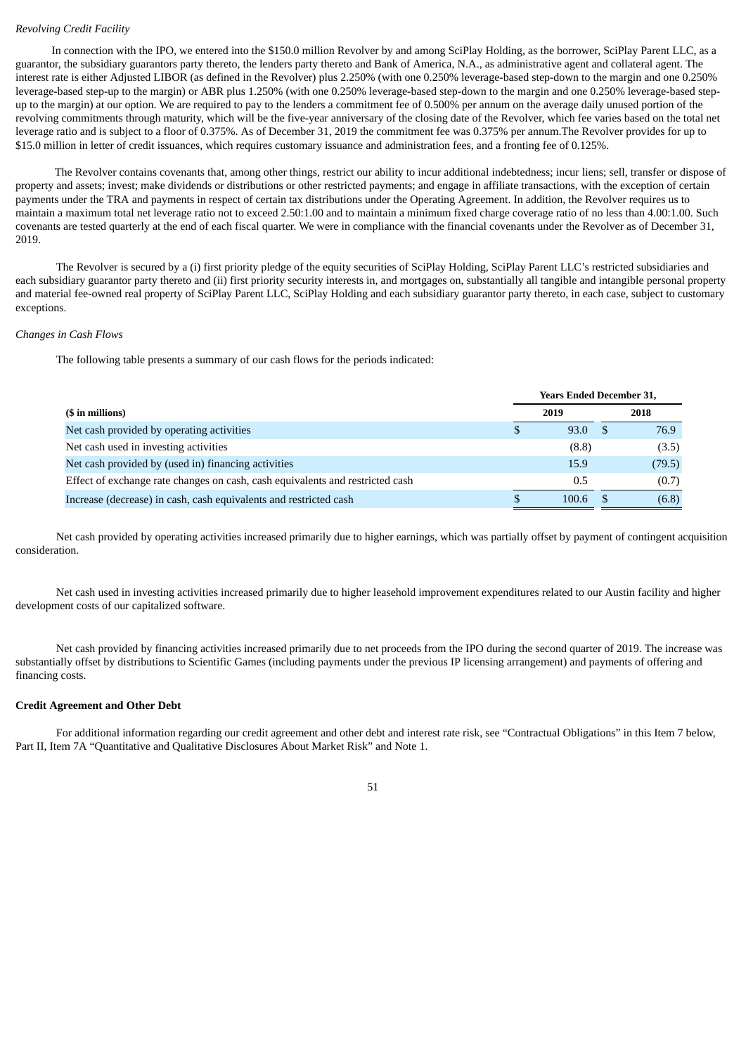### *Revolving Credit Facility*

 In connection with the IPO, we entered into the \$150.0 million Revolver by and among SciPlay Holding, as the borrower, SciPlay Parent LLC, as a guarantor, the subsidiary guarantors party thereto, the lenders party thereto and Bank of America, N.A., as administrative agent and collateral agent. The interest rate is either Adjusted LIBOR (as defined in the Revolver) plus 2.250% (with one 0.250% leverage-based step-down to the margin and one 0.250% leverage-based step-up to the margin) or ABR plus 1.250% (with one 0.250% leverage-based step-down to the margin and one 0.250% leverage-based stepup to the margin) at our option. We are required to pay to the lenders a commitment fee of 0.500% per annum on the average daily unused portion of the revolving commitments through maturity, which will be the five-year anniversary of the closing date of the Revolver, which fee varies based on the total net leverage ratio and is subject to a floor of 0.375%. As of December 31, 2019 the commitment fee was 0.375% per annum.The Revolver provides for up to \$15.0 million in letter of credit issuances, which requires customary issuance and administration fees, and a fronting fee of 0.125%.

The Revolver contains covenants that, among other things, restrict our ability to incur additional indebtedness; incur liens; sell, transfer or dispose of property and assets; invest; make dividends or distributions or other restricted payments; and engage in affiliate transactions, with the exception of certain payments under the TRA and payments in respect of certain tax distributions under the Operating Agreement. In addition, the Revolver requires us to maintain a maximum total net leverage ratio not to exceed 2.50:1.00 and to maintain a minimum fixed charge coverage ratio of no less than 4.00:1.00. Such covenants are tested quarterly at the end of each fiscal quarter. We were in compliance with the financial covenants under the Revolver as of December 31, 2019.

The Revolver is secured by a (i) first priority pledge of the equity securities of SciPlay Holding, SciPlay Parent LLC's restricted subsidiaries and each subsidiary guarantor party thereto and (ii) first priority security interests in, and mortgages on, substantially all tangible and intangible personal property and material fee-owned real property of SciPlay Parent LLC, SciPlay Holding and each subsidiary guarantor party thereto, in each case, subject to customary exceptions.

### *Changes in Cash Flows*

The following table presents a summary of our cash flows for the periods indicated:

|                                                                               |  |       | <b>Years Ended December 31,</b> |        |  |  |
|-------------------------------------------------------------------------------|--|-------|---------------------------------|--------|--|--|
| (\$ in millions)                                                              |  | 2019  |                                 | 2018   |  |  |
| Net cash provided by operating activities                                     |  | 93.0  | -S                              | 76.9   |  |  |
| Net cash used in investing activities                                         |  | (8.8) |                                 | (3.5)  |  |  |
| Net cash provided by (used in) financing activities                           |  | 15.9  |                                 | (79.5) |  |  |
| Effect of exchange rate changes on cash, cash equivalents and restricted cash |  | 0.5   |                                 | (0.7)  |  |  |
| Increase (decrease) in cash, cash equivalents and restricted cash             |  | 100.6 |                                 | (6.8)  |  |  |

Net cash provided by operating activities increased primarily due to higher earnings, which was partially offset by payment of contingent acquisition consideration.

Net cash used in investing activities increased primarily due to higher leasehold improvement expenditures related to our Austin facility and higher development costs of our capitalized software.

Net cash provided by financing activities increased primarily due to net proceeds from the IPO during the second quarter of 2019. The increase was substantially offset by distributions to Scientific Games (including payments under the previous IP licensing arrangement) and payments of offering and financing costs.

### **Credit Agreement and Other Debt**

For additional information regarding our credit agreement and other debt and interest rate risk, see "Contractual Obligations" in this Item 7 below, Part II, Item 7A "Quantitative and Qualitative Disclosures About Market Risk" and Note 1.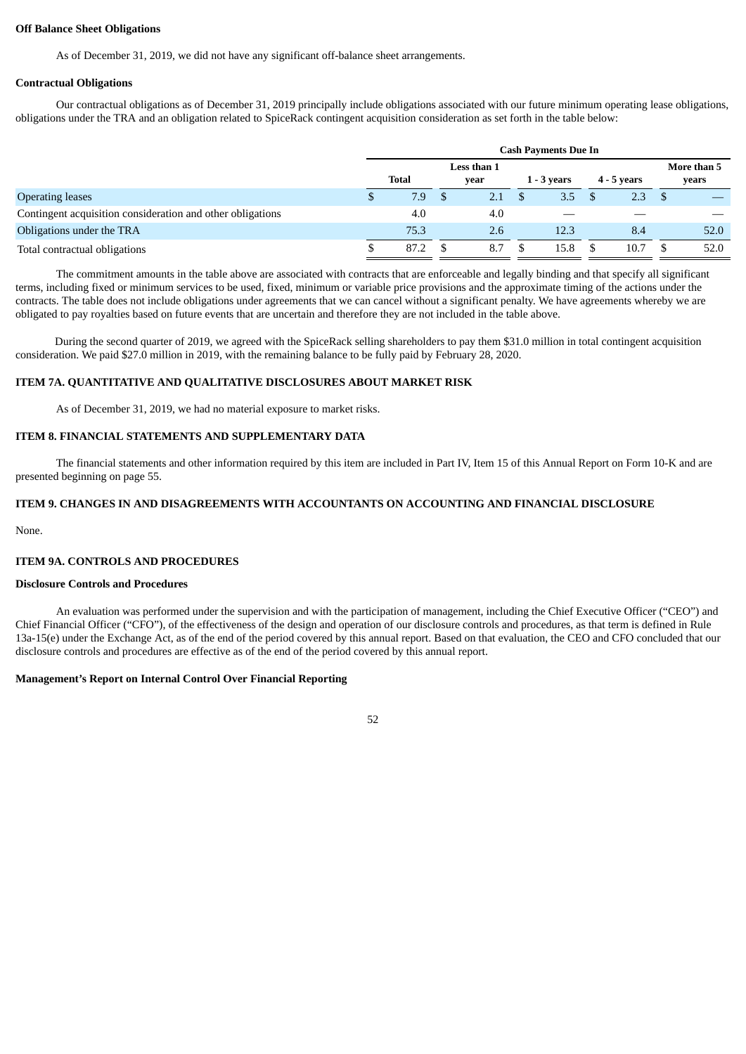## **Off Balance Sheet Obligations**

As of December 31, 2019, we did not have any significant off-balance sheet arrangements.

#### **Contractual Obligations**

Our contractual obligations as of December 31, 2019 principally include obligations associated with our future minimum operating lease obligations, obligations under the TRA and an obligation related to SpiceRack contingent acquisition consideration as set forth in the table below:

|                                                            | Less than 1  |  |      |  |               |    |               |     | More than 5 |  |  |
|------------------------------------------------------------|--------------|--|------|--|---------------|----|---------------|-----|-------------|--|--|
|                                                            | <b>Total</b> |  | vear |  | $1 - 3$ vears |    | $4 - 5$ vears |     | vears       |  |  |
| <b>Operating leases</b>                                    | 7.9          |  | 2.1  |  | 3.5           |    | 2.3           | -\$ |             |  |  |
| Contingent acquisition consideration and other obligations | 4.0          |  | 4.0  |  |               |    |               |     |             |  |  |
| Obligations under the TRA                                  | 75.3         |  | 2.6  |  | 12.3          |    | 8.4           |     | 52.0        |  |  |
| Total contractual obligations                              | 87.2         |  | 8.7  |  | 15.8          | -S | 10.7          |     | 52.0        |  |  |

The commitment amounts in the table above are associated with contracts that are enforceable and legally binding and that specify all significant terms, including fixed or minimum services to be used, fixed, minimum or variable price provisions and the approximate timing of the actions under the contracts. The table does not include obligations under agreements that we can cancel without a significant penalty. We have agreements whereby we are obligated to pay royalties based on future events that are uncertain and therefore they are not included in the table above.

During the second quarter of 2019, we agreed with the SpiceRack selling shareholders to pay them \$31.0 million in total contingent acquisition consideration. We paid \$27.0 million in 2019, with the remaining balance to be fully paid by February 28, 2020.

### **ITEM 7A. QUANTITATIVE AND QUALITATIVE DISCLOSURES ABOUT MARKET RISK**

As of December 31, 2019, we had no material exposure to market risks.

## **ITEM 8. FINANCIAL STATEMENTS AND SUPPLEMENTARY DATA**

The financial statements and other information required by this item are included in Part IV, Item 15 of this Annual Report on Form 10-K and are presented beginning on page 55.

## **ITEM 9. CHANGES IN AND DISAGREEMENTS WITH ACCOUNTANTS ON ACCOUNTING AND FINANCIAL DISCLOSURE**

None.

## **ITEM 9A. CONTROLS AND PROCEDURES**

### **Disclosure Controls and Procedures**

An evaluation was performed under the supervision and with the participation of management, including the Chief Executive Officer ("CEO") and Chief Financial Officer ("CFO"), of the effectiveness of the design and operation of our disclosure controls and procedures, as that term is defined in Rule 13a-15(e) under the Exchange Act, as of the end of the period covered by this annual report. Based on that evaluation, the CEO and CFO concluded that our disclosure controls and procedures are effective as of the end of the period covered by this annual report.

## **Management's Report on Internal Control Over Financial Reporting**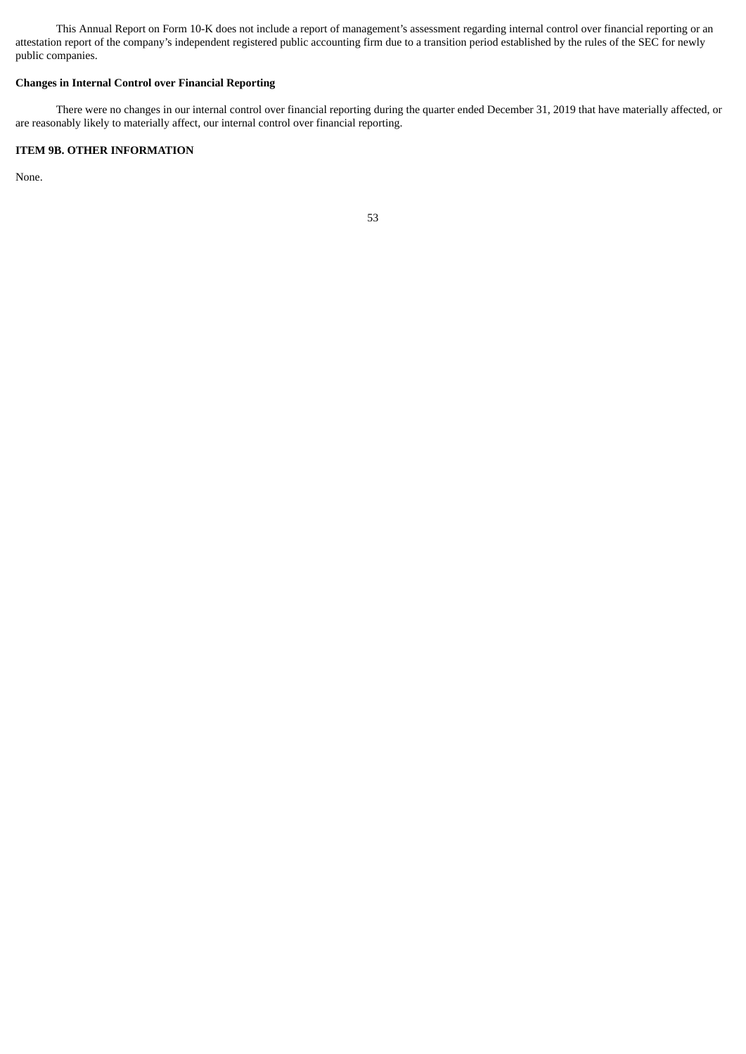This Annual Report on Form 10-K does not include a report of management's assessment regarding internal control over financial reporting or an attestation report of the company's independent registered public accounting firm due to a transition period established by the rules of the SEC for newly public companies.

# **Changes in Internal Control over Financial Reporting**

There were no changes in our internal control over financial reporting during the quarter ended December 31, 2019 that have materially affected, or are reasonably likely to materially affect, our internal control over financial reporting.

## **ITEM 9B. OTHER INFORMATION**

None.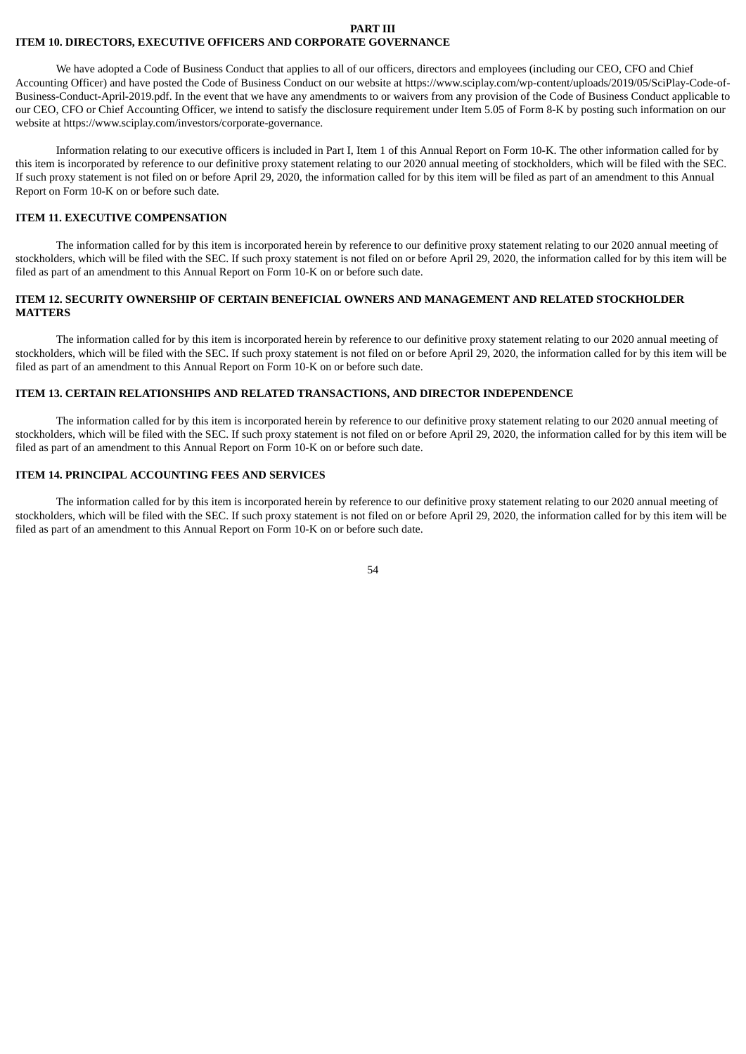## **PART III ITEM 10. DIRECTORS, EXECUTIVE OFFICERS AND CORPORATE GOVERNANCE**

We have adopted a Code of Business Conduct that applies to all of our officers, directors and employees (including our CEO, CFO and Chief Accounting Officer) and have posted the Code of Business Conduct on our website at https://www.sciplay.com/wp-content/uploads/2019/05/SciPlay-Code-of-Business-Conduct-April-2019.pdf. In the event that we have any amendments to or waivers from any provision of the Code of Business Conduct applicable to our CEO, CFO or Chief Accounting Officer, we intend to satisfy the disclosure requirement under Item 5.05 of Form 8-K by posting such information on our website at https://www.sciplay.com/investors/corporate-governance.

Information relating to our executive officers is included in Part I, Item 1 of this Annual Report on Form 10-K. The other information called for by this item is incorporated by reference to our definitive proxy statement relating to our 2020 annual meeting of stockholders, which will be filed with the SEC. If such proxy statement is not filed on or before April 29, 2020, the information called for by this item will be filed as part of an amendment to this Annual Report on Form 10-K on or before such date.

# **ITEM 11. EXECUTIVE COMPENSATION**

The information called for by this item is incorporated herein by reference to our definitive proxy statement relating to our 2020 annual meeting of stockholders, which will be filed with the SEC. If such proxy statement is not filed on or before April 29, 2020, the information called for by this item will be filed as part of an amendment to this Annual Report on Form 10-K on or before such date.

# **ITEM 12. SECURITY OWNERSHIP OF CERTAIN BENEFICIAL OWNERS AND MANAGEMENT AND RELATED STOCKHOLDER MATTERS**

The information called for by this item is incorporated herein by reference to our definitive proxy statement relating to our 2020 annual meeting of stockholders, which will be filed with the SEC. If such proxy statement is not filed on or before April 29, 2020, the information called for by this item will be filed as part of an amendment to this Annual Report on Form 10-K on or before such date.

# **ITEM 13. CERTAIN RELATIONSHIPS AND RELATED TRANSACTIONS, AND DIRECTOR INDEPENDENCE**

The information called for by this item is incorporated herein by reference to our definitive proxy statement relating to our 2020 annual meeting of stockholders, which will be filed with the SEC. If such proxy statement is not filed on or before April 29, 2020, the information called for by this item will be filed as part of an amendment to this Annual Report on Form 10-K on or before such date.

# **ITEM 14. PRINCIPAL ACCOUNTING FEES AND SERVICES**

The information called for by this item is incorporated herein by reference to our definitive proxy statement relating to our 2020 annual meeting of stockholders, which will be filed with the SEC. If such proxy statement is not filed on or before April 29, 2020, the information called for by this item will be filed as part of an amendment to this Annual Report on Form 10-K on or before such date.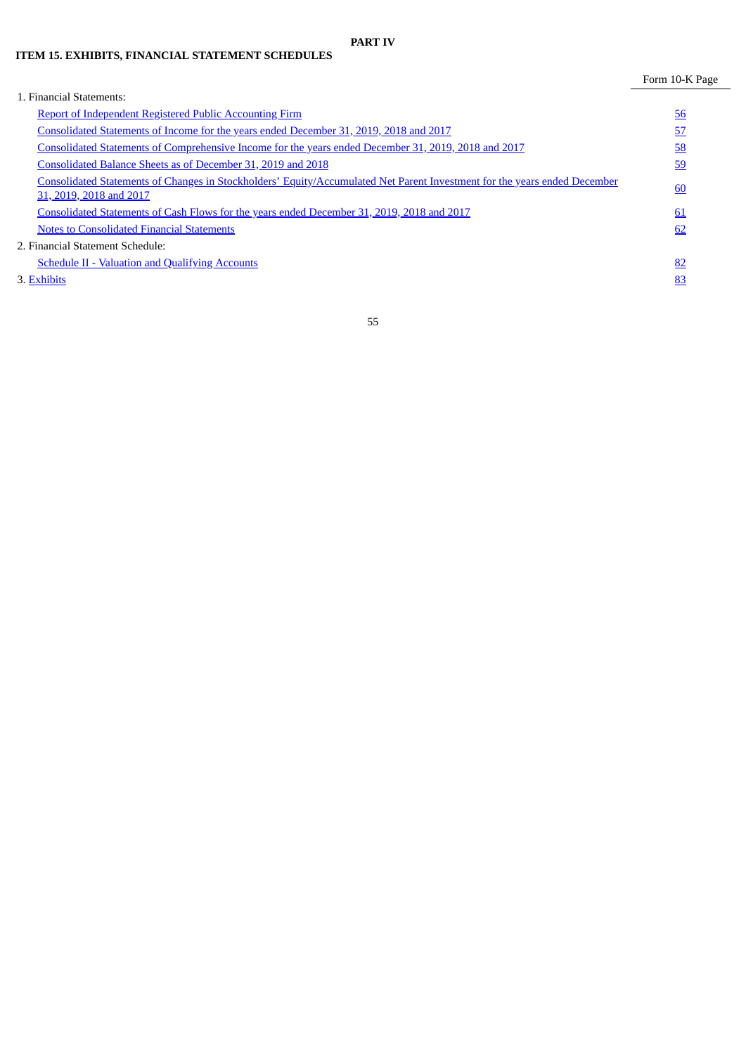| 1. Financial Statements:                                                                                                                             |           |
|------------------------------------------------------------------------------------------------------------------------------------------------------|-----------|
| Report of Independent Registered Public Accounting Firm                                                                                              | 56        |
| Consolidated Statements of Income for the years ended December 31, 2019, 2018 and 2017                                                               | <u>57</u> |
| Consolidated Statements of Comprehensive Income for the years ended December 31, 2019, 2018 and 2017                                                 | <u>58</u> |
| Consolidated Balance Sheets as of December 31, 2019 and 2018                                                                                         | 59        |
| Consolidated Statements of Changes in Stockholders' Equity/Accumulated Net Parent Investment for the years ended December<br>31, 2019, 2018 and 2017 | 60        |
| Consolidated Statements of Cash Flows for the years ended December 31, 2019, 2018 and 2017                                                           | <u>61</u> |
| <b>Notes to Consolidated Financial Statements</b>                                                                                                    | 62        |
| 2. Financial Statement Schedule:                                                                                                                     |           |
| <b>Schedule II - Valuation and Qualifying Accounts</b>                                                                                               | 82        |
| 3. Exhibits                                                                                                                                          | 83        |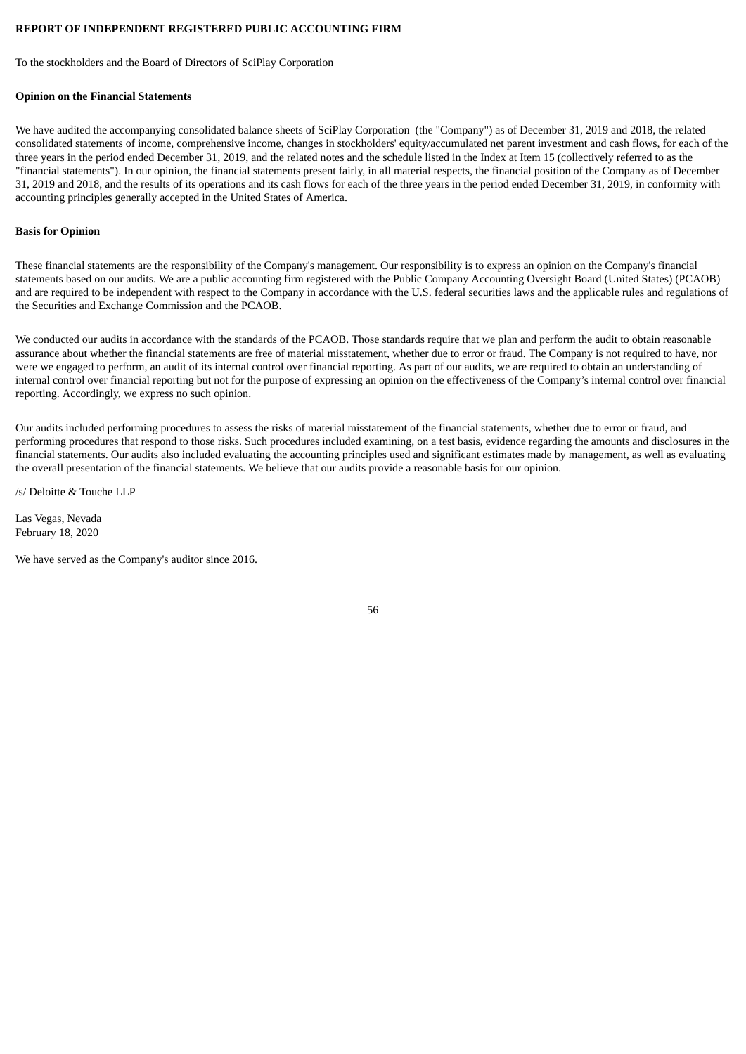## <span id="page-55-0"></span>**REPORT OF INDEPENDENT REGISTERED PUBLIC ACCOUNTING FIRM**

To the stockholders and the Board of Directors of SciPlay Corporation

### **Opinion on the Financial Statements**

We have audited the accompanying consolidated balance sheets of SciPlay Corporation (the "Company") as of December 31, 2019 and 2018, the related consolidated statements of income, comprehensive income, changes in stockholders' equity/accumulated net parent investment and cash flows, for each of the three years in the period ended December 31, 2019, and the related notes and the schedule listed in the Index at Item 15 (collectively referred to as the "financial statements"). In our opinion, the financial statements present fairly, in all material respects, the financial position of the Company as of December 31, 2019 and 2018, and the results of its operations and its cash flows for each of the three years in the period ended December 31, 2019, in conformity with accounting principles generally accepted in the United States of America.

## **Basis for Opinion**

These financial statements are the responsibility of the Company's management. Our responsibility is to express an opinion on the Company's financial statements based on our audits. We are a public accounting firm registered with the Public Company Accounting Oversight Board (United States) (PCAOB) and are required to be independent with respect to the Company in accordance with the U.S. federal securities laws and the applicable rules and regulations of the Securities and Exchange Commission and the PCAOB.

We conducted our audits in accordance with the standards of the PCAOB. Those standards require that we plan and perform the audit to obtain reasonable assurance about whether the financial statements are free of material misstatement, whether due to error or fraud. The Company is not required to have, nor were we engaged to perform, an audit of its internal control over financial reporting. As part of our audits, we are required to obtain an understanding of internal control over financial reporting but not for the purpose of expressing an opinion on the effectiveness of the Company's internal control over financial reporting. Accordingly, we express no such opinion.

Our audits included performing procedures to assess the risks of material misstatement of the financial statements, whether due to error or fraud, and performing procedures that respond to those risks. Such procedures included examining, on a test basis, evidence regarding the amounts and disclosures in the financial statements. Our audits also included evaluating the accounting principles used and significant estimates made by management, as well as evaluating the overall presentation of the financial statements. We believe that our audits provide a reasonable basis for our opinion.

/s/ Deloitte & Touche LLP

Las Vegas, Nevada February 18, 2020

We have served as the Company's auditor since 2016.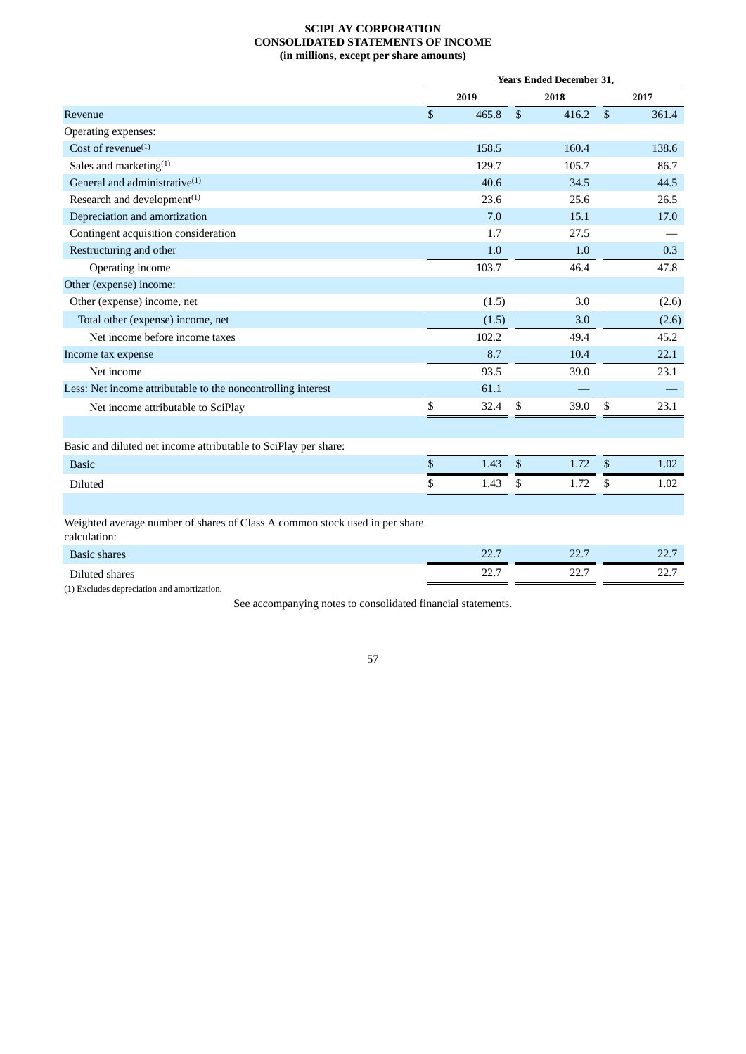# **SCIPLAY CORPORATION CONSOLIDATED STATEMENTS OF INCOME (in millions, except per share amounts)**

<span id="page-56-0"></span>

|                                                                                             |              | <b>Years Ended December 31,</b> |              |       |                |       |
|---------------------------------------------------------------------------------------------|--------------|---------------------------------|--------------|-------|----------------|-------|
|                                                                                             |              | 2019                            |              | 2018  |                | 2017  |
| Revenue                                                                                     | $\mathbb{S}$ | 465.8                           | $\mathbb{S}$ | 416.2 | $\mathfrak{S}$ | 361.4 |
| Operating expenses:                                                                         |              |                                 |              |       |                |       |
| Cost of revenue $^{(1)}$                                                                    |              | 158.5                           |              | 160.4 |                | 138.6 |
| Sales and marketing <sup>(1)</sup>                                                          |              | 129.7                           |              | 105.7 |                | 86.7  |
| General and administrative $(1)$                                                            |              | 40.6                            |              | 34.5  |                | 44.5  |
| Research and development <sup>(1)</sup>                                                     |              | 23.6                            |              | 25.6  |                | 26.5  |
| Depreciation and amortization                                                               |              | 7.0                             |              | 15.1  |                | 17.0  |
| Contingent acquisition consideration                                                        |              | 1.7                             |              | 27.5  |                |       |
| Restructuring and other                                                                     |              | 1.0                             |              | 1.0   |                | 0.3   |
| Operating income                                                                            |              | 103.7                           |              | 46.4  |                | 47.8  |
| Other (expense) income:                                                                     |              |                                 |              |       |                |       |
| Other (expense) income, net                                                                 |              | (1.5)                           |              | 3.0   |                | (2.6) |
| Total other (expense) income, net                                                           |              | (1.5)                           |              | 3.0   |                | (2.6) |
| Net income before income taxes                                                              |              | 102.2                           |              | 49.4  |                | 45.2  |
| Income tax expense                                                                          |              | 8.7                             |              | 10.4  |                | 22.1  |
| Net income                                                                                  |              | 93.5                            |              | 39.0  |                | 23.1  |
| Less: Net income attributable to the noncontrolling interest                                |              | 61.1                            |              |       |                |       |
| Net income attributable to SciPlay                                                          | \$           | 32.4                            | \$           | 39.0  | \$             | 23.1  |
|                                                                                             |              |                                 |              |       |                |       |
| Basic and diluted net income attributable to SciPlay per share:                             |              |                                 |              |       |                |       |
| <b>Basic</b>                                                                                | \$           | 1.43                            | $\sqrt{3}$   | 1.72  | $\sqrt{3}$     | 1.02  |
| Diluted                                                                                     | \$           | 1.43                            | \$           | 1.72  | \$             | 1.02  |
|                                                                                             |              |                                 |              |       |                |       |
| Weighted average number of shares of Class A common stock used in per share<br>calculation: |              |                                 |              |       |                |       |
|                                                                                             |              | $\sim$ $\sim$                   |              |       |                |       |

| <b>Basic shares</b>                         | د ک | 22.1 | 22.  |
|---------------------------------------------|-----|------|------|
| Diluted shares                              | ۷۵. | כי כ | 22.7 |
| (1) Excludes depreciation and amortization. |     |      |      |

See accompanying notes to consolidated financial statements.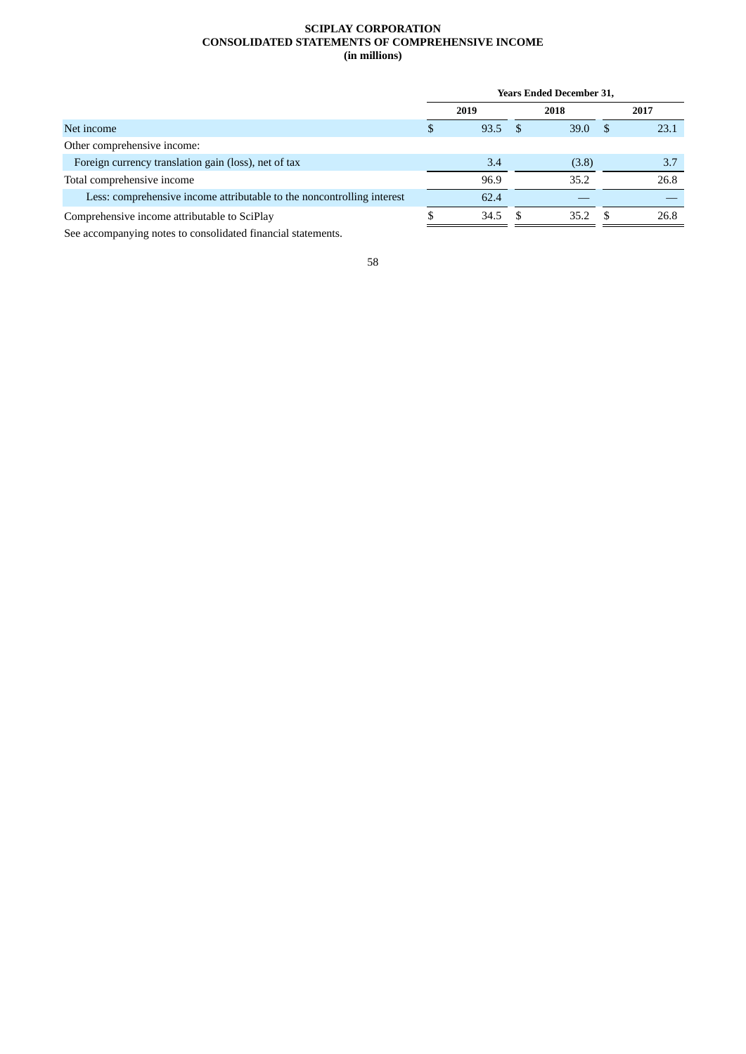## **SCIPLAY CORPORATION CONSOLIDATED STATEMENTS OF COMPREHENSIVE INCOME (in millions)**

<span id="page-57-0"></span>

|                                                                        | <b>Years Ended December 31,</b> |      |  |       |    |      |  |  |  |  |
|------------------------------------------------------------------------|---------------------------------|------|--|-------|----|------|--|--|--|--|
|                                                                        |                                 | 2019 |  | 2018  |    | 2017 |  |  |  |  |
| Net income                                                             |                                 | 93.5 |  | 39.0  | -S | 23.1 |  |  |  |  |
| Other comprehensive income:                                            |                                 |      |  |       |    |      |  |  |  |  |
| Foreign currency translation gain (loss), net of tax                   |                                 | 3.4  |  | (3.8) |    | 3.7  |  |  |  |  |
| Total comprehensive income                                             |                                 | 96.9 |  | 35.2  |    | 26.8 |  |  |  |  |
| Less: comprehensive income attributable to the noncontrolling interest |                                 | 62.4 |  |       |    |      |  |  |  |  |
| Comprehensive income attributable to SciPlay                           |                                 | 34.5 |  | 35.2  | -8 | 26.8 |  |  |  |  |

See accompanying notes to consolidated financial statements.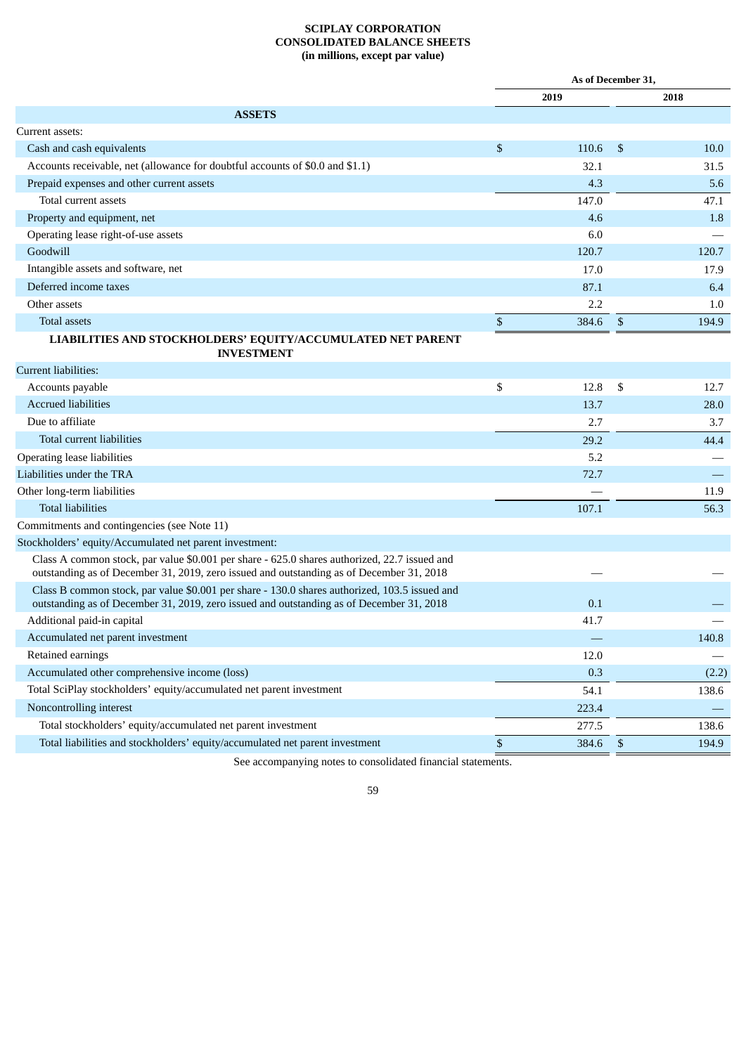# **SCIPLAY CORPORATION CONSOLIDATED BALANCE SHEETS (in millions, except par value)**

<span id="page-58-0"></span>

|                                                                                                                                                                                           | As of December 31, |       |    |       |  |  |
|-------------------------------------------------------------------------------------------------------------------------------------------------------------------------------------------|--------------------|-------|----|-------|--|--|
|                                                                                                                                                                                           |                    | 2019  |    | 2018  |  |  |
| <b>ASSETS</b>                                                                                                                                                                             |                    |       |    |       |  |  |
| Current assets:                                                                                                                                                                           |                    |       |    |       |  |  |
| Cash and cash equivalents                                                                                                                                                                 | \$                 | 110.6 | \$ | 10.0  |  |  |
| Accounts receivable, net (allowance for doubtful accounts of \$0.0 and \$1.1)                                                                                                             |                    | 32.1  |    | 31.5  |  |  |
| Prepaid expenses and other current assets                                                                                                                                                 |                    | 4.3   |    | 5.6   |  |  |
| Total current assets                                                                                                                                                                      |                    | 147.0 |    | 47.1  |  |  |
| Property and equipment, net                                                                                                                                                               |                    | 4.6   |    | 1.8   |  |  |
| Operating lease right-of-use assets                                                                                                                                                       |                    | 6.0   |    |       |  |  |
| Goodwill                                                                                                                                                                                  |                    | 120.7 |    | 120.7 |  |  |
| Intangible assets and software, net                                                                                                                                                       |                    | 17.0  |    | 17.9  |  |  |
| Deferred income taxes                                                                                                                                                                     |                    | 87.1  |    | 6.4   |  |  |
| Other assets                                                                                                                                                                              |                    | 2.2   |    | 1.0   |  |  |
| <b>Total assets</b>                                                                                                                                                                       | $\$$               | 384.6 | \$ | 194.9 |  |  |
| LIABILITIES AND STOCKHOLDERS' EQUITY/ACCUMULATED NET PARENT<br><b>INVESTMENT</b>                                                                                                          |                    |       |    |       |  |  |
| Current liabilities:                                                                                                                                                                      |                    |       |    |       |  |  |
| Accounts payable                                                                                                                                                                          | \$                 | 12.8  | \$ | 12.7  |  |  |
| <b>Accrued liabilities</b>                                                                                                                                                                |                    | 13.7  |    | 28.0  |  |  |
| Due to affiliate                                                                                                                                                                          |                    | 2.7   |    | 3.7   |  |  |
| Total current liabilities                                                                                                                                                                 |                    | 29.2  |    | 44.4  |  |  |
| Operating lease liabilities                                                                                                                                                               |                    | 5.2   |    |       |  |  |
| Liabilities under the TRA                                                                                                                                                                 |                    | 72.7  |    |       |  |  |
| Other long-term liabilities                                                                                                                                                               |                    |       |    | 11.9  |  |  |
| <b>Total liabilities</b>                                                                                                                                                                  |                    | 107.1 |    | 56.3  |  |  |
| Commitments and contingencies (see Note 11)                                                                                                                                               |                    |       |    |       |  |  |
| Stockholders' equity/Accumulated net parent investment:                                                                                                                                   |                    |       |    |       |  |  |
| Class A common stock, par value \$0.001 per share - 625.0 shares authorized, 22.7 issued and<br>outstanding as of December 31, 2019, zero issued and outstanding as of December 31, 2018  |                    |       |    |       |  |  |
| Class B common stock, par value \$0.001 per share - 130.0 shares authorized, 103.5 issued and<br>outstanding as of December 31, 2019, zero issued and outstanding as of December 31, 2018 |                    | 0.1   |    |       |  |  |
| Additional paid-in capital                                                                                                                                                                |                    | 41.7  |    |       |  |  |
| Accumulated net parent investment                                                                                                                                                         |                    |       |    | 140.8 |  |  |
| Retained earnings                                                                                                                                                                         |                    | 12.0  |    |       |  |  |
| Accumulated other comprehensive income (loss)                                                                                                                                             |                    | 0.3   |    | (2.2) |  |  |
| Total SciPlay stockholders' equity/accumulated net parent investment                                                                                                                      |                    | 54.1  |    | 138.6 |  |  |
| Noncontrolling interest                                                                                                                                                                   |                    | 223.4 |    |       |  |  |
| Total stockholders' equity/accumulated net parent investment                                                                                                                              |                    | 277.5 |    | 138.6 |  |  |
| Total liabilities and stockholders' equity/accumulated net parent investment                                                                                                              | $\mathbb{S}$       | 384.6 | \$ | 194.9 |  |  |
|                                                                                                                                                                                           |                    |       |    |       |  |  |

See accompanying notes to consolidated financial statements.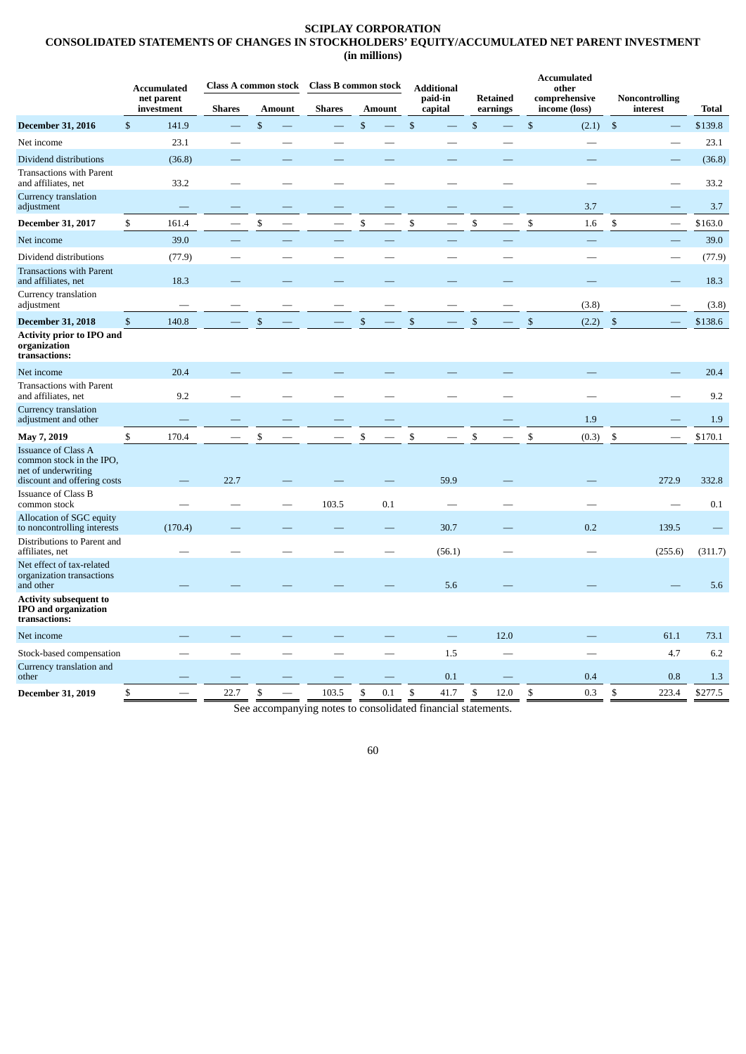### **SCIPLAY CORPORATION**

## <span id="page-59-0"></span>**CONSOLIDATED STATEMENTS OF CHANGES IN STOCKHOLDERS' EQUITY/ACCUMULATED NET PARENT INVESTMENT (in millions)**

|                                                                                                              |              | Accumulated              | <b>Class A common stock</b> |               | <b>Class B common stock</b> |                |               |              | <b>Additional</b>  | <b>Retained</b> |          |                | <b>Accumulated</b><br>other    |                    |                                   |              |
|--------------------------------------------------------------------------------------------------------------|--------------|--------------------------|-----------------------------|---------------|-----------------------------|----------------|---------------|--------------|--------------------|-----------------|----------|----------------|--------------------------------|--------------------|-----------------------------------|--------------|
|                                                                                                              |              | net parent<br>investment | <b>Shares</b>               | <b>Amount</b> | <b>Shares</b>               |                | <b>Amount</b> |              | paid-in<br>capital |                 | earnings |                | comprehensive<br>income (loss) |                    | <b>Noncontrolling</b><br>interest | <b>Total</b> |
| <b>December 31, 2016</b>                                                                                     | $\mathbb{S}$ | 141.9                    |                             | \$            |                             | \$             |               | $\mathbb{S}$ |                    | \$              |          | $$\mathbb{S}$$ | (2.1)                          | $\mathfrak{s}$     |                                   | \$139.8      |
| Net income                                                                                                   |              | 23.1                     |                             |               |                             |                |               |              |                    |                 |          |                |                                |                    |                                   | 23.1         |
| Dividend distributions                                                                                       |              | (36.8)                   |                             |               |                             |                |               |              |                    |                 |          |                |                                |                    |                                   | (36.8)       |
| <b>Transactions with Parent</b><br>and affiliates, net                                                       |              | 33.2                     |                             |               |                             |                |               |              |                    |                 |          |                |                                |                    |                                   | 33.2         |
| Currency translation<br>adjustment                                                                           |              |                          |                             |               |                             |                |               |              |                    |                 |          |                | 3.7                            |                    |                                   | 3.7          |
| December 31, 2017                                                                                            | \$           | 161.4                    |                             | \$            |                             | \$             |               | \$           |                    | \$              |          | \$             | 1.6                            | \$                 |                                   | \$163.0      |
| Net income                                                                                                   |              | 39.0                     |                             |               |                             |                |               |              |                    |                 |          |                |                                |                    |                                   | 39.0         |
| Dividend distributions                                                                                       |              | (77.9)                   |                             |               |                             |                |               |              |                    |                 |          |                |                                |                    |                                   | (77.9)       |
| <b>Transactions with Parent</b><br>and affiliates, net                                                       |              | 18.3                     |                             |               |                             |                |               |              |                    |                 |          |                |                                |                    |                                   | 18.3         |
| Currency translation<br>adjustment                                                                           |              |                          |                             |               |                             |                |               |              |                    |                 |          |                | (3.8)                          |                    |                                   | (3.8)        |
| <b>December 31, 2018</b>                                                                                     | $\mathbb{S}$ | 140.8                    |                             | \$            |                             | $\mathfrak{S}$ |               | \$           |                    | $\mathbb{S}$    |          | $$\mathbb{S}$$ | (2.2)                          | $\mathbf{\hat{S}}$ |                                   | \$138.6      |
| Activity prior to IPO and<br>organization<br>transactions:                                                   |              |                          |                             |               |                             |                |               |              |                    |                 |          |                |                                |                    |                                   |              |
| Net income                                                                                                   |              | 20.4                     |                             |               |                             |                |               |              |                    |                 |          |                |                                |                    |                                   | 20.4         |
| <b>Transactions with Parent</b><br>and affiliates, net                                                       |              | 9.2                      |                             |               |                             |                |               |              |                    |                 |          |                |                                |                    |                                   | 9.2          |
| Currency translation<br>adjustment and other                                                                 |              |                          |                             |               |                             |                |               |              |                    |                 |          |                | 1.9                            |                    |                                   | 1.9          |
| May 7, 2019                                                                                                  | \$           | 170.4                    |                             | \$            |                             | \$             |               | \$           |                    | ${\mathbb S}$   |          | ${\mathbb S}$  | (0.3)                          | $\mathbb{S}$       |                                   | \$170.1      |
| <b>Issuance of Class A</b><br>common stock in the IPO,<br>net of underwriting<br>discount and offering costs |              |                          | 22.7                        |               |                             |                |               |              | 59.9               |                 |          |                |                                |                    | 272.9                             | 332.8        |
| <b>Issuance of Class B</b><br>common stock                                                                   |              |                          |                             |               | 103.5                       |                | 0.1           |              |                    |                 |          |                |                                |                    |                                   | 0.1          |
| Allocation of SGC equity<br>to noncontrolling interests                                                      |              | (170.4)                  |                             |               |                             |                |               |              | 30.7               |                 |          |                | 0.2                            |                    | 139.5                             |              |
| Distributions to Parent and<br>affiliates, net                                                               |              |                          |                             |               |                             |                |               |              | (56.1)             |                 |          |                |                                |                    | (255.6)                           | (311.7)      |
| Net effect of tax-related<br>organization transactions<br>and other                                          |              |                          |                             |               |                             |                |               |              | 5.6                |                 |          |                |                                |                    |                                   | 5.6          |
| <b>Activity subsequent to</b><br><b>IPO</b> and organization<br>transactions:                                |              |                          |                             |               |                             |                |               |              |                    |                 |          |                |                                |                    |                                   |              |
| Net income                                                                                                   |              |                          |                             |               |                             |                |               |              |                    |                 | 12.0     |                |                                |                    | 61.1                              | 73.1         |
| Stock-based compensation                                                                                     |              |                          |                             |               |                             |                |               |              | 1.5                |                 |          |                |                                |                    | 4.7                               | 6.2          |
| Currency translation and<br>other                                                                            |              |                          |                             |               |                             |                |               |              | 0.1                |                 |          |                | 0.4                            |                    | 0.8                               | 1.3          |
| December 31, 2019                                                                                            | \$           |                          | 22.7                        | \$            | 103.5                       | \$             | 0.1           | \$           | 41.7               | \$              | 12.0     | \$             | 0.3                            | \$                 | 223.4                             | \$277.5      |

See accompanying notes to consolidated financial statements.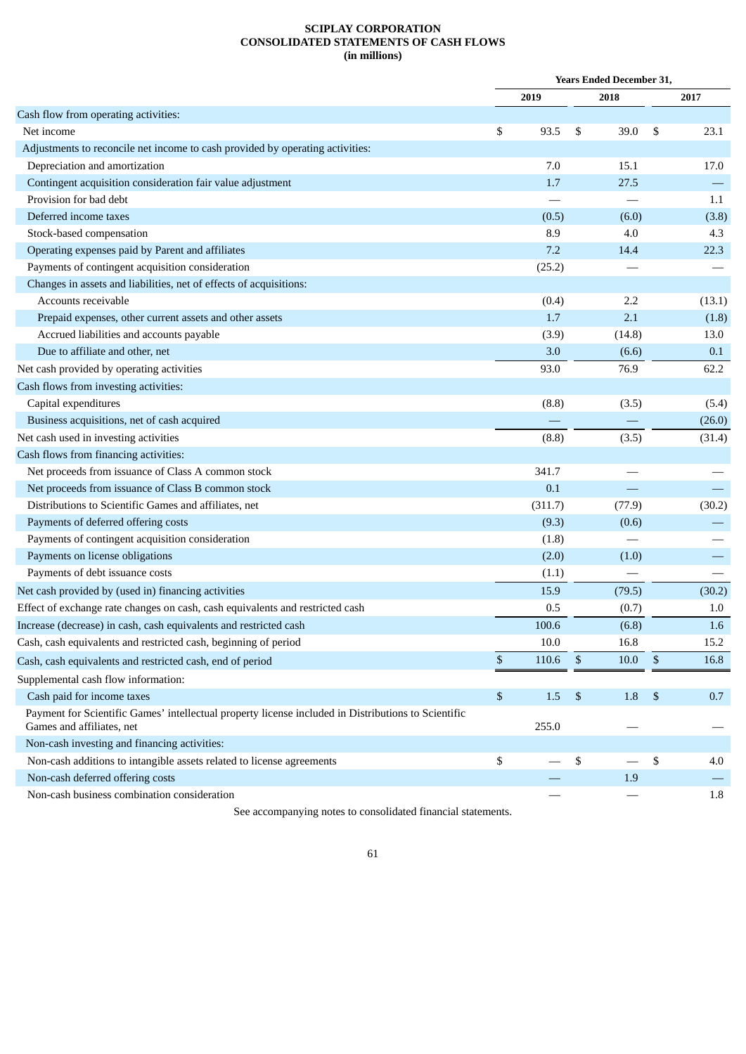## **SCIPLAY CORPORATION CONSOLIDATED STATEMENTS OF CASH FLOWS (in millions)**

<span id="page-60-0"></span>

|                                                                                                                                  | <b>Years Ended December 31,</b> |         |              |        |    |        |  |  |
|----------------------------------------------------------------------------------------------------------------------------------|---------------------------------|---------|--------------|--------|----|--------|--|--|
|                                                                                                                                  |                                 | 2019    |              | 2018   |    | 2017   |  |  |
| Cash flow from operating activities:                                                                                             |                                 |         |              |        |    |        |  |  |
| Net income                                                                                                                       | \$                              | 93.5    | \$           | 39.0   | \$ | 23.1   |  |  |
| Adjustments to reconcile net income to cash provided by operating activities:                                                    |                                 |         |              |        |    |        |  |  |
| Depreciation and amortization                                                                                                    |                                 | 7.0     |              | 15.1   |    | 17.0   |  |  |
| Contingent acquisition consideration fair value adjustment                                                                       |                                 | 1.7     |              | 27.5   |    |        |  |  |
| Provision for bad debt                                                                                                           |                                 |         |              |        |    | 1.1    |  |  |
| Deferred income taxes                                                                                                            |                                 | (0.5)   |              | (6.0)  |    | (3.8)  |  |  |
| Stock-based compensation                                                                                                         |                                 | 8.9     |              | 4.0    |    | 4.3    |  |  |
| Operating expenses paid by Parent and affiliates                                                                                 |                                 | 7.2     |              | 14.4   |    | 22.3   |  |  |
| Payments of contingent acquisition consideration                                                                                 |                                 | (25.2)  |              |        |    |        |  |  |
| Changes in assets and liabilities, net of effects of acquisitions:                                                               |                                 |         |              |        |    |        |  |  |
| Accounts receivable                                                                                                              |                                 | (0.4)   |              | 2.2    |    | (13.1) |  |  |
| Prepaid expenses, other current assets and other assets                                                                          |                                 | 1.7     |              | 2.1    |    | (1.8)  |  |  |
| Accrued liabilities and accounts payable                                                                                         |                                 | (3.9)   |              | (14.8) |    | 13.0   |  |  |
| Due to affiliate and other, net                                                                                                  |                                 | 3.0     |              | (6.6)  |    | 0.1    |  |  |
| Net cash provided by operating activities                                                                                        |                                 | 93.0    |              | 76.9   |    | 62.2   |  |  |
| Cash flows from investing activities:                                                                                            |                                 |         |              |        |    |        |  |  |
| Capital expenditures                                                                                                             |                                 | (8.8)   |              | (3.5)  |    | (5.4)  |  |  |
| Business acquisitions, net of cash acquired                                                                                      |                                 |         |              |        |    | (26.0) |  |  |
| Net cash used in investing activities                                                                                            |                                 | (8.8)   |              | (3.5)  |    | (31.4) |  |  |
| Cash flows from financing activities:                                                                                            |                                 |         |              |        |    |        |  |  |
| Net proceeds from issuance of Class A common stock                                                                               |                                 | 341.7   |              |        |    |        |  |  |
| Net proceeds from issuance of Class B common stock                                                                               |                                 | 0.1     |              |        |    |        |  |  |
| Distributions to Scientific Games and affiliates, net                                                                            |                                 | (311.7) |              | (77.9) |    | (30.2) |  |  |
| Payments of deferred offering costs                                                                                              |                                 | (9.3)   |              | (0.6)  |    |        |  |  |
| Payments of contingent acquisition consideration                                                                                 |                                 | (1.8)   |              |        |    |        |  |  |
| Payments on license obligations                                                                                                  |                                 | (2.0)   |              | (1.0)  |    |        |  |  |
| Payments of debt issuance costs                                                                                                  |                                 | (1.1)   |              |        |    |        |  |  |
| Net cash provided by (used in) financing activities                                                                              |                                 | 15.9    |              | (79.5) |    | (30.2) |  |  |
| Effect of exchange rate changes on cash, cash equivalents and restricted cash                                                    |                                 | 0.5     |              | (0.7)  |    | 1.0    |  |  |
| Increase (decrease) in cash, cash equivalents and restricted cash                                                                |                                 | 100.6   |              | (6.8)  |    | 1.6    |  |  |
| Cash, cash equivalents and restricted cash, beginning of period                                                                  |                                 | 10.0    |              | 16.8   |    | 15.2   |  |  |
| Cash, cash equivalents and restricted cash, end of period                                                                        | $\$$                            | 110.6   | $\mathbb{S}$ | 10.0   | \$ | 16.8   |  |  |
| Supplemental cash flow information:                                                                                              |                                 |         |              |        |    |        |  |  |
| Cash paid for income taxes                                                                                                       | \$                              | 1.5     | \$           | 1.8    | \$ | 0.7    |  |  |
| Payment for Scientific Games' intellectual property license included in Distributions to Scientific<br>Games and affiliates, net |                                 | 255.0   |              |        |    |        |  |  |
| Non-cash investing and financing activities:                                                                                     |                                 |         |              |        |    |        |  |  |
| Non-cash additions to intangible assets related to license agreements                                                            | \$                              |         | \$           |        | \$ | 4.0    |  |  |
| Non-cash deferred offering costs                                                                                                 |                                 |         |              | 1.9    |    |        |  |  |
| Non-cash business combination consideration                                                                                      |                                 |         |              |        |    | 1.8    |  |  |
|                                                                                                                                  |                                 |         |              |        |    |        |  |  |

See accompanying notes to consolidated financial statements.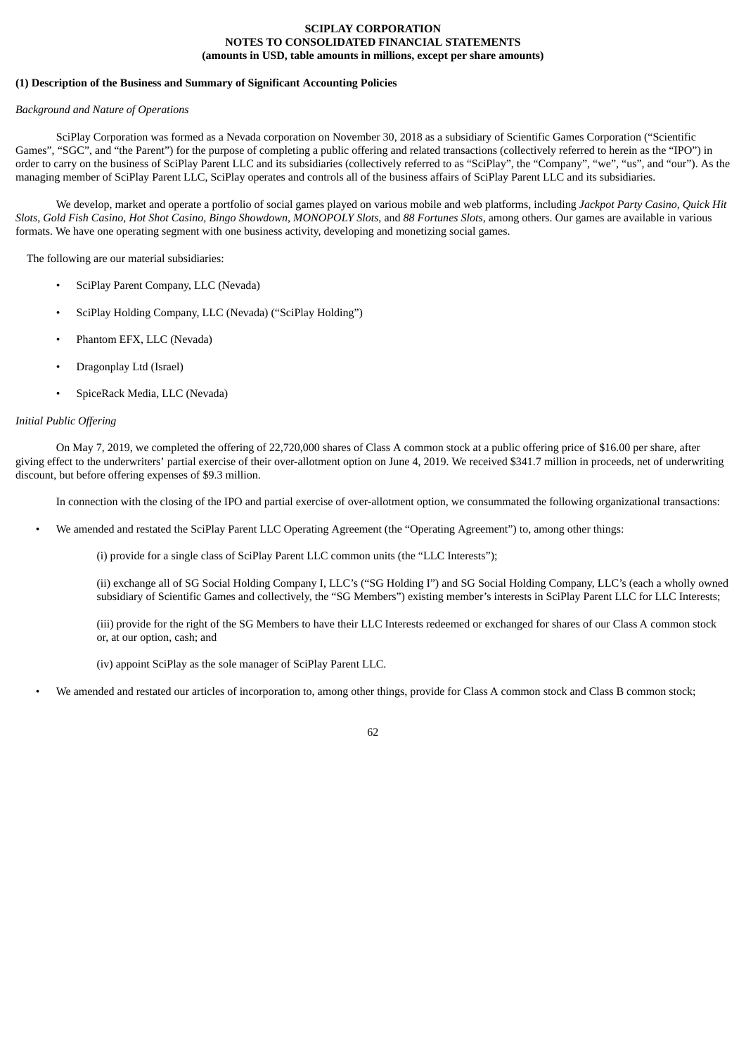## **SCIPLAY CORPORATION NOTES TO CONSOLIDATED FINANCIAL STATEMENTS (amounts in USD, table amounts in millions, except per share amounts)**

# <span id="page-61-0"></span>**(1) Description of the Business and Summary of Significant Accounting Policies**

## *Background and Nature of Operations*

SciPlay Corporation was formed as a Nevada corporation on November 30, 2018 as a subsidiary of Scientific Games Corporation ("Scientific Games", "SGC", and "the Parent") for the purpose of completing a public offering and related transactions (collectively referred to herein as the "IPO") in order to carry on the business of SciPlay Parent LLC and its subsidiaries (collectively referred to as "SciPlay", the "Company", "we", "us", and "our"). As the managing member of SciPlay Parent LLC, SciPlay operates and controls all of the business affairs of SciPlay Parent LLC and its subsidiaries.

We develop, market and operate a portfolio of social games played on various mobile and web platforms, including *Jackpot Party Casino, Quick Hit* Slots, Gold Fish Casino, Hot Shot Casino, Bingo Showdown, MONOPOLY Slots, and 88 Fortunes Slots, among others, Our games are available in various formats. We have one operating segment with one business activity, developing and monetizing social games.

The following are our material subsidiaries:

- SciPlay Parent Company, LLC (Nevada)
- SciPlay Holding Company, LLC (Nevada) ("SciPlay Holding")
- Phantom EFX, LLC (Nevada)
- Dragonplay Ltd (Israel)
- SpiceRack Media, LLC (Nevada)

## *Initial Public Offering*

On May 7, 2019, we completed the offering of 22,720,000 shares of Class A common stock at a public offering price of \$16.00 per share, after giving effect to the underwriters' partial exercise of their over-allotment option on June 4, 2019. We received \$341.7 million in proceeds, net of underwriting discount, but before offering expenses of \$9.3 million.

In connection with the closing of the IPO and partial exercise of over-allotment option, we consummated the following organizational transactions:

• We amended and restated the SciPlay Parent LLC Operating Agreement (the "Operating Agreement") to, among other things:

(i) provide for a single class of SciPlay Parent LLC common units (the "LLC Interests");

(ii) exchange all of SG Social Holding Company I, LLC's ("SG Holding I") and SG Social Holding Company, LLC's (each a wholly owned subsidiary of Scientific Games and collectively, the "SG Members") existing member's interests in SciPlay Parent LLC for LLC Interests;

(iii) provide for the right of the SG Members to have their LLC Interests redeemed or exchanged for shares of our Class A common stock or, at our option, cash; and

(iv) appoint SciPlay as the sole manager of SciPlay Parent LLC.

• We amended and restated our articles of incorporation to, among other things, provide for Class A common stock and Class B common stock;

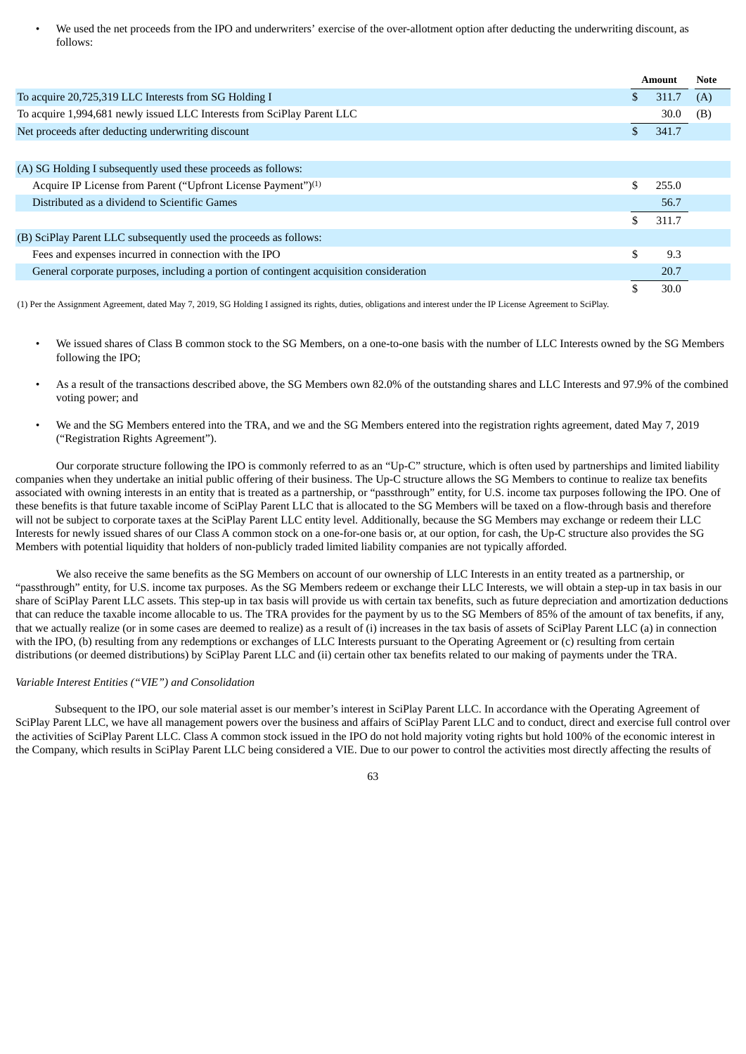• We used the net proceeds from the IPO and underwriters' exercise of the over-allotment option after deducting the underwriting discount, as follows:

|                                                                         | Amount | <b>Note</b> |
|-------------------------------------------------------------------------|--------|-------------|
| To acquire 20,725,319 LLC Interests from SG Holding I                   | 311.7  | (A)         |
| To acquire 1,994,681 newly issued LLC Interests from SciPlay Parent LLC | 30.0   | (B)         |
| Net proceeds after deducting underwriting discount                      | 341.7  |             |

| (A) SG Holding I subsequently used these proceeds as follows:                           |       |
|-----------------------------------------------------------------------------------------|-------|
| Acquire IP License from Parent ("Upfront License Payment") <sup>(1)</sup>               | 255.0 |
| Distributed as a dividend to Scientific Games                                           | 56.7  |
|                                                                                         | 311.7 |
| (B) SciPlay Parent LLC subsequently used the proceeds as follows:                       |       |
| Fees and expenses incurred in connection with the IPO                                   | 9.3   |
| General corporate purposes, including a portion of contingent acquisition consideration | 20.7  |
|                                                                                         | 30.0  |

(1) Per the Assignment Agreement, dated May 7, 2019, SG Holding I assigned its rights, duties, obligations and interest under the IP License Agreement to SciPlay.

- We issued shares of Class B common stock to the SG Members, on a one-to-one basis with the number of LLC Interests owned by the SG Members following the IPO;
- As a result of the transactions described above, the SG Members own 82.0% of the outstanding shares and LLC Interests and 97.9% of the combined voting power; and
- We and the SG Members entered into the TRA, and we and the SG Members entered into the registration rights agreement, dated May 7, 2019 ("Registration Rights Agreement").

Our corporate structure following the IPO is commonly referred to as an "Up-C" structure, which is often used by partnerships and limited liability companies when they undertake an initial public offering of their business. The Up-C structure allows the SG Members to continue to realize tax benefits associated with owning interests in an entity that is treated as a partnership, or "passthrough" entity, for U.S. income tax purposes following the IPO. One of these benefits is that future taxable income of SciPlay Parent LLC that is allocated to the SG Members will be taxed on a flow-through basis and therefore will not be subject to corporate taxes at the SciPlay Parent LLC entity level. Additionally, because the SG Members may exchange or redeem their LLC Interests for newly issued shares of our Class A common stock on a one-for-one basis or, at our option, for cash, the Up-C structure also provides the SG Members with potential liquidity that holders of non-publicly traded limited liability companies are not typically afforded.

We also receive the same benefits as the SG Members on account of our ownership of LLC Interests in an entity treated as a partnership, or "passthrough" entity, for U.S. income tax purposes. As the SG Members redeem or exchange their LLC Interests, we will obtain a step-up in tax basis in our share of SciPlay Parent LLC assets. This step-up in tax basis will provide us with certain tax benefits, such as future depreciation and amortization deductions that can reduce the taxable income allocable to us. The TRA provides for the payment by us to the SG Members of 85% of the amount of tax benefits, if any, that we actually realize (or in some cases are deemed to realize) as a result of (i) increases in the tax basis of assets of SciPlay Parent LLC (a) in connection with the IPO, (b) resulting from any redemptions or exchanges of LLC Interests pursuant to the Operating Agreement or (c) resulting from certain distributions (or deemed distributions) by SciPlay Parent LLC and (ii) certain other tax benefits related to our making of payments under the TRA.

## *Variable Interest Entities ("VIE") and Consolidation*

Subsequent to the IPO, our sole material asset is our member's interest in SciPlay Parent LLC. In accordance with the Operating Agreement of SciPlay Parent LLC, we have all management powers over the business and affairs of SciPlay Parent LLC and to conduct, direct and exercise full control over the activities of SciPlay Parent LLC. Class A common stock issued in the IPO do not hold majority voting rights but hold 100% of the economic interest in the Company, which results in SciPlay Parent LLC being considered a VIE. Due to our power to control the activities most directly affecting the results of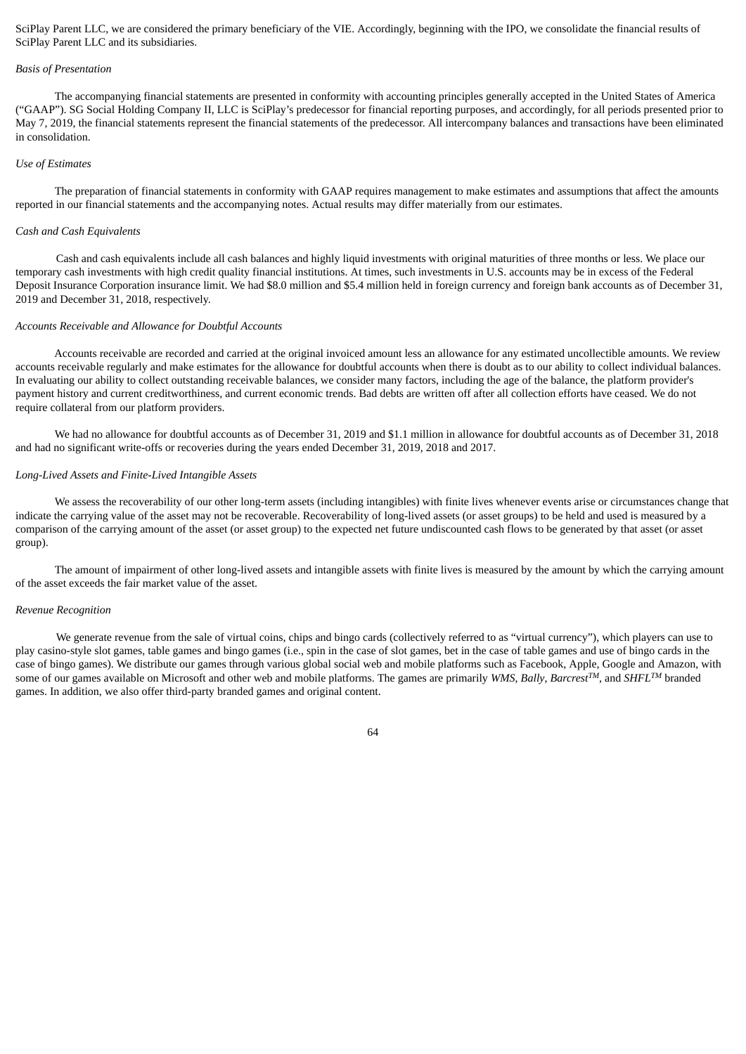SciPlay Parent LLC, we are considered the primary beneficiary of the VIE. Accordingly, beginning with the IPO, we consolidate the financial results of SciPlay Parent LLC and its subsidiaries.

#### *Basis of Presentation*

The accompanying financial statements are presented in conformity with accounting principles generally accepted in the United States of America ("GAAP"). SG Social Holding Company II, LLC is SciPlay's predecessor for financial reporting purposes, and accordingly, for all periods presented prior to May 7, 2019, the financial statements represent the financial statements of the predecessor. All intercompany balances and transactions have been eliminated in consolidation.

#### *Use of Estimates*

The preparation of financial statements in conformity with GAAP requires management to make estimates and assumptions that affect the amounts reported in our financial statements and the accompanying notes. Actual results may differ materially from our estimates.

## *Cash and Cash Equivalents*

Cash and cash equivalents include all cash balances and highly liquid investments with original maturities of three months or less. We place our temporary cash investments with high credit quality financial institutions. At times, such investments in U.S. accounts may be in excess of the Federal Deposit Insurance Corporation insurance limit. We had \$8.0 million and \$5.4 million held in foreign currency and foreign bank accounts as of December 31, 2019 and December 31, 2018, respectively.

## *Accounts Receivable and Allowance for Doubtful Accounts*

Accounts receivable are recorded and carried at the original invoiced amount less an allowance for any estimated uncollectible amounts. We review accounts receivable regularly and make estimates for the allowance for doubtful accounts when there is doubt as to our ability to collect individual balances. In evaluating our ability to collect outstanding receivable balances, we consider many factors, including the age of the balance, the platform provider's payment history and current creditworthiness, and current economic trends. Bad debts are written off after all collection efforts have ceased. We do not require collateral from our platform providers.

We had no allowance for doubtful accounts as of December 31, 2019 and \$1.1 million in allowance for doubtful accounts as of December 31, 2018 and had no significant write-offs or recoveries during the years ended December 31, 2019, 2018 and 2017.

## *Long-Lived Assets and Finite-Lived Intangible Assets*

We assess the recoverability of our other long-term assets (including intangibles) with finite lives whenever events arise or circumstances change that indicate the carrying value of the asset may not be recoverable. Recoverability of long-lived assets (or asset groups) to be held and used is measured by a comparison of the carrying amount of the asset (or asset group) to the expected net future undiscounted cash flows to be generated by that asset (or asset group).

The amount of impairment of other long-lived assets and intangible assets with finite lives is measured by the amount by which the carrying amount of the asset exceeds the fair market value of the asset.

#### *Revenue Recognition*

We generate revenue from the sale of virtual coins, chips and bingo cards (collectively referred to as "virtual currency"), which players can use to play casino‑style slot games, table games and bingo games (i.e., spin in the case of slot games, bet in the case of table games and use of bingo cards in the case of bingo games). We distribute our games through various global social web and mobile platforms such as Facebook, Apple, Google and Amazon, with some of our games available on Microsoft and other web and mobile platforms. The games are primarily *WMS*, *Bally*, *Barcrest TM*, and *SHFL TM* branded games. In addition, we also offer third-party branded games and original content.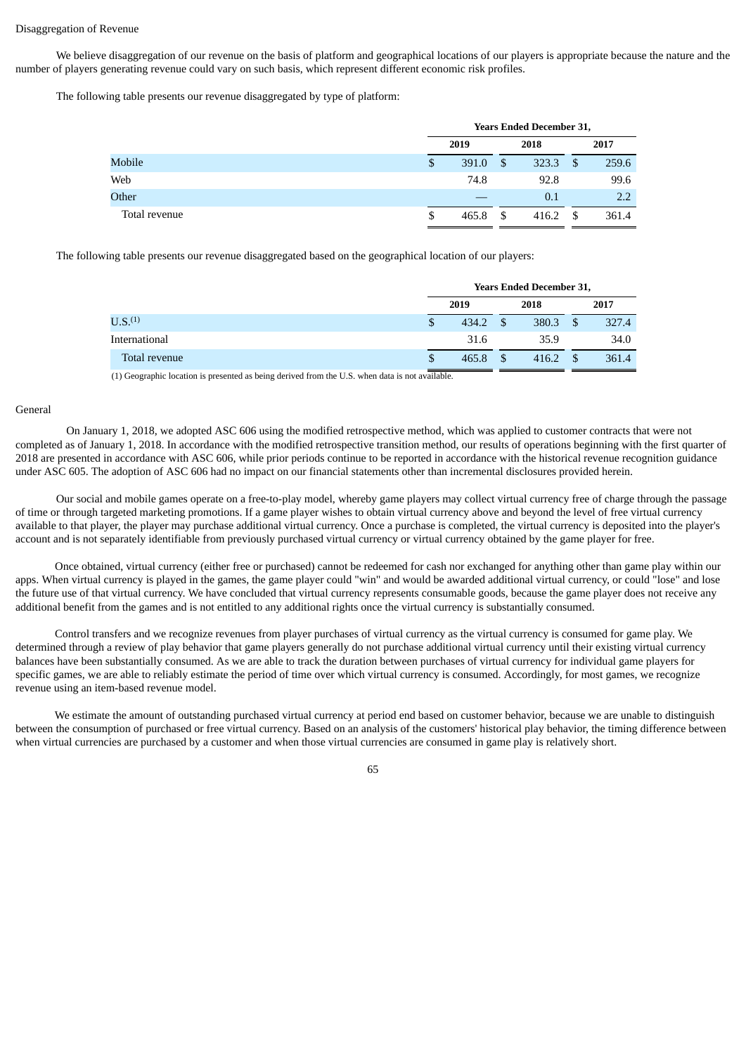# Disaggregation of Revenue

We believe disaggregation of our revenue on the basis of platform and geographical locations of our players is appropriate because the nature and the number of players generating revenue could vary on such basis, which represent different economic risk profiles.

The following table presents our revenue disaggregated by type of platform:

|               | <b>Years Ended December 31,</b> |       |    |       |     |       |  |  |  |
|---------------|---------------------------------|-------|----|-------|-----|-------|--|--|--|
|               |                                 | 2019  |    | 2018  |     | 2017  |  |  |  |
| Mobile        | \$                              | 391.0 | \$ | 323.3 | -\$ | 259.6 |  |  |  |
| Web           |                                 | 74.8  |    | 92.8  |     | 99.6  |  |  |  |
| Other         |                                 |       |    | 0.1   |     | 2.2   |  |  |  |
| Total revenue | \$                              | 465.8 | \$ | 416.2 | S   | 361.4 |  |  |  |

The following table presents our revenue disaggregated based on the geographical location of our players:

|                     | <b>Years Ended December 31,</b> |   |       |      |       |  |  |  |
|---------------------|---------------------------------|---|-------|------|-------|--|--|--|
|                     | 2019                            |   | 2018  | 2017 |       |  |  |  |
| U.S. <sup>(1)</sup> | \$<br>434.2                     | S | 380.3 | - \$ | 327.4 |  |  |  |
| International       | 31.6                            |   | 35.9  |      | 34.0  |  |  |  |
| Total revenue       | \$<br>465.8                     |   | 416.2 | -\$  | 361.4 |  |  |  |

(1) Geographic location is presented as being derived from the U.S. when data is not available.

## General

On January 1, 2018, we adopted ASC 606 using the modified retrospective method, which was applied to customer contracts that were not completed as of January 1, 2018. In accordance with the modified retrospective transition method, our results of operations beginning with the first quarter of 2018 are presented in accordance with ASC 606, while prior periods continue to be reported in accordance with the historical revenue recognition guidance under ASC 605. The adoption of ASC 606 had no impact on our financial statements other than incremental disclosures provided herein.

Our social and mobile games operate on a free-to-play model, whereby game players may collect virtual currency free of charge through the passage of time or through targeted marketing promotions. If a game player wishes to obtain virtual currency above and beyond the level of free virtual currency available to that player, the player may purchase additional virtual currency. Once a purchase is completed, the virtual currency is deposited into the player's account and is not separately identifiable from previously purchased virtual currency or virtual currency obtained by the game player for free.

Once obtained, virtual currency (either free or purchased) cannot be redeemed for cash nor exchanged for anything other than game play within our apps. When virtual currency is played in the games, the game player could "win" and would be awarded additional virtual currency, or could "lose" and lose the future use of that virtual currency. We have concluded that virtual currency represents consumable goods, because the game player does not receive any additional benefit from the games and is not entitled to any additional rights once the virtual currency is substantially consumed.

Control transfers and we recognize revenues from player purchases of virtual currency as the virtual currency is consumed for game play. We determined through a review of play behavior that game players generally do not purchase additional virtual currency until their existing virtual currency balances have been substantially consumed. As we are able to track the duration between purchases of virtual currency for individual game players for specific games, we are able to reliably estimate the period of time over which virtual currency is consumed. Accordingly, for most games, we recognize revenue using an item-based revenue model.

We estimate the amount of outstanding purchased virtual currency at period end based on customer behavior, because we are unable to distinguish between the consumption of purchased or free virtual currency. Based on an analysis of the customers' historical play behavior, the timing difference between when virtual currencies are purchased by a customer and when those virtual currencies are consumed in game play is relatively short.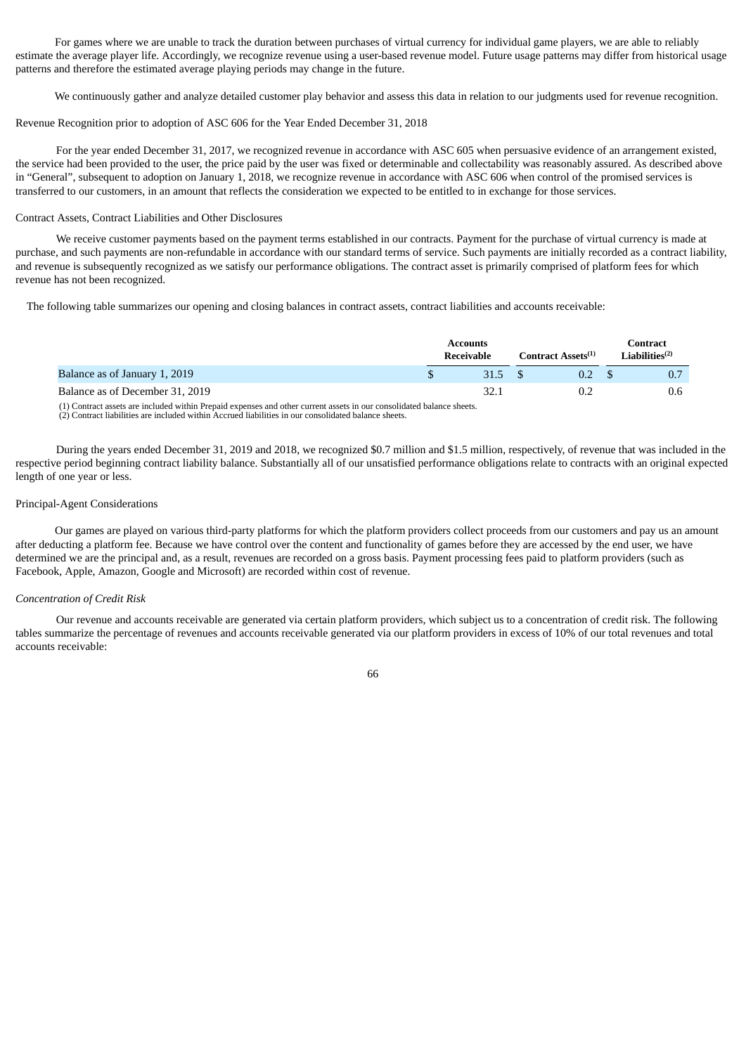For games where we are unable to track the duration between purchases of virtual currency for individual game players, we are able to reliably estimate the average player life. Accordingly, we recognize revenue using a user-based revenue model. Future usage patterns may differ from historical usage patterns and therefore the estimated average playing periods may change in the future.

We continuously gather and analyze detailed customer play behavior and assess this data in relation to our judgments used for revenue recognition.

Revenue Recognition prior to adoption of ASC 606 for the Year Ended December 31, 2018

For the year ended December 31, 2017, we recognized revenue in accordance with ASC 605 when persuasive evidence of an arrangement existed, the service had been provided to the user, the price paid by the user was fixed or determinable and collectability was reasonably assured. As described above in "General", subsequent to adoption on January 1, 2018, we recognize revenue in accordance with ASC 606 when control of the promised services is transferred to our customers, in an amount that reflects the consideration we expected to be entitled to in exchange for those services.

### Contract Assets, Contract Liabilities and Other Disclosures

We receive customer payments based on the payment terms established in our contracts. Payment for the purchase of virtual currency is made at purchase, and such payments are non-refundable in accordance with our standard terms of service. Such payments are initially recorded as a contract liability, and revenue is subsequently recognized as we satisfy our performance obligations. The contract asset is primarily comprised of platform fees for which revenue has not been recognized.

The following table summarizes our opening and closing balances in contract assets, contract liabilities and accounts receivable:

|                                 | <b>Accounts</b><br>Receivable | Contract Assets <sup>(1)</sup> | <b>Contract</b><br>Liabilities $(2)$ |
|---------------------------------|-------------------------------|--------------------------------|--------------------------------------|
| Balance as of January 1, 2019   | 31.5                          | 0.2                            |                                      |
| Balance as of December 31, 2019 |                               | 0.2                            | 0.6                                  |

(1) Contract assets are included within Prepaid expenses and other current assets in our consolidated balance sheets. (2) Contract liabilities are included within Accrued liabilities in our consolidated balance sheets.

During the years ended December 31, 2019 and 2018, we recognized \$0.7 million and \$1.5 million, respectively, of revenue that was included in the respective period beginning contract liability balance. Substantially all of our unsatisfied performance obligations relate to contracts with an original expected length of one year or less.

### Principal-Agent Considerations

Our games are played on various third-party platforms for which the platform providers collect proceeds from our customers and pay us an amount after deducting a platform fee. Because we have control over the content and functionality of games before they are accessed by the end user, we have determined we are the principal and, as a result, revenues are recorded on a gross basis. Payment processing fees paid to platform providers (such as Facebook, Apple, Amazon, Google and Microsoft) are recorded within cost of revenue.

### *Concentration of Credit Risk*

Our revenue and accounts receivable are generated via certain platform providers, which subject us to a concentration of credit risk. The following tables summarize the percentage of revenues and accounts receivable generated via our platform providers in excess of 10% of our total revenues and total accounts receivable: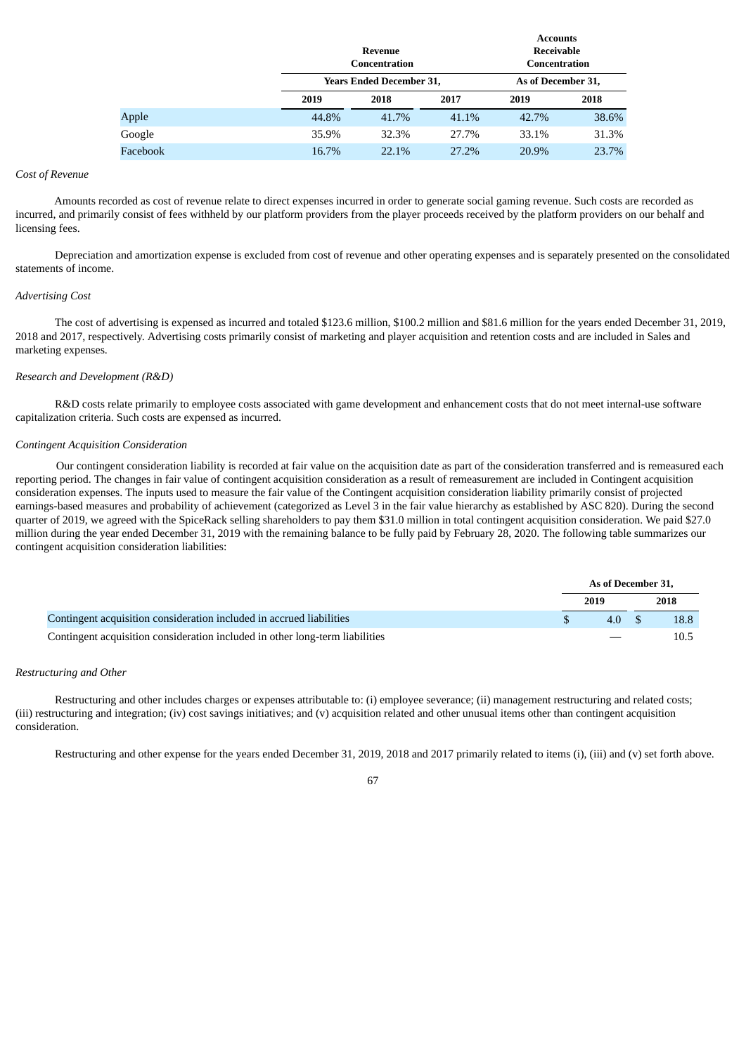|          |       | <b>Revenue</b><br>Concentration |       | <b>Accounts</b><br>Receivable<br>Concentration |                    |
|----------|-------|---------------------------------|-------|------------------------------------------------|--------------------|
|          |       | <b>Years Ended December 31,</b> |       |                                                | As of December 31, |
|          | 2019  | 2018                            | 2017  | 2019                                           | 2018               |
| Apple    | 44.8% | 41.7%                           | 41.1% | 42.7%                                          | 38.6%              |
| Google   | 35.9% | 32.3%                           | 27.7% | 33.1%                                          | 31.3%              |
| Facebook | 16.7% | 22.1%                           | 27.2% | 20.9%                                          | 23.7%              |

## *Cost of Revenue*

Amounts recorded as cost of revenue relate to direct expenses incurred in order to generate social gaming revenue. Such costs are recorded as incurred, and primarily consist of fees withheld by our platform providers from the player proceeds received by the platform providers on our behalf and licensing fees.

Depreciation and amortization expense is excluded from cost of revenue and other operating expenses and is separately presented on the consolidated statements of income.

## *Advertising Cost*

The cost of advertising is expensed as incurred and totaled \$123.6 million, \$100.2 million and \$81.6 million for the years ended December 31, 2019, 2018 and 2017, respectively. Advertising costs primarily consist of marketing and player acquisition and retention costs and are included in Sales and marketing expenses.

### *Research and Development (R&D)*

R&D costs relate primarily to employee costs associated with game development and enhancement costs that do not meet internal-use software capitalization criteria. Such costs are expensed as incurred.

#### *Contingent Acquisition Consideration*

Our contingent consideration liability is recorded at fair value on the acquisition date as part of the consideration transferred and is remeasured each reporting period. The changes in fair value of contingent acquisition consideration as a result of remeasurement are included in Contingent acquisition consideration expenses. The inputs used to measure the fair value of the Contingent acquisition consideration liability primarily consist of projected earnings‑based measures and probability of achievement (categorized as Level 3 in the fair value hierarchy as established by ASC 820). During the second quarter of 2019, we agreed with the SpiceRack selling shareholders to pay them \$31.0 million in total contingent acquisition consideration. We paid \$27.0 million during the year ended December 31, 2019 with the remaining balance to be fully paid by February 28, 2020. The following table summarizes our contingent acquisition consideration liabilities:

|                                                                              | As of December 31. |  |      |  |
|------------------------------------------------------------------------------|--------------------|--|------|--|
|                                                                              | 2019               |  | 2018 |  |
| Contingent acquisition consideration included in accrued liabilities         | $4.0 \quad$ \$     |  | 18.8 |  |
| Contingent acquisition consideration included in other long-term liabilities |                    |  | 10.5 |  |

#### *Restructuring and Other*

Restructuring and other includes charges or expenses attributable to: (i) employee severance; (ii) management restructuring and related costs; (iii) restructuring and integration; (iv) cost savings initiatives; and (v) acquisition related and other unusual items other than contingent acquisition consideration.

Restructuring and other expense for the years ended December 31, 2019, 2018 and 2017 primarily related to items (i), (iii) and (v) set forth above.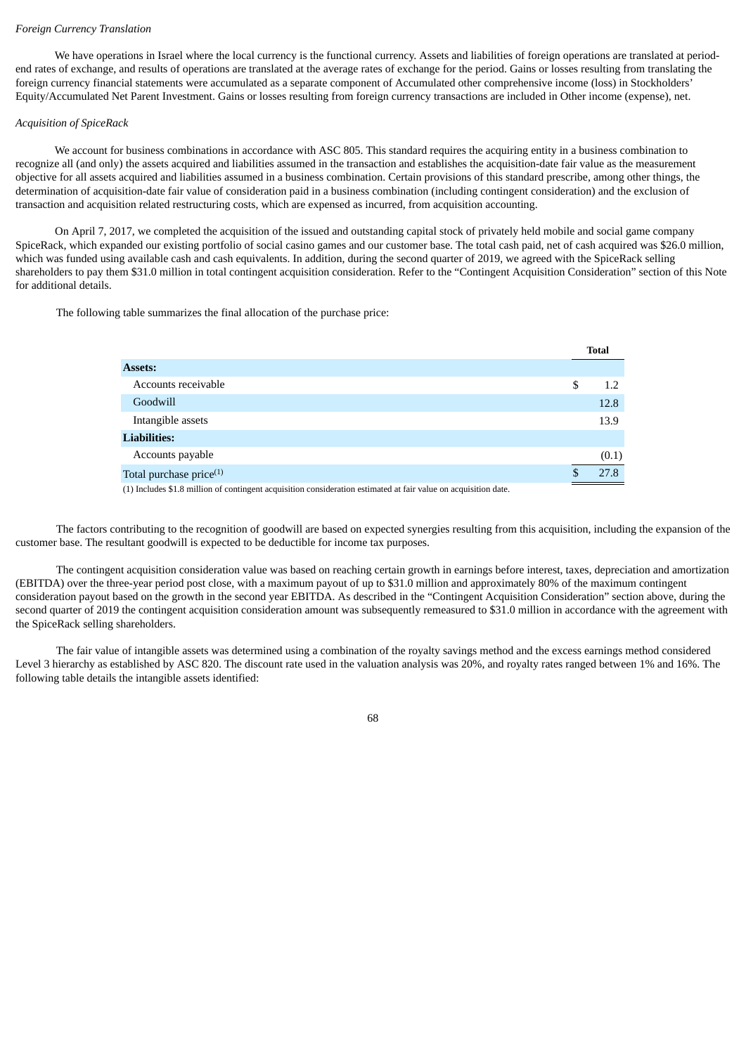## *Foreign Currency Translation*

We have operations in Israel where the local currency is the functional currency. Assets and liabilities of foreign operations are translated at periodend rates of exchange, and results of operations are translated at the average rates of exchange for the period. Gains or losses resulting from translating the foreign currency financial statements were accumulated as a separate component of Accumulated other comprehensive income (loss) in Stockholders' Equity/Accumulated Net Parent Investment. Gains or losses resulting from foreign currency transactions are included in Other income (expense), net.

## *Acquisition of SpiceRack*

We account for business combinations in accordance with ASC 805. This standard requires the acquiring entity in a business combination to recognize all (and only) the assets acquired and liabilities assumed in the transaction and establishes the acquisition-date fair value as the measurement objective for all assets acquired and liabilities assumed in a business combination. Certain provisions of this standard prescribe, among other things, the determination of acquisition-date fair value of consideration paid in a business combination (including contingent consideration) and the exclusion of transaction and acquisition related restructuring costs, which are expensed as incurred, from acquisition accounting.

On April 7, 2017, we completed the acquisition of the issued and outstanding capital stock of privately held mobile and social game company SpiceRack, which expanded our existing portfolio of social casino games and our customer base. The total cash paid, net of cash acquired was \$26.0 million, which was funded using available cash and cash equivalents. In addition, during the second quarter of 2019, we agreed with the SpiceRack selling shareholders to pay them \$31.0 million in total contingent acquisition consideration. Refer to the "Contingent Acquisition Consideration" section of this Note for additional details.

The following table summarizes the final allocation of the purchase price:

|                                                                                                                 | <b>Total</b> |
|-----------------------------------------------------------------------------------------------------------------|--------------|
| Assets:                                                                                                         |              |
| Accounts receivable                                                                                             | \$<br>1.2    |
| Goodwill                                                                                                        | 12.8         |
| Intangible assets                                                                                               | 13.9         |
| <b>Liabilities:</b>                                                                                             |              |
| Accounts payable                                                                                                | (0.1)        |
| Total purchase price <sup>(1)</sup>                                                                             | 27.8         |
| the contract of the contract of the contract of the contract of the contract of the contract of the contract of |              |

(1) Includes \$1.8 million of contingent acquisition consideration estimated at fair value on acquisition date.

The factors contributing to the recognition of goodwill are based on expected synergies resulting from this acquisition, including the expansion of the customer base. The resultant goodwill is expected to be deductible for income tax purposes.

The contingent acquisition consideration value was based on reaching certain growth in earnings before interest, taxes, depreciation and amortization (EBITDA) over the three-year period post close, with a maximum payout of up to \$31.0 million and approximately 80% of the maximum contingent consideration payout based on the growth in the second year EBITDA. As described in the "Contingent Acquisition Consideration" section above, during the second quarter of 2019 the contingent acquisition consideration amount was subsequently remeasured to \$31.0 million in accordance with the agreement with the SpiceRack selling shareholders.

The fair value of intangible assets was determined using a combination of the royalty savings method and the excess earnings method considered Level 3 hierarchy as established by ASC 820. The discount rate used in the valuation analysis was 20%, and royalty rates ranged between 1% and 16%. The following table details the intangible assets identified: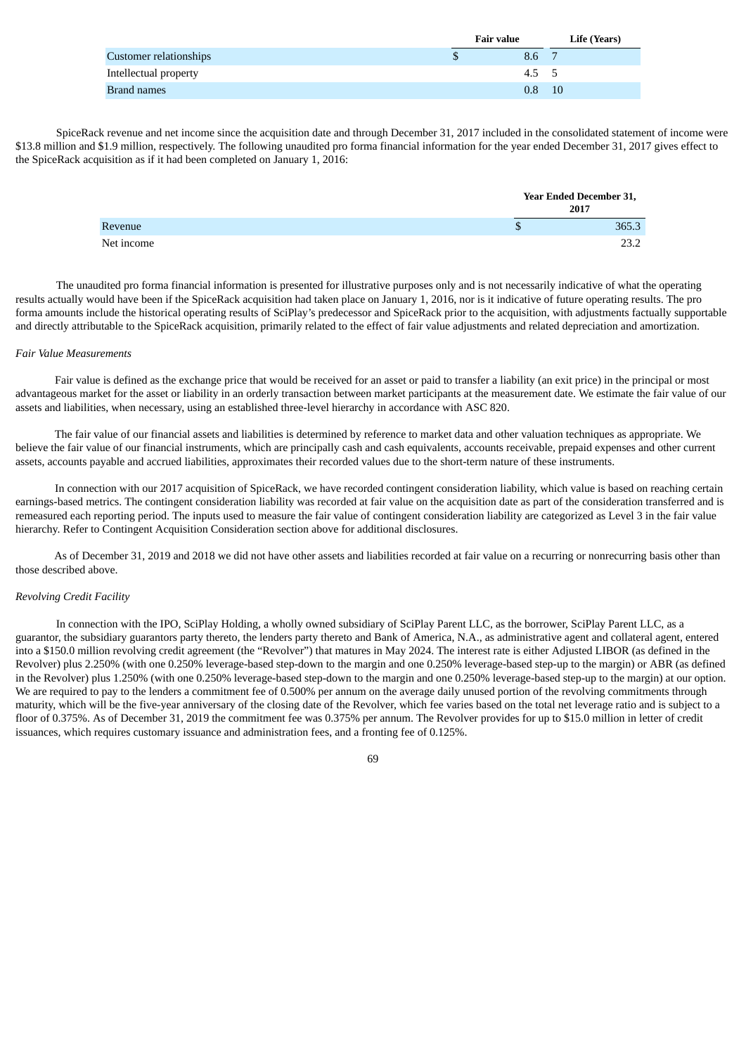|                        | <b>Fair value</b> |       | Life (Years) |
|------------------------|-------------------|-------|--------------|
| Customer relationships |                   | 8.6   |              |
| Intellectual property  |                   | 4.5 5 |              |
| Brand names            |                   | 0.8   | 10           |

SpiceRack revenue and net income since the acquisition date and through December 31, 2017 included in the consolidated statement of income were \$13.8 million and \$1.9 million, respectively. The following unaudited pro forma financial information for the year ended December 31, 2017 gives effect to the SpiceRack acquisition as if it had been completed on January 1, 2016:

|            |   | <b>Year Ended December 31,</b><br>2017 |
|------------|---|----------------------------------------|
| Revenue    | Ъ | 365.3                                  |
| Net income |   | 23.2                                   |

The unaudited pro forma financial information is presented for illustrative purposes only and is not necessarily indicative of what the operating results actually would have been if the SpiceRack acquisition had taken place on January 1, 2016, nor is it indicative of future operating results. The pro forma amounts include the historical operating results of SciPlay's predecessor and SpiceRack prior to the acquisition, with adjustments factually supportable and directly attributable to the SpiceRack acquisition, primarily related to the effect of fair value adjustments and related depreciation and amortization.

#### *Fair Value Measurements*

Fair value is defined as the exchange price that would be received for an asset or paid to transfer a liability (an exit price) in the principal or most advantageous market for the asset or liability in an orderly transaction between market participants at the measurement date. We estimate the fair value of our assets and liabilities, when necessary, using an established three-level hierarchy in accordance with ASC 820.

The fair value of our financial assets and liabilities is determined by reference to market data and other valuation techniques as appropriate. We believe the fair value of our financial instruments, which are principally cash and cash equivalents, accounts receivable, prepaid expenses and other current assets, accounts payable and accrued liabilities, approximates their recorded values due to the short-term nature of these instruments.

In connection with our 2017 acquisition of SpiceRack, we have recorded contingent consideration liability, which value is based on reaching certain earnings-based metrics. The contingent consideration liability was recorded at fair value on the acquisition date as part of the consideration transferred and is remeasured each reporting period. The inputs used to measure the fair value of contingent consideration liability are categorized as Level 3 in the fair value hierarchy. Refer to Contingent Acquisition Consideration section above for additional disclosures.

As of December 31, 2019 and 2018 we did not have other assets and liabilities recorded at fair value on a recurring or nonrecurring basis other than those described above.

#### *Revolving Credit Facility*

In connection with the IPO, SciPlay Holding, a wholly owned subsidiary of SciPlay Parent LLC, as the borrower, SciPlay Parent LLC, as a guarantor, the subsidiary guarantors party thereto, the lenders party thereto and Bank of America, N.A., as administrative agent and collateral agent, entered into a \$150.0 million revolving credit agreement (the "Revolver") that matures in May 2024. The interest rate is either Adjusted LIBOR (as defined in the Revolver) plus 2.250% (with one 0.250% leverage-based step-down to the margin and one 0.250% leverage-based step-up to the margin) or ABR (as defined in the Revolver) plus 1.250% (with one 0.250% leverage-based step-down to the margin and one 0.250% leverage-based step-up to the margin) at our option. We are required to pay to the lenders a commitment fee of 0.500% per annum on the average daily unused portion of the revolving commitments through maturity, which will be the five-year anniversary of the closing date of the Revolver, which fee varies based on the total net leverage ratio and is subject to a floor of 0.375%. As of December 31, 2019 the commitment fee was 0.375% per annum. The Revolver provides for up to \$15.0 million in letter of credit issuances, which requires customary issuance and administration fees, and a fronting fee of 0.125%.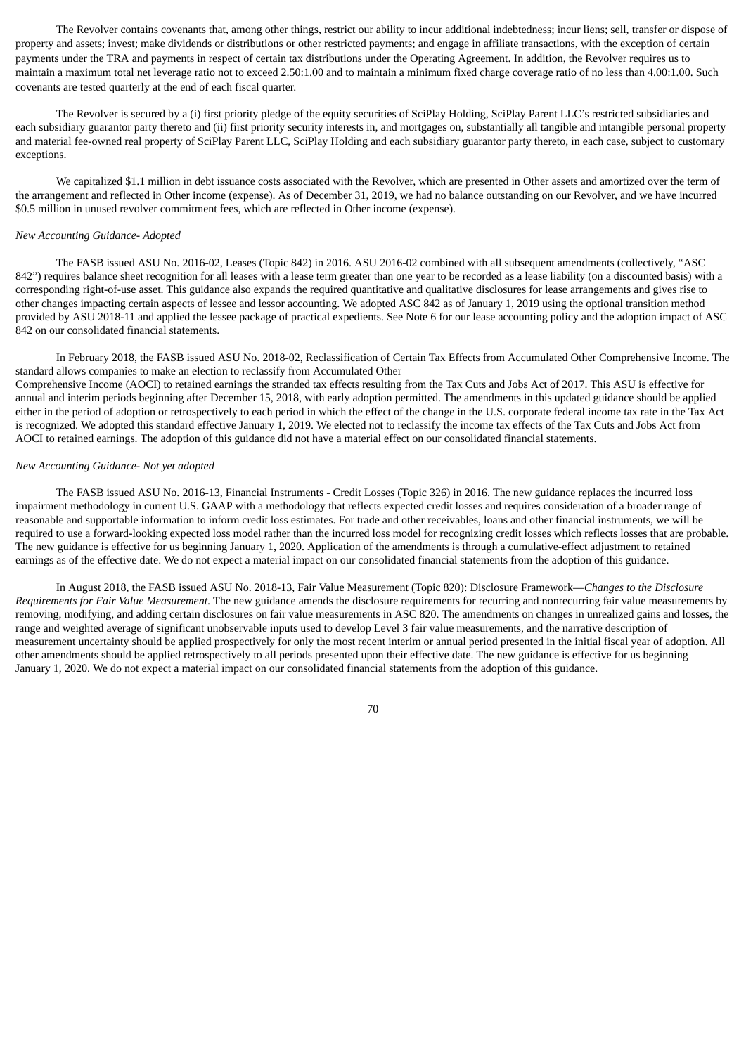The Revolver contains covenants that, among other things, restrict our ability to incur additional indebtedness; incur liens; sell, transfer or dispose of property and assets; invest; make dividends or distributions or other restricted payments; and engage in affiliate transactions, with the exception of certain payments under the TRA and payments in respect of certain tax distributions under the Operating Agreement. In addition, the Revolver requires us to maintain a maximum total net leverage ratio not to exceed 2.50:1.00 and to maintain a minimum fixed charge coverage ratio of no less than 4.00:1.00. Such covenants are tested quarterly at the end of each fiscal quarter.

The Revolver is secured by a (i) first priority pledge of the equity securities of SciPlay Holding, SciPlay Parent LLC's restricted subsidiaries and each subsidiary guarantor party thereto and (ii) first priority security interests in, and mortgages on, substantially all tangible and intangible personal property and material fee-owned real property of SciPlay Parent LLC, SciPlay Holding and each subsidiary guarantor party thereto, in each case, subject to customary exceptions.

We capitalized \$1.1 million in debt issuance costs associated with the Revolver, which are presented in Other assets and amortized over the term of the arrangement and reflected in Other income (expense). As of December 31, 2019, we had no balance outstanding on our Revolver, and we have incurred \$0.5 million in unused revolver commitment fees, which are reflected in Other income (expense).

#### *New Accounting Guidance‑ Adopted*

The FASB issued ASU No. 2016-02, Leases (Topic 842) in 2016. ASU 2016-02 combined with all subsequent amendments (collectively, "ASC 842") requires balance sheet recognition for all leases with a lease term greater than one year to be recorded as a lease liability (on a discounted basis) with a corresponding right-of-use asset. This guidance also expands the required quantitative and qualitative disclosures for lease arrangements and gives rise to other changes impacting certain aspects of lessee and lessor accounting. We adopted ASC 842 as of January 1, 2019 using the optional transition method provided by ASU 2018-11 and applied the lessee package of practical expedients. See Note 6 for our lease accounting policy and the adoption impact of ASC 842 on our consolidated financial statements.

In February 2018, the FASB issued ASU No. 2018-02, Reclassification of Certain Tax Effects from Accumulated Other Comprehensive Income. The standard allows companies to make an election to reclassify from Accumulated Other Comprehensive Income (AOCI) to retained earnings the stranded tax effects resulting from the Tax Cuts and Jobs Act of 2017. This ASU is effective for annual and interim periods beginning after December 15, 2018, with early adoption permitted. The amendments in this updated guidance should be applied

either in the period of adoption or retrospectively to each period in which the effect of the change in the U.S. corporate federal income tax rate in the Tax Act is recognized. We adopted this standard effective January 1, 2019. We elected not to reclassify the income tax effects of the Tax Cuts and Jobs Act from AOCI to retained earnings. The adoption of this guidance did not have a material effect on our consolidated financial statements.

#### *New Accounting Guidance‑ Not yet adopted*

The FASB issued ASU No. 2016-13, Financial Instruments - Credit Losses (Topic 326) in 2016. The new guidance replaces the incurred loss impairment methodology in current U.S. GAAP with a methodology that reflects expected credit losses and requires consideration of a broader range of reasonable and supportable information to inform credit loss estimates. For trade and other receivables, loans and other financial instruments, we will be required to use a forward-looking expected loss model rather than the incurred loss model for recognizing credit losses which reflects losses that are probable. The new guidance is effective for us beginning January 1, 2020. Application of the amendments is through a cumulative-effect adjustment to retained earnings as of the effective date. We do not expect a material impact on our consolidated financial statements from the adoption of this guidance.

In August 2018, the FASB issued ASU No. 2018-13, Fair Value Measurement (Topic 820): Disclosure Framework—*Changes to the Disclosure Requirements for Fair Value Measurement*. The new guidance amends the disclosure requirements for recurring and nonrecurring fair value measurements by removing, modifying, and adding certain disclosures on fair value measurements in ASC 820. The amendments on changes in unrealized gains and losses, the range and weighted average of significant unobservable inputs used to develop Level 3 fair value measurements, and the narrative description of measurement uncertainty should be applied prospectively for only the most recent interim or annual period presented in the initial fiscal year of adoption. All other amendments should be applied retrospectively to all periods presented upon their effective date. The new guidance is effective for us beginning January 1, 2020. We do not expect a material impact on our consolidated financial statements from the adoption of this guidance.

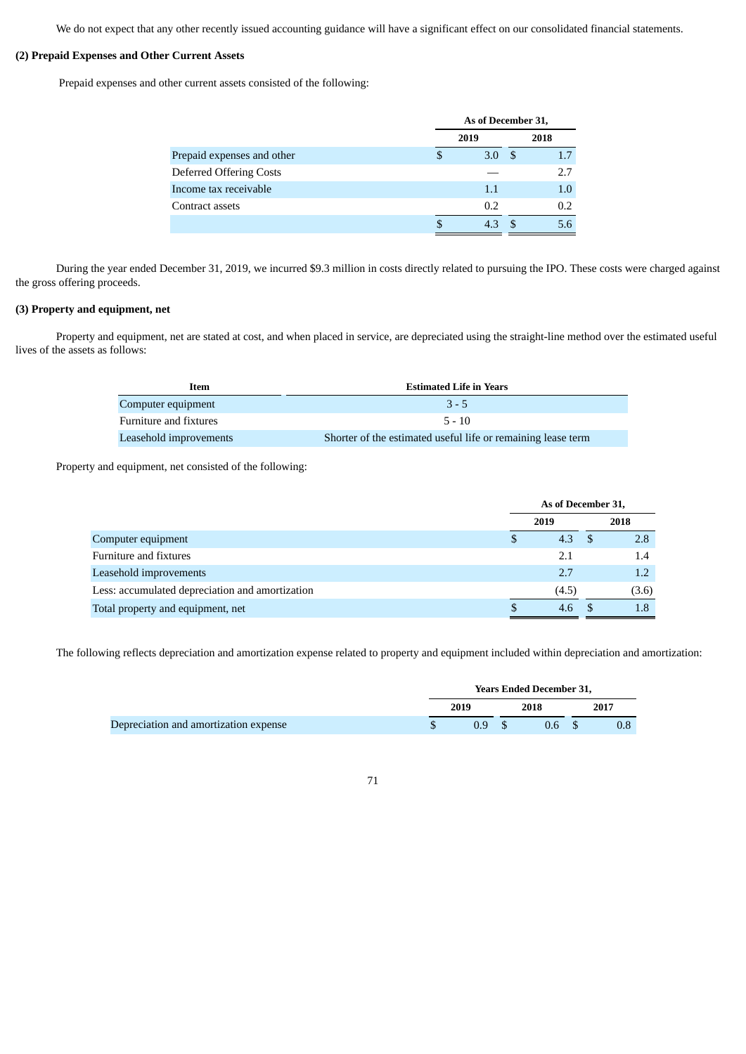We do not expect that any other recently issued accounting guidance will have a significant effect on our consolidated financial statements.

## **(2) Prepaid Expenses and Other Current Assets**

Prepaid expenses and other current assets consisted of the following:

|                                | As of December 31, |      |   |     |  |  |
|--------------------------------|--------------------|------|---|-----|--|--|
|                                | 2019               | 2018 |   |     |  |  |
| Prepaid expenses and other     | S                  | 3.0  | S | 1.7 |  |  |
| <b>Deferred Offering Costs</b> |                    |      |   | 2.7 |  |  |
| Income tax receivable          |                    | 1.1  |   | 1.0 |  |  |
| Contract assets                |                    | 0.2  |   | 0.2 |  |  |
|                                |                    |      |   | 5.6 |  |  |

During the year ended December 31, 2019, we incurred \$9.3 million in costs directly related to pursuing the IPO. These costs were charged against the gross offering proceeds.

# **(3) Property and equipment, net**

Property and equipment, net are stated at cost, and when placed in service, are depreciated using the straight-line method over the estimated useful lives of the assets as follows:

| Item                   | <b>Estimated Life in Years</b>                               |
|------------------------|--------------------------------------------------------------|
| Computer equipment     | $-3-5$                                                       |
| Furniture and fixtures | $5 - 10$                                                     |
| Leasehold improvements | Shorter of the estimated useful life or remaining lease term |

Property and equipment, net consisted of the following:

|                                                 | As of December 31, |       |     |       |  |
|-------------------------------------------------|--------------------|-------|-----|-------|--|
|                                                 |                    | 2019  |     | 2018  |  |
| Computer equipment                              | \$                 | 4.3   | - S | 2.8   |  |
| Furniture and fixtures                          |                    | 2.1   |     | 1.4   |  |
| Leasehold improvements                          |                    | 2.7   |     | 1.2   |  |
| Less: accumulated depreciation and amortization |                    | (4.5) |     | (3.6) |  |
| Total property and equipment, net               | \$                 | 4.6   |     | 1.8   |  |

The following reflects depreciation and amortization expense related to property and equipment included within depreciation and amortization:

|                                       | <b>Years Ended December 31,</b> |                  |  |                  |      |         |  |
|---------------------------------------|---------------------------------|------------------|--|------------------|------|---------|--|
|                                       | 2019<br>2018                    |                  |  |                  | 2017 |         |  |
| Depreciation and amortization expense |                                 | 0.9 <sup>°</sup> |  | 0.6 <sub>5</sub> |      | $0.8\,$ |  |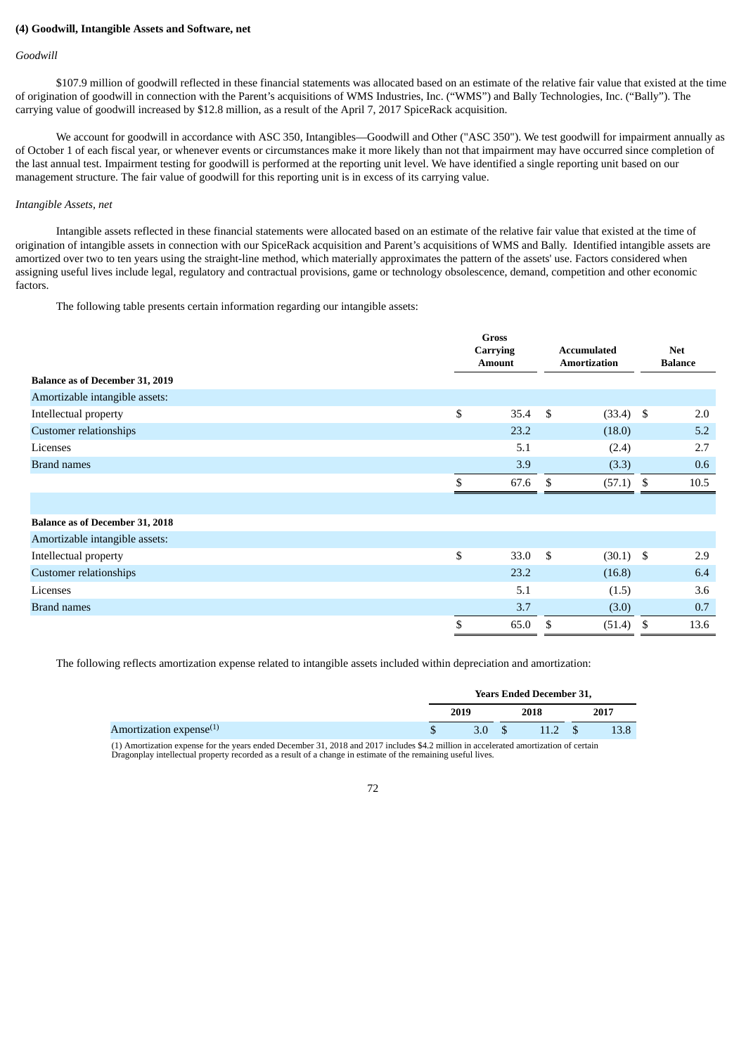#### **(4) Goodwill, Intangible Assets and Software, net**

#### *Goodwill*

\$107.9 million of goodwill reflected in these financial statements was allocated based on an estimate of the relative fair value that existed at the time of origination of goodwill in connection with the Parent's acquisitions of WMS Industries, Inc. ("WMS") and Bally Technologies, Inc. ("Bally"). The carrying value of goodwill increased by \$12.8 million, as a result of the April 7, 2017 SpiceRack acquisition.

We account for goodwill in accordance with ASC 350, Intangibles—Goodwill and Other ("ASC 350"). We test goodwill for impairment annually as of October 1 of each fiscal year, or whenever events or circumstances make it more likely than not that impairment may have occurred since completion of the last annual test. Impairment testing for goodwill is performed at the reporting unit level. We have identified a single reporting unit based on our management structure. The fair value of goodwill for this reporting unit is in excess of its carrying value.

## *Intangible Assets, net*

Intangible assets reflected in these financial statements were allocated based on an estimate of the relative fair value that existed at the time of origination of intangible assets in connection with our SpiceRack acquisition and Parent's acquisitions of WMS and Bally. Identified intangible assets are amortized over two to ten years using the straight-line method, which materially approximates the pattern of the assets' use. Factors considered when assigning useful lives include legal, regulatory and contractual provisions, game or technology obsolescence, demand, competition and other economic factors.

The following table presents certain information regarding our intangible assets:

|                                        |               | Gross<br><b>Carrying</b><br><b>Amount</b> |    | <b>Accumulated</b><br><b>Amortization</b> |    | <b>Net</b>     |
|----------------------------------------|---------------|-------------------------------------------|----|-------------------------------------------|----|----------------|
|                                        |               |                                           |    |                                           |    | <b>Balance</b> |
| <b>Balance as of December 31, 2019</b> |               |                                           |    |                                           |    |                |
| Amortizable intangible assets:         |               |                                           |    |                                           |    |                |
| Intellectual property                  | \$            | 35.4                                      | \$ | $(33.4)$ \$                               |    | 2.0            |
| <b>Customer relationships</b>          |               | 23.2                                      |    | (18.0)                                    |    | 5.2            |
| Licenses                               |               | 5.1                                       |    | (2.4)                                     |    | 2.7            |
| <b>Brand names</b>                     |               | 3.9                                       |    | (3.3)                                     |    | 0.6            |
|                                        | $\mathcal{S}$ | 67.6                                      | \$ | $(57.1)$ \$                               |    | 10.5           |
|                                        |               |                                           |    |                                           |    |                |
| <b>Balance as of December 31, 2018</b> |               |                                           |    |                                           |    |                |
| Amortizable intangible assets:         |               |                                           |    |                                           |    |                |
| Intellectual property                  | \$            | 33.0                                      | \$ | $(30.1)$ \$                               |    | 2.9            |
| <b>Customer relationships</b>          |               | 23.2                                      |    | (16.8)                                    |    | 6.4            |
| Licenses                               |               | 5.1                                       |    | (1.5)                                     |    | 3.6            |
| <b>Brand names</b>                     |               | 3.7                                       |    | (3.0)                                     |    | 0.7            |
|                                        | $\mathbb{S}$  | 65.0                                      | \$ | (51.4)                                    | \$ | 13.6           |

The following reflects amortization expense related to intangible assets included within depreciation and amortization:

|                                                                                                                                                                                                                                                                                                         | <b>Years Ended December 31,</b> |  |           |  |      |  |
|---------------------------------------------------------------------------------------------------------------------------------------------------------------------------------------------------------------------------------------------------------------------------------------------------------|---------------------------------|--|-----------|--|------|--|
|                                                                                                                                                                                                                                                                                                         | 2019                            |  | 2018      |  | 2017 |  |
| Amortization expense $(1)$                                                                                                                                                                                                                                                                              | 3.0 S                           |  | $11.2$ \$ |  | 13.8 |  |
| $\mathcal{A} \setminus \mathbf{A}$ , and the contract $\mathbf{A}$ and $\mathbf{A}$ and $\mathbf{A}$ and $\mathbf{A}$ and $\mathbf{A}$ and $\mathbf{A}$ and $\mathbf{A}$ and $\mathbf{A}$ and $\mathbf{A}$ and $\mathbf{A}$ and $\mathbf{A}$ and $\mathbf{A}$ and $\mathbf{A}$ and $\mathbf{A}$ and $\$ |                                 |  |           |  |      |  |

(1) Amortization expense for the years ended December 31, 2018 and 2017 includes \$4.2 million in accelerated amortization of certain Dragonplay intellectual property recorded as a result of a change in estimate of the remaining useful lives.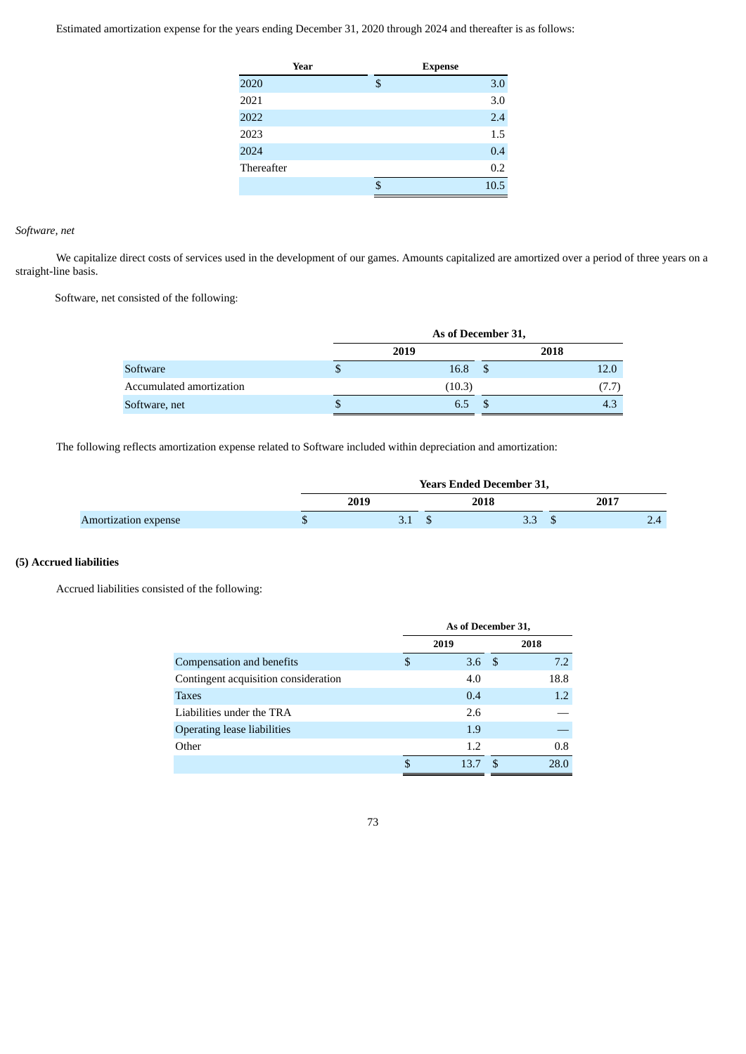Estimated amortization expense for the years ending December 31, 2020 through 2024 and thereafter is as follows:

| Year       | <b>Expense</b> |      |
|------------|----------------|------|
| 2020       | \$             | 3.0  |
| 2021       |                | 3.0  |
| 2022       |                | 2.4  |
| 2023       |                | 1.5  |
| 2024       |                | 0.4  |
| Thereafter |                | 0.2  |
|            | \$             | 10.5 |

### *Software, net*

We capitalize direct costs of services used in the development of our games. Amounts capitalized are amortized over a period of three years on a straight-line basis.

Software, net consisted of the following:

|                          |   | As of December 31, |      |      |       |  |  |
|--------------------------|---|--------------------|------|------|-------|--|--|
|                          |   | 2019               |      | 2018 |       |  |  |
| Software                 | Ф | 16.8               | - \$ |      | 12.0  |  |  |
| Accumulated amortization |   | (10.3)             |      |      | (7.7) |  |  |
| Software, net            | Ф | 6.5                |      |      | 4.3   |  |  |

The following reflects amortization expense related to Software included within depreciation and amortization:

|                             | <b>Years Ended December 31,</b> |       |      |     |      |  |  |
|-----------------------------|---------------------------------|-------|------|-----|------|--|--|
|                             | 2019                            |       | 2018 |     | 2017 |  |  |
| <b>Amortization expense</b> |                                 | ا د ب |      | כ.כ | Φ    |  |  |

## **(5) Accrued liabilities**

Accrued liabilities consisted of the following:

|                                      | As of December 31, |      |      |  |  |  |
|--------------------------------------|--------------------|------|------|--|--|--|
|                                      | 2019               |      | 2018 |  |  |  |
| Compensation and benefits            | \$<br>3.6          | - \$ | 7.2  |  |  |  |
| Contingent acquisition consideration | 4.0                |      | 18.8 |  |  |  |
| <b>Taxes</b>                         | 0.4                |      | 1.2  |  |  |  |
| Liabilities under the TRA            | 2.6                |      |      |  |  |  |
| Operating lease liabilities          | 1.9                |      |      |  |  |  |
| Other                                | 1.2                |      | 0.8  |  |  |  |
|                                      | \$<br>13.7         | S    | 28.0 |  |  |  |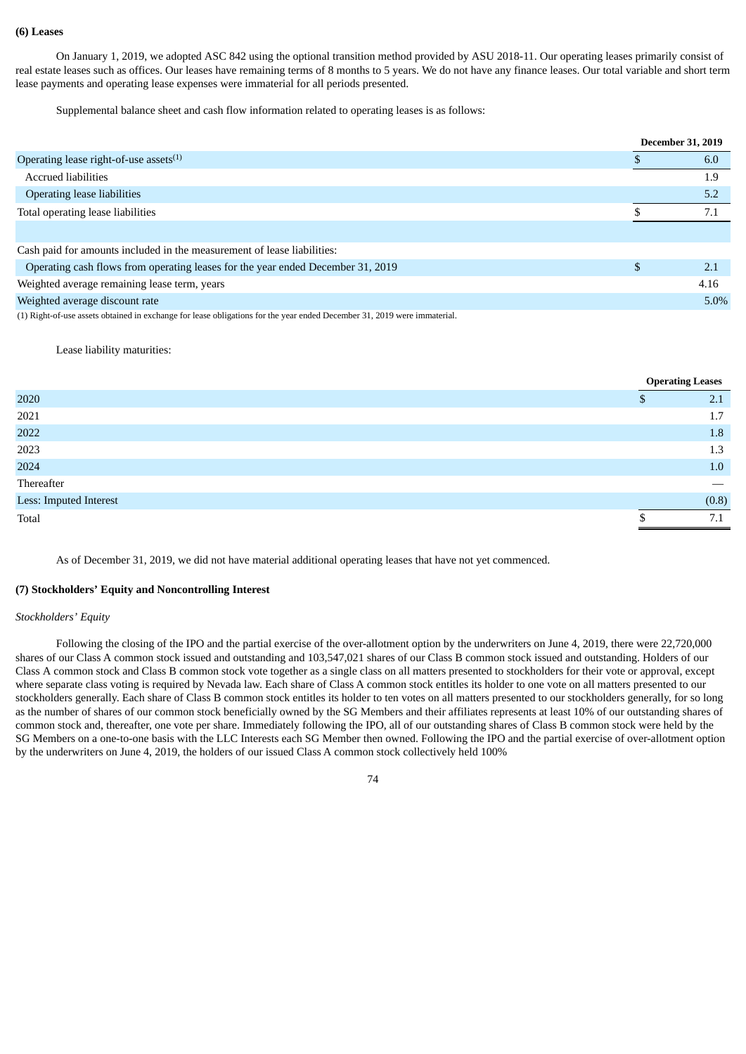### **(6) Leases**

On January 1, 2019, we adopted ASC 842 using the optional transition method provided by ASU 2018-11. Our operating leases primarily consist of real estate leases such as offices. Our leases have remaining terms of 8 months to 5 years. We do not have any finance leases. Our total variable and short term lease payments and operating lease expenses were immaterial for all periods presented.

Supplemental balance sheet and cash flow information related to operating leases is as follows:

|                                                                                 |    | <b>December 31, 2019</b> |
|---------------------------------------------------------------------------------|----|--------------------------|
| Operating lease right-of-use assets <sup>(1)</sup>                              |    | 6.0                      |
| Accrued liabilities                                                             |    | 1.9                      |
| Operating lease liabilities                                                     |    | 5.2                      |
| Total operating lease liabilities                                               |    | .7.1                     |
|                                                                                 |    |                          |
| Cash paid for amounts included in the measurement of lease liabilities:         |    |                          |
| Operating cash flows from operating leases for the year ended December 31, 2019 | Ъ. | 2.1                      |
| Weighted average remaining lease term, years                                    |    | 4.16                     |
| Weighted average discount rate                                                  |    | $5.0\%$                  |
|                                                                                 |    |                          |

(1) Right-of-use assets obtained in exchange for lease obligations for the year ended December 31, 2019 were immaterial.

Lease liability maturities:

|                        | <b>Operating Leases</b> |
|------------------------|-------------------------|
| 2020                   | 2.1                     |
| 2021                   | 1.7                     |
| 2022                   | 1.8                     |
| 2023                   | 1.3                     |
| 2024                   | 1.0                     |
| Thereafter             |                         |
| Less: Imputed Interest | (0.8)                   |
| Total                  | 7.1                     |
|                        |                         |

As of December 31, 2019, we did not have material additional operating leases that have not yet commenced.

#### **(7) Stockholders' Equity and Noncontrolling Interest**

#### *Stockholders' Equity*

Following the closing of the IPO and the partial exercise of the over-allotment option by the underwriters on June 4, 2019, there were 22,720,000 shares of our Class A common stock issued and outstanding and 103,547,021 shares of our Class B common stock issued and outstanding. Holders of our Class A common stock and Class B common stock vote together as a single class on all matters presented to stockholders for their vote or approval, except where separate class voting is required by Nevada law. Each share of Class A common stock entitles its holder to one vote on all matters presented to our stockholders generally. Each share of Class B common stock entitles its holder to ten votes on all matters presented to our stockholders generally, for so long as the number of shares of our common stock beneficially owned by the SG Members and their affiliates represents at least 10% of our outstanding shares of common stock and, thereafter, one vote per share. Immediately following the IPO, all of our outstanding shares of Class B common stock were held by the SG Members on a one-to-one basis with the LLC Interests each SG Member then owned. Following the IPO and the partial exercise of over-allotment option by the underwriters on June 4, 2019, the holders of our issued Class A common stock collectively held 100%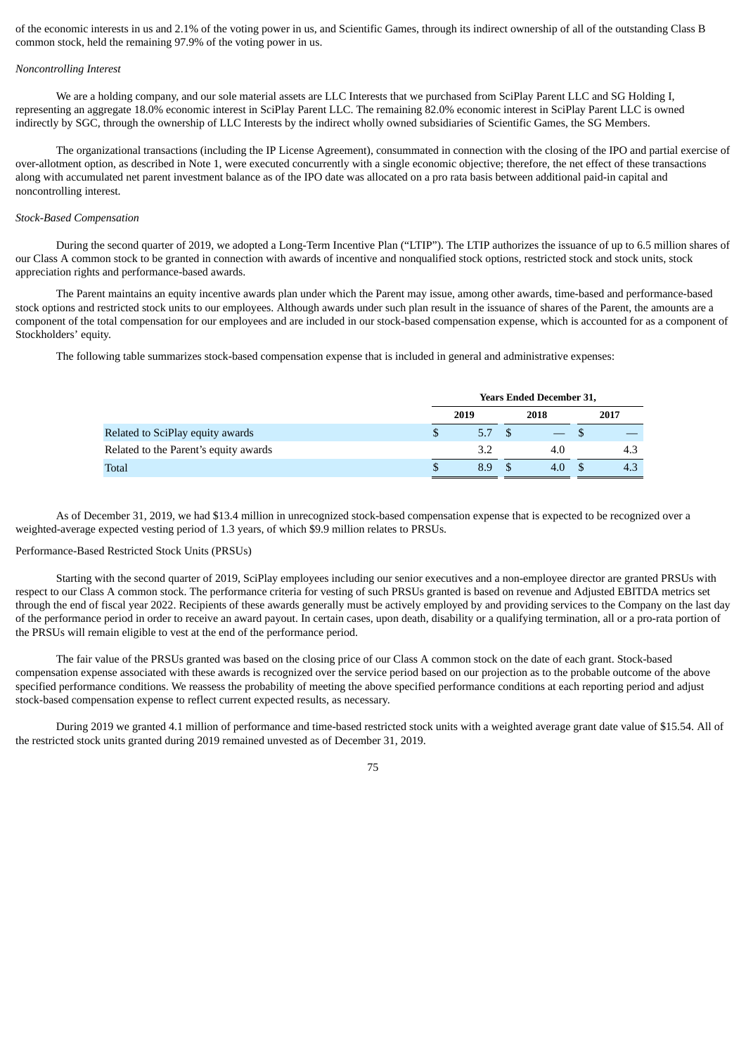of the economic interests in us and 2.1% of the voting power in us, and Scientific Games, through its indirect ownership of all of the outstanding Class B common stock, held the remaining 97.9% of the voting power in us.

#### *Noncontrolling Interest*

We are a holding company, and our sole material assets are LLC Interests that we purchased from SciPlay Parent LLC and SG Holding I, representing an aggregate 18.0% economic interest in SciPlay Parent LLC. The remaining 82.0% economic interest in SciPlay Parent LLC is owned indirectly by SGC, through the ownership of LLC Interests by the indirect wholly owned subsidiaries of Scientific Games, the SG Members.

The organizational transactions (including the IP License Agreement), consummated in connection with the closing of the IPO and partial exercise of over-allotment option, as described in Note 1, were executed concurrently with a single economic objective; therefore, the net effect of these transactions along with accumulated net parent investment balance as of the IPO date was allocated on a pro rata basis between additional paid-in capital and noncontrolling interest.

#### *Stock-Based Compensation*

During the second quarter of 2019, we adopted a Long-Term Incentive Plan ("LTIP"). The LTIP authorizes the issuance of up to 6.5 million shares of our Class A common stock to be granted in connection with awards of incentive and nonqualified stock options, restricted stock and stock units, stock appreciation rights and performance-based awards.

The Parent maintains an equity incentive awards plan under which the Parent may issue, among other awards, time-based and performance-based stock options and restricted stock units to our employees. Although awards under such plan result in the issuance of shares of the Parent, the amounts are a component of the total compensation for our employees and are included in our stock‑based compensation expense, which is accounted for as a component of Stockholders' equity.

The following table summarizes stock-based compensation expense that is included in general and administrative expenses:

|                                       | <b>Years Ended December 31,</b> |     |      |     |  |      |
|---------------------------------------|---------------------------------|-----|------|-----|--|------|
|                                       | 2019                            |     | 2018 |     |  | 2017 |
| Related to SciPlay equity awards      |                                 | 5.7 |      |     |  |      |
| Related to the Parent's equity awards |                                 | 3.2 |      | 4.0 |  | 4.3  |
| <b>Total</b>                          |                                 | 8.9 |      | 4.0 |  | 4.1  |

As of December 31, 2019, we had \$13.4 million in unrecognized stock-based compensation expense that is expected to be recognized over a weighted-average expected vesting period of 1.3 years, of which \$9.9 million relates to PRSUs.

#### Performance-Based Restricted Stock Units (PRSUs)

Starting with the second quarter of 2019, SciPlay employees including our senior executives and a non-employee director are granted PRSUs with respect to our Class A common stock. The performance criteria for vesting of such PRSUs granted is based on revenue and Adjusted EBITDA metrics set through the end of fiscal year 2022. Recipients of these awards generally must be actively employed by and providing services to the Company on the last day of the performance period in order to receive an award payout. In certain cases, upon death, disability or a qualifying termination, all or a pro-rata portion of the PRSUs will remain eligible to vest at the end of the performance period.

The fair value of the PRSUs granted was based on the closing price of our Class A common stock on the date of each grant. Stock-based compensation expense associated with these awards is recognized over the service period based on our projection as to the probable outcome of the above specified performance conditions. We reassess the probability of meeting the above specified performance conditions at each reporting period and adjust stock-based compensation expense to reflect current expected results, as necessary.

During 2019 we granted 4.1 million of performance and time-based restricted stock units with a weighted average grant date value of \$15.54. All of the restricted stock units granted during 2019 remained unvested as of December 31, 2019.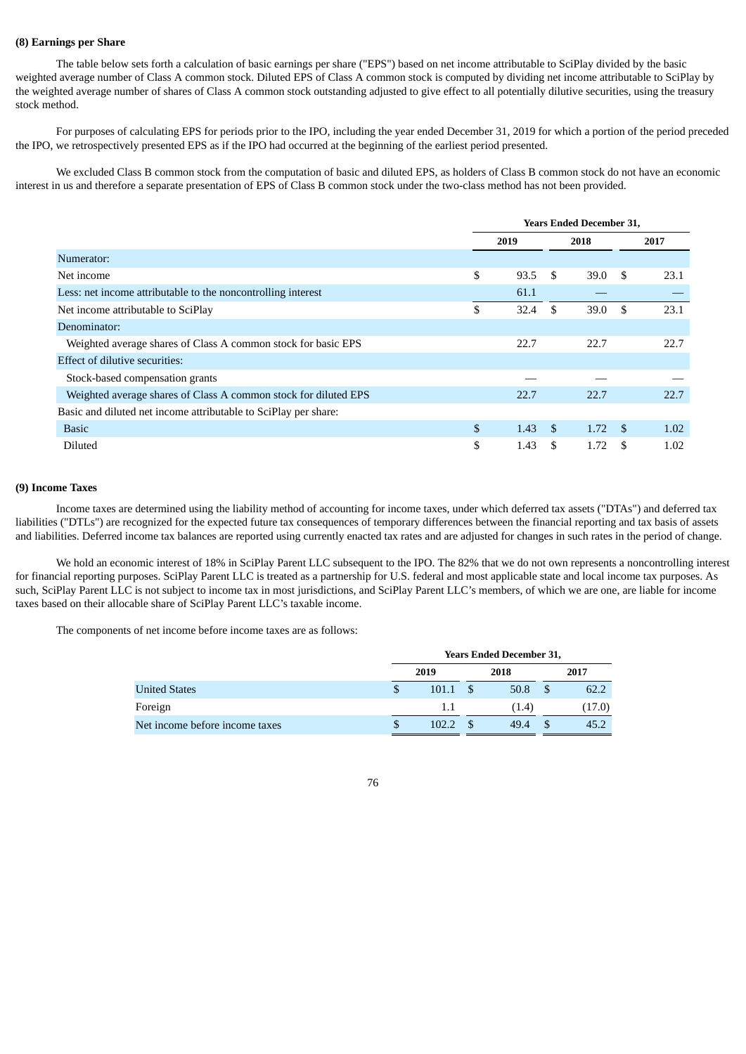### **(8) Earnings per Share**

The table below sets forth a calculation of basic earnings per share ("EPS") based on net income attributable to SciPlay divided by the basic weighted average number of Class A common stock. Diluted EPS of Class A common stock is computed by dividing net income attributable to SciPlay by the weighted average number of shares of Class A common stock outstanding adjusted to give effect to all potentially dilutive securities, using the treasury stock method.

For purposes of calculating EPS for periods prior to the IPO, including the year ended December 31, 2019 for which a portion of the period preceded the IPO, we retrospectively presented EPS as if the IPO had occurred at the beginning of the earliest period presented.

We excluded Class B common stock from the computation of basic and diluted EPS, as holders of Class B common stock do not have an economic interest in us and therefore a separate presentation of EPS of Class B common stock under the two-class method has not been provided.

|                                                                 | <b>Years Ended December 31,</b> |      |     |      |      |      |
|-----------------------------------------------------------------|---------------------------------|------|-----|------|------|------|
|                                                                 |                                 | 2019 |     | 2018 |      | 2017 |
| Numerator:                                                      |                                 |      |     |      |      |      |
| Net income                                                      | \$                              | 93.5 | \$. | 39.0 | S    | 23.1 |
| Less: net income attributable to the noncontrolling interest    |                                 | 61.1 |     |      |      |      |
| Net income attributable to SciPlay                              | \$                              | 32.4 | \$. | 39.0 | \$   | 23.1 |
| Denominator:                                                    |                                 |      |     |      |      |      |
| Weighted average shares of Class A common stock for basic EPS   |                                 | 22.7 |     | 22.7 |      | 22.7 |
| Effect of dilutive securities:                                  |                                 |      |     |      |      |      |
| Stock-based compensation grants                                 |                                 |      |     |      |      |      |
| Weighted average shares of Class A common stock for diluted EPS |                                 | 22.7 |     | 22.7 |      | 22.7 |
| Basic and diluted net income attributable to SciPlay per share: |                                 |      |     |      |      |      |
| <b>Basic</b>                                                    | $\mathbf{s}$                    | 1.43 | -\$ | 1.72 | - \$ | 1.02 |
| Diluted                                                         | \$                              | 1.43 | S.  | 1.72 | £.   | 1.02 |

#### **(9) Income Taxes**

Income taxes are determined using the liability method of accounting for income taxes, under which deferred tax assets ("DTAs") and deferred tax liabilities ("DTLs") are recognized for the expected future tax consequences of temporary differences between the financial reporting and tax basis of assets and liabilities. Deferred income tax balances are reported using currently enacted tax rates and are adjusted for changes in such rates in the period of change.

We hold an economic interest of 18% in SciPlay Parent LLC subsequent to the IPO. The 82% that we do not own represents a noncontrolling interest for financial reporting purposes. SciPlay Parent LLC is treated as a partnership for U.S. federal and most applicable state and local income tax purposes. As such, SciPlay Parent LLC is not subject to income tax in most jurisdictions, and SciPlay Parent LLC's members, of which we are one, are liable for income taxes based on their allocable share of SciPlay Parent LLC's taxable income.

The components of net income before income taxes are as follows:

|                                |  | <b>Years Ended December 31,</b> |  |       |      |        |  |
|--------------------------------|--|---------------------------------|--|-------|------|--------|--|
|                                |  | 2019                            |  | 2018  | 2017 |        |  |
| <b>United States</b>           |  | 101.1                           |  | 50.8  |      | 62.2   |  |
| Foreign                        |  | 1.1                             |  | (1.4) |      | (17.0) |  |
| Net income before income taxes |  | 102.2                           |  | 49.4  |      | 45.2   |  |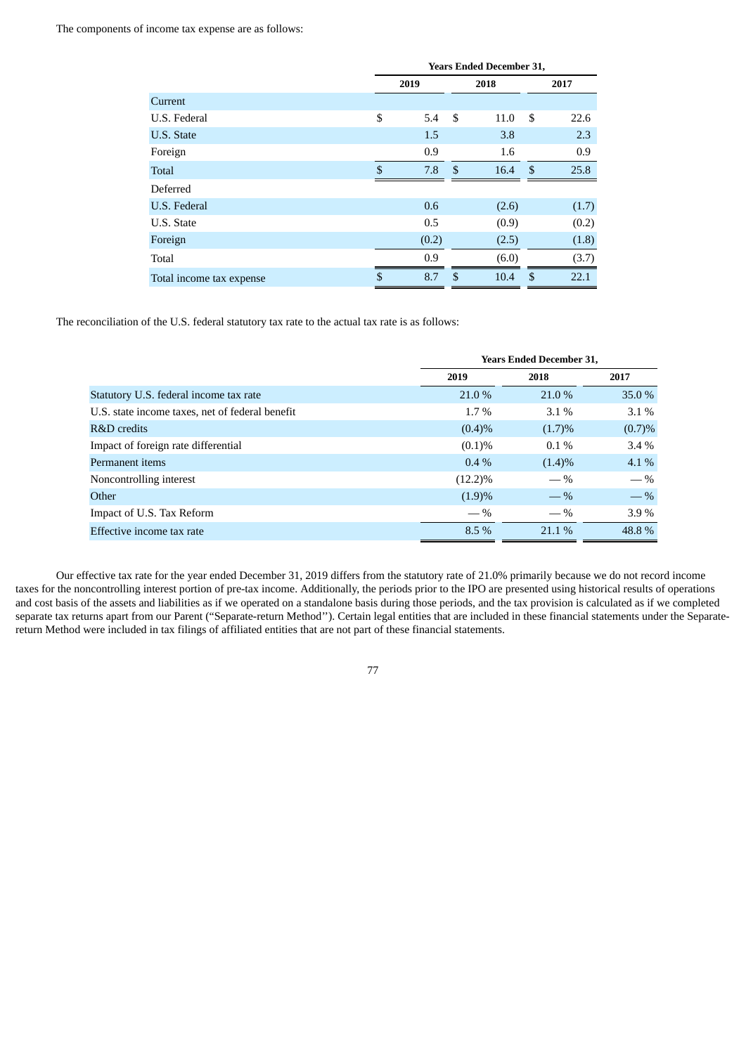#### The components of income tax expense are as follows:

|                          | <b>Years Ended December 31,</b> |       |               |       |              |       |
|--------------------------|---------------------------------|-------|---------------|-------|--------------|-------|
|                          |                                 | 2019  |               | 2018  |              | 2017  |
| Current                  |                                 |       |               |       |              |       |
| U.S. Federal             | \$                              | 5.4   | \$            | 11.0  | \$           | 22.6  |
| <b>U.S. State</b>        |                                 | 1.5   |               | 3.8   |              | 2.3   |
| Foreign                  |                                 | 0.9   |               | 1.6   |              | 0.9   |
| <b>Total</b>             | $\mathcal{S}$                   | 7.8   | $\mathcal{S}$ | 16.4  | $\mathbb{S}$ | 25.8  |
| Deferred                 |                                 |       |               |       |              |       |
| U.S. Federal             |                                 | 0.6   |               | (2.6) |              | (1.7) |
| U.S. State               |                                 | 0.5   |               | (0.9) |              | (0.2) |
| Foreign                  |                                 | (0.2) |               | (2.5) |              | (1.8) |
| Total                    |                                 | 0.9   |               | (6.0) |              | (3.7) |
| Total income tax expense | \$                              | 8.7   | \$            | 10.4  | \$           | 22.1  |

The reconciliation of the U.S. federal statutory tax rate to the actual tax rate is as follows:

|                                                 | <b>Years Ended December 31,</b> |           |                |  |  |
|-------------------------------------------------|---------------------------------|-----------|----------------|--|--|
|                                                 | 2019                            | 2018      | 2017           |  |  |
| Statutory U.S. federal income tax rate          | 21.0 %                          | 21.0 %    | 35.0%          |  |  |
| U.S. state income taxes, net of federal benefit | $1.7\%$                         | $3.1\%$   | $3.1\%$        |  |  |
| R&D credits                                     | (0.4)%                          | (1.7)%    | (0.7)%         |  |  |
| Impact of foreign rate differential             | (0.1)%                          | $0.1\%$   | 3.4%           |  |  |
| Permanent items                                 | $0.4\%$                         | $(1.4)\%$ | 4.1 %          |  |  |
| Noncontrolling interest                         | $(12.2)\%$                      | $-$ %     | $-$ %          |  |  |
| Other                                           | (1.9)%                          | $-$ %     | $-\frac{9}{6}$ |  |  |
| Impact of U.S. Tax Reform                       | $-$ %                           | $-\%$     | 3.9%           |  |  |
| Effective income tax rate                       | 8.5%                            | 21.1 %    | 48.8%          |  |  |

Our effective tax rate for the year ended December 31, 2019 differs from the statutory rate of 21.0% primarily because we do not record income taxes for the noncontrolling interest portion of pre-tax income. Additionally, the periods prior to the IPO are presented using historical results of operations and cost basis of the assets and liabilities as if we operated on a standalone basis during those periods, and the tax provision is calculated as if we completed separate tax returns apart from our Parent ("Separate-return Method"). Certain legal entities that are included in these financial statements under the Separatereturn Method were included in tax filings of affiliated entities that are not part of these financial statements.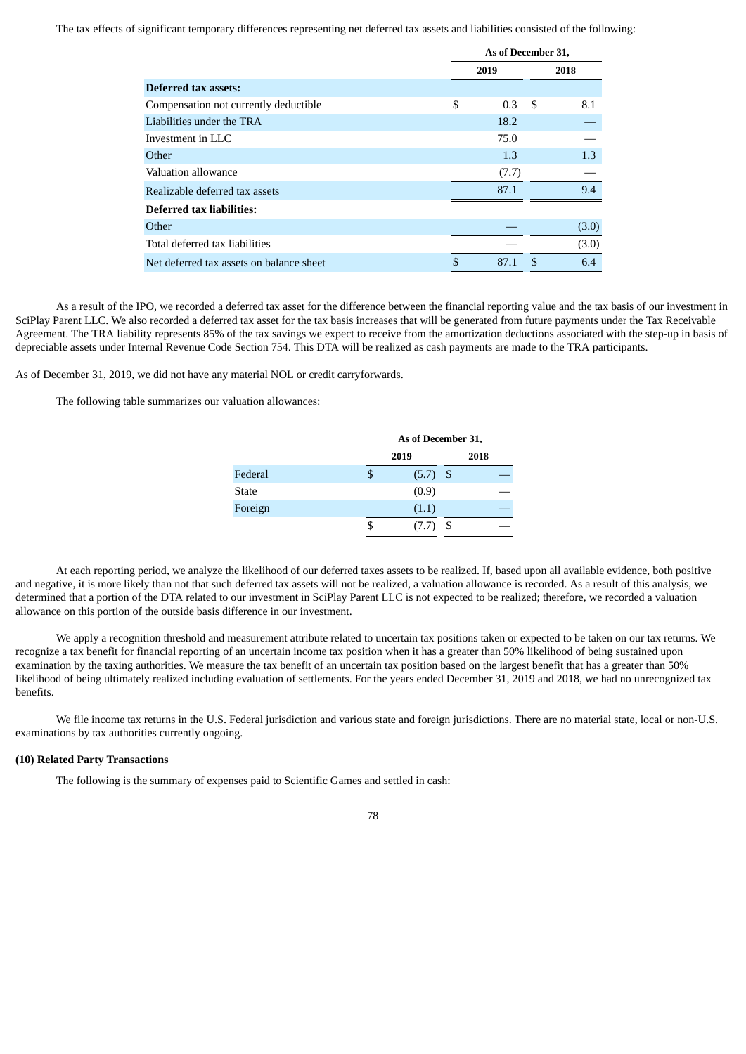The tax effects of significant temporary differences representing net deferred tax assets and liabilities consisted of the following:

|                                          | As of December 31, |       |     |                  |  |  |
|------------------------------------------|--------------------|-------|-----|------------------|--|--|
|                                          |                    | 2019  |     | 2018             |  |  |
| <b>Deferred tax assets:</b>              |                    |       |     |                  |  |  |
| Compensation not currently deductible    | \$                 | 0.3   | \$  | 8.1              |  |  |
| Liabilities under the TRA                |                    | 18.2  |     |                  |  |  |
| Investment in LLC                        |                    | 75.0  |     |                  |  |  |
| Other                                    |                    | 1.3   |     | 1.3 <sup>°</sup> |  |  |
| Valuation allowance                      |                    | (7.7) |     |                  |  |  |
| Realizable deferred tax assets           |                    | 87.1  |     | 9.4              |  |  |
| <b>Deferred tax liabilities:</b>         |                    |       |     |                  |  |  |
| Other                                    |                    |       |     | (3.0)            |  |  |
| Total deferred tax liabilities           |                    |       |     | (3.0)            |  |  |
| Net deferred tax assets on balance sheet | \$                 | 87.1  | \$. | $6.4^{\circ}$    |  |  |

As a result of the IPO, we recorded a deferred tax asset for the difference between the financial reporting value and the tax basis of our investment in SciPlay Parent LLC. We also recorded a deferred tax asset for the tax basis increases that will be generated from future payments under the Tax Receivable Agreement. The TRA liability represents 85% of the tax savings we expect to receive from the amortization deductions associated with the step-up in basis of depreciable assets under Internal Revenue Code Section 754. This DTA will be realized as cash payments are made to the TRA participants.

As of December 31, 2019, we did not have any material NOL or credit carryforwards.

The following table summarizes our valuation allowances:

|              | As of December 31, |  |      |  |  |  |  |
|--------------|--------------------|--|------|--|--|--|--|
|              | 2019               |  | 2018 |  |  |  |  |
| Federal      | \$<br>$(5.7)$ \$   |  |      |  |  |  |  |
| <b>State</b> | (0.9)              |  |      |  |  |  |  |
| Foreign      | (1.1)              |  |      |  |  |  |  |
|              | \$<br>(7.7)        |  |      |  |  |  |  |

At each reporting period, we analyze the likelihood of our deferred taxes assets to be realized. If, based upon all available evidence, both positive and negative, it is more likely than not that such deferred tax assets will not be realized, a valuation allowance is recorded. As a result of this analysis, we determined that a portion of the DTA related to our investment in SciPlay Parent LLC is not expected to be realized; therefore, we recorded a valuation allowance on this portion of the outside basis difference in our investment.

We apply a recognition threshold and measurement attribute related to uncertain tax positions taken or expected to be taken on our tax returns. We recognize a tax benefit for financial reporting of an uncertain income tax position when it has a greater than 50% likelihood of being sustained upon examination by the taxing authorities. We measure the tax benefit of an uncertain tax position based on the largest benefit that has a greater than 50% likelihood of being ultimately realized including evaluation of settlements. For the years ended December 31, 2019 and 2018, we had no unrecognized tax benefits.

We file income tax returns in the U.S. Federal jurisdiction and various state and foreign jurisdictions. There are no material state, local or non-U.S. examinations by tax authorities currently ongoing.

### **(10) Related Party Transactions**

The following is the summary of expenses paid to Scientific Games and settled in cash: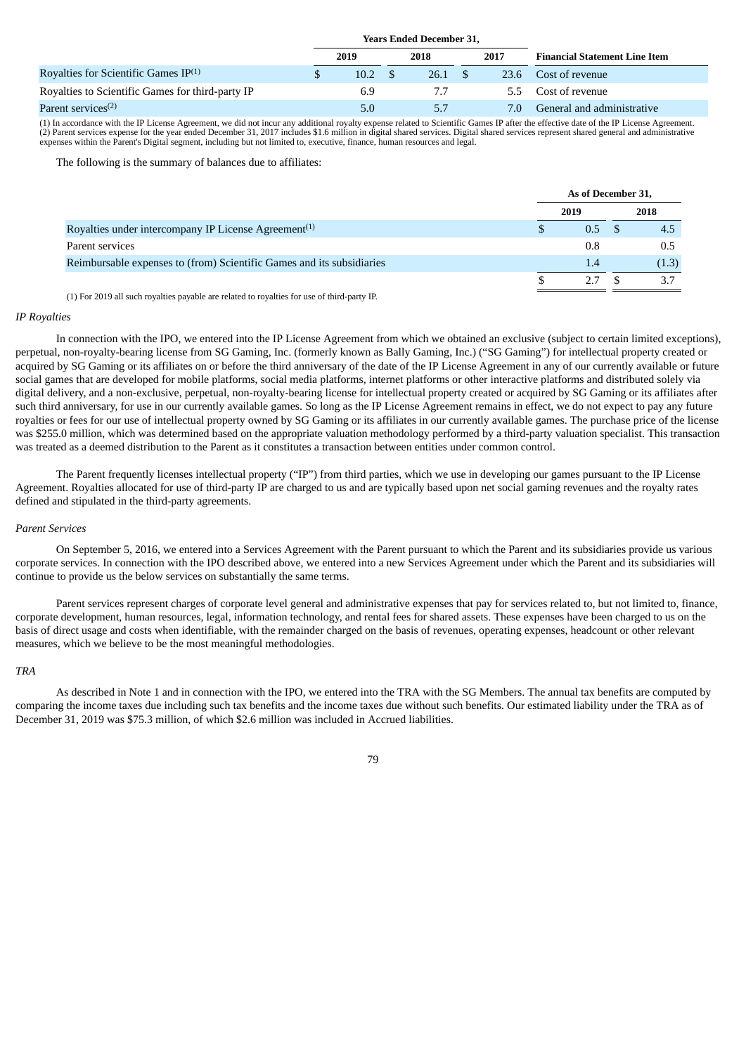|                                                  | <b>Years Ended December 31,</b> |      |  |      |  |               |                                      |
|--------------------------------------------------|---------------------------------|------|--|------|--|---------------|--------------------------------------|
|                                                  |                                 | 2019 |  | 2018 |  | 2017          | <b>Financial Statement Line Item</b> |
| Royalties for Scientific Games $IP(1)$           |                                 | 10.2 |  | 26.1 |  | 23.6          | Cost of revenue                      |
| Royalties to Scientific Games for third-party IP |                                 | 6.9  |  | 7.7  |  |               | Cost of revenue                      |
| Parent services $(2)$                            |                                 | 5.0  |  | 5.7  |  | $7.0^{\circ}$ | General and administrative           |

(1) In accordance with the IP License Agreement, we did not incur any additional royalty expense related to Scientific Games IP after the effective date of the IP License Agreement.<br>(2) Parent services expense for the year expenses within the Parent's Digital segment, including but not limited to, executive, finance, human resources and legal.

The following is the summary of balances due to affiliates:

|                                                                       | As of December 31, |      |  |       |
|-----------------------------------------------------------------------|--------------------|------|--|-------|
|                                                                       |                    | 2019 |  | 2018  |
| Royalties under intercompany IP License Agreement $(1)$               |                    | 0.5  |  | 4.5   |
| Parent services                                                       |                    | 0.8  |  | 0.5   |
| Reimbursable expenses to (from) Scientific Games and its subsidiaries |                    | 1.4  |  | (1.3) |
|                                                                       |                    | 27   |  |       |

(1) For 2019 all such royalties payable are related to royalties for use of third-party IP.

#### *IP Royalties*

In connection with the IPO, we entered into the IP License Agreement from which we obtained an exclusive (subject to certain limited exceptions), perpetual, non-royalty-bearing license from SG Gaming, Inc. (formerly known as Bally Gaming, Inc.) ("SG Gaming") for intellectual property created or acquired by SG Gaming or its affiliates on or before the third anniversary of the date of the IP License Agreement in any of our currently available or future social games that are developed for mobile platforms, social media platforms, internet platforms or other interactive platforms and distributed solely via digital delivery, and a non-exclusive, perpetual, non-royalty-bearing license for intellectual property created or acquired by SG Gaming or its affiliates after such third anniversary, for use in our currently available games. So long as the IP License Agreement remains in effect, we do not expect to pay any future royalties or fees for our use of intellectual property owned by SG Gaming or its affiliates in our currently available games. The purchase price of the license was \$255.0 million, which was determined based on the appropriate valuation methodology performed by a third-party valuation specialist. This transaction was treated as a deemed distribution to the Parent as it constitutes a transaction between entities under common control.

The Parent frequently licenses intellectual property ("IP") from third parties, which we use in developing our games pursuant to the IP License Agreement. Royalties allocated for use of third‑party IP are charged to us and are typically based upon net social gaming revenues and the royalty rates defined and stipulated in the third-party agreements.

#### *Parent Services*

On September 5, 2016, we entered into a Services Agreement with the Parent pursuant to which the Parent and its subsidiaries provide us various corporate services. In connection with the IPO described above, we entered into a new Services Agreement under which the Parent and its subsidiaries will continue to provide us the below services on substantially the same terms.

Parent services represent charges of corporate level general and administrative expenses that pay for services related to, but not limited to, finance, corporate development, human resources, legal, information technology, and rental fees for shared assets. These expenses have been charged to us on the basis of direct usage and costs when identifiable, with the remainder charged on the basis of revenues, operating expenses, headcount or other relevant measures, which we believe to be the most meaningful methodologies.

#### *TRA*

As described in Note 1 and in connection with the IPO, we entered into the TRA with the SG Members. The annual tax benefits are computed by comparing the income taxes due including such tax benefits and the income taxes due without such benefits. Our estimated liability under the TRA as of December 31, 2019 was \$75.3 million, of which \$2.6 million was included in Accrued liabilities.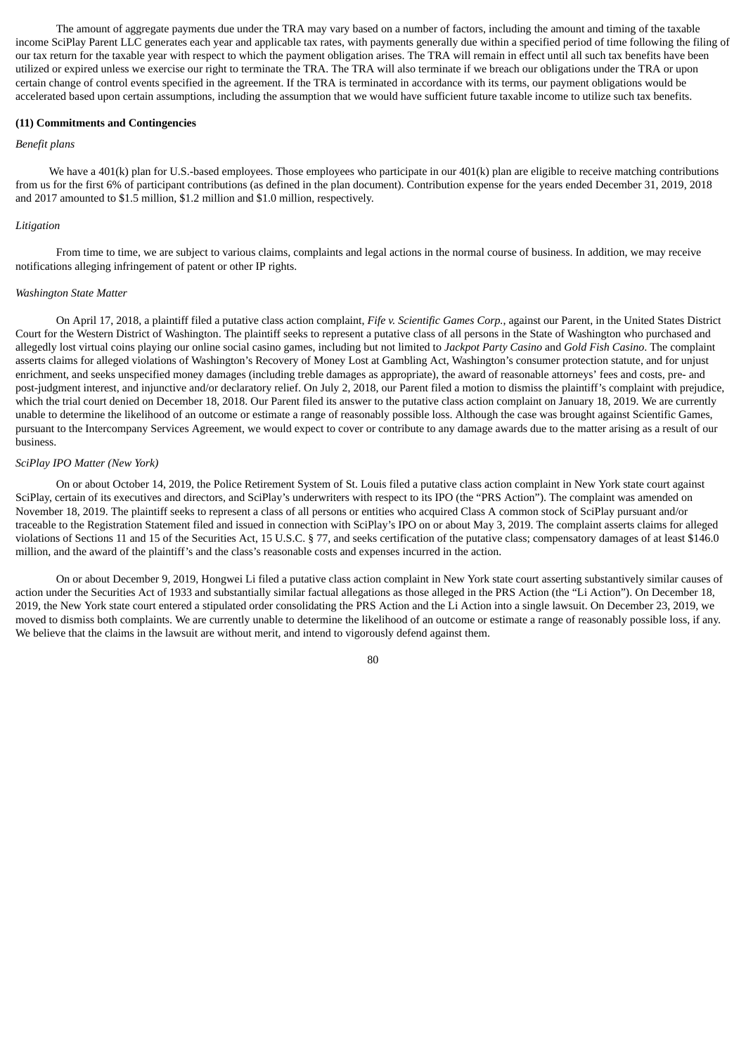The amount of aggregate payments due under the TRA may vary based on a number of factors, including the amount and timing of the taxable income SciPlay Parent LLC generates each year and applicable tax rates, with payments generally due within a specified period of time following the filing of our tax return for the taxable year with respect to which the payment obligation arises. The TRA will remain in effect until all such tax benefits have been utilized or expired unless we exercise our right to terminate the TRA. The TRA will also terminate if we breach our obligations under the TRA or upon certain change of control events specified in the agreement. If the TRA is terminated in accordance with its terms, our payment obligations would be accelerated based upon certain assumptions, including the assumption that we would have sufficient future taxable income to utilize such tax benefits.

#### **(11) Commitments and Contingencies**

#### *Benefit plans*

We have a 401(k) plan for U.S.-based employees. Those employees who participate in our 401(k) plan are eligible to receive matching contributions from us for the first 6% of participant contributions (as defined in the plan document). Contribution expense for the years ended December 31, 2019, 2018 and 2017 amounted to \$1.5 million, \$1.2 million and \$1.0 million, respectively.

#### *Litigation*

From time to time, we are subject to various claims, complaints and legal actions in the normal course of business. In addition, we may receive notifications alleging infringement of patent or other IP rights.

#### *Washington State Matter*

On April 17, 2018, a plaintiff filed a putative class action complaint, *Fife v. Scientific Games Corp.*, against our Parent, in the United States District Court for the Western District of Washington. The plaintiff seeks to represent a putative class of all persons in the State of Washington who purchased and allegedly lost virtual coins playing our online social casino games, including but not limited to *Jackpot Party Casino* and *Gold Fish Casino*. The complaint asserts claims for alleged violations of Washington's Recovery of Money Lost at Gambling Act, Washington's consumer protection statute, and for unjust enrichment, and seeks unspecified money damages (including treble damages as appropriate), the award of reasonable attorneys' fees and costs, pre- and post-judgment interest, and injunctive and/or declaratory relief. On July 2, 2018, our Parent filed a motion to dismiss the plaintiff's complaint with prejudice, which the trial court denied on December 18, 2018. Our Parent filed its answer to the putative class action complaint on January 18, 2019. We are currently unable to determine the likelihood of an outcome or estimate a range of reasonably possible loss. Although the case was brought against Scientific Games, pursuant to the Intercompany Services Agreement, we would expect to cover or contribute to any damage awards due to the matter arising as a result of our business.

#### *SciPlay IPO Matter (New York)*

On or about October 14, 2019, the Police Retirement System of St. Louis filed a putative class action complaint in New York state court against SciPlay, certain of its executives and directors, and SciPlay's underwriters with respect to its IPO (the "PRS Action"). The complaint was amended on November 18, 2019. The plaintiff seeks to represent a class of all persons or entities who acquired Class A common stock of SciPlay pursuant and/or traceable to the Registration Statement filed and issued in connection with SciPlay's IPO on or about May 3, 2019. The complaint asserts claims for alleged violations of Sections 11 and 15 of the Securities Act, 15 U.S.C. § 77, and seeks certification of the putative class; compensatory damages of at least \$146.0 million, and the award of the plaintiff's and the class's reasonable costs and expenses incurred in the action.

On or about December 9, 2019, Hongwei Li filed a putative class action complaint in New York state court asserting substantively similar causes of action under the Securities Act of 1933 and substantially similar factual allegations as those alleged in the PRS Action (the "Li Action"). On December 18, 2019, the New York state court entered a stipulated order consolidating the PRS Action and the Li Action into a single lawsuit. On December 23, 2019, we moved to dismiss both complaints. We are currently unable to determine the likelihood of an outcome or estimate a range of reasonably possible loss, if any. We believe that the claims in the lawsuit are without merit, and intend to vigorously defend against them.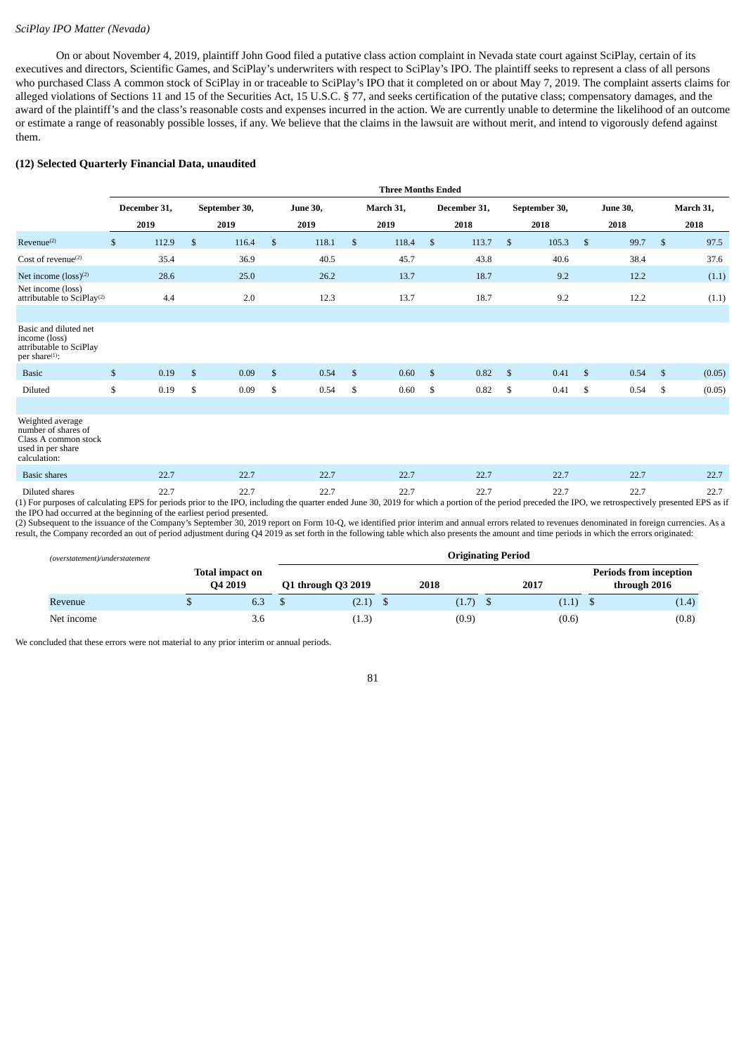### *SciPlay IPO Matter (Nevada)*

On or about November 4, 2019, plaintiff John Good filed a putative class action complaint in Nevada state court against SciPlay, certain of its executives and directors, Scientific Games, and SciPlay's underwriters with respect to SciPlay's IPO. The plaintiff seeks to represent a class of all persons who purchased Class A common stock of SciPlay in or traceable to SciPlay's IPO that it completed on or about May 7, 2019. The complaint asserts claims for alleged violations of Sections 11 and 15 of the Securities Act, 15 U.S.C. § 77, and seeks certification of the putative class; compensatory damages, and the award of the plaintiff's and the class's reasonable costs and expenses incurred in the action. We are currently unable to determine the likelihood of an outcome or estimate a range of reasonably possible losses, if any. We believe that the claims in the lawsuit are without merit, and intend to vigorously defend against them.

### **(12) Selected Quarterly Financial Data, unaudited**

|                                                                                                                                                                                                                       | <b>Three Months Ended</b>     |       |                |       |                              |       |                |              |              |       |                |       |                 |           |    |        |
|-----------------------------------------------------------------------------------------------------------------------------------------------------------------------------------------------------------------------|-------------------------------|-------|----------------|-------|------------------------------|-------|----------------|--------------|--------------|-------|----------------|-------|-----------------|-----------|----|--------|
|                                                                                                                                                                                                                       | December 31,<br>September 30, |       |                |       | <b>June 30,</b><br>March 31, |       |                | December 31, |              |       | September 30,  |       | <b>June 30,</b> | March 31, |    |        |
|                                                                                                                                                                                                                       | 2019                          |       |                | 2019  |                              | 2019  |                | 2019         |              | 2018  |                | 2018  |                 | 2018      |    | 2018   |
| Revenue <sup>(2)</sup>                                                                                                                                                                                                | \$                            | 112.9 | \$             | 116.4 | $\mathbb{S}$                 | 118.1 | \$             | 118.4        | $\mathbb{S}$ | 113.7 | $\mathfrak{S}$ | 105.3 | $\mathbb{S}$    | 99.7      | \$ | 97.5   |
| Cost of revenue <sup>(2)</sup>                                                                                                                                                                                        |                               | 35.4  |                | 36.9  |                              | 40.5  |                | 45.7         |              | 43.8  |                | 40.6  |                 | 38.4      |    | 37.6   |
| Net income $(\text{loss})^{(2)}$                                                                                                                                                                                      |                               | 28.6  |                | 25.0  |                              | 26.2  |                | 13.7         |              | 18.7  |                | 9.2   |                 | 12.2      |    | (1.1)  |
| Net income (loss)<br>attributable to SciPlay <sup>(2)</sup>                                                                                                                                                           |                               | 4.4   |                | 2.0   |                              | 12.3  |                | 13.7         |              | 18.7  |                | 9.2   |                 | 12.2      |    | (1.1)  |
|                                                                                                                                                                                                                       |                               |       |                |       |                              |       |                |              |              |       |                |       |                 |           |    |        |
| Basic and diluted net<br>income (loss)<br>attributable to SciPlay<br>per share <sup>(1)</sup> :                                                                                                                       |                               |       |                |       |                              |       |                |              |              |       |                |       |                 |           |    |        |
| <b>Basic</b>                                                                                                                                                                                                          | \$                            | 0.19  | $\mathfrak{s}$ | 0.09  | $\mathfrak{S}$               | 0.54  | $\mathfrak{S}$ | 0.60         | $\mathbb{S}$ | 0.82  | $\mathfrak{S}$ | 0.41  | $\mathbb{S}$    | 0.54      | \$ | (0.05) |
| Diluted                                                                                                                                                                                                               | \$                            | 0.19  | $\mathfrak s$  | 0.09  | \$                           | 0.54  | \$             | 0.60         | \$           | 0.82  | \$             | 0.41  | \$              | 0.54      | \$ | (0.05) |
|                                                                                                                                                                                                                       |                               |       |                |       |                              |       |                |              |              |       |                |       |                 |           |    |        |
| Weighted average<br>number of shares of<br>Class A common stock<br>used in per share<br>calculation:                                                                                                                  |                               |       |                |       |                              |       |                |              |              |       |                |       |                 |           |    |        |
| <b>Basic</b> shares                                                                                                                                                                                                   |                               | 22.7  |                | 22.7  |                              | 22.7  |                | 22.7         |              | 22.7  |                | 22.7  |                 | 22.7      |    | 22.7   |
| Diluted shares<br>(1) For purposes of calculating EPS for periods prior to the IPO including the quarter ended June 30 2019 for which a portion of the period preceded the IPO we retrospectively presented EPS as if |                               | 22.7  |                | 22.7  |                              | 22.7  |                | 22.7         |              | 22.7  |                | 22.7  |                 | 22.7      |    | 22.7   |

(1) For purposes of calculating EPS for periods prior to the IPO, including the quarter ended June 30, 2019 for which a portion of the period preceded the IPO, we retrospectively presented EPS as if the IPO had occurred at the beginning of the earliest period presented.

(2) Subsequent to the issuance of the Company's September 30, 2019 report on Form 10-Q, we identified prior interim and annual errors related to revenues denominated in foreign currencies. As a result, the Company recorded an out of period adjustment during Q4 2019 as set forth in the following table which also presents the amount and time periods in which the errors originated:

| (overstatement)/understatement |                                               | <b>Originating Period</b> |                    |      |       |  |       |                                               |
|--------------------------------|-----------------------------------------------|---------------------------|--------------------|------|-------|--|-------|-----------------------------------------------|
|                                | <b>Total impact on</b><br>O <sub>4</sub> 2019 |                           | Q1 through Q3 2019 |      | 2018  |  | 2017  | <b>Periods from inception</b><br>through 2016 |
| Revenue                        | 6.3                                           |                           | (2.1)              | - \$ | (1.7) |  | (1.1) | (1.4)                                         |
| Net income                     | 3.6                                           |                           | (1.3)              |      | (0.9) |  | (0.6) | (0.8)                                         |

81

We concluded that these errors were not material to any prior interim or annual periods.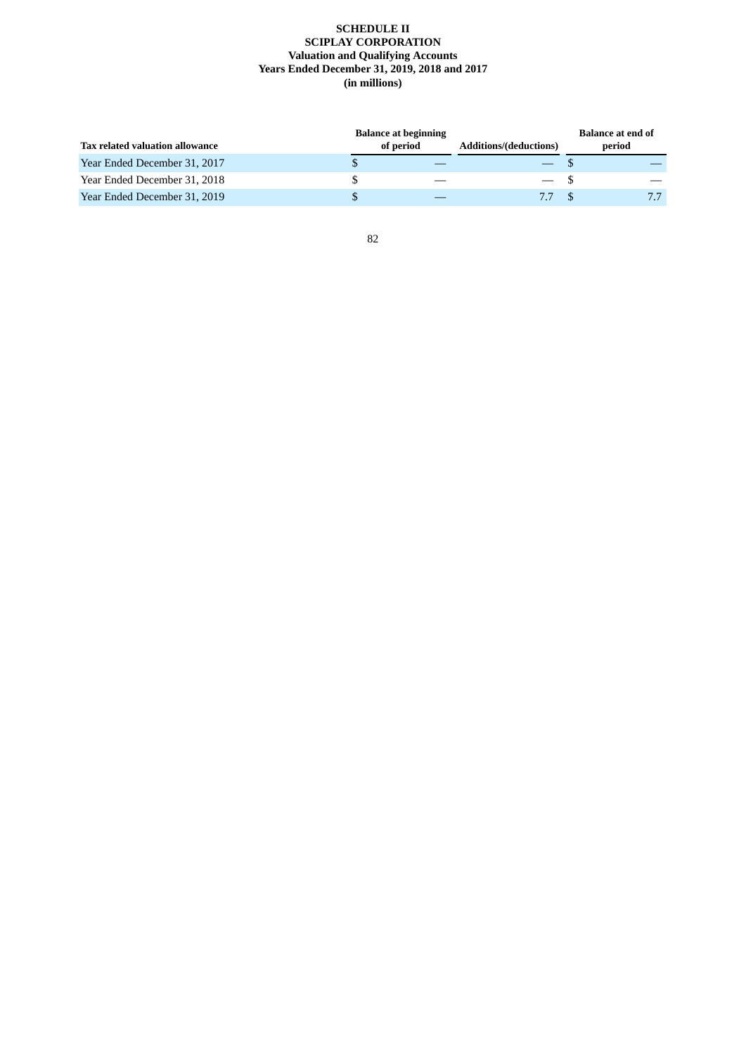#### **SCHEDULE II SCIPLAY CORPORATION Valuation and Qualifying Accounts Years Ended December 31, 2019, 2018 and 2017 (in millions)**

| Tax related valuation allowance | <b>Balance at beginning</b><br>of period | <b>Additions/(deductions)</b> | <b>Balance at end of</b><br>period |
|---------------------------------|------------------------------------------|-------------------------------|------------------------------------|
| Year Ended December 31, 2017    |                                          |                               |                                    |
| Year Ended December 31, 2018    |                                          | $-$ \$                        |                                    |
| Year Ended December 31, 2019    |                                          | 7.7                           | 77                                 |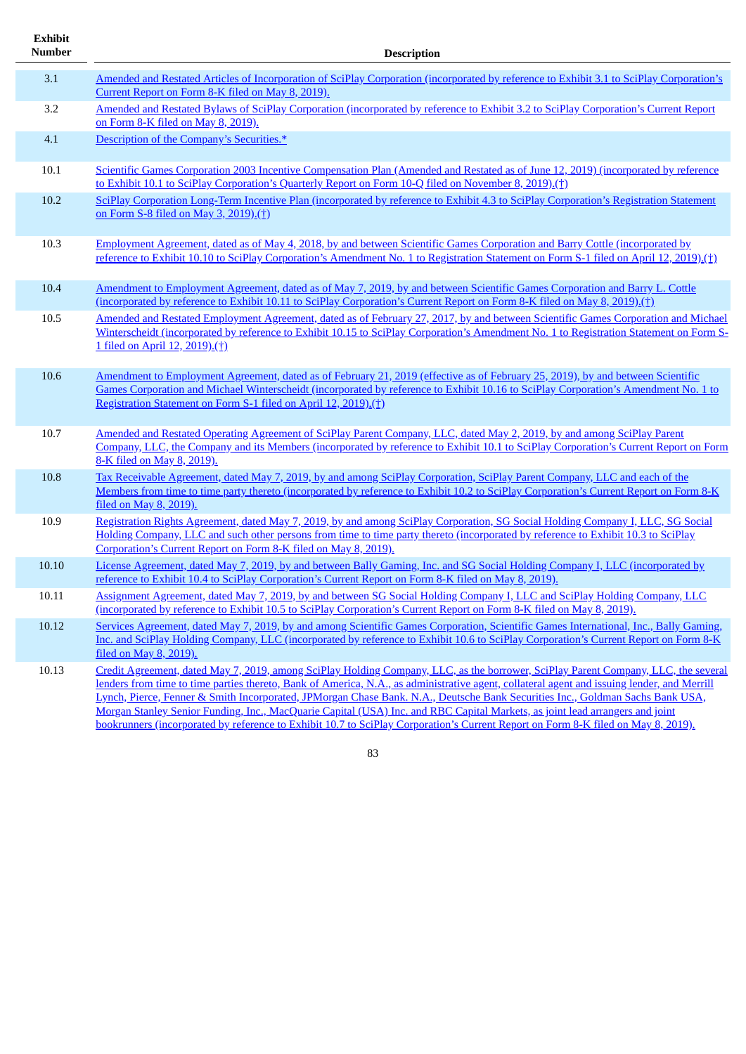| <b>Exhibit</b><br><b>Number</b> | <b>Description</b>                                                                                                                                                                                                                                                                                                                                                                                                                                                                                                                                                                                                                                                                      |
|---------------------------------|-----------------------------------------------------------------------------------------------------------------------------------------------------------------------------------------------------------------------------------------------------------------------------------------------------------------------------------------------------------------------------------------------------------------------------------------------------------------------------------------------------------------------------------------------------------------------------------------------------------------------------------------------------------------------------------------|
| 3.1                             | Amended and Restated Articles of Incorporation of SciPlay Corporation (incorporated by reference to Exhibit 3.1 to SciPlay Corporation's<br>Current Report on Form 8-K filed on May 8, 2019).                                                                                                                                                                                                                                                                                                                                                                                                                                                                                           |
| 3.2                             | Amended and Restated Bylaws of SciPlay Corporation (incorporated by reference to Exhibit 3.2 to SciPlay Corporation's Current Report<br>on Form 8-K filed on May 8, 2019).                                                                                                                                                                                                                                                                                                                                                                                                                                                                                                              |
| 4.1                             | Description of the Company's Securities.*                                                                                                                                                                                                                                                                                                                                                                                                                                                                                                                                                                                                                                               |
| 10.1                            | Scientific Games Corporation 2003 Incentive Compensation Plan (Amended and Restated as of June 12, 2019) (incorporated by reference<br>to Exhibit 10.1 to SciPlay Corporation's Quarterly Report on Form 10-Q filed on November 8, 2019).(†)                                                                                                                                                                                                                                                                                                                                                                                                                                            |
| 10.2                            | SciPlay Corporation Long-Term Incentive Plan (incorporated by reference to Exhibit 4.3 to SciPlay Corporation's Registration Statement<br>on Form S-8 filed on May 3, 2019).(†)                                                                                                                                                                                                                                                                                                                                                                                                                                                                                                         |
| 10.3                            | Employment Agreement, dated as of May 4, 2018, by and between Scientific Games Corporation and Barry Cottle (incorporated by<br>reference to Exhibit 10.10 to SciPlay Corporation's Amendment No. 1 to Registration Statement on Form S-1 filed on April 12, 2019).(†)                                                                                                                                                                                                                                                                                                                                                                                                                  |
| 10.4                            | Amendment to Employment Agreement, dated as of May 7, 2019, by and between Scientific Games Corporation and Barry L. Cottle<br>(incorporated by reference to Exhibit 10.11 to SciPlay Corporation's Current Report on Form 8-K filed on May 8, 2019).(†)                                                                                                                                                                                                                                                                                                                                                                                                                                |
| 10.5                            | Amended and Restated Employment Agreement, dated as of February 27, 2017, by and between Scientific Games Corporation and Michael<br>Winterscheidt (incorporated by reference to Exhibit 10.15 to SciPlay Corporation's Amendment No. 1 to Registration Statement on Form S-<br>1 filed on April 12, 2019).(†)                                                                                                                                                                                                                                                                                                                                                                          |
| 10.6                            | Amendment to Employment Agreement, dated as of February 21, 2019 (effective as of February 25, 2019), by and between Scientific<br>Games Corporation and Michael Winterscheidt (incorporated by reference to Exhibit 10.16 to SciPlay Corporation's Amendment No. 1 to<br>Registration Statement on Form S-1 filed on April 12, 2019).(†)                                                                                                                                                                                                                                                                                                                                               |
| 10.7                            | Amended and Restated Operating Agreement of SciPlay Parent Company, LLC, dated May 2, 2019, by and among SciPlay Parent<br>Company, LLC, the Company and its Members (incorporated by reference to Exhibit 10.1 to SciPlay Corporation's Current Report on Form<br>8-K filed on May 8, 2019).                                                                                                                                                                                                                                                                                                                                                                                           |
| 10.8                            | Tax Receivable Agreement, dated May 7, 2019, by and among SciPlay Corporation, SciPlay Parent Company, LLC and each of the<br>Members from time to time party thereto (incorporated by reference to Exhibit 10.2 to SciPlay Corporation's Current Report on Form 8-K<br>filed on May 8, 2019).                                                                                                                                                                                                                                                                                                                                                                                          |
| 10.9                            | Registration Rights Agreement, dated May 7, 2019, by and among SciPlay Corporation, SG Social Holding Company I, LLC, SG Social<br>Holding Company, LLC and such other persons from time to time party thereto (incorporated by reference to Exhibit 10.3 to SciPlay<br>Corporation's Current Report on Form 8-K filed on May 8, 2019).                                                                                                                                                                                                                                                                                                                                                 |
| 10.10                           | License Agreement, dated May 7, 2019, by and between Bally Gaming, Inc. and SG Social Holding Company I, LLC (incorporated by<br>reference to Exhibit 10.4 to SciPlay Corporation's Current Report on Form 8-K filed on May 8, 2019).                                                                                                                                                                                                                                                                                                                                                                                                                                                   |
| 10.11                           | Assignment Agreement, dated May 7, 2019, by and between SG Social Holding Company I, LLC and SciPlay Holding Company, LLC<br>(incorporated by reference to Exhibit 10.5 to SciPlay Corporation's Current Report on Form 8-K filed on May 8, 2019).                                                                                                                                                                                                                                                                                                                                                                                                                                      |
| 10.12                           | Services Agreement, dated May 7, 2019, by and among Scientific Games Corporation, Scientific Games International, Inc., Bally Gaming,<br>Inc. and SciPlay Holding Company, LLC (incorporated by reference to Exhibit 10.6 to SciPlay Corporation's Current Report on Form 8-K<br><u>filed on May 8, 2019).</u>                                                                                                                                                                                                                                                                                                                                                                          |
| 10.13                           | Credit Agreement, dated May 7, 2019, among SciPlay Holding Company, LLC, as the borrower, SciPlay Parent Company, LLC, the several<br>lenders from time to time parties thereto, Bank of America, N.A., as administrative agent, collateral agent and issuing lender, and Merrill<br>Lynch, Pierce, Fenner & Smith Incorporated, JPMorgan Chase Bank. N.A., Deutsche Bank Securities Inc., Goldman Sachs Bank USA,<br>Morgan Stanley Senior Funding, Inc., MacQuarie Capital (USA) Inc. and RBC Capital Markets, as joint lead arrangers and joint<br>bookrunners (incorporated by reference to Exhibit 10.7 to SciPlay Corporation's Current Report on Form 8-K filed on May 8, 2019). |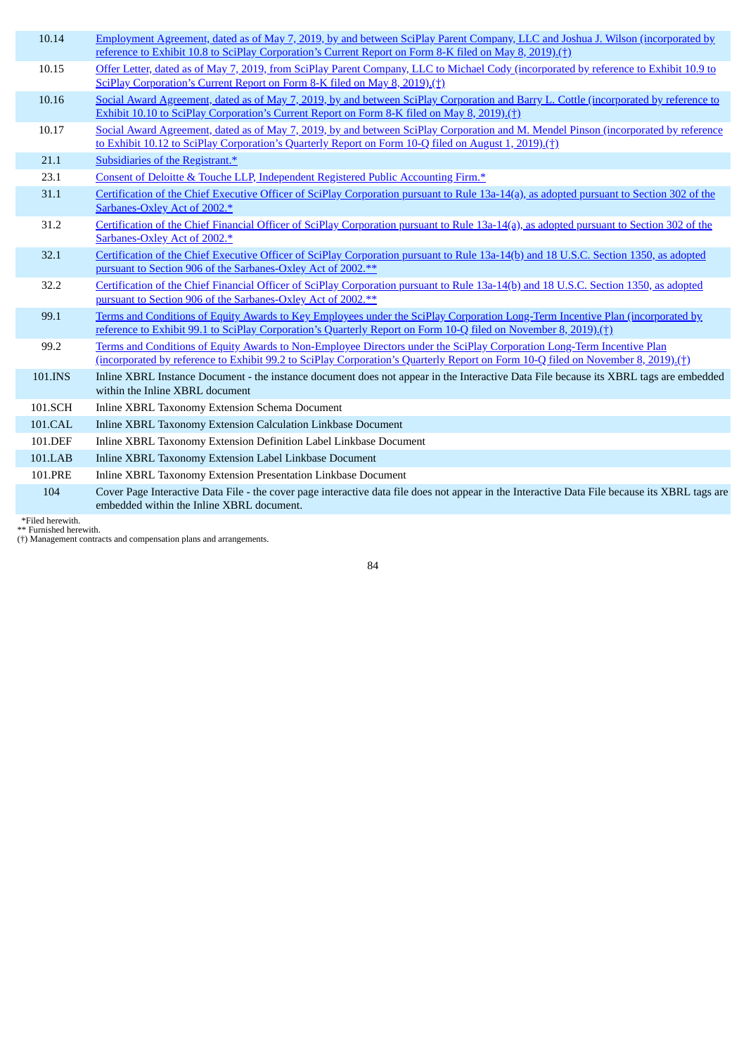| 10.14   | Employment Agreement, dated as of May 7, 2019, by and between SciPlay Parent Company, LLC and Joshua J. Wilson (incorporated by<br>reference to Exhibit 10.8 to SciPlay Corporation's Current Report on Form 8-K filed on May 8, 2019).(†)                 |
|---------|------------------------------------------------------------------------------------------------------------------------------------------------------------------------------------------------------------------------------------------------------------|
| 10.15   | Offer Letter, dated as of May 7, 2019, from SciPlay Parent Company, LLC to Michael Cody (incorporated by reference to Exhibit 10.9 to<br>SciPlay Corporation's Current Report on Form 8-K filed on May 8, 2019).(†)                                        |
| 10.16   | Social Award Agreement, dated as of May 7, 2019, by and between SciPlay Corporation and Barry L. Cottle (incorporated by reference to<br>Exhibit 10.10 to SciPlay Corporation's Current Report on Form 8-K filed on May 8, 2019).(t)                       |
| 10.17   | Social Award Agreement, dated as of May 7, 2019, by and between SciPlay Corporation and M. Mendel Pinson (incorporated by reference<br>to Exhibit 10.12 to SciPlay Corporation's Quarterly Report on Form 10-Q filed on August 1, 2019).(†)                |
| 21.1    | Subsidiaries of the Registrant.*                                                                                                                                                                                                                           |
| 23.1    | Consent of Deloitte & Touche LLP, Independent Registered Public Accounting Firm.*                                                                                                                                                                          |
| 31.1    | Certification of the Chief Executive Officer of SciPlay Corporation pursuant to Rule 13a-14(a), as adopted pursuant to Section 302 of the<br>Sarbanes-Oxley Act of 2002.*                                                                                  |
| 31.2    | Certification of the Chief Financial Officer of SciPlay Corporation pursuant to Rule 13a-14(a), as adopted pursuant to Section 302 of the<br>Sarbanes-Oxley Act of 2002.*                                                                                  |
| 32.1    | Certification of the Chief Executive Officer of SciPlay Corporation pursuant to Rule 13a-14(b) and 18 U.S.C. Section 1350, as adopted<br>pursuant to Section 906 of the Sarbanes-Oxley Act of 2002.**                                                      |
| 32.2    | Certification of the Chief Financial Officer of SciPlay Corporation pursuant to Rule 13a-14(b) and 18 U.S.C. Section 1350, as adopted<br>pursuant to Section 906 of the Sarbanes-Oxley Act of 2002.**                                                      |
| 99.1    | Terms and Conditions of Equity Awards to Key Employees under the SciPlay Corporation Long-Term Incentive Plan (incorporated by<br>reference to Exhibit 99.1 to SciPlay Corporation's Quarterly Report on Form 10-Q filed on November 8, 2019).(†)          |
| 99.2    | Terms and Conditions of Equity Awards to Non-Employee Directors under the SciPlay Corporation Long-Term Incentive Plan<br>(incorporated by reference to Exhibit 99.2 to SciPlay Corporation's Quarterly Report on Form 10-Q filed on November 8, 2019).(†) |
| 101.INS | Inline XBRL Instance Document - the instance document does not appear in the Interactive Data File because its XBRL tags are embedded<br>within the Inline XBRL document                                                                                   |
| 101.SCH | Inline XBRL Taxonomy Extension Schema Document                                                                                                                                                                                                             |
| 101.CAL | Inline XBRL Taxonomy Extension Calculation Linkbase Document                                                                                                                                                                                               |
| 101.DEF | Inline XBRL Taxonomy Extension Definition Label Linkbase Document                                                                                                                                                                                          |
| 101.LAB | Inline XBRL Taxonomy Extension Label Linkbase Document                                                                                                                                                                                                     |
| 101.PRE | Inline XBRL Taxonomy Extension Presentation Linkbase Document                                                                                                                                                                                              |
| 104     | Cover Page Interactive Data File - the cover page interactive data file does not appear in the Interactive Data File because its XBRL tags are<br>embedded within the Inline XBRL document.                                                                |

\*Filed herewith. \*\* Furnished herewith. (†) Management contracts and compensation plans and arrangements.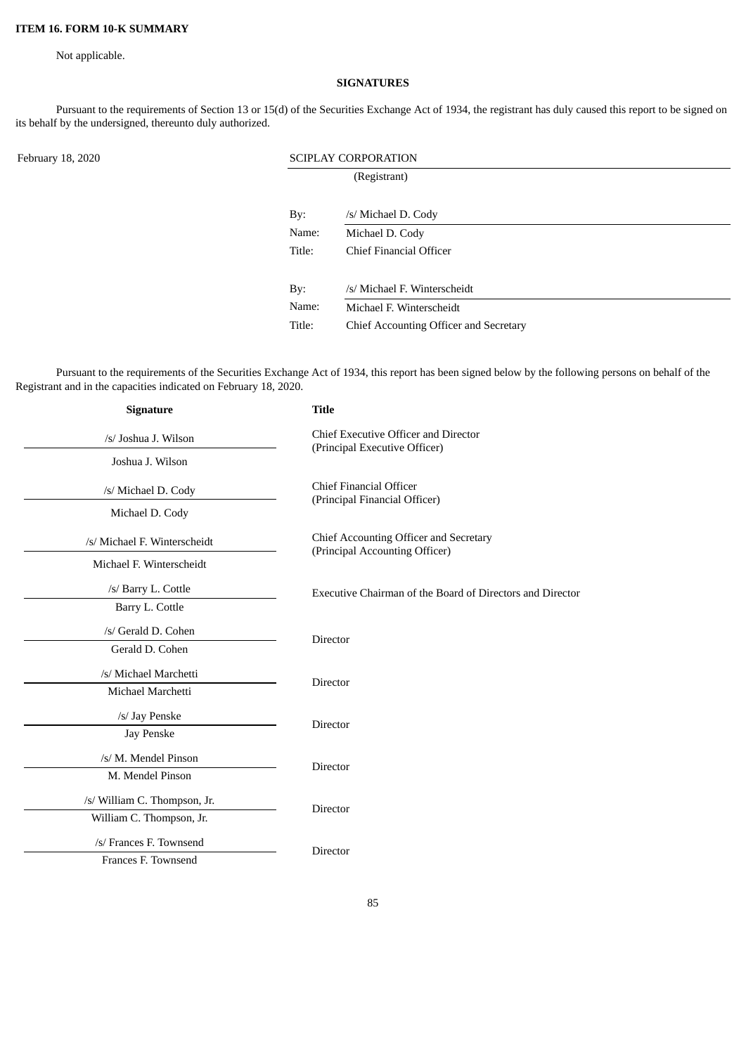### **ITEM 16. FORM 10-K SUMMARY**

Not applicable.

### **SIGNATURES**

Pursuant to the requirements of Section 13 or 15(d) of the Securities Exchange Act of 1934, the registrant has duly caused this report to be signed on its behalf by the undersigned, thereunto duly authorized.

| February 18, 2020 | <b>SCIPLAY CORPORATION</b> |                                        |  |  |  |  |
|-------------------|----------------------------|----------------------------------------|--|--|--|--|
|                   |                            | (Registrant)                           |  |  |  |  |
|                   | By:                        | /s/ Michael D. Cody                    |  |  |  |  |
|                   | Name:                      | Michael D. Cody                        |  |  |  |  |
|                   | Title:                     | Chief Financial Officer                |  |  |  |  |
|                   | By:                        | /s/ Michael F. Winterscheidt           |  |  |  |  |
|                   | Name:                      | Michael F. Winterscheidt               |  |  |  |  |
|                   | Title:                     | Chief Accounting Officer and Secretary |  |  |  |  |

Pursuant to the requirements of the Securities Exchange Act of 1934, this report has been signed below by the following persons on behalf of the Registrant and in the capacities indicated on February 18, 2020.

| <b>Signature</b>             | <b>Title</b>                                                             |  |  |  |  |  |
|------------------------------|--------------------------------------------------------------------------|--|--|--|--|--|
| /s/ Joshua J. Wilson         | Chief Executive Officer and Director<br>(Principal Executive Officer)    |  |  |  |  |  |
| Joshua J. Wilson             |                                                                          |  |  |  |  |  |
| /s/ Michael D. Cody          | <b>Chief Financial Officer</b><br>(Principal Financial Officer)          |  |  |  |  |  |
| Michael D. Cody              |                                                                          |  |  |  |  |  |
| /s/ Michael F. Winterscheidt | Chief Accounting Officer and Secretary<br>(Principal Accounting Officer) |  |  |  |  |  |
| Michael F. Winterscheidt     |                                                                          |  |  |  |  |  |
| /s/ Barry L. Cottle          | Executive Chairman of the Board of Directors and Director                |  |  |  |  |  |
| Barry L. Cottle              |                                                                          |  |  |  |  |  |
| /s/ Gerald D. Cohen          | <b>Director</b>                                                          |  |  |  |  |  |
| Gerald D. Cohen              |                                                                          |  |  |  |  |  |
| /s/ Michael Marchetti        | <b>Director</b>                                                          |  |  |  |  |  |
| Michael Marchetti            |                                                                          |  |  |  |  |  |
| /s/ Jay Penske               | Director                                                                 |  |  |  |  |  |
| <b>Jay Penske</b>            |                                                                          |  |  |  |  |  |
| /s/ M. Mendel Pinson         | <b>Director</b>                                                          |  |  |  |  |  |
| M. Mendel Pinson             |                                                                          |  |  |  |  |  |
| /s/ William C. Thompson, Jr. | <b>Director</b>                                                          |  |  |  |  |  |
| William C. Thompson, Jr.     |                                                                          |  |  |  |  |  |
| /s/ Frances F. Townsend      | <b>Director</b>                                                          |  |  |  |  |  |
| Frances F. Townsend          |                                                                          |  |  |  |  |  |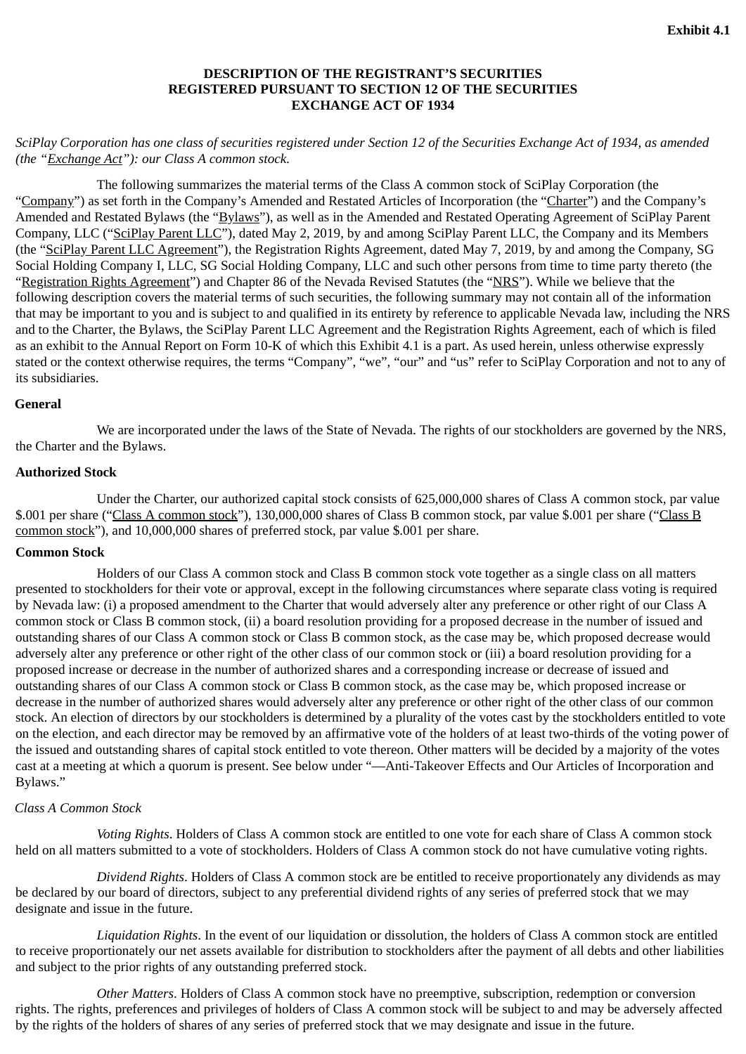## **DESCRIPTION OF THE REGISTRANT'S SECURITIES REGISTERED PURSUANT TO SECTION 12 OF THE SECURITIES EXCHANGE ACT OF 1934**

<span id="page-85-0"></span>*SciPlay Corporation has one class of securities registered under Section 12 of the Securities Exchange Act of 1934, as amended (the "Exchange Act"): our Class A common stock.*

The following summarizes the material terms of the Class A common stock of SciPlay Corporation (the "Company") as set forth in the Company's Amended and Restated Articles of Incorporation (the "Charter") and the Company's Amended and Restated Bylaws (the "Bylaws"), as well as in the Amended and Restated Operating Agreement of SciPlay Parent Company, LLC ("SciPlay Parent LLC"), dated May 2, 2019, by and among SciPlay Parent LLC, the Company and its Members (the "SciPlay Parent LLC Agreement"), the Registration Rights Agreement, dated May 7, 2019, by and among the Company, SG Social Holding Company I, LLC, SG Social Holding Company, LLC and such other persons from time to time party thereto (the "Registration Rights Agreement") and Chapter 86 of the Nevada Revised Statutes (the "NRS"). While we believe that the following description covers the material terms of such securities, the following summary may not contain all of the information that may be important to you and is subject to and qualified in its entirety by reference to applicable Nevada law, including the NRS and to the Charter, the Bylaws, the SciPlay Parent LLC Agreement and the Registration Rights Agreement, each of which is filed as an exhibit to the Annual Report on Form 10-K of which this Exhibit 4.1 is a part. As used herein, unless otherwise expressly stated or the context otherwise requires, the terms "Company", "we", "our" and "us" refer to SciPlay Corporation and not to any of its subsidiaries.

### **General**

We are incorporated under the laws of the State of Nevada. The rights of our stockholders are governed by the NRS, the Charter and the Bylaws.

## **Authorized Stock**

Under the Charter, our authorized capital stock consists of 625,000,000 shares of Class A common stock, par value \$.001 per share ("Class A common stock"), 130,000,000 shares of Class B common stock, par value \$.001 per share ("Class B common stock"), and 10,000,000 shares of preferred stock, par value \$.001 per share.

## **Common Stock**

Holders of our Class A common stock and Class B common stock vote together as a single class on all matters presented to stockholders for their vote or approval, except in the following circumstances where separate class voting is required by Nevada law: (i) a proposed amendment to the Charter that would adversely alter any preference or other right of our Class A common stock or Class B common stock, (ii) a board resolution providing for a proposed decrease in the number of issued and outstanding shares of our Class A common stock or Class B common stock, as the case may be, which proposed decrease would adversely alter any preference or other right of the other class of our common stock or (iii) a board resolution providing for a proposed increase or decrease in the number of authorized shares and a corresponding increase or decrease of issued and outstanding shares of our Class A common stock or Class B common stock, as the case may be, which proposed increase or decrease in the number of authorized shares would adversely alter any preference or other right of the other class of our common stock. An election of directors by our stockholders is determined by a plurality of the votes cast by the stockholders entitled to vote on the election, and each director may be removed by an affirmative vote of the holders of at least two-thirds of the voting power of the issued and outstanding shares of capital stock entitled to vote thereon. Other matters will be decided by a majority of the votes cast at a meeting at which a quorum is present. See below under "—Anti-Takeover Effects and Our Articles of Incorporation and Bylaws."

## *Class A Common Stock*

*Voting Rights*. Holders of Class A common stock are entitled to one vote for each share of Class A common stock held on all matters submitted to a vote of stockholders. Holders of Class A common stock do not have cumulative voting rights.

*Dividend Rights*. Holders of Class A common stock are be entitled to receive proportionately any dividends as may be declared by our board of directors, subject to any preferential dividend rights of any series of preferred stock that we may designate and issue in the future.

*Liquidation Rights*. In the event of our liquidation or dissolution, the holders of Class A common stock are entitled to receive proportionately our net assets available for distribution to stockholders after the payment of all debts and other liabilities and subject to the prior rights of any outstanding preferred stock.

*Other Matters*. Holders of Class A common stock have no preemptive, subscription, redemption or conversion rights. The rights, preferences and privileges of holders of Class A common stock will be subject to and may be adversely affected by the rights of the holders of shares of any series of preferred stock that we may designate and issue in the future.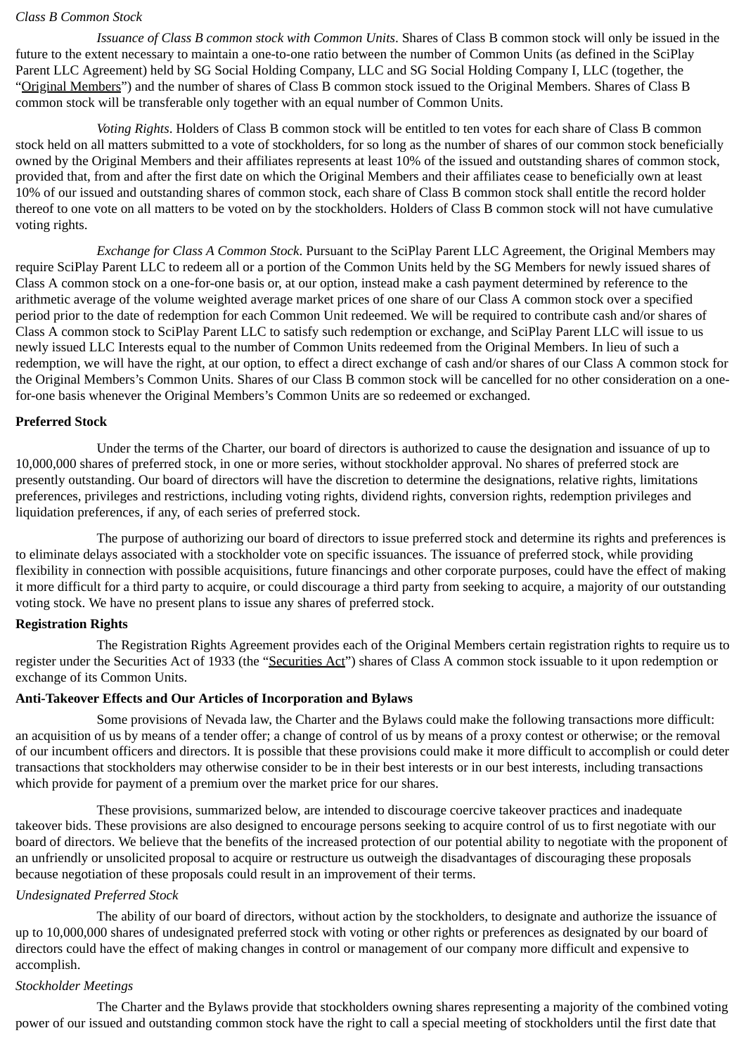### *Class B Common Stock*

*Issuance of Class B common stock with Common Units*. Shares of Class B common stock will only be issued in the future to the extent necessary to maintain a one-to-one ratio between the number of Common Units (as defined in the SciPlay Parent LLC Agreement) held by SG Social Holding Company, LLC and SG Social Holding Company I, LLC (together, the "Original Members") and the number of shares of Class B common stock issued to the Original Members. Shares of Class B common stock will be transferable only together with an equal number of Common Units.

*Voting Rights*. Holders of Class B common stock will be entitled to ten votes for each share of Class B common stock held on all matters submitted to a vote of stockholders, for so long as the number of shares of our common stock beneficially owned by the Original Members and their affiliates represents at least 10% of the issued and outstanding shares of common stock, provided that, from and after the first date on which the Original Members and their affiliates cease to beneficially own at least 10% of our issued and outstanding shares of common stock, each share of Class B common stock shall entitle the record holder thereof to one vote on all matters to be voted on by the stockholders. Holders of Class B common stock will not have cumulative voting rights.

*Exchange for Class A Common Stock*. Pursuant to the SciPlay Parent LLC Agreement, the Original Members may require SciPlay Parent LLC to redeem all or a portion of the Common Units held by the SG Members for newly issued shares of Class A common stock on a one-for-one basis or, at our option, instead make a cash payment determined by reference to the arithmetic average of the volume weighted average market prices of one share of our Class A common stock over a specified period prior to the date of redemption for each Common Unit redeemed. We will be required to contribute cash and/or shares of Class A common stock to SciPlay Parent LLC to satisfy such redemption or exchange, and SciPlay Parent LLC will issue to us newly issued LLC Interests equal to the number of Common Units redeemed from the Original Members. In lieu of such a redemption, we will have the right, at our option, to effect a direct exchange of cash and/or shares of our Class A common stock for the Original Members's Common Units. Shares of our Class B common stock will be cancelled for no other consideration on a onefor-one basis whenever the Original Members's Common Units are so redeemed or exchanged.

## **Preferred Stock**

Under the terms of the Charter, our board of directors is authorized to cause the designation and issuance of up to 10,000,000 shares of preferred stock, in one or more series, without stockholder approval. No shares of preferred stock are presently outstanding. Our board of directors will have the discretion to determine the designations, relative rights, limitations preferences, privileges and restrictions, including voting rights, dividend rights, conversion rights, redemption privileges and liquidation preferences, if any, of each series of preferred stock.

The purpose of authorizing our board of directors to issue preferred stock and determine its rights and preferences is to eliminate delays associated with a stockholder vote on specific issuances. The issuance of preferred stock, while providing flexibility in connection with possible acquisitions, future financings and other corporate purposes, could have the effect of making it more difficult for a third party to acquire, or could discourage a third party from seeking to acquire, a majority of our outstanding voting stock. We have no present plans to issue any shares of preferred stock.

## **Registration Rights**

The Registration Rights Agreement provides each of the Original Members certain registration rights to require us to register under the Securities Act of 1933 (the "Securities Act") shares of Class A common stock issuable to it upon redemption or exchange of its Common Units.

## **Anti-Takeover Effects and Our Articles of Incorporation and Bylaws**

Some provisions of Nevada law, the Charter and the Bylaws could make the following transactions more difficult: an acquisition of us by means of a tender offer; a change of control of us by means of a proxy contest or otherwise; or the removal of our incumbent officers and directors. It is possible that these provisions could make it more difficult to accomplish or could deter transactions that stockholders may otherwise consider to be in their best interests or in our best interests, including transactions which provide for payment of a premium over the market price for our shares.

These provisions, summarized below, are intended to discourage coercive takeover practices and inadequate takeover bids. These provisions are also designed to encourage persons seeking to acquire control of us to first negotiate with our board of directors. We believe that the benefits of the increased protection of our potential ability to negotiate with the proponent of an unfriendly or unsolicited proposal to acquire or restructure us outweigh the disadvantages of discouraging these proposals because negotiation of these proposals could result in an improvement of their terms.

## *Undesignated Preferred Stock*

The ability of our board of directors, without action by the stockholders, to designate and authorize the issuance of up to 10,000,000 shares of undesignated preferred stock with voting or other rights or preferences as designated by our board of directors could have the effect of making changes in control or management of our company more difficult and expensive to accomplish.

## *Stockholder Meetings*

The Charter and the Bylaws provide that stockholders owning shares representing a majority of the combined voting power of our issued and outstanding common stock have the right to call a special meeting of stockholders until the first date that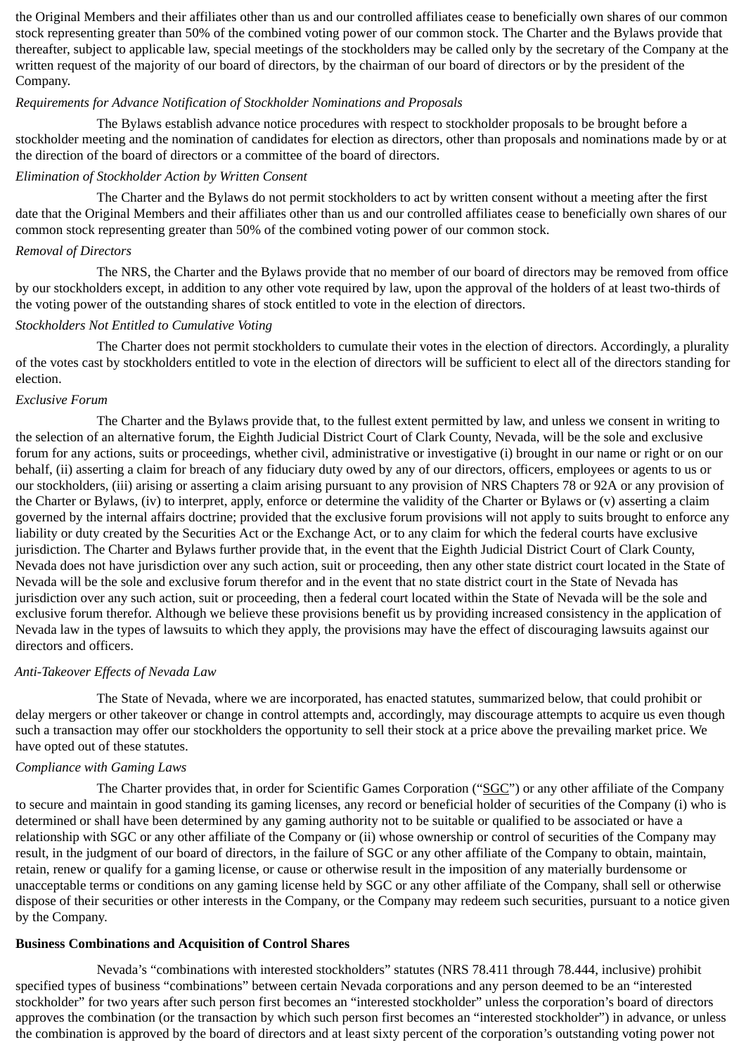the Original Members and their affiliates other than us and our controlled affiliates cease to beneficially own shares of our common stock representing greater than 50% of the combined voting power of our common stock. The Charter and the Bylaws provide that thereafter, subject to applicable law, special meetings of the stockholders may be called only by the secretary of the Company at the written request of the majority of our board of directors, by the chairman of our board of directors or by the president of the Company.

## *Requirements for Advance Notification of Stockholder Nominations and Proposals*

The Bylaws establish advance notice procedures with respect to stockholder proposals to be brought before a stockholder meeting and the nomination of candidates for election as directors, other than proposals and nominations made by or at the direction of the board of directors or a committee of the board of directors.

# *Elimination of Stockholder Action by Written Consent*

The Charter and the Bylaws do not permit stockholders to act by written consent without a meeting after the first date that the Original Members and their affiliates other than us and our controlled affiliates cease to beneficially own shares of our common stock representing greater than 50% of the combined voting power of our common stock.

## *Removal of Directors*

The NRS, the Charter and the Bylaws provide that no member of our board of directors may be removed from office by our stockholders except, in addition to any other vote required by law, upon the approval of the holders of at least two-thirds of the voting power of the outstanding shares of stock entitled to vote in the election of directors.

## *Stockholders Not Entitled to Cumulative Voting*

The Charter does not permit stockholders to cumulate their votes in the election of directors. Accordingly, a plurality of the votes cast by stockholders entitled to vote in the election of directors will be sufficient to elect all of the directors standing for election.

## *Exclusive Forum*

The Charter and the Bylaws provide that, to the fullest extent permitted by law, and unless we consent in writing to the selection of an alternative forum, the Eighth Judicial District Court of Clark County, Nevada, will be the sole and exclusive forum for any actions, suits or proceedings, whether civil, administrative or investigative (i) brought in our name or right or on our behalf, (ii) asserting a claim for breach of any fiduciary duty owed by any of our directors, officers, employees or agents to us or our stockholders, (iii) arising or asserting a claim arising pursuant to any provision of NRS Chapters 78 or 92A or any provision of the Charter or Bylaws, (iv) to interpret, apply, enforce or determine the validity of the Charter or Bylaws or (v) asserting a claim governed by the internal affairs doctrine; provided that the exclusive forum provisions will not apply to suits brought to enforce any liability or duty created by the Securities Act or the Exchange Act, or to any claim for which the federal courts have exclusive jurisdiction. The Charter and Bylaws further provide that, in the event that the Eighth Judicial District Court of Clark County, Nevada does not have jurisdiction over any such action, suit or proceeding, then any other state district court located in the State of Nevada will be the sole and exclusive forum therefor and in the event that no state district court in the State of Nevada has jurisdiction over any such action, suit or proceeding, then a federal court located within the State of Nevada will be the sole and exclusive forum therefor. Although we believe these provisions benefit us by providing increased consistency in the application of Nevada law in the types of lawsuits to which they apply, the provisions may have the effect of discouraging lawsuits against our directors and officers.

# *Anti-Takeover Effects of Nevada Law*

The State of Nevada, where we are incorporated, has enacted statutes, summarized below, that could prohibit or delay mergers or other takeover or change in control attempts and, accordingly, may discourage attempts to acquire us even though such a transaction may offer our stockholders the opportunity to sell their stock at a price above the prevailing market price. We have opted out of these statutes.

## *Compliance with Gaming Laws*

The Charter provides that, in order for Scientific Games Corporation ("SGC") or any other affiliate of the Company to secure and maintain in good standing its gaming licenses, any record or beneficial holder of securities of the Company (i) who is determined or shall have been determined by any gaming authority not to be suitable or qualified to be associated or have a relationship with SGC or any other affiliate of the Company or (ii) whose ownership or control of securities of the Company may result, in the judgment of our board of directors, in the failure of SGC or any other affiliate of the Company to obtain, maintain, retain, renew or qualify for a gaming license, or cause or otherwise result in the imposition of any materially burdensome or unacceptable terms or conditions on any gaming license held by SGC or any other affiliate of the Company, shall sell or otherwise dispose of their securities or other interests in the Company, or the Company may redeem such securities, pursuant to a notice given by the Company.

# **Business Combinations and Acquisition of Control Shares**

Nevada's "combinations with interested stockholders" statutes (NRS 78.411 through 78.444, inclusive) prohibit specified types of business "combinations" between certain Nevada corporations and any person deemed to be an "interested stockholder" for two years after such person first becomes an "interested stockholder" unless the corporation's board of directors approves the combination (or the transaction by which such person first becomes an "interested stockholder") in advance, or unless the combination is approved by the board of directors and at least sixty percent of the corporation's outstanding voting power not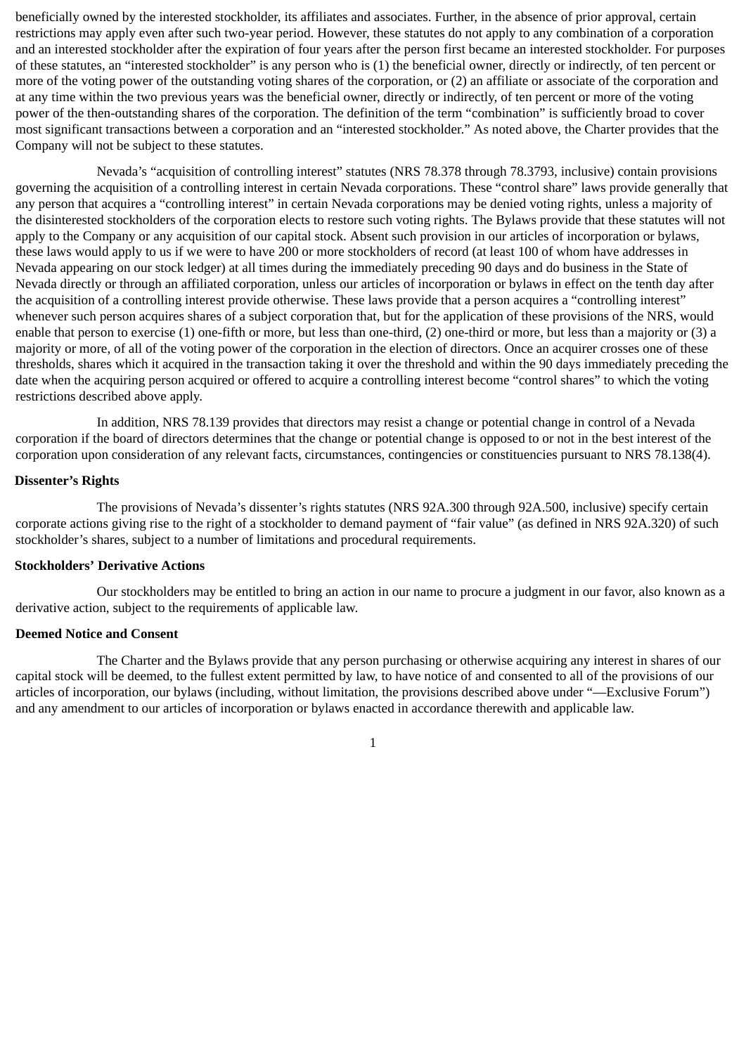beneficially owned by the interested stockholder, its affiliates and associates. Further, in the absence of prior approval, certain restrictions may apply even after such two-year period. However, these statutes do not apply to any combination of a corporation and an interested stockholder after the expiration of four years after the person first became an interested stockholder. For purposes of these statutes, an "interested stockholder" is any person who is (1) the beneficial owner, directly or indirectly, of ten percent or more of the voting power of the outstanding voting shares of the corporation, or (2) an affiliate or associate of the corporation and at any time within the two previous years was the beneficial owner, directly or indirectly, of ten percent or more of the voting power of the then-outstanding shares of the corporation. The definition of the term "combination" is sufficiently broad to cover most significant transactions between a corporation and an "interested stockholder." As noted above, the Charter provides that the Company will not be subject to these statutes.

Nevada's "acquisition of controlling interest" statutes (NRS 78.378 through 78.3793, inclusive) contain provisions governing the acquisition of a controlling interest in certain Nevada corporations. These "control share" laws provide generally that any person that acquires a "controlling interest" in certain Nevada corporations may be denied voting rights, unless a majority of the disinterested stockholders of the corporation elects to restore such voting rights. The Bylaws provide that these statutes will not apply to the Company or any acquisition of our capital stock. Absent such provision in our articles of incorporation or bylaws, these laws would apply to us if we were to have 200 or more stockholders of record (at least 100 of whom have addresses in Nevada appearing on our stock ledger) at all times during the immediately preceding 90 days and do business in the State of Nevada directly or through an affiliated corporation, unless our articles of incorporation or bylaws in effect on the tenth day after the acquisition of a controlling interest provide otherwise. These laws provide that a person acquires a "controlling interest" whenever such person acquires shares of a subject corporation that, but for the application of these provisions of the NRS, would enable that person to exercise (1) one-fifth or more, but less than one-third, (2) one-third or more, but less than a majority or (3) a majority or more, of all of the voting power of the corporation in the election of directors. Once an acquirer crosses one of these thresholds, shares which it acquired in the transaction taking it over the threshold and within the 90 days immediately preceding the date when the acquiring person acquired or offered to acquire a controlling interest become "control shares" to which the voting restrictions described above apply.

In addition, NRS 78.139 provides that directors may resist a change or potential change in control of a Nevada corporation if the board of directors determines that the change or potential change is opposed to or not in the best interest of the corporation upon consideration of any relevant facts, circumstances, contingencies or constituencies pursuant to NRS 78.138(4).

### **Dissenter's Rights**

The provisions of Nevada's dissenter's rights statutes (NRS 92A.300 through 92A.500, inclusive) specify certain corporate actions giving rise to the right of a stockholder to demand payment of "fair value" (as defined in NRS 92A.320) of such stockholder's shares, subject to a number of limitations and procedural requirements.

### **Stockholders' Derivative Actions**

Our stockholders may be entitled to bring an action in our name to procure a judgment in our favor, also known as a derivative action, subject to the requirements of applicable law.

## **Deemed Notice and Consent**

The Charter and the Bylaws provide that any person purchasing or otherwise acquiring any interest in shares of our capital stock will be deemed, to the fullest extent permitted by law, to have notice of and consented to all of the provisions of our articles of incorporation, our bylaws (including, without limitation, the provisions described above under "—Exclusive Forum") and any amendment to our articles of incorporation or bylaws enacted in accordance therewith and applicable law.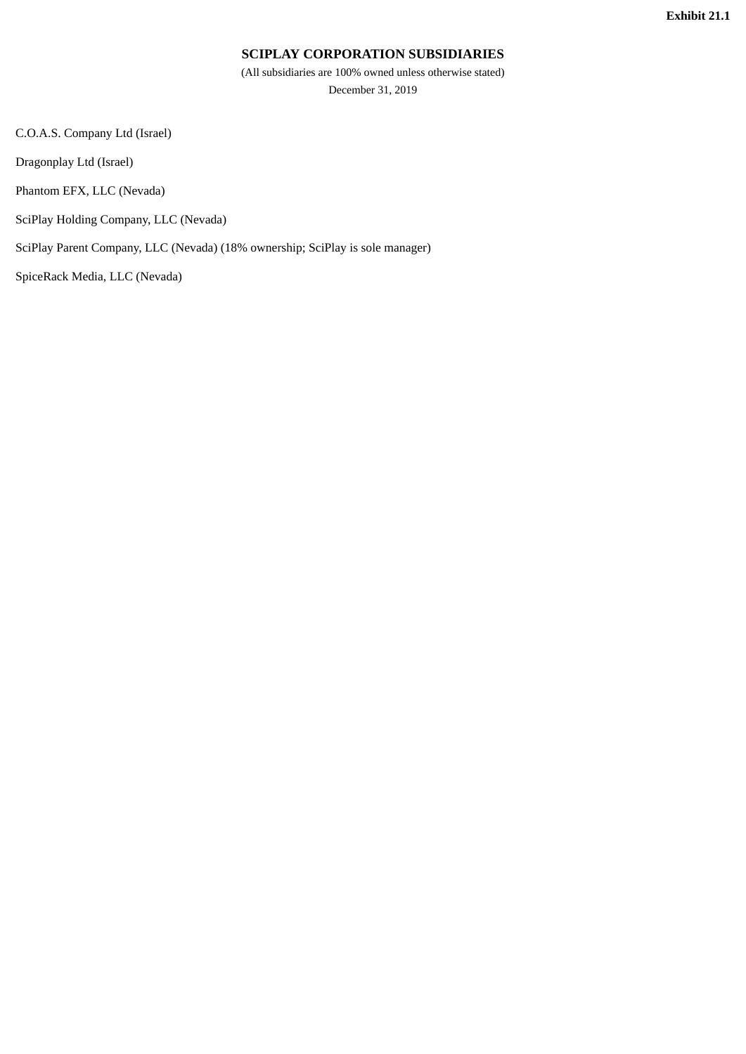## **SCIPLAY CORPORATION SUBSIDIARIES**

(All subsidiaries are 100% owned unless otherwise stated)

December 31, 2019

<span id="page-89-0"></span>C.O.A.S. Company Ltd (Israel)

Dragonplay Ltd (Israel)

Phantom EFX, LLC (Nevada)

SciPlay Holding Company, LLC (Nevada)

SciPlay Parent Company, LLC (Nevada) (18% ownership; SciPlay is sole manager)

SpiceRack Media, LLC (Nevada)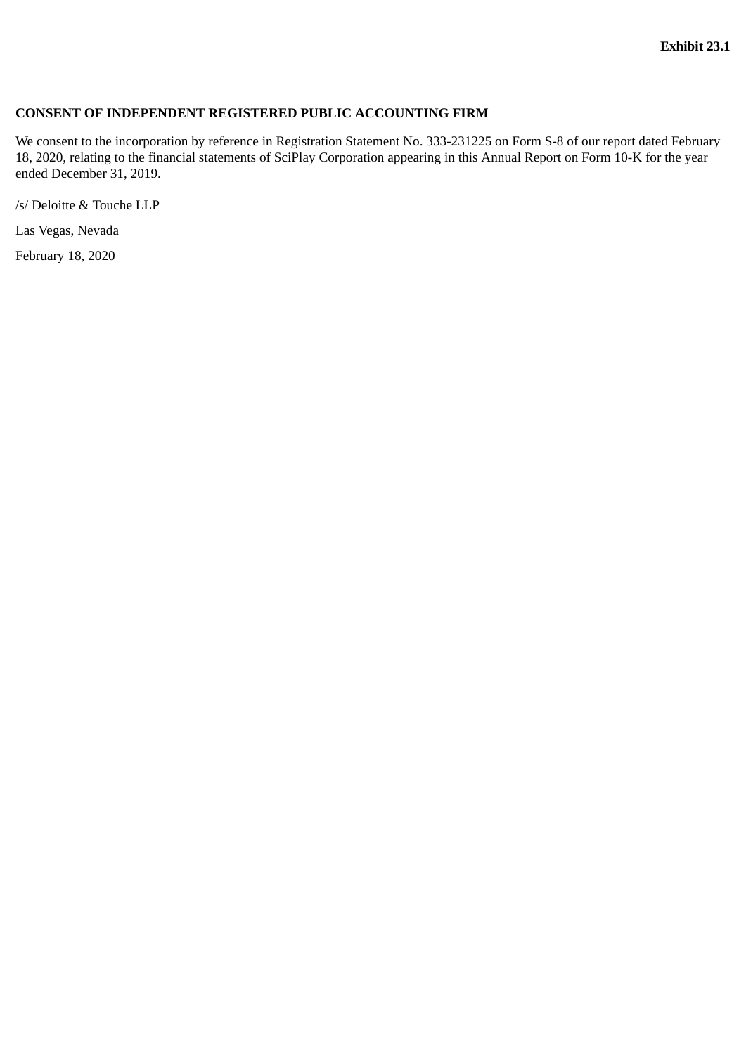## <span id="page-90-0"></span>**CONSENT OF INDEPENDENT REGISTERED PUBLIC ACCOUNTING FIRM**

We consent to the incorporation by reference in Registration Statement No. 333-231225 on Form S-8 of our report dated February 18, 2020, relating to the financial statements of SciPlay Corporation appearing in this Annual Report on Form 10-K for the year ended December 31, 2019.

/s/ Deloitte & Touche LLP

Las Vegas, Nevada

February 18, 2020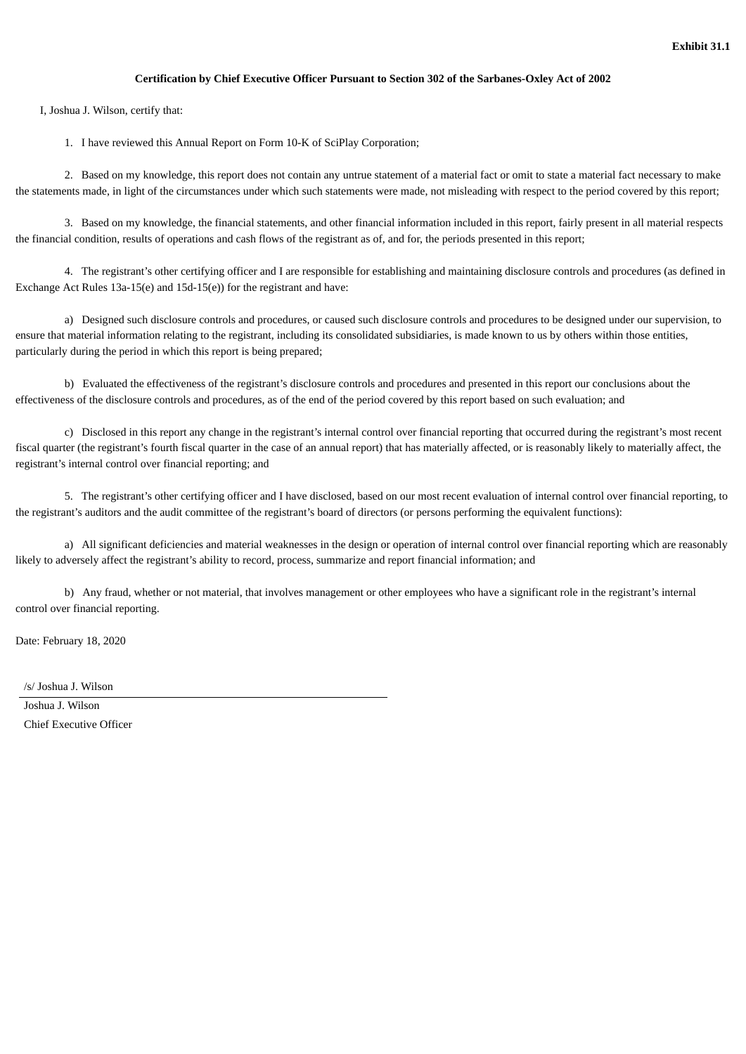### **Certification by Chief Executive Officer Pursuant to Section 302 of the Sarbanes-Oxley Act of 2002**

<span id="page-91-0"></span>I, Joshua J. Wilson, certify that:

1. I have reviewed this Annual Report on Form 10-K of SciPlay Corporation;

2. Based on my knowledge, this report does not contain any untrue statement of a material fact or omit to state a material fact necessary to make the statements made, in light of the circumstances under which such statements were made, not misleading with respect to the period covered by this report;

3. Based on my knowledge, the financial statements, and other financial information included in this report, fairly present in all material respects the financial condition, results of operations and cash flows of the registrant as of, and for, the periods presented in this report;

4. The registrant's other certifying officer and I are responsible for establishing and maintaining disclosure controls and procedures (as defined in Exchange Act Rules 13a-15(e) and 15d-15(e)) for the registrant and have:

a) Designed such disclosure controls and procedures, or caused such disclosure controls and procedures to be designed under our supervision, to ensure that material information relating to the registrant, including its consolidated subsidiaries, is made known to us by others within those entities, particularly during the period in which this report is being prepared;

b) Evaluated the effectiveness of the registrant's disclosure controls and procedures and presented in this report our conclusions about the effectiveness of the disclosure controls and procedures, as of the end of the period covered by this report based on such evaluation; and

c) Disclosed in this report any change in the registrant's internal control over financial reporting that occurred during the registrant's most recent fiscal quarter (the registrant's fourth fiscal quarter in the case of an annual report) that has materially affected, or is reasonably likely to materially affect, the registrant's internal control over financial reporting; and

5. The registrant's other certifying officer and I have disclosed, based on our most recent evaluation of internal control over financial reporting, to the registrant's auditors and the audit committee of the registrant's board of directors (or persons performing the equivalent functions):

a) All significant deficiencies and material weaknesses in the design or operation of internal control over financial reporting which are reasonably likely to adversely affect the registrant's ability to record, process, summarize and report financial information; and

b) Any fraud, whether or not material, that involves management or other employees who have a significant role in the registrant's internal control over financial reporting.

Date: February 18, 2020

/s/ Joshua J. Wilson

Joshua J. Wilson Chief Executive Officer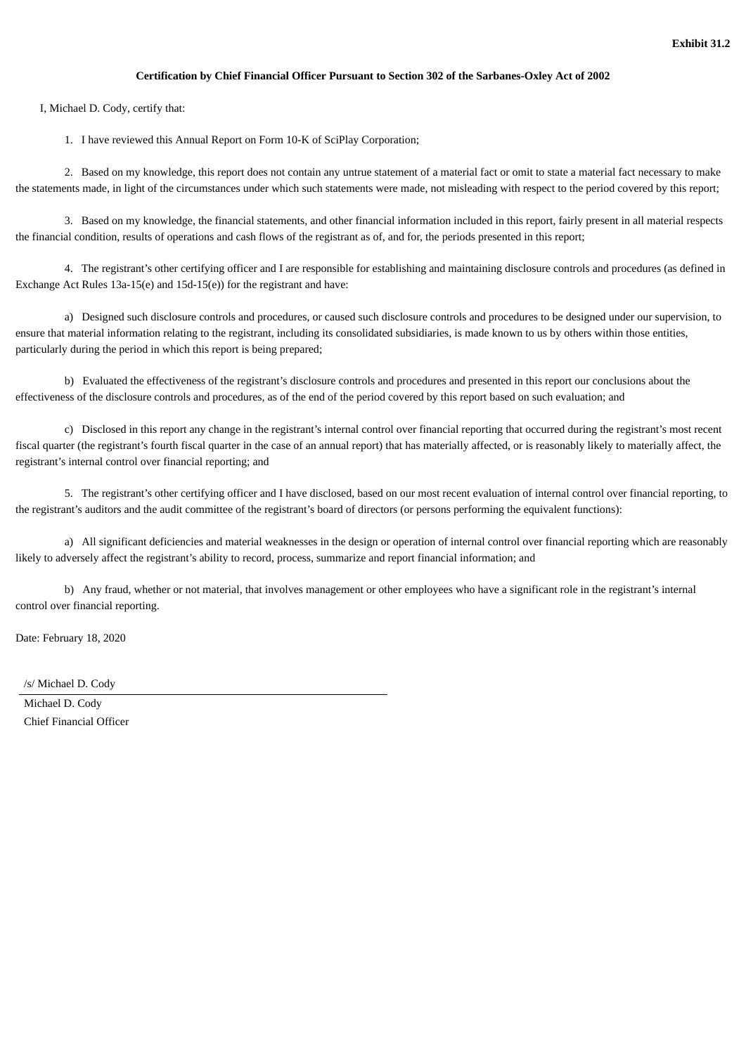### **Certification by Chief Financial Officer Pursuant to Section 302 of the Sarbanes-Oxley Act of 2002**

<span id="page-92-0"></span>I, Michael D. Cody, certify that:

1. I have reviewed this Annual Report on Form 10-K of SciPlay Corporation;

2. Based on my knowledge, this report does not contain any untrue statement of a material fact or omit to state a material fact necessary to make the statements made, in light of the circumstances under which such statements were made, not misleading with respect to the period covered by this report;

3. Based on my knowledge, the financial statements, and other financial information included in this report, fairly present in all material respects the financial condition, results of operations and cash flows of the registrant as of, and for, the periods presented in this report;

4. The registrant's other certifying officer and I are responsible for establishing and maintaining disclosure controls and procedures (as defined in Exchange Act Rules 13a-15(e) and 15d-15(e)) for the registrant and have:

a) Designed such disclosure controls and procedures, or caused such disclosure controls and procedures to be designed under our supervision, to ensure that material information relating to the registrant, including its consolidated subsidiaries, is made known to us by others within those entities, particularly during the period in which this report is being prepared;

b) Evaluated the effectiveness of the registrant's disclosure controls and procedures and presented in this report our conclusions about the effectiveness of the disclosure controls and procedures, as of the end of the period covered by this report based on such evaluation; and

c) Disclosed in this report any change in the registrant's internal control over financial reporting that occurred during the registrant's most recent fiscal quarter (the registrant's fourth fiscal quarter in the case of an annual report) that has materially affected, or is reasonably likely to materially affect, the registrant's internal control over financial reporting; and

5. The registrant's other certifying officer and I have disclosed, based on our most recent evaluation of internal control over financial reporting, to the registrant's auditors and the audit committee of the registrant's board of directors (or persons performing the equivalent functions):

a) All significant deficiencies and material weaknesses in the design or operation of internal control over financial reporting which are reasonably likely to adversely affect the registrant's ability to record, process, summarize and report financial information; and

b) Any fraud, whether or not material, that involves management or other employees who have a significant role in the registrant's internal control over financial reporting.

Date: February 18, 2020

/s/ Michael D. Cody

Michael D. Cody Chief Financial Officer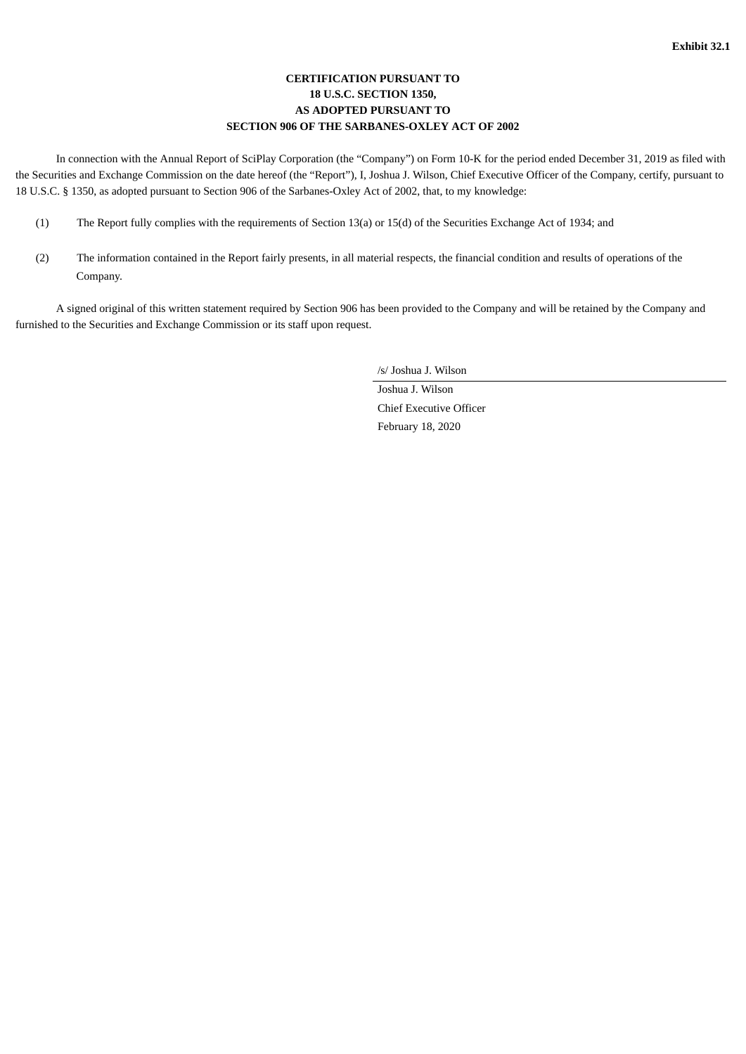## **CERTIFICATION PURSUANT TO 18 U.S.C. SECTION 1350, AS ADOPTED PURSUANT TO SECTION 906 OF THE SARBANES-OXLEY ACT OF 2002**

<span id="page-93-0"></span>In connection with the Annual Report of SciPlay Corporation (the "Company") on Form 10-K for the period ended December 31, 2019 as filed with the Securities and Exchange Commission on the date hereof (the "Report"), I, Joshua J. Wilson, Chief Executive Officer of the Company, certify, pursuant to 18 U.S.C. § 1350, as adopted pursuant to Section 906 of the Sarbanes-Oxley Act of 2002, that, to my knowledge:

- (1) The Report fully complies with the requirements of Section 13(a) or 15(d) of the Securities Exchange Act of 1934; and
- (2) The information contained in the Report fairly presents, in all material respects, the financial condition and results of operations of the Company.

A signed original of this written statement required by Section 906 has been provided to the Company and will be retained by the Company and furnished to the Securities and Exchange Commission or its staff upon request.

/s/ Joshua J. Wilson

Joshua J. Wilson Chief Executive Officer February 18, 2020